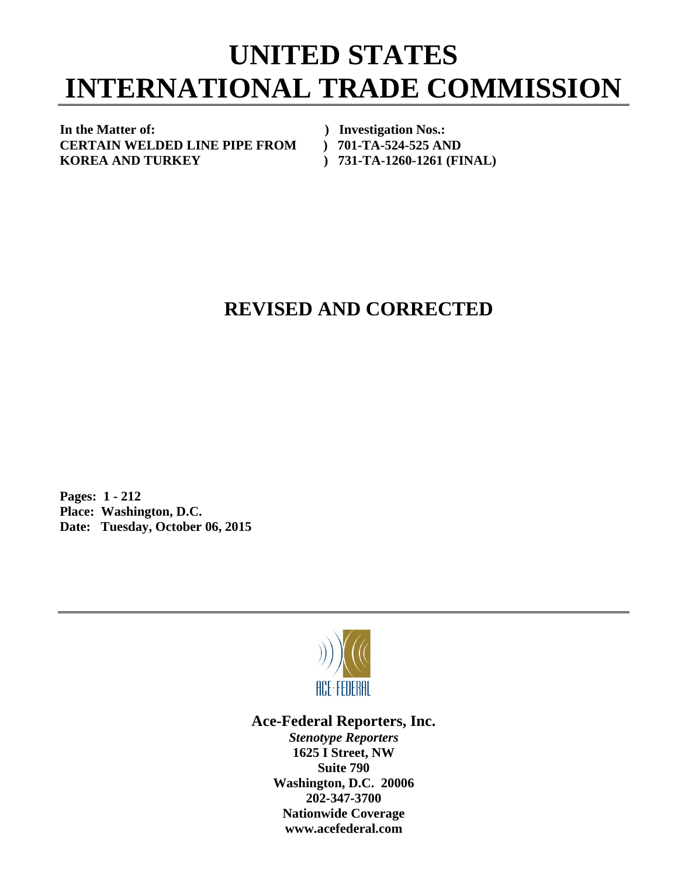## **UNITED STATES INTERNATIONAL TRADE COMMISSION**

In the Matter of: *In the Matter of: PHONOS.: PHONOS.:* **CERTAIN WELDED LINE PIPE FROM ) 701-TA-524-525 AND KOREA AND TURKEY ) 731-TA-1260-1261 (FINAL)** 

## **REVISED AND CORRECTED**

**Pages: 1 - 212 Place: Washington, D.C. Date: Tuesday, October 06, 2015** 



**Ace-Federal Reporters, Inc.** 

*Stenotype Reporters*  **1625 I Street, NW Suite 790 Washington, D.C. 20006 202-347-3700 Nationwide Coverage www.acefederal.com**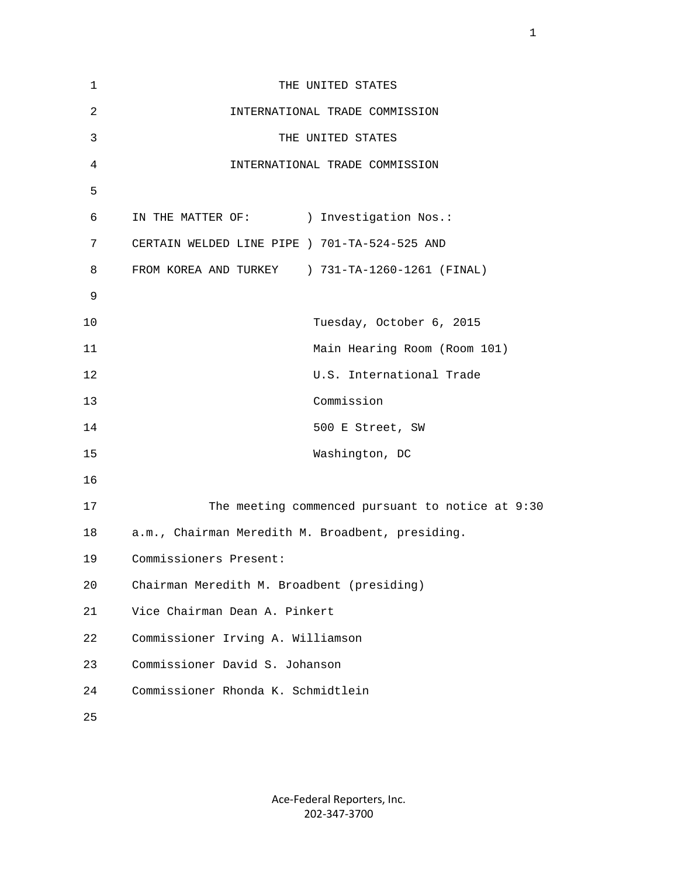| 1  | THE UNITED STATES                                |
|----|--------------------------------------------------|
| 2  | INTERNATIONAL TRADE COMMISSION                   |
| 3  | THE UNITED STATES                                |
| 4  | INTERNATIONAL TRADE COMMISSION                   |
| 5  |                                                  |
| 6  | IN THE MATTER OF: ) Investigation Nos.:          |
| 7  | CERTAIN WELDED LINE PIPE ) 701-TA-524-525 AND    |
| 8  | FROM KOREA AND TURKEY ) 731-TA-1260-1261 (FINAL) |
| 9  |                                                  |
| 10 | Tuesday, October 6, 2015                         |
| 11 | Main Hearing Room (Room 101)                     |
| 12 | U.S. International Trade                         |
| 13 | Commission                                       |
| 14 | 500 E Street, SW                                 |
| 15 | Washington, DC                                   |
| 16 |                                                  |
| 17 | The meeting commenced pursuant to notice at 9:30 |
| 18 | a.m., Chairman Meredith M. Broadbent, presiding. |
| 19 | Commissioners Present:                           |
| 20 | Chairman Meredith M. Broadbent (presiding)       |
| 21 | Vice Chairman Dean A. Pinkert                    |
| 22 | Commissioner Irving A. Williamson                |
| 23 | Commissioner David S. Johanson                   |
| 24 | Commissioner Rhonda K. Schmidtlein               |
| 25 |                                                  |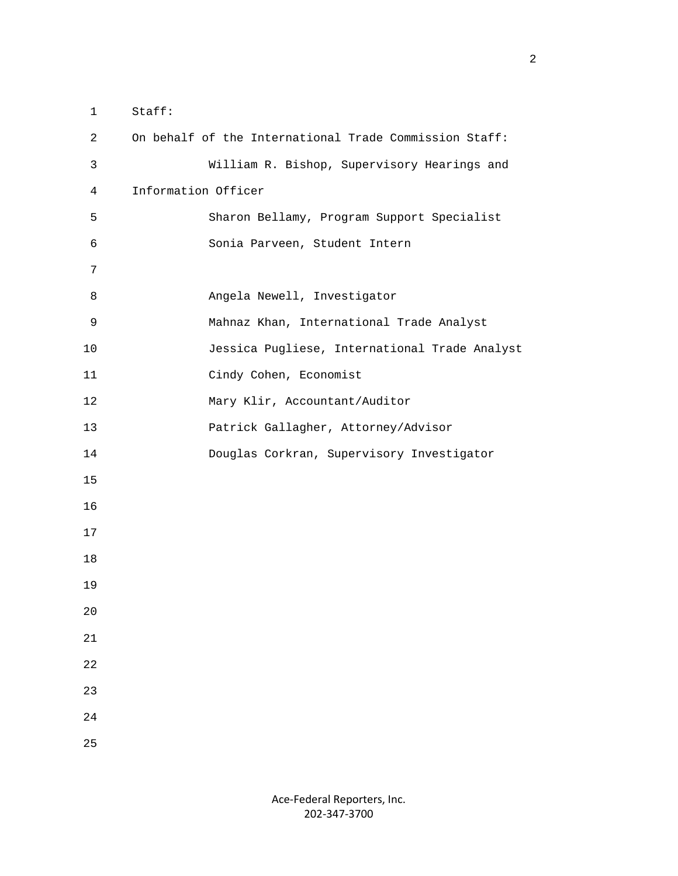1 Staff: 2 On behalf of the International Trade Commission Staff: 3 William R. Bishop, Supervisory Hearings and 4 Information Officer 5 Sharon Bellamy, Program Support Specialist 6 Sonia Parveen, Student Intern 7 8 Angela Newell, Investigator 9 Mahnaz Khan, International Trade Analyst 10 Jessica Pugliese, International Trade Analyst 11 Cindy Cohen, Economist 12 Mary Klir, Accountant/Auditor 13 Patrick Gallagher, Attorney/Advisor 14 Douglas Corkran, Supervisory Investigator 15 16 17 18 19 20 21 22 23 24 25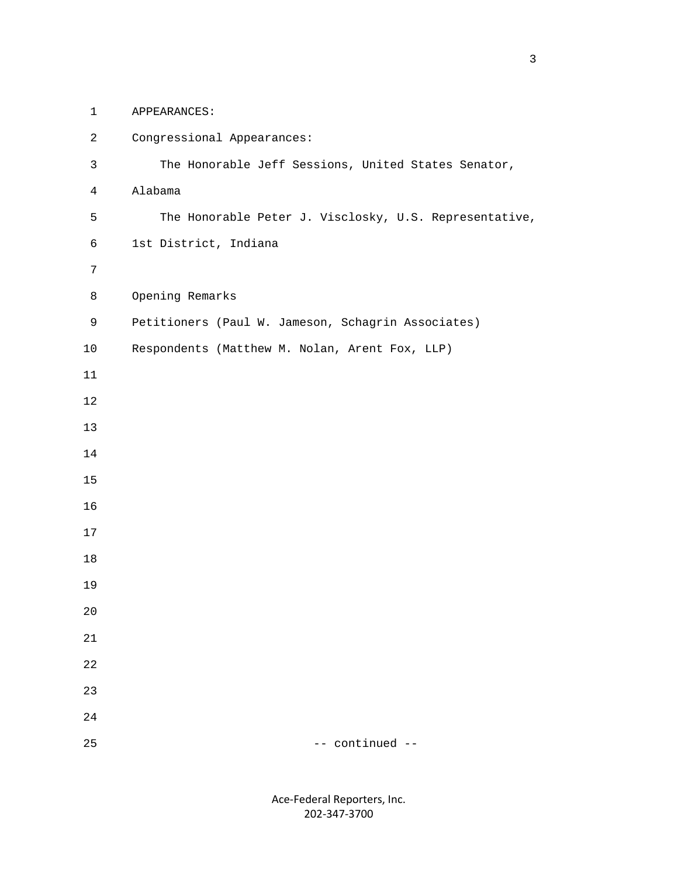1 APPEARANCES:

| $\overline{a}$ | Congressional Appearances:                             |
|----------------|--------------------------------------------------------|
| $\mathsf{3}$   | The Honorable Jeff Sessions, United States Senator,    |
| $\overline{4}$ | Alabama                                                |
| 5              | The Honorable Peter J. Visclosky, U.S. Representative, |
| $\epsilon$     | 1st District, Indiana                                  |
| $7\phantom{.}$ |                                                        |
| 8              | Opening Remarks                                        |
| 9              | Petitioners (Paul W. Jameson, Schagrin Associates)     |
| $10$           | Respondents (Matthew M. Nolan, Arent Fox, LLP)         |
| $11\,$         |                                                        |
| $12\,$         |                                                        |
| 13             |                                                        |
| 14             |                                                        |
| 15             |                                                        |
| 16             |                                                        |
| 17             |                                                        |
| 18             |                                                        |
| 19             |                                                        |
| 20             |                                                        |
| 21             |                                                        |
| $2\sqrt{2}$    |                                                        |
| 23             |                                                        |
| 24             |                                                        |
| 25             | -- continued --                                        |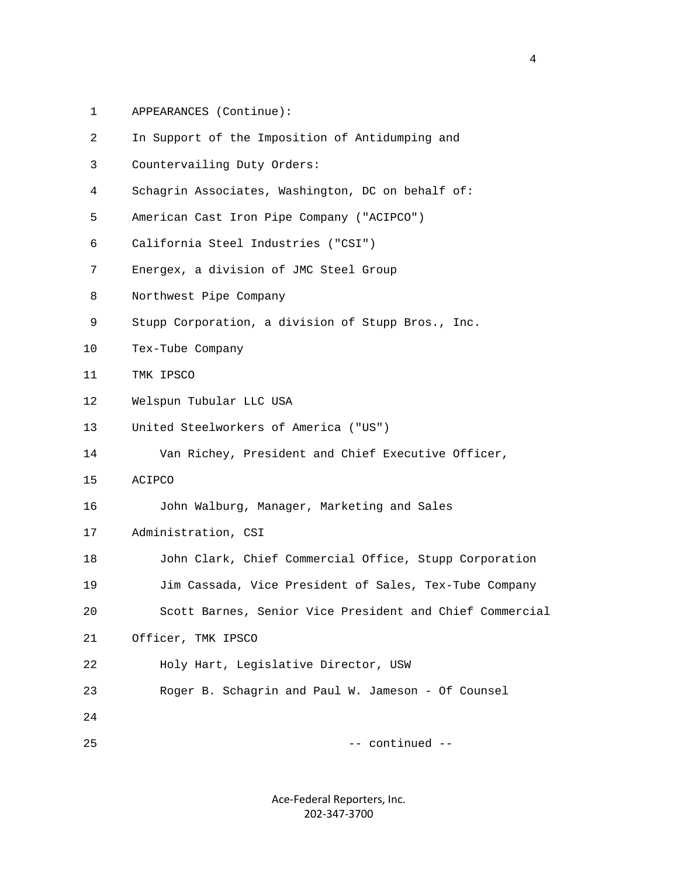1 APPEARANCES (Continue):

| 2  | In Support of the Imposition of Antidumping and          |
|----|----------------------------------------------------------|
| 3  | Countervailing Duty Orders:                              |
| 4  | Schagrin Associates, Washington, DC on behalf of:        |
| 5  | American Cast Iron Pipe Company ("ACIPCO")               |
| 6  | California Steel Industries ("CSI")                      |
| 7  | Energex, a division of JMC Steel Group                   |
| 8  | Northwest Pipe Company                                   |
| 9  | Stupp Corporation, a division of Stupp Bros., Inc.       |
| 10 | Tex-Tube Company                                         |
| 11 | TMK IPSCO                                                |
| 12 | Welspun Tubular LLC USA                                  |
| 13 | United Steelworkers of America ("US")                    |
| 14 | Van Richey, President and Chief Executive Officer,       |
| 15 | ACIPCO                                                   |
| 16 | John Walburg, Manager, Marketing and Sales               |
| 17 | Administration, CSI                                      |
| 18 | John Clark, Chief Commercial Office, Stupp Corporation   |
| 19 | Jim Cassada, Vice President of Sales, Tex-Tube Company   |
| 20 | Scott Barnes, Senior Vice President and Chief Commercial |
| 21 | Officer, TMK IPSCO                                       |
| 22 | Holy Hart, Legislative Director, USW                     |
| 23 | Roger B. Schagrin and Paul W. Jameson - Of Counsel       |
| 24 |                                                          |
| 25 | -- continued --                                          |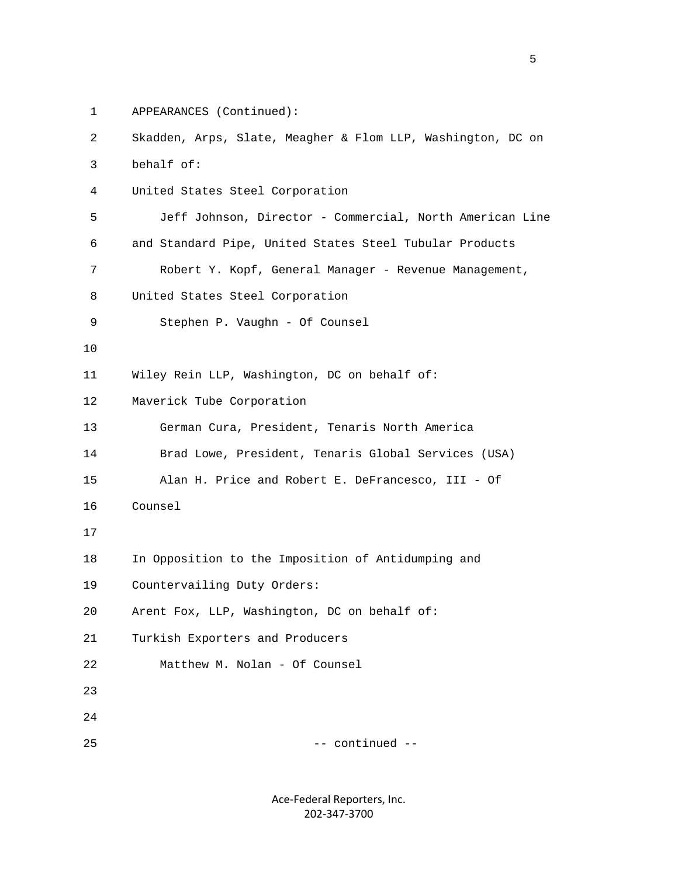1 APPEARANCES (Continued):

| 2  | Skadden, Arps, Slate, Meagher & Flom LLP, Washington, DC on |
|----|-------------------------------------------------------------|
| 3  | behalf of:                                                  |
| 4  | United States Steel Corporation                             |
| 5  | Jeff Johnson, Director - Commercial, North American Line    |
| 6  | and Standard Pipe, United States Steel Tubular Products     |
| 7  | Robert Y. Kopf, General Manager - Revenue Management,       |
| 8  | United States Steel Corporation                             |
| 9  | Stephen P. Vaughn - Of Counsel                              |
| 10 |                                                             |
| 11 | Wiley Rein LLP, Washington, DC on behalf of:                |
| 12 | Maverick Tube Corporation                                   |
| 13 | German Cura, President, Tenaris North America               |
| 14 | Brad Lowe, President, Tenaris Global Services (USA)         |
| 15 | Alan H. Price and Robert E. DeFrancesco, III - Of           |
| 16 | Counsel                                                     |
| 17 |                                                             |
| 18 | In Opposition to the Imposition of Antidumping and          |
| 19 | Countervailing Duty Orders:                                 |
| 20 | Arent Fox, LLP, Washington, DC on behalf of:                |
| 21 | Turkish Exporters and Producers                             |
| 22 | Matthew M. Nolan - Of Counsel                               |
| 23 |                                                             |
| 24 |                                                             |
| 25 | -- continued --                                             |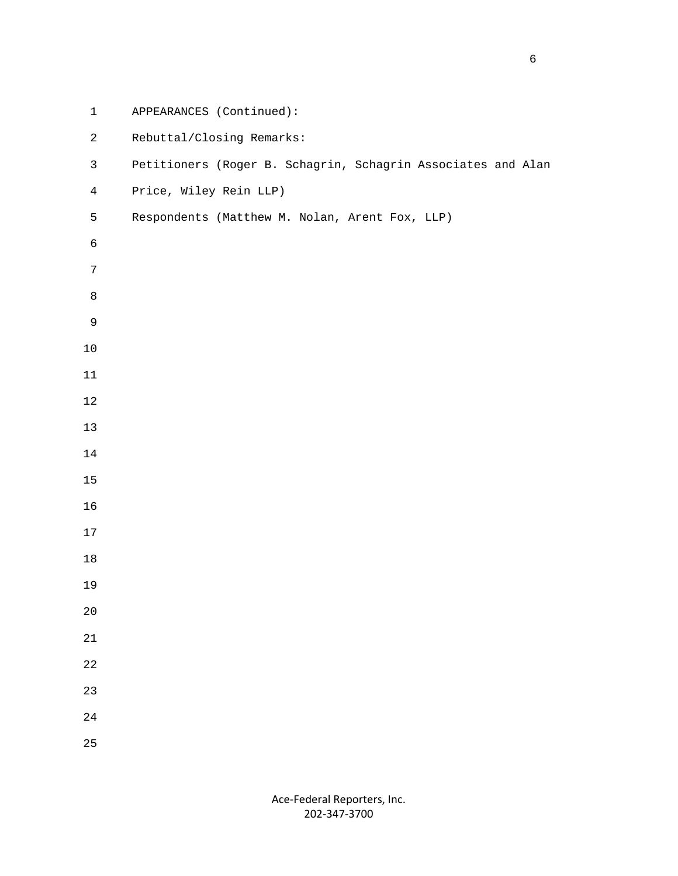| $\mathbf 1$    | APPEARANCES (Continued):                                     |
|----------------|--------------------------------------------------------------|
| $\overline{c}$ | Rebuttal/Closing Remarks:                                    |
| $\mathfrak{Z}$ | Petitioners (Roger B. Schagrin, Schagrin Associates and Alan |
| $\overline{4}$ | Price, Wiley Rein LLP)                                       |
| 5              | Respondents (Matthew M. Nolan, Arent Fox, LLP)               |
| $\epsilon$     |                                                              |
| $\overline{7}$ |                                                              |
| $\,8\,$        |                                                              |
| $\mathsf 9$    |                                                              |
| $10$           |                                                              |
| $11\,$         |                                                              |
| $12\,$         |                                                              |
| 13             |                                                              |
| $14$           |                                                              |
| 15             |                                                              |
| 16             |                                                              |
| 17             |                                                              |
| $18\,$         |                                                              |
| 19             |                                                              |
| $20\,$         |                                                              |
| $21\,$         |                                                              |
| $2\sqrt{2}$    |                                                              |
| 23             |                                                              |
| $2\sqrt{4}$    |                                                              |
| 25             |                                                              |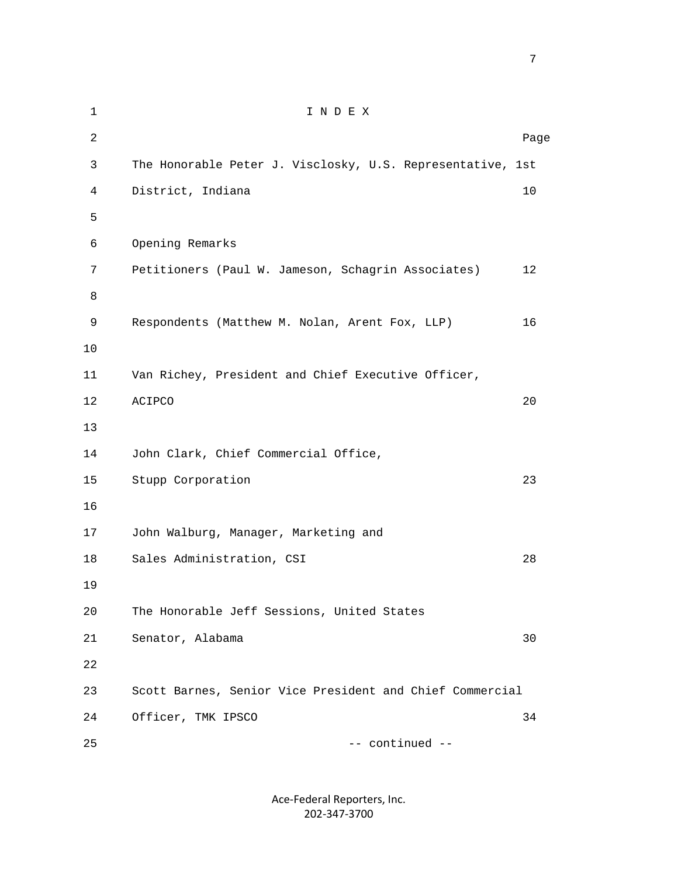| $\mathbf{1}$   | INDEX                                                      |      |
|----------------|------------------------------------------------------------|------|
| $\overline{2}$ |                                                            | Page |
| 3              | The Honorable Peter J. Visclosky, U.S. Representative, 1st |      |
| 4              | District, Indiana                                          | 10   |
| 5              |                                                            |      |
| 6              | Opening Remarks                                            |      |
| 7              | Petitioners (Paul W. Jameson, Schagrin Associates)         | 12   |
| 8              |                                                            |      |
| 9              | Respondents (Matthew M. Nolan, Arent Fox, LLP)             | 16   |
| 10             |                                                            |      |
| 11             | Van Richey, President and Chief Executive Officer,         |      |
| 12             | ACIPCO                                                     | 20   |
| 13             |                                                            |      |
| 14             | John Clark, Chief Commercial Office,                       |      |
| 15             | Stupp Corporation                                          | 23   |
| 16             |                                                            |      |
| 17             | John Walburg, Manager, Marketing and                       |      |
| 18             | Sales Administration, CSI                                  | 28   |
| 19             |                                                            |      |
| 20             | The Honorable Jeff Sessions, United States                 |      |
| 21             | Senator, Alabama                                           | 30   |
| 22             |                                                            |      |
| 23             | Scott Barnes, Senior Vice President and Chief Commercial   |      |
| 24             | Officer, TMK IPSCO                                         | 34   |
| 25             | -- continued --                                            |      |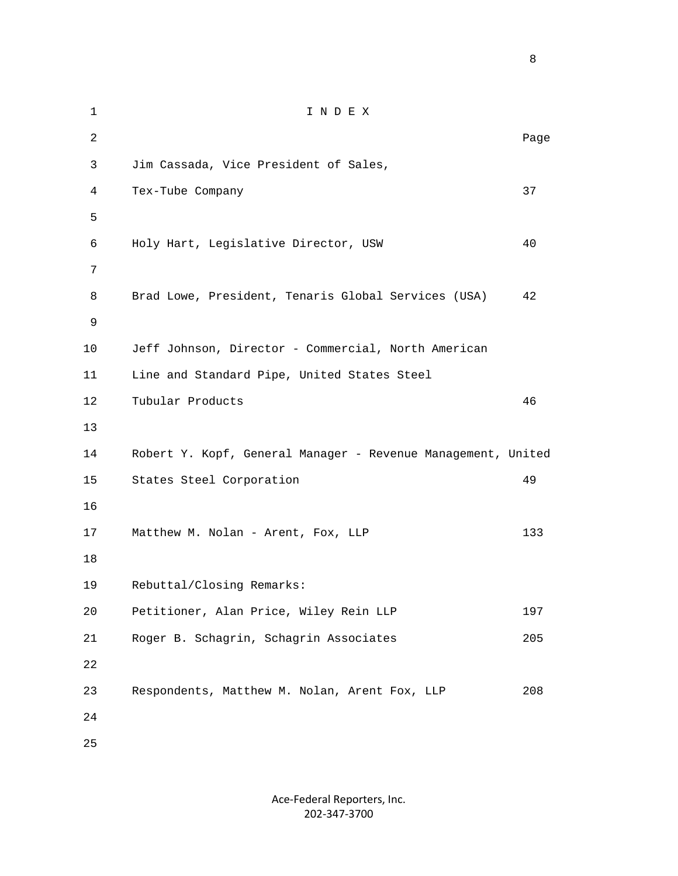1 I N D E X 2 **Page 12** Page 2 **Page 2** Page 2 Page 2 Page 2 Page 2 Page 2 Page 2 Page 2 Page 2 Page 2 Page 2 Page 2 Page 2 Page 2 Page 2 Page 2 Page 2 Page 2 Page 2 Page 2 Page 2 Page 2 Page 2 Page 2 Page 2 Page 2 Page 2 Page 2 Page 3 Jim Cassada, Vice President of Sales, 4 Tex-Tube Company 37  $5<sub>5</sub>$  6 Holy Hart, Legislative Director, USW 40 7 8 Brad Lowe, President, Tenaris Global Services (USA) 42 9 10 Jeff Johnson, Director - Commercial, North American 11 Line and Standard Pipe, United States Steel 12 Tubular Products 46 13 14 Robert Y. Kopf, General Manager - Revenue Management, United 15 States Steel Corporation 49 16 17 Matthew M. Nolan - Arent, Fox, LLP 133 18 19 Rebuttal/Closing Remarks: 20 Petitioner, Alan Price, Wiley Rein LLP 197 21 Roger B. Schagrin, Schagrin Associates 205 22 23 Respondents, Matthew M. Nolan, Arent Fox, LLP 208 24 25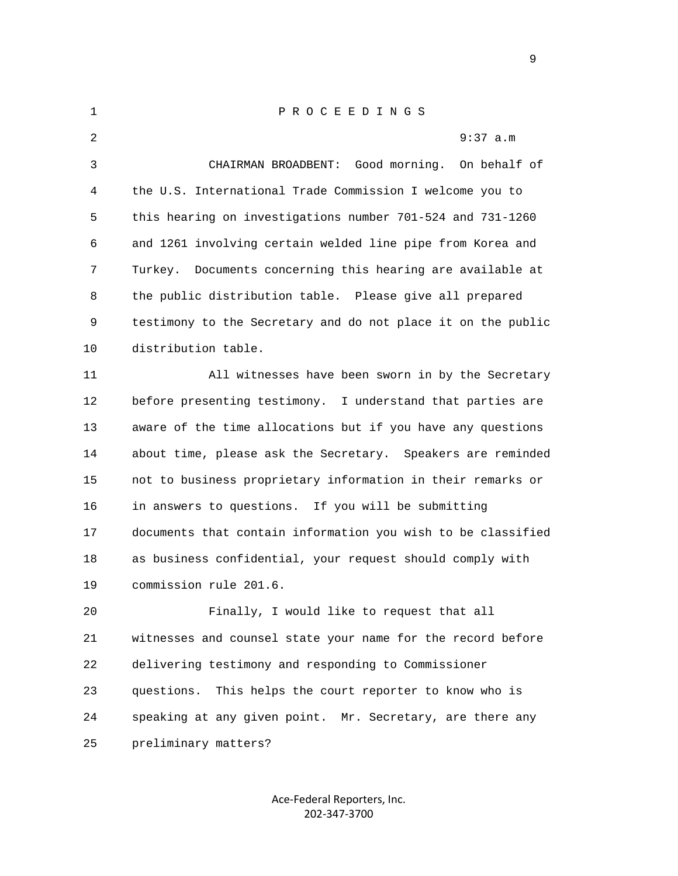| $\mathbf{1}$ | P R O C E E D I N G S                                         |
|--------------|---------------------------------------------------------------|
| 2            | 9:37 a.m                                                      |
| 3            | CHAIRMAN BROADBENT: Good morning.<br>On behalf of             |
| 4            | the U.S. International Trade Commission I welcome you to      |
| 5            | this hearing on investigations number 701-524 and 731-1260    |
| 6            | and 1261 involving certain welded line pipe from Korea and    |
| 7            | Documents concerning this hearing are available at<br>Turkey. |
| 8            | the public distribution table. Please give all prepared       |
| 9            | testimony to the Secretary and do not place it on the public  |
| 10           | distribution table.                                           |
| 11           | All witnesses have been sworn in by the Secretary             |
| 12           | before presenting testimony. I understand that parties are    |
| 13           | aware of the time allocations but if you have any questions   |
| 14           | about time, please ask the Secretary. Speakers are reminded   |
| 15           | not to business proprietary information in their remarks or   |
| 16           | in answers to questions. If you will be submitting            |
| 17           | documents that contain information you wish to be classified  |
| 18           | as business confidential, your request should comply with     |
| 19           | commission rule 201.6.                                        |
| 20           | Finally, I would like to request that all                     |
| 21           | witnesses and counsel state your name for the record before   |
| 22           | delivering testimony and responding to Commissioner           |
| 23           | This helps the court reporter to know who is<br>questions.    |
| 24           | speaking at any given point. Mr. Secretary, are there any     |
| 25           | preliminary matters?                                          |
|              |                                                               |

Ace‐Federal Reporters, Inc. 202‐347‐3700

en de la provincia de la provincia de la provincia de la provincia de la provincia de la provincia de la provi<br>1900 : la provincia de la provincia de la provincia de la provincia de la provincia de la provincia de la prov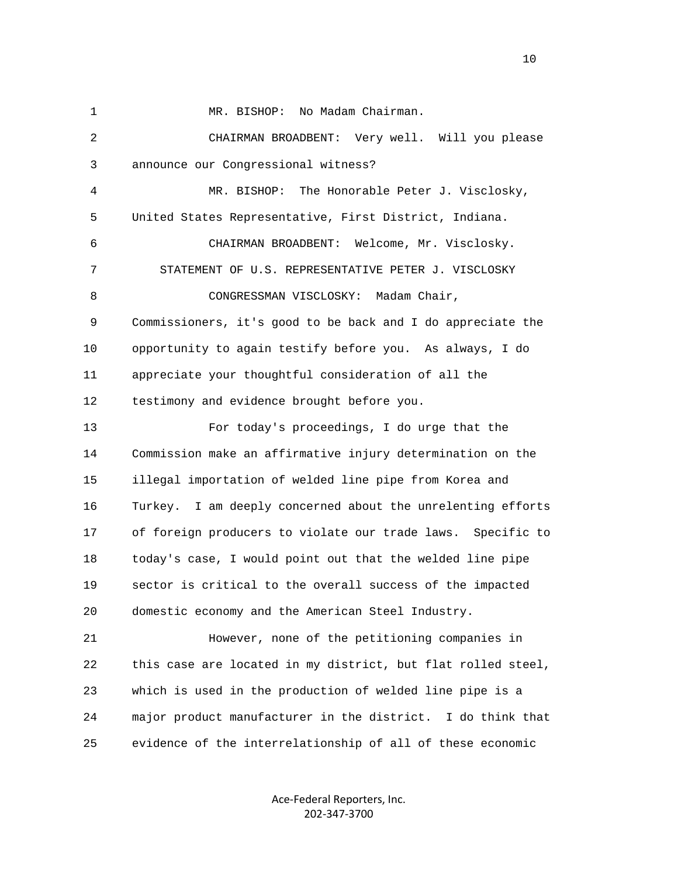1 MR. BISHOP: No Madam Chairman. 2 CHAIRMAN BROADBENT: Very well. Will you please 3 announce our Congressional witness? 4 MR. BISHOP: The Honorable Peter J. Visclosky, 5 United States Representative, First District, Indiana. 6 CHAIRMAN BROADBENT: Welcome, Mr. Visclosky. 7 STATEMENT OF U.S. REPRESENTATIVE PETER J. VISCLOSKY 8 CONGRESSMAN VISCLOSKY: Madam Chair, 9 Commissioners, it's good to be back and I do appreciate the 10 opportunity to again testify before you. As always, I do 11 appreciate your thoughtful consideration of all the 12 testimony and evidence brought before you. 13 For today's proceedings, I do urge that the 14 Commission make an affirmative injury determination on the 15 illegal importation of welded line pipe from Korea and 16 Turkey. I am deeply concerned about the unrelenting efforts 17 of foreign producers to violate our trade laws. Specific to 18 today's case, I would point out that the welded line pipe 19 sector is critical to the overall success of the impacted 20 domestic economy and the American Steel Industry.

 21 However, none of the petitioning companies in 22 this case are located in my district, but flat rolled steel, 23 which is used in the production of welded line pipe is a 24 major product manufacturer in the district. I do think that 25 evidence of the interrelationship of all of these economic

> Ace‐Federal Reporters, Inc. 202‐347‐3700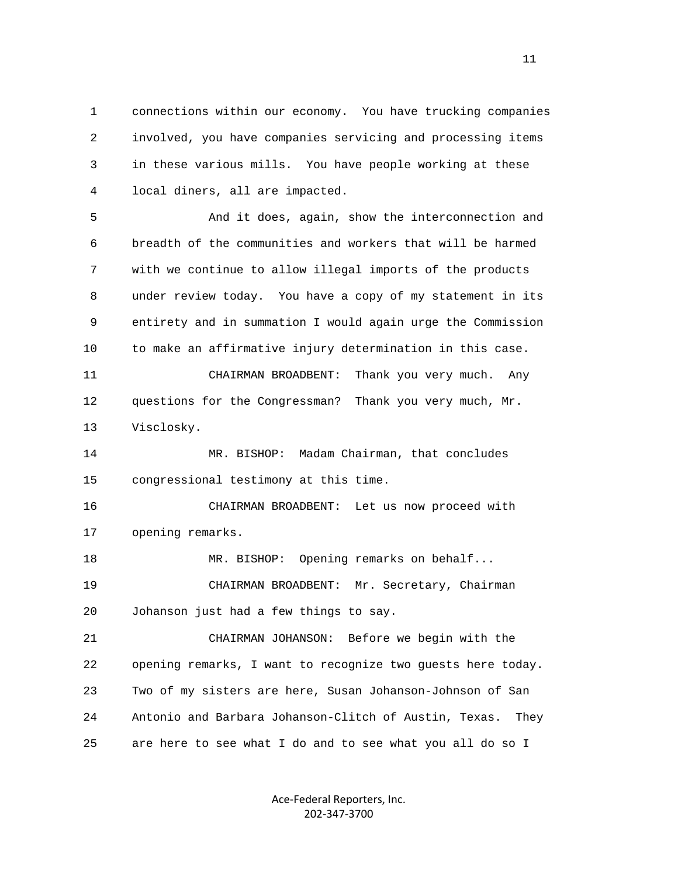1 connections within our economy. You have trucking companies 2 involved, you have companies servicing and processing items 3 in these various mills. You have people working at these 4 local diners, all are impacted.

 5 And it does, again, show the interconnection and 6 breadth of the communities and workers that will be harmed 7 with we continue to allow illegal imports of the products 8 under review today. You have a copy of my statement in its 9 entirety and in summation I would again urge the Commission 10 to make an affirmative injury determination in this case.

 11 CHAIRMAN BROADBENT: Thank you very much. Any 12 questions for the Congressman? Thank you very much, Mr. 13 Visclosky.

 14 MR. BISHOP: Madam Chairman, that concludes 15 congressional testimony at this time.

 16 CHAIRMAN BROADBENT: Let us now proceed with 17 opening remarks.

18 MR. BISHOP: Opening remarks on behalf... 19 CHAIRMAN BROADBENT: Mr. Secretary, Chairman 20 Johanson just had a few things to say.

 21 CHAIRMAN JOHANSON: Before we begin with the 22 opening remarks, I want to recognize two guests here today. 23 Two of my sisters are here, Susan Johanson-Johnson of San 24 Antonio and Barbara Johanson-Clitch of Austin, Texas. They 25 are here to see what I do and to see what you all do so I

> Ace‐Federal Reporters, Inc. 202‐347‐3700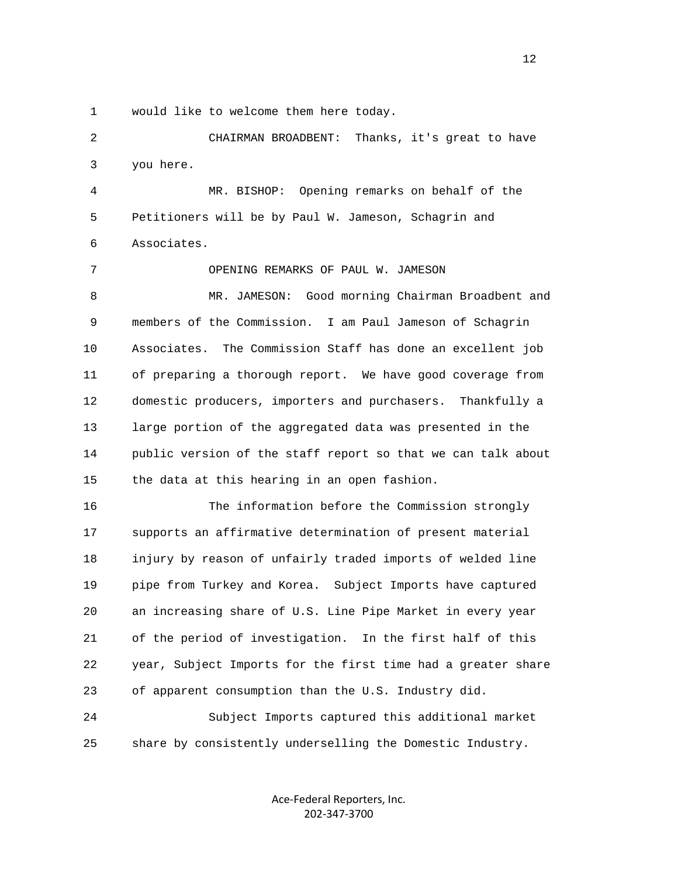1 would like to welcome them here today.

 2 CHAIRMAN BROADBENT: Thanks, it's great to have 3 you here. 4 MR. BISHOP: Opening remarks on behalf of the

 5 Petitioners will be by Paul W. Jameson, Schagrin and 6 Associates.

 7 OPENING REMARKS OF PAUL W. JAMESON 8 MR. JAMESON: Good morning Chairman Broadbent and 9 members of the Commission. I am Paul Jameson of Schagrin 10 Associates. The Commission Staff has done an excellent job 11 of preparing a thorough report. We have good coverage from 12 domestic producers, importers and purchasers. Thankfully a 13 large portion of the aggregated data was presented in the 14 public version of the staff report so that we can talk about 15 the data at this hearing in an open fashion.

 16 The information before the Commission strongly 17 supports an affirmative determination of present material 18 injury by reason of unfairly traded imports of welded line 19 pipe from Turkey and Korea. Subject Imports have captured 20 an increasing share of U.S. Line Pipe Market in every year 21 of the period of investigation. In the first half of this 22 year, Subject Imports for the first time had a greater share 23 of apparent consumption than the U.S. Industry did.

 24 Subject Imports captured this additional market 25 share by consistently underselling the Domestic Industry.

> Ace‐Federal Reporters, Inc. 202‐347‐3700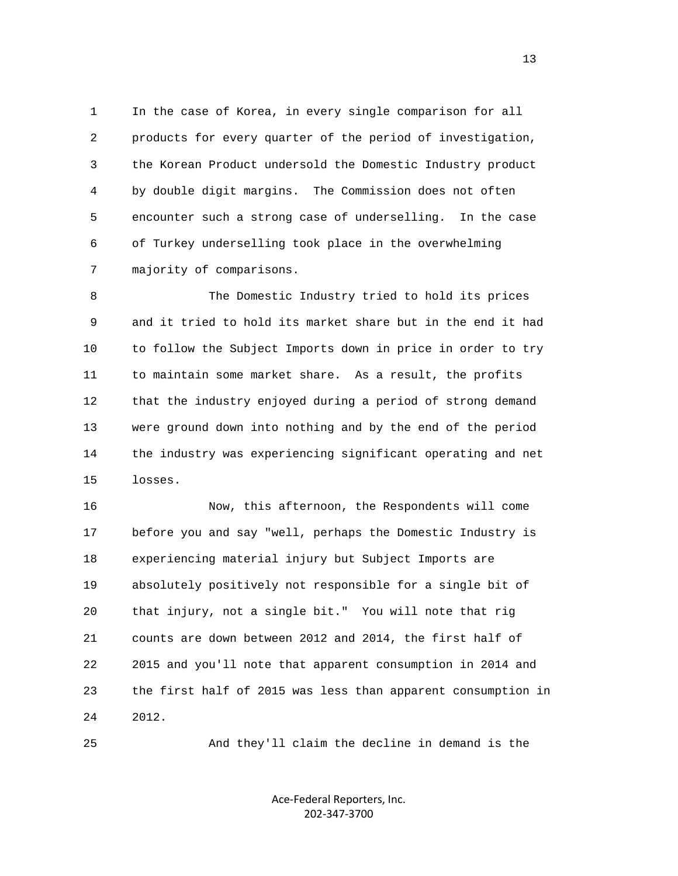1 In the case of Korea, in every single comparison for all 2 products for every quarter of the period of investigation, 3 the Korean Product undersold the Domestic Industry product 4 by double digit margins. The Commission does not often 5 encounter such a strong case of underselling. In the case 6 of Turkey underselling took place in the overwhelming 7 majority of comparisons.

 8 The Domestic Industry tried to hold its prices 9 and it tried to hold its market share but in the end it had 10 to follow the Subject Imports down in price in order to try 11 to maintain some market share. As a result, the profits 12 that the industry enjoyed during a period of strong demand 13 were ground down into nothing and by the end of the period 14 the industry was experiencing significant operating and net 15 losses.

 16 Now, this afternoon, the Respondents will come 17 before you and say "well, perhaps the Domestic Industry is 18 experiencing material injury but Subject Imports are 19 absolutely positively not responsible for a single bit of 20 that injury, not a single bit." You will note that rig 21 counts are down between 2012 and 2014, the first half of 22 2015 and you'll note that apparent consumption in 2014 and 23 the first half of 2015 was less than apparent consumption in 24 2012.

25 And they'll claim the decline in demand is the

Ace‐Federal Reporters, Inc. 202‐347‐3700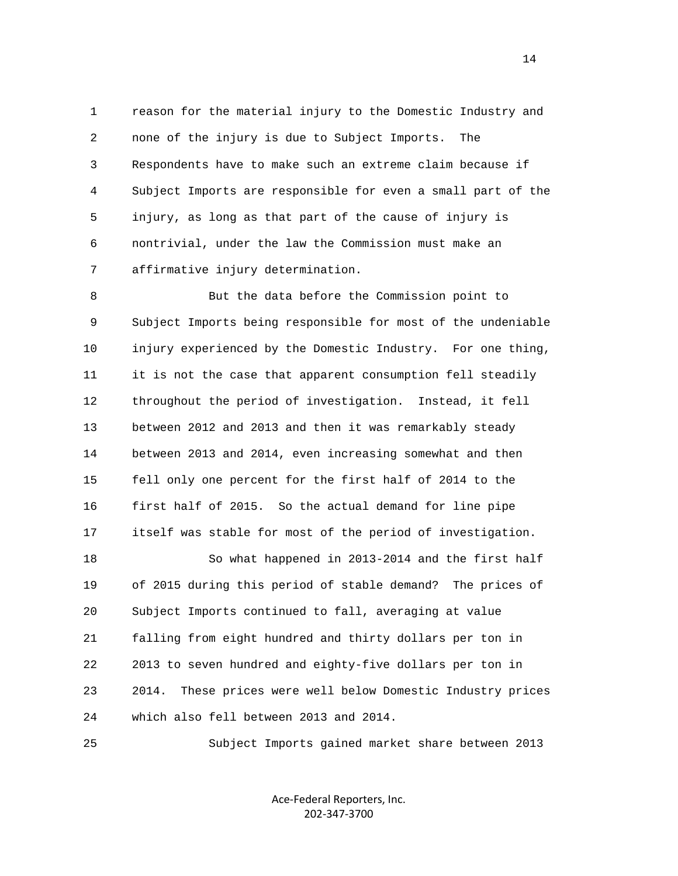1 reason for the material injury to the Domestic Industry and 2 none of the injury is due to Subject Imports. The 3 Respondents have to make such an extreme claim because if 4 Subject Imports are responsible for even a small part of the 5 injury, as long as that part of the cause of injury is 6 nontrivial, under the law the Commission must make an 7 affirmative injury determination.

 8 But the data before the Commission point to 9 Subject Imports being responsible for most of the undeniable 10 injury experienced by the Domestic Industry. For one thing, 11 it is not the case that apparent consumption fell steadily 12 throughout the period of investigation. Instead, it fell 13 between 2012 and 2013 and then it was remarkably steady 14 between 2013 and 2014, even increasing somewhat and then 15 fell only one percent for the first half of 2014 to the 16 first half of 2015. So the actual demand for line pipe 17 itself was stable for most of the period of investigation. 18 So what happened in 2013-2014 and the first half

 19 of 2015 during this period of stable demand? The prices of 20 Subject Imports continued to fall, averaging at value 21 falling from eight hundred and thirty dollars per ton in 22 2013 to seven hundred and eighty-five dollars per ton in 23 2014. These prices were well below Domestic Industry prices 24 which also fell between 2013 and 2014.

25 Subject Imports gained market share between 2013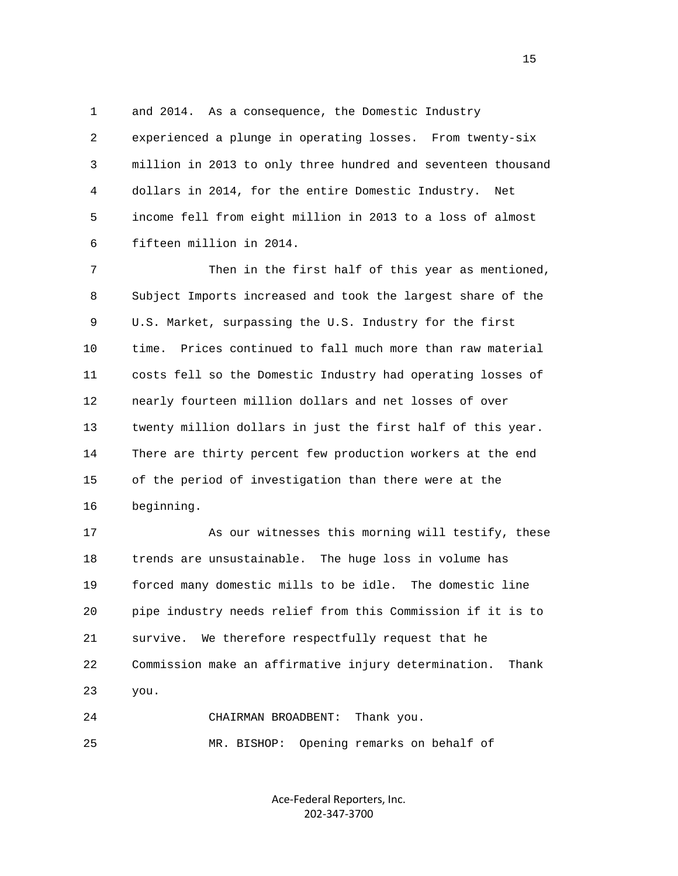1 and 2014. As a consequence, the Domestic Industry 2 experienced a plunge in operating losses. From twenty-six 3 million in 2013 to only three hundred and seventeen thousand 4 dollars in 2014, for the entire Domestic Industry. Net 5 income fell from eight million in 2013 to a loss of almost 6 fifteen million in 2014.

 7 Then in the first half of this year as mentioned, 8 Subject Imports increased and took the largest share of the 9 U.S. Market, surpassing the U.S. Industry for the first 10 time. Prices continued to fall much more than raw material 11 costs fell so the Domestic Industry had operating losses of 12 nearly fourteen million dollars and net losses of over 13 twenty million dollars in just the first half of this year. 14 There are thirty percent few production workers at the end 15 of the period of investigation than there were at the 16 beginning.

 17 As our witnesses this morning will testify, these 18 trends are unsustainable. The huge loss in volume has 19 forced many domestic mills to be idle. The domestic line 20 pipe industry needs relief from this Commission if it is to 21 survive. We therefore respectfully request that he 22 Commission make an affirmative injury determination. Thank 23 you.

 24 CHAIRMAN BROADBENT: Thank you. 25 MR. BISHOP: Opening remarks on behalf of

> Ace‐Federal Reporters, Inc. 202‐347‐3700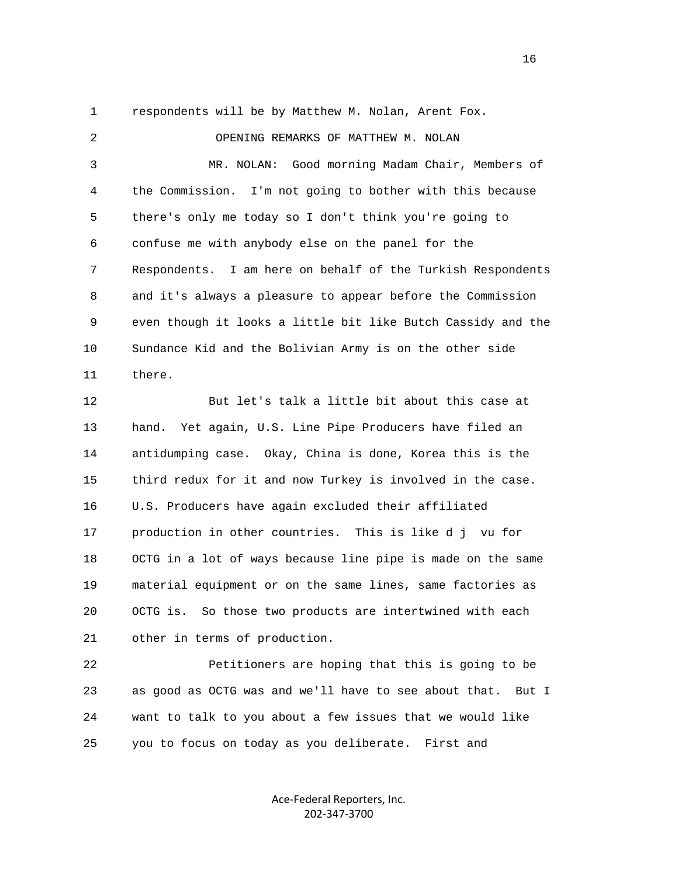1 respondents will be by Matthew M. Nolan, Arent Fox.

 2 OPENING REMARKS OF MATTHEW M. NOLAN 3 MR. NOLAN: Good morning Madam Chair, Members of 4 the Commission. I'm not going to bother with this because 5 there's only me today so I don't think you're going to 6 confuse me with anybody else on the panel for the 7 Respondents. I am here on behalf of the Turkish Respondents 8 and it's always a pleasure to appear before the Commission 9 even though it looks a little bit like Butch Cassidy and the 10 Sundance Kid and the Bolivian Army is on the other side 11 there. 12 But let's talk a little bit about this case at 13 hand. Yet again, U.S. Line Pipe Producers have filed an 14 antidumping case. Okay, China is done, Korea this is the 15 third redux for it and now Turkey is involved in the case. 16 U.S. Producers have again excluded their affiliated 17 production in other countries. This is like d j vu for 18 OCTG in a lot of ways because line pipe is made on the same 19 material equipment or on the same lines, same factories as 20 OCTG is. So those two products are intertwined with each 21 other in terms of production.

 22 Petitioners are hoping that this is going to be 23 as good as OCTG was and we'll have to see about that. But I 24 want to talk to you about a few issues that we would like 25 you to focus on today as you deliberate. First and

> Ace‐Federal Reporters, Inc. 202‐347‐3700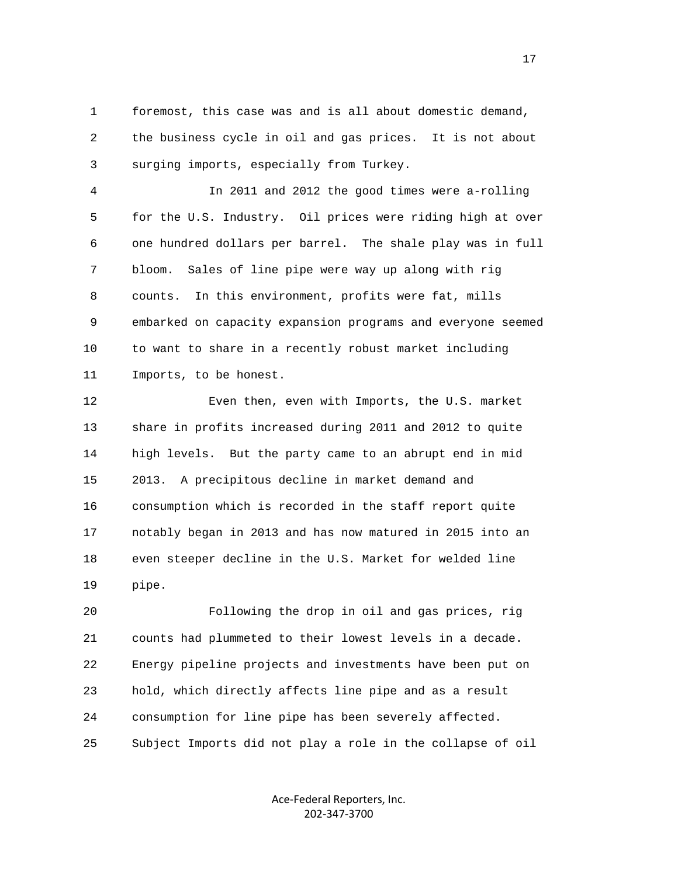1 foremost, this case was and is all about domestic demand, 2 the business cycle in oil and gas prices. It is not about 3 surging imports, especially from Turkey.

 4 In 2011 and 2012 the good times were a-rolling 5 for the U.S. Industry. Oil prices were riding high at over 6 one hundred dollars per barrel. The shale play was in full 7 bloom. Sales of line pipe were way up along with rig 8 counts. In this environment, profits were fat, mills 9 embarked on capacity expansion programs and everyone seemed 10 to want to share in a recently robust market including 11 Imports, to be honest.

 12 Even then, even with Imports, the U.S. market 13 share in profits increased during 2011 and 2012 to quite 14 high levels. But the party came to an abrupt end in mid 15 2013. A precipitous decline in market demand and 16 consumption which is recorded in the staff report quite 17 notably began in 2013 and has now matured in 2015 into an 18 even steeper decline in the U.S. Market for welded line 19 pipe.

 20 Following the drop in oil and gas prices, rig 21 counts had plummeted to their lowest levels in a decade. 22 Energy pipeline projects and investments have been put on 23 hold, which directly affects line pipe and as a result 24 consumption for line pipe has been severely affected. 25 Subject Imports did not play a role in the collapse of oil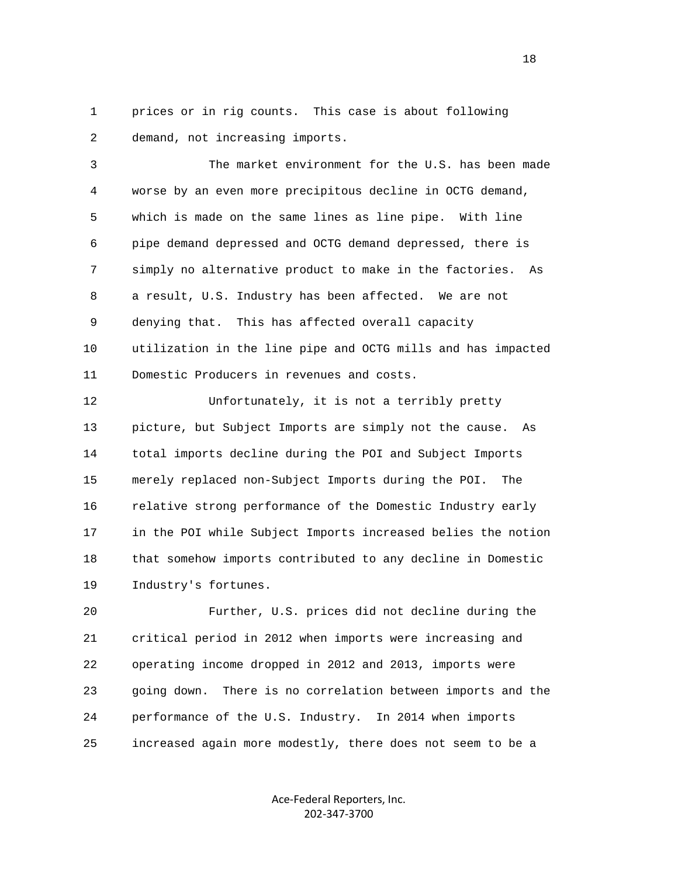1 prices or in rig counts. This case is about following 2 demand, not increasing imports.

 3 The market environment for the U.S. has been made 4 worse by an even more precipitous decline in OCTG demand, 5 which is made on the same lines as line pipe. With line 6 pipe demand depressed and OCTG demand depressed, there is 7 simply no alternative product to make in the factories. As 8 a result, U.S. Industry has been affected. We are not 9 denying that. This has affected overall capacity 10 utilization in the line pipe and OCTG mills and has impacted 11 Domestic Producers in revenues and costs.

 12 Unfortunately, it is not a terribly pretty 13 picture, but Subject Imports are simply not the cause. As 14 total imports decline during the POI and Subject Imports 15 merely replaced non-Subject Imports during the POI. The 16 relative strong performance of the Domestic Industry early 17 in the POI while Subject Imports increased belies the notion 18 that somehow imports contributed to any decline in Domestic 19 Industry's fortunes.

 20 Further, U.S. prices did not decline during the 21 critical period in 2012 when imports were increasing and 22 operating income dropped in 2012 and 2013, imports were 23 going down. There is no correlation between imports and the 24 performance of the U.S. Industry. In 2014 when imports 25 increased again more modestly, there does not seem to be a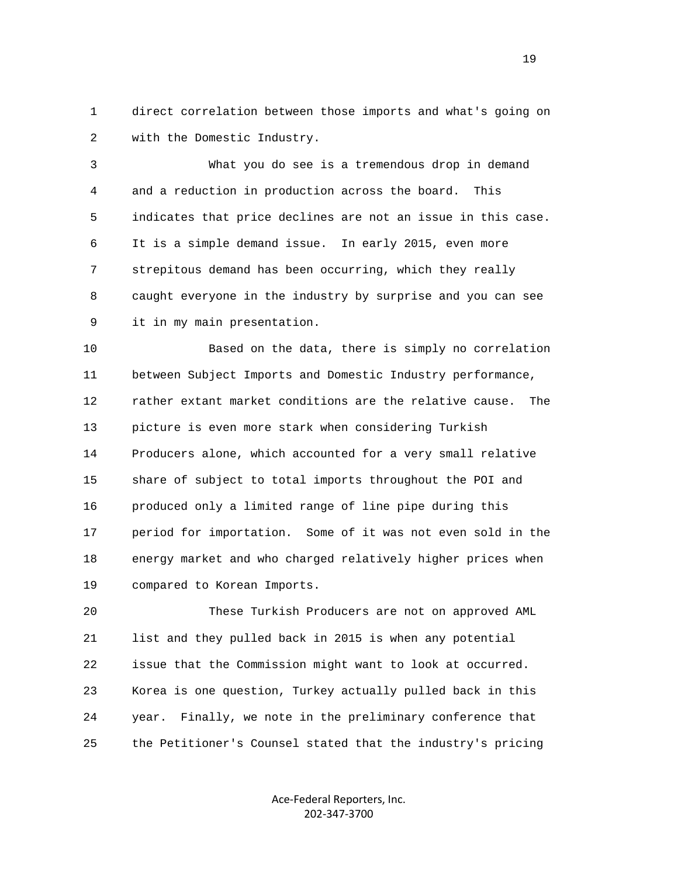1 direct correlation between those imports and what's going on 2 with the Domestic Industry.

 3 What you do see is a tremendous drop in demand 4 and a reduction in production across the board. This 5 indicates that price declines are not an issue in this case. 6 It is a simple demand issue. In early 2015, even more 7 strepitous demand has been occurring, which they really 8 caught everyone in the industry by surprise and you can see 9 it in my main presentation.

 10 Based on the data, there is simply no correlation 11 between Subject Imports and Domestic Industry performance, 12 rather extant market conditions are the relative cause. The 13 picture is even more stark when considering Turkish 14 Producers alone, which accounted for a very small relative 15 share of subject to total imports throughout the POI and 16 produced only a limited range of line pipe during this 17 period for importation. Some of it was not even sold in the 18 energy market and who charged relatively higher prices when 19 compared to Korean Imports.

 20 These Turkish Producers are not on approved AML 21 list and they pulled back in 2015 is when any potential 22 issue that the Commission might want to look at occurred. 23 Korea is one question, Turkey actually pulled back in this 24 year. Finally, we note in the preliminary conference that 25 the Petitioner's Counsel stated that the industry's pricing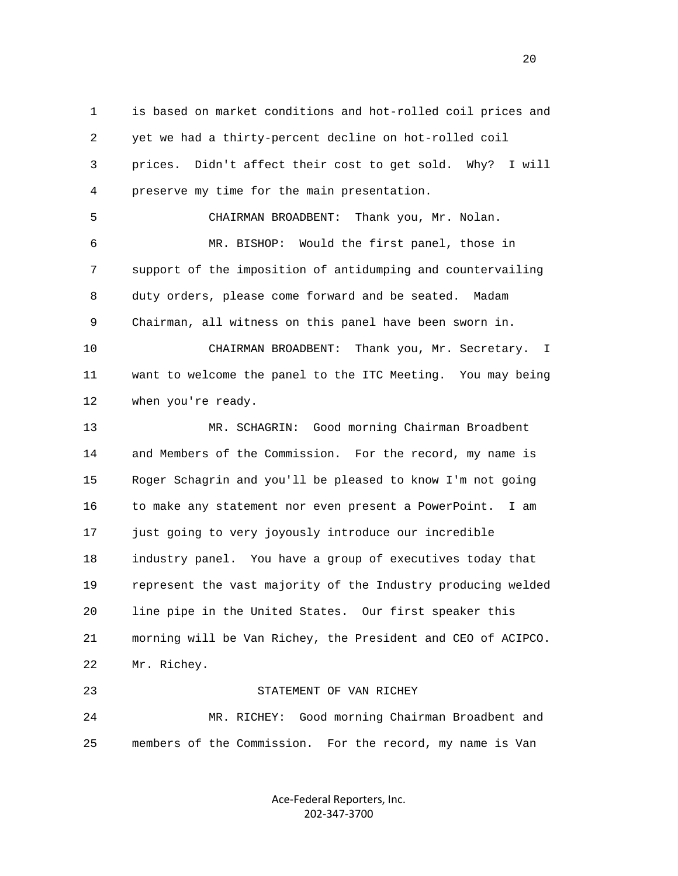1 is based on market conditions and hot-rolled coil prices and 2 yet we had a thirty-percent decline on hot-rolled coil 3 prices. Didn't affect their cost to get sold. Why? I will 4 preserve my time for the main presentation. 5 CHAIRMAN BROADBENT: Thank you, Mr. Nolan. 6 MR. BISHOP: Would the first panel, those in 7 support of the imposition of antidumping and countervailing 8 duty orders, please come forward and be seated. Madam 9 Chairman, all witness on this panel have been sworn in. 10 CHAIRMAN BROADBENT: Thank you, Mr. Secretary. I 11 want to welcome the panel to the ITC Meeting. You may being 12 when you're ready. 13 MR. SCHAGRIN: Good morning Chairman Broadbent 14 and Members of the Commission. For the record, my name is 15 Roger Schagrin and you'll be pleased to know I'm not going 16 to make any statement nor even present a PowerPoint. I am 17 just going to very joyously introduce our incredible 18 industry panel. You have a group of executives today that 19 represent the vast majority of the Industry producing welded

 20 line pipe in the United States. Our first speaker this 21 morning will be Van Richey, the President and CEO of ACIPCO. 22 Mr. Richey.

 24 MR. RICHEY: Good morning Chairman Broadbent and 25 members of the Commission. For the record, my name is Van

23 STATEMENT OF VAN RICHEY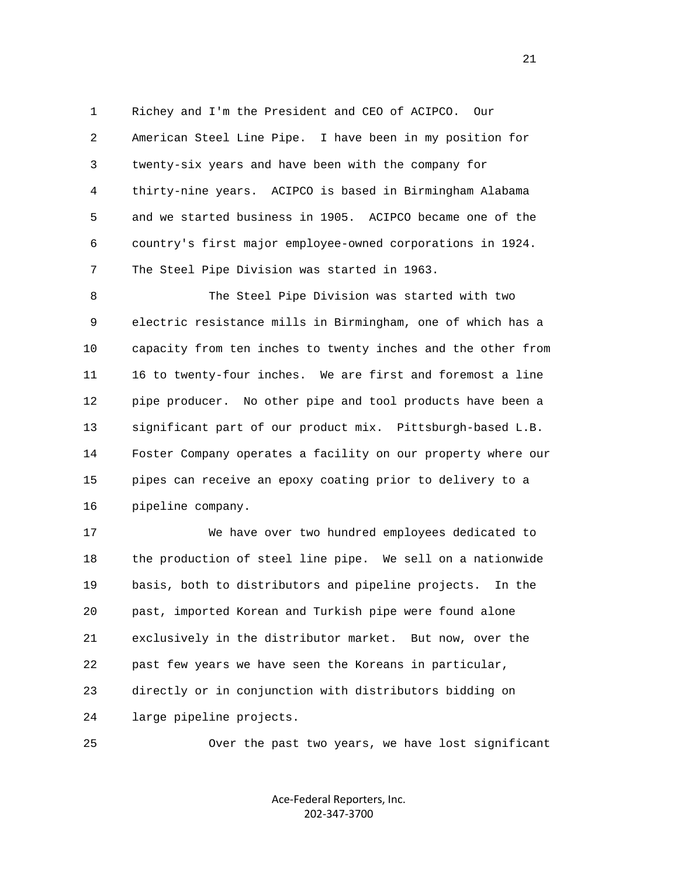1 Richey and I'm the President and CEO of ACIPCO. Our 2 American Steel Line Pipe. I have been in my position for 3 twenty-six years and have been with the company for 4 thirty-nine years. ACIPCO is based in Birmingham Alabama 5 and we started business in 1905. ACIPCO became one of the 6 country's first major employee-owned corporations in 1924. 7 The Steel Pipe Division was started in 1963.

 8 The Steel Pipe Division was started with two 9 electric resistance mills in Birmingham, one of which has a 10 capacity from ten inches to twenty inches and the other from 11 16 to twenty-four inches. We are first and foremost a line 12 pipe producer. No other pipe and tool products have been a 13 significant part of our product mix. Pittsburgh-based L.B. 14 Foster Company operates a facility on our property where our 15 pipes can receive an epoxy coating prior to delivery to a 16 pipeline company.

 17 We have over two hundred employees dedicated to 18 the production of steel line pipe. We sell on a nationwide 19 basis, both to distributors and pipeline projects. In the 20 past, imported Korean and Turkish pipe were found alone 21 exclusively in the distributor market. But now, over the 22 past few years we have seen the Koreans in particular, 23 directly or in conjunction with distributors bidding on 24 large pipeline projects.

25 Over the past two years, we have lost significant

Ace‐Federal Reporters, Inc. 202‐347‐3700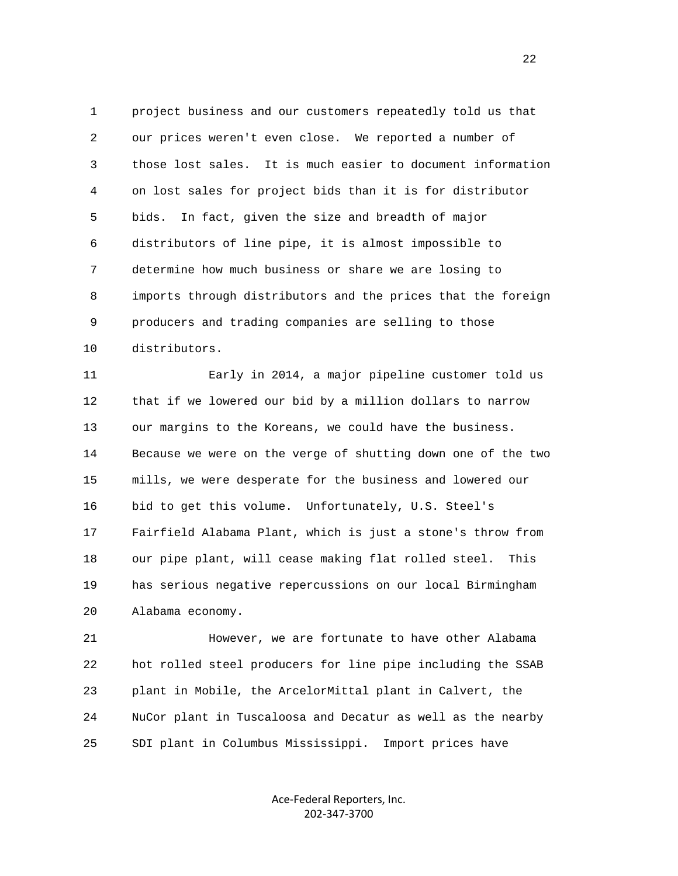1 project business and our customers repeatedly told us that 2 our prices weren't even close. We reported a number of 3 those lost sales. It is much easier to document information 4 on lost sales for project bids than it is for distributor 5 bids. In fact, given the size and breadth of major 6 distributors of line pipe, it is almost impossible to 7 determine how much business or share we are losing to 8 imports through distributors and the prices that the foreign 9 producers and trading companies are selling to those 10 distributors.

 11 Early in 2014, a major pipeline customer told us 12 that if we lowered our bid by a million dollars to narrow 13 our margins to the Koreans, we could have the business. 14 Because we were on the verge of shutting down one of the two 15 mills, we were desperate for the business and lowered our 16 bid to get this volume. Unfortunately, U.S. Steel's 17 Fairfield Alabama Plant, which is just a stone's throw from 18 our pipe plant, will cease making flat rolled steel. This 19 has serious negative repercussions on our local Birmingham 20 Alabama economy.

 21 However, we are fortunate to have other Alabama 22 hot rolled steel producers for line pipe including the SSAB 23 plant in Mobile, the ArcelorMittal plant in Calvert, the 24 NuCor plant in Tuscaloosa and Decatur as well as the nearby 25 SDI plant in Columbus Mississippi. Import prices have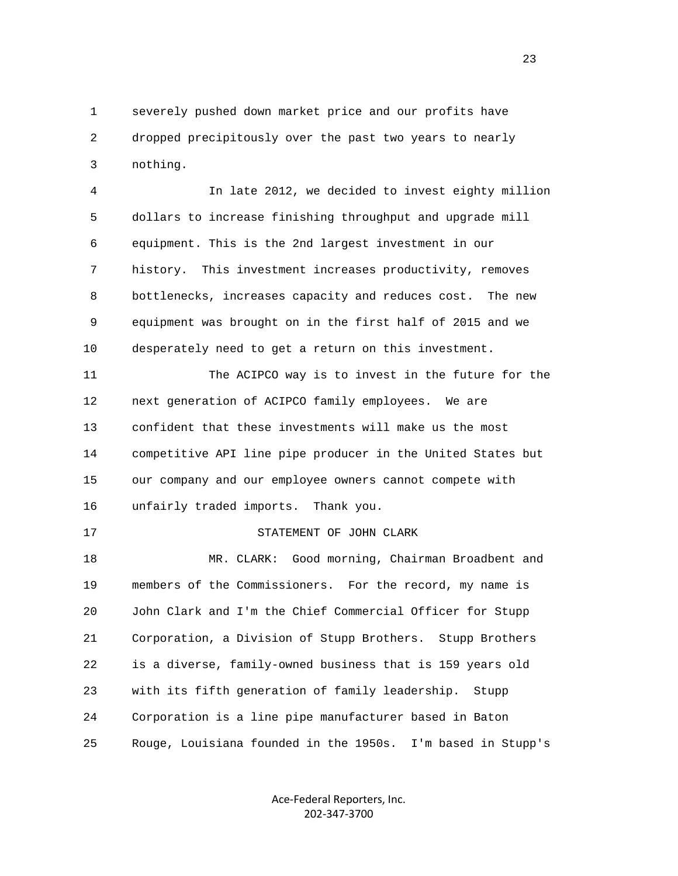1 severely pushed down market price and our profits have 2 dropped precipitously over the past two years to nearly 3 nothing.

 4 In late 2012, we decided to invest eighty million 5 dollars to increase finishing throughput and upgrade mill 6 equipment. This is the 2nd largest investment in our 7 history. This investment increases productivity, removes 8 bottlenecks, increases capacity and reduces cost. The new 9 equipment was brought on in the first half of 2015 and we 10 desperately need to get a return on this investment.

 11 The ACIPCO way is to invest in the future for the 12 next generation of ACIPCO family employees. We are 13 confident that these investments will make us the most 14 competitive API line pipe producer in the United States but 15 our company and our employee owners cannot compete with 16 unfairly traded imports. Thank you.

17 STATEMENT OF JOHN CLARK

 18 MR. CLARK: Good morning, Chairman Broadbent and 19 members of the Commissioners. For the record, my name is 20 John Clark and I'm the Chief Commercial Officer for Stupp 21 Corporation, a Division of Stupp Brothers. Stupp Brothers 22 is a diverse, family-owned business that is 159 years old 23 with its fifth generation of family leadership. Stupp 24 Corporation is a line pipe manufacturer based in Baton 25 Rouge, Louisiana founded in the 1950s. I'm based in Stupp's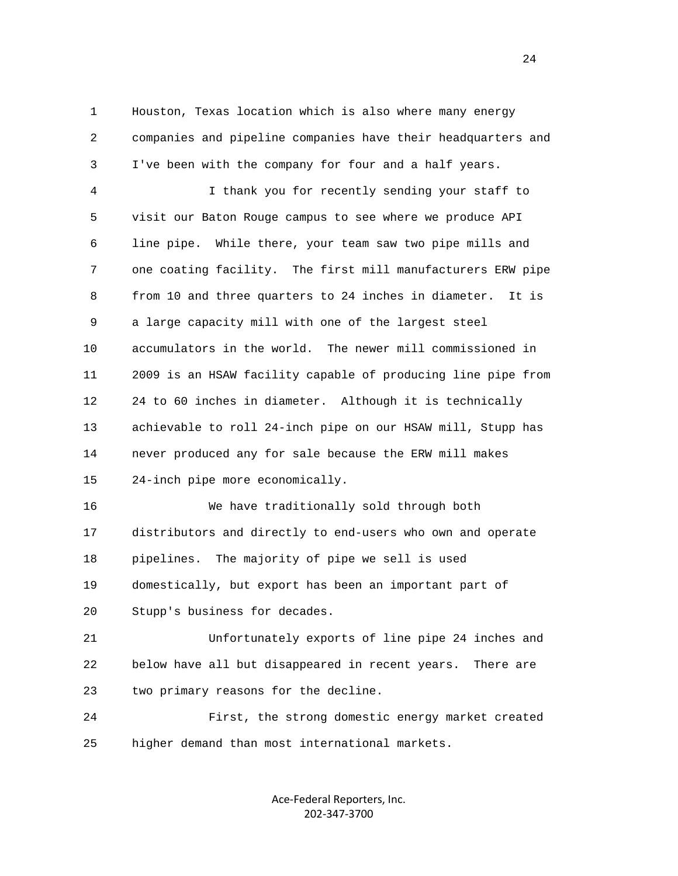1 Houston, Texas location which is also where many energy 2 companies and pipeline companies have their headquarters and 3 I've been with the company for four and a half years.

 4 I thank you for recently sending your staff to 5 visit our Baton Rouge campus to see where we produce API 6 line pipe. While there, your team saw two pipe mills and 7 one coating facility. The first mill manufacturers ERW pipe 8 from 10 and three quarters to 24 inches in diameter. It is 9 a large capacity mill with one of the largest steel 10 accumulators in the world. The newer mill commissioned in 11 2009 is an HSAW facility capable of producing line pipe from 12 24 to 60 inches in diameter. Although it is technically 13 achievable to roll 24-inch pipe on our HSAW mill, Stupp has 14 never produced any for sale because the ERW mill makes 15 24-inch pipe more economically.

 16 We have traditionally sold through both 17 distributors and directly to end-users who own and operate 18 pipelines. The majority of pipe we sell is used 19 domestically, but export has been an important part of 20 Stupp's business for decades.

 21 Unfortunately exports of line pipe 24 inches and 22 below have all but disappeared in recent years. There are 23 two primary reasons for the decline.

 24 First, the strong domestic energy market created 25 higher demand than most international markets.

> Ace‐Federal Reporters, Inc. 202‐347‐3700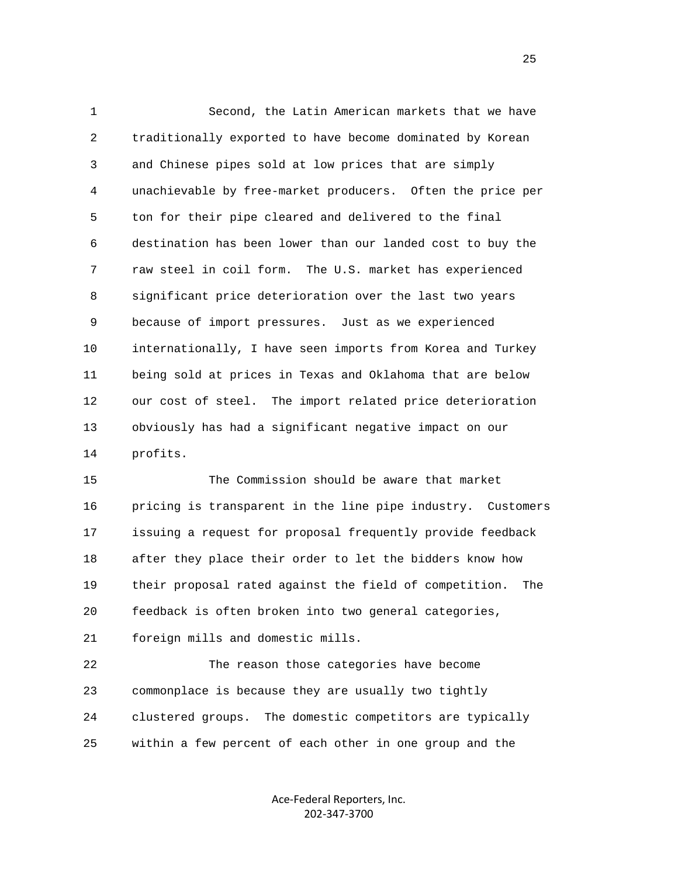1 Second, the Latin American markets that we have 2 traditionally exported to have become dominated by Korean 3 and Chinese pipes sold at low prices that are simply 4 unachievable by free-market producers. Often the price per 5 ton for their pipe cleared and delivered to the final 6 destination has been lower than our landed cost to buy the 7 raw steel in coil form. The U.S. market has experienced 8 significant price deterioration over the last two years 9 because of import pressures. Just as we experienced 10 internationally, I have seen imports from Korea and Turkey 11 being sold at prices in Texas and Oklahoma that are below 12 our cost of steel. The import related price deterioration 13 obviously has had a significant negative impact on our 14 profits.

 15 The Commission should be aware that market 16 pricing is transparent in the line pipe industry. Customers 17 issuing a request for proposal frequently provide feedback 18 after they place their order to let the bidders know how 19 their proposal rated against the field of competition. The 20 feedback is often broken into two general categories, 21 foreign mills and domestic mills.

 22 The reason those categories have become 23 commonplace is because they are usually two tightly 24 clustered groups. The domestic competitors are typically 25 within a few percent of each other in one group and the

> Ace‐Federal Reporters, Inc. 202‐347‐3700

25 and 25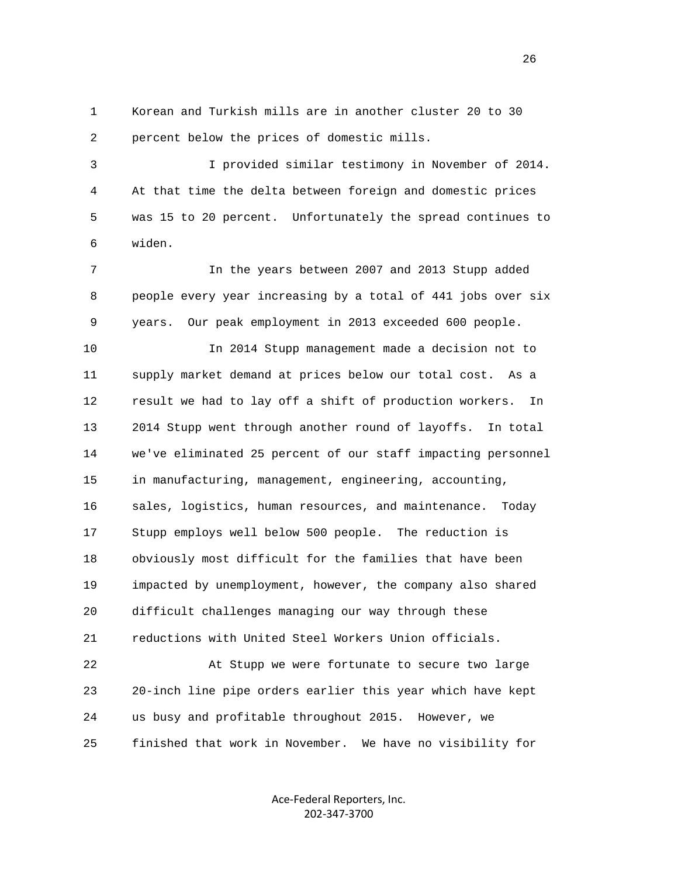1 Korean and Turkish mills are in another cluster 20 to 30 2 percent below the prices of domestic mills.

 3 I provided similar testimony in November of 2014. 4 At that time the delta between foreign and domestic prices 5 was 15 to 20 percent. Unfortunately the spread continues to 6 widen.

 7 In the years between 2007 and 2013 Stupp added 8 people every year increasing by a total of 441 jobs over six 9 years. Our peak employment in 2013 exceeded 600 people.

 10 In 2014 Stupp management made a decision not to 11 supply market demand at prices below our total cost. As a 12 result we had to lay off a shift of production workers. In 13 2014 Stupp went through another round of layoffs. In total 14 we've eliminated 25 percent of our staff impacting personnel 15 in manufacturing, management, engineering, accounting, 16 sales, logistics, human resources, and maintenance. Today 17 Stupp employs well below 500 people. The reduction is 18 obviously most difficult for the families that have been 19 impacted by unemployment, however, the company also shared 20 difficult challenges managing our way through these 21 reductions with United Steel Workers Union officials.

 22 At Stupp we were fortunate to secure two large 23 20-inch line pipe orders earlier this year which have kept 24 us busy and profitable throughout 2015. However, we 25 finished that work in November. We have no visibility for

> Ace‐Federal Reporters, Inc. 202‐347‐3700

<u>26</u>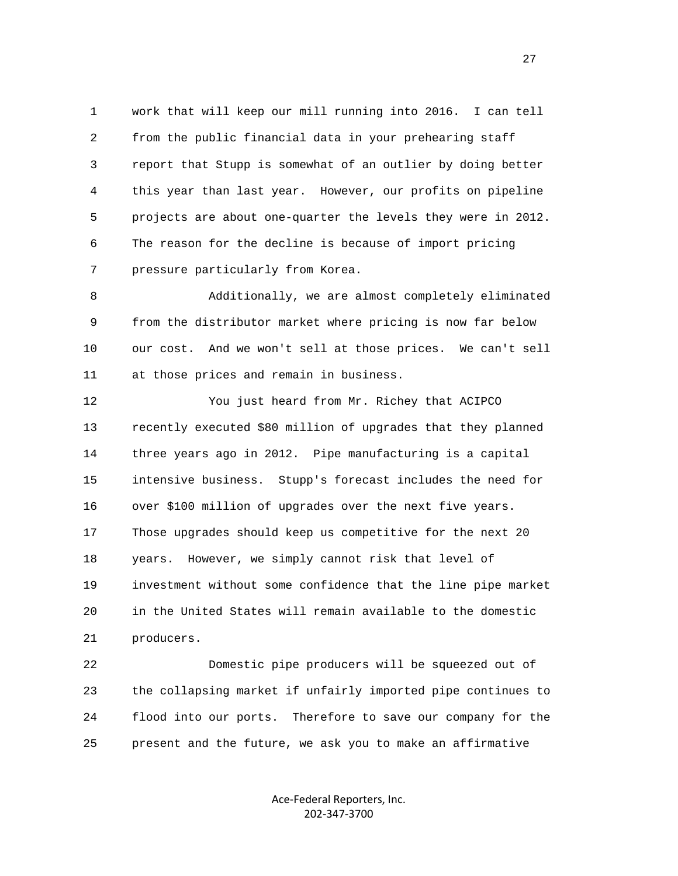1 work that will keep our mill running into 2016. I can tell 2 from the public financial data in your prehearing staff 3 report that Stupp is somewhat of an outlier by doing better 4 this year than last year. However, our profits on pipeline 5 projects are about one-quarter the levels they were in 2012. 6 The reason for the decline is because of import pricing 7 pressure particularly from Korea.

 8 Additionally, we are almost completely eliminated 9 from the distributor market where pricing is now far below 10 our cost. And we won't sell at those prices. We can't sell 11 at those prices and remain in business.

 12 You just heard from Mr. Richey that ACIPCO 13 recently executed \$80 million of upgrades that they planned 14 three years ago in 2012. Pipe manufacturing is a capital 15 intensive business. Stupp's forecast includes the need for 16 over \$100 million of upgrades over the next five years. 17 Those upgrades should keep us competitive for the next 20 18 years. However, we simply cannot risk that level of 19 investment without some confidence that the line pipe market 20 in the United States will remain available to the domestic 21 producers.

 22 Domestic pipe producers will be squeezed out of 23 the collapsing market if unfairly imported pipe continues to 24 flood into our ports. Therefore to save our company for the 25 present and the future, we ask you to make an affirmative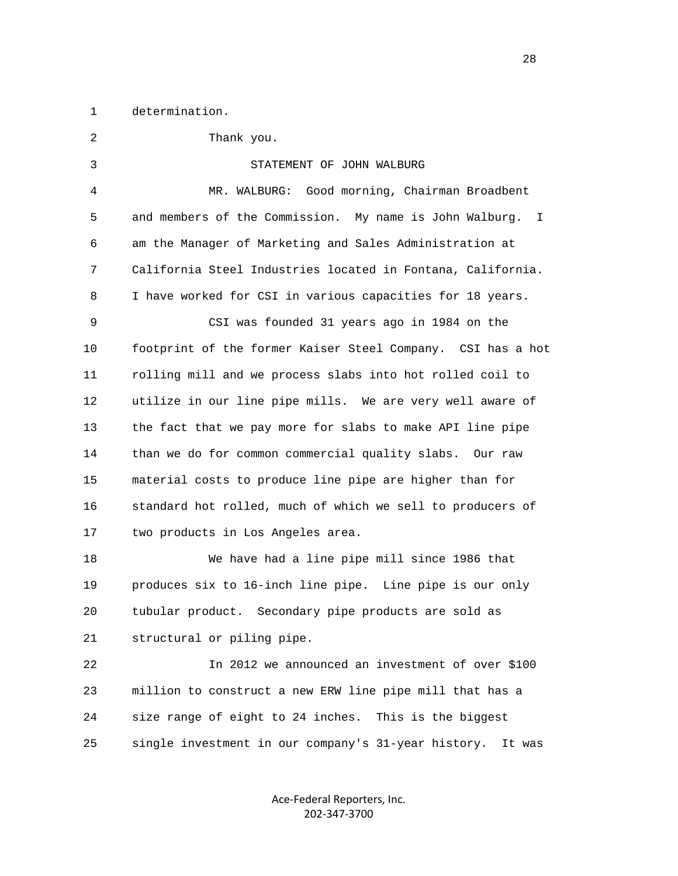1 determination.

 2 Thank you. 3 STATEMENT OF JOHN WALBURG 4 MR. WALBURG: Good morning, Chairman Broadbent 5 and members of the Commission. My name is John Walburg. I 6 am the Manager of Marketing and Sales Administration at 7 California Steel Industries located in Fontana, California. 8 I have worked for CSI in various capacities for 18 years. 9 CSI was founded 31 years ago in 1984 on the 10 footprint of the former Kaiser Steel Company. CSI has a hot 11 rolling mill and we process slabs into hot rolled coil to 12 utilize in our line pipe mills. We are very well aware of 13 the fact that we pay more for slabs to make API line pipe 14 than we do for common commercial quality slabs. Our raw 15 material costs to produce line pipe are higher than for 16 standard hot rolled, much of which we sell to producers of 17 two products in Los Angeles area. 18 We have had a line pipe mill since 1986 that 19 produces six to 16-inch line pipe. Line pipe is our only 20 tubular product. Secondary pipe products are sold as 21 structural or piling pipe. 22 In 2012 we announced an investment of over \$100 23 million to construct a new ERW line pipe mill that has a 24 size range of eight to 24 inches. This is the biggest 25 single investment in our company's 31-year history. It was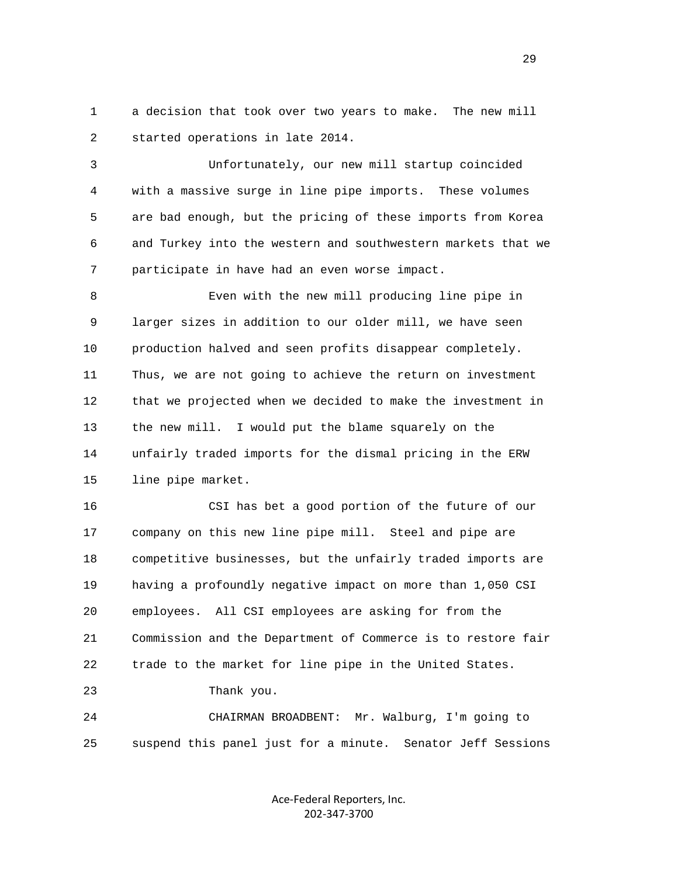1 a decision that took over two years to make. The new mill 2 started operations in late 2014.

 3 Unfortunately, our new mill startup coincided 4 with a massive surge in line pipe imports. These volumes 5 are bad enough, but the pricing of these imports from Korea 6 and Turkey into the western and southwestern markets that we 7 participate in have had an even worse impact.

 8 Even with the new mill producing line pipe in 9 larger sizes in addition to our older mill, we have seen 10 production halved and seen profits disappear completely. 11 Thus, we are not going to achieve the return on investment 12 that we projected when we decided to make the investment in 13 the new mill. I would put the blame squarely on the 14 unfairly traded imports for the dismal pricing in the ERW 15 line pipe market.

 16 CSI has bet a good portion of the future of our 17 company on this new line pipe mill. Steel and pipe are 18 competitive businesses, but the unfairly traded imports are 19 having a profoundly negative impact on more than 1,050 CSI 20 employees. All CSI employees are asking for from the 21 Commission and the Department of Commerce is to restore fair 22 trade to the market for line pipe in the United States. 23 Thank you.

 24 CHAIRMAN BROADBENT: Mr. Walburg, I'm going to 25 suspend this panel just for a minute. Senator Jeff Sessions

> Ace‐Federal Reporters, Inc. 202‐347‐3700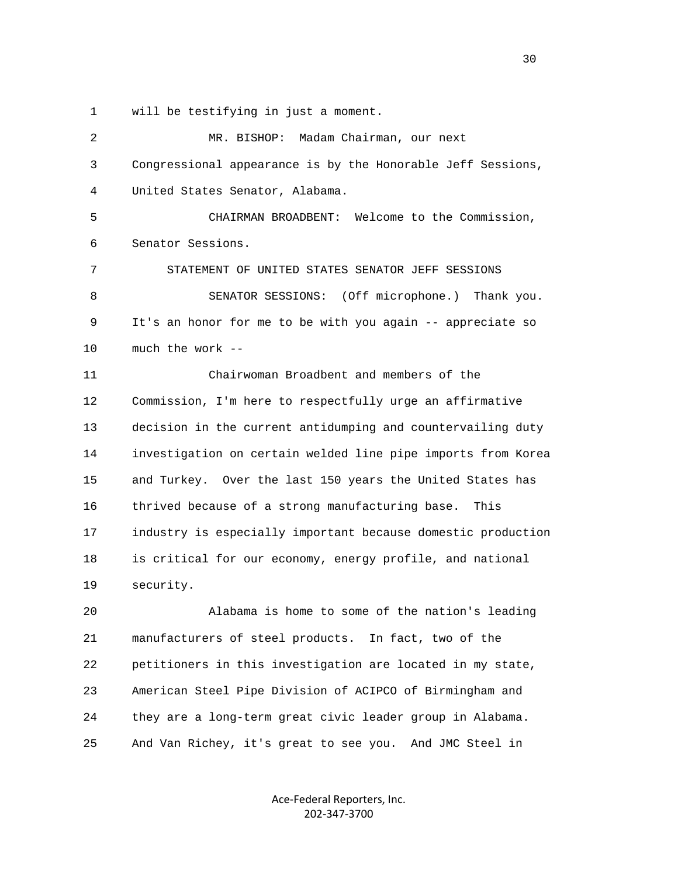1 will be testifying in just a moment.

| 2  | MR. BISHOP: Madam Chairman, our next                         |
|----|--------------------------------------------------------------|
| 3  | Congressional appearance is by the Honorable Jeff Sessions,  |
| 4  | United States Senator, Alabama.                              |
| 5  | CHAIRMAN BROADBENT: Welcome to the Commission,               |
| 6  | Senator Sessions.                                            |
| 7  | STATEMENT OF UNITED STATES SENATOR JEFF SESSIONS             |
| 8  | SENATOR SESSIONS: (Off microphone.) Thank you.               |
| 9  | It's an honor for me to be with you again -- appreciate so   |
| 10 | much the work --                                             |
| 11 | Chairwoman Broadbent and members of the                      |
| 12 | Commission, I'm here to respectfully urge an affirmative     |
| 13 | decision in the current antidumping and countervailing duty  |
| 14 | investigation on certain welded line pipe imports from Korea |
| 15 | and Turkey. Over the last 150 years the United States has    |
| 16 | thrived because of a strong manufacturing base.<br>This      |
| 17 | industry is especially important because domestic production |
| 18 | is critical for our economy, energy profile, and national    |
| 19 | security.                                                    |
| 20 | Alabama is home to some of the nation's leading              |
| 21 | manufacturers of steel products. In fact, two of the         |
| 22 | petitioners in this investigation are located in my state,   |
| 23 | American Steel Pipe Division of ACIPCO of Birmingham and     |
| 24 | they are a long-term great civic leader group in Alabama.    |

Ace‐Federal Reporters, Inc. 202‐347‐3700

25 And Van Richey, it's great to see you. And JMC Steel in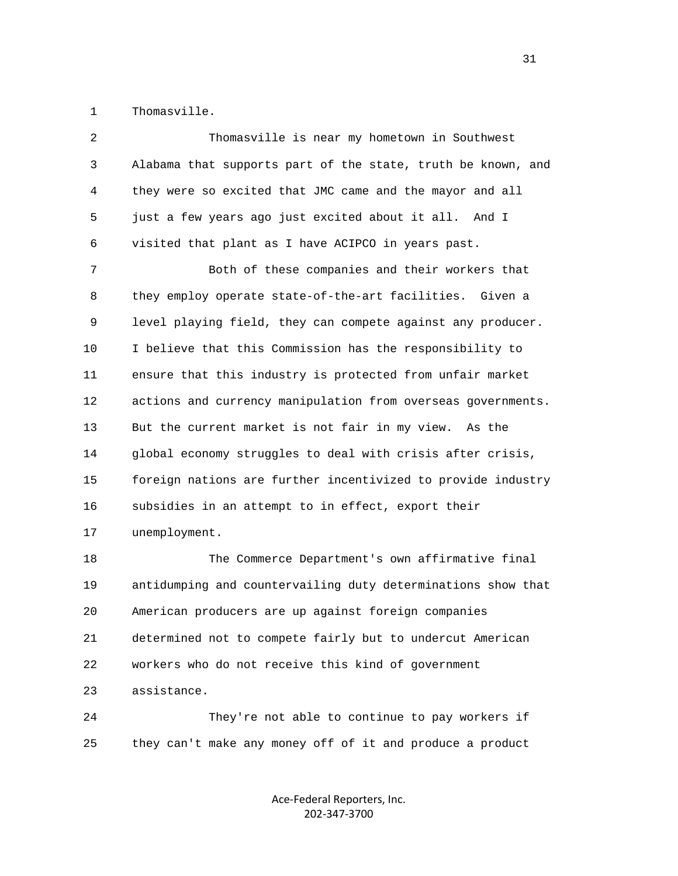1 Thomasville.

| 2            | Thomasville is near my hometown in Southwest                 |
|--------------|--------------------------------------------------------------|
| $\mathsf{3}$ | Alabama that supports part of the state, truth be known, and |
| 4            | they were so excited that JMC came and the mayor and all     |
| 5            | just a few years ago just excited about it all. And I        |
| 6            | visited that plant as I have ACIPCO in years past.           |
| 7            | Both of these companies and their workers that               |
| 8            | they employ operate state-of-the-art facilities. Given a     |
| 9            | level playing field, they can compete against any producer.  |
| 10           | I believe that this Commission has the responsibility to     |
| 11           | ensure that this industry is protected from unfair market    |
| 12           | actions and currency manipulation from overseas governments. |
| 13           | But the current market is not fair in my view.<br>As the     |
| 14           | global economy struggles to deal with crisis after crisis,   |
| 15           | foreign nations are further incentivized to provide industry |
| 16           | subsidies in an attempt to in effect, export their           |
| 17           | unemployment.                                                |
| 18           | The Commerce Department's own affirmative final              |
| 19           | antidumping and countervailing duty determinations show that |
| 20           | American producers are up against foreign companies          |
| 21           | determined not to compete fairly but to undercut American    |
| 22           | workers who do not receive this kind of government           |
| 23           | assistance.                                                  |

 24 They're not able to continue to pay workers if 25 they can't make any money off of it and produce a product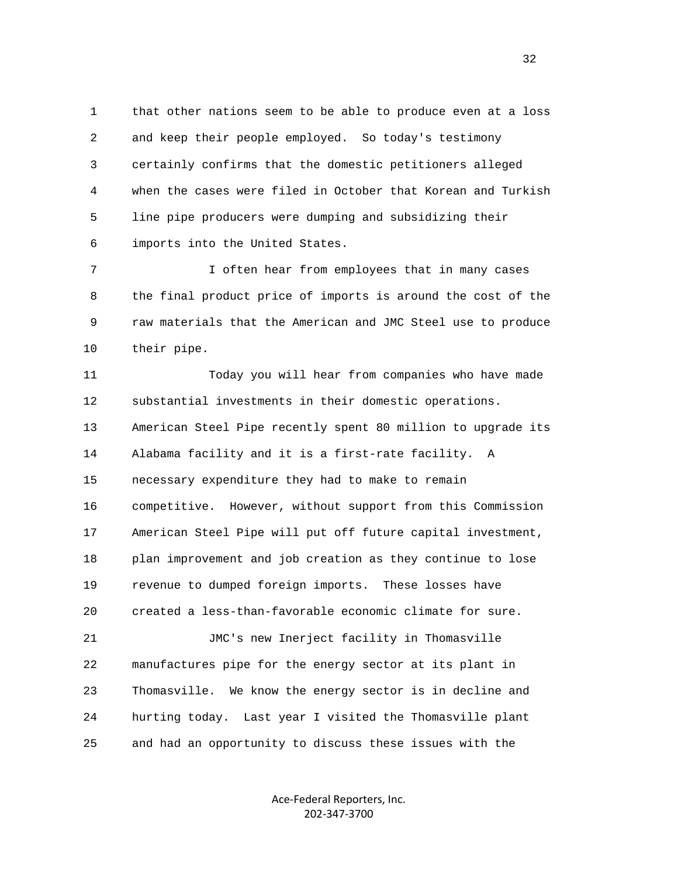1 that other nations seem to be able to produce even at a loss 2 and keep their people employed. So today's testimony 3 certainly confirms that the domestic petitioners alleged 4 when the cases were filed in October that Korean and Turkish 5 line pipe producers were dumping and subsidizing their 6 imports into the United States.

 7 I often hear from employees that in many cases 8 the final product price of imports is around the cost of the 9 raw materials that the American and JMC Steel use to produce 10 their pipe.

 11 Today you will hear from companies who have made 12 substantial investments in their domestic operations. 13 American Steel Pipe recently spent 80 million to upgrade its 14 Alabama facility and it is a first-rate facility. A 15 necessary expenditure they had to make to remain 16 competitive. However, without support from this Commission 17 American Steel Pipe will put off future capital investment, 18 plan improvement and job creation as they continue to lose 19 revenue to dumped foreign imports. These losses have 20 created a less-than-favorable economic climate for sure. 21 JMC's new Inerject facility in Thomasville 22 manufactures pipe for the energy sector at its plant in 23 Thomasville. We know the energy sector is in decline and 24 hurting today. Last year I visited the Thomasville plant

> Ace‐Federal Reporters, Inc. 202‐347‐3700

25 and had an opportunity to discuss these issues with the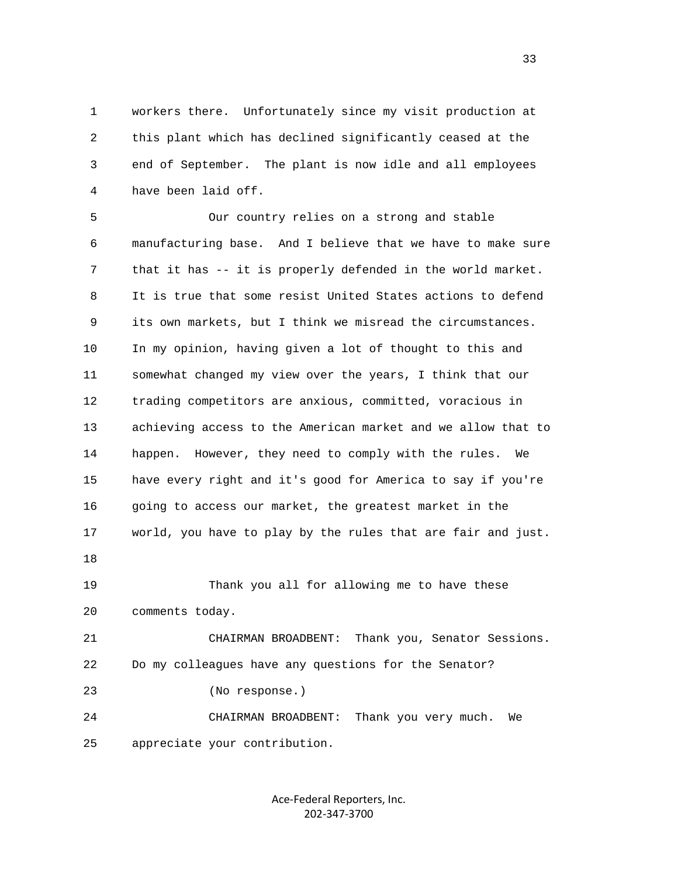1 workers there. Unfortunately since my visit production at 2 this plant which has declined significantly ceased at the 3 end of September. The plant is now idle and all employees 4 have been laid off.

 5 Our country relies on a strong and stable 6 manufacturing base. And I believe that we have to make sure 7 that it has -- it is properly defended in the world market. 8 It is true that some resist United States actions to defend 9 its own markets, but I think we misread the circumstances. 10 In my opinion, having given a lot of thought to this and 11 somewhat changed my view over the years, I think that our 12 trading competitors are anxious, committed, voracious in 13 achieving access to the American market and we allow that to 14 happen. However, they need to comply with the rules. We 15 have every right and it's good for America to say if you're 16 going to access our market, the greatest market in the 17 world, you have to play by the rules that are fair and just. 18 19 Thank you all for allowing me to have these 20 comments today. 21 CHAIRMAN BROADBENT: Thank you, Senator Sessions. 22 Do my colleagues have any questions for the Senator? 23 (No response.)

 24 CHAIRMAN BROADBENT: Thank you very much. We 25 appreciate your contribution.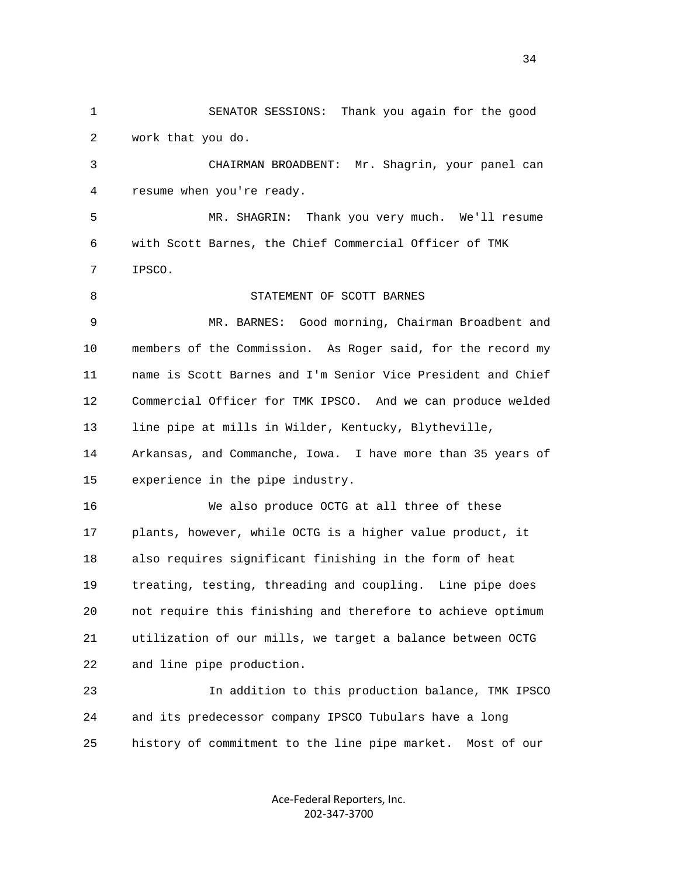1 SENATOR SESSIONS: Thank you again for the good 2 work that you do.

 3 CHAIRMAN BROADBENT: Mr. Shagrin, your panel can 4 resume when you're ready.

 5 MR. SHAGRIN: Thank you very much. We'll resume 6 with Scott Barnes, the Chief Commercial Officer of TMK 7 IPSCO.

 8 STATEMENT OF SCOTT BARNES 9 MR. BARNES: Good morning, Chairman Broadbent and 10 members of the Commission. As Roger said, for the record my 11 name is Scott Barnes and I'm Senior Vice President and Chief 12 Commercial Officer for TMK IPSCO. And we can produce welded 13 line pipe at mills in Wilder, Kentucky, Blytheville, 14 Arkansas, and Commanche, Iowa. I have more than 35 years of 15 experience in the pipe industry. 16 We also produce OCTG at all three of these 17 plants, however, while OCTG is a higher value product, it

 19 treating, testing, threading and coupling. Line pipe does 20 not require this finishing and therefore to achieve optimum 21 utilization of our mills, we target a balance between OCTG 22 and line pipe production.

18 also requires significant finishing in the form of heat

 23 In addition to this production balance, TMK IPSCO 24 and its predecessor company IPSCO Tubulars have a long 25 history of commitment to the line pipe market. Most of our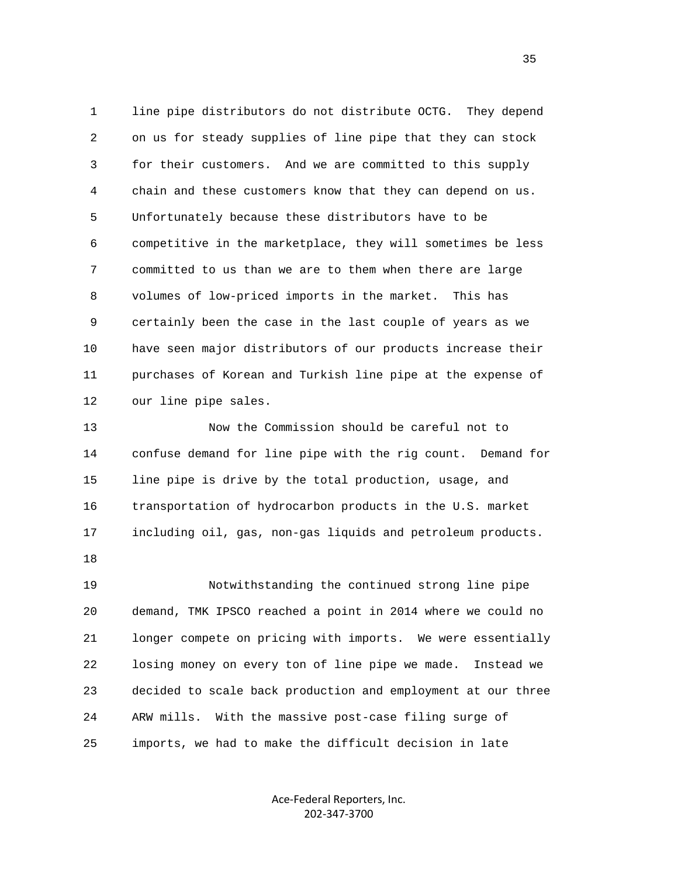1 line pipe distributors do not distribute OCTG. They depend 2 on us for steady supplies of line pipe that they can stock 3 for their customers. And we are committed to this supply 4 chain and these customers know that they can depend on us. 5 Unfortunately because these distributors have to be 6 competitive in the marketplace, they will sometimes be less 7 committed to us than we are to them when there are large 8 volumes of low-priced imports in the market. This has 9 certainly been the case in the last couple of years as we 10 have seen major distributors of our products increase their 11 purchases of Korean and Turkish line pipe at the expense of 12 our line pipe sales.

 13 Now the Commission should be careful not to 14 confuse demand for line pipe with the rig count. Demand for 15 line pipe is drive by the total production, usage, and 16 transportation of hydrocarbon products in the U.S. market 17 including oil, gas, non-gas liquids and petroleum products.

18

 19 Notwithstanding the continued strong line pipe 20 demand, TMK IPSCO reached a point in 2014 where we could no 21 longer compete on pricing with imports. We were essentially 22 losing money on every ton of line pipe we made. Instead we 23 decided to scale back production and employment at our three 24 ARW mills. With the massive post-case filing surge of 25 imports, we had to make the difficult decision in late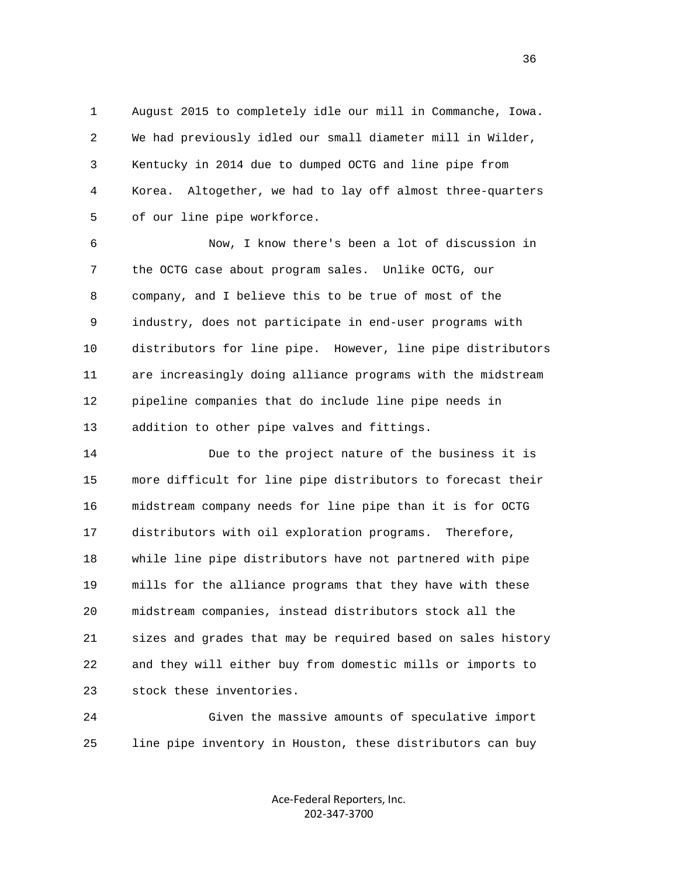1 August 2015 to completely idle our mill in Commanche, Iowa. 2 We had previously idled our small diameter mill in Wilder, 3 Kentucky in 2014 due to dumped OCTG and line pipe from 4 Korea. Altogether, we had to lay off almost three-quarters 5 of our line pipe workforce.

 6 Now, I know there's been a lot of discussion in 7 the OCTG case about program sales. Unlike OCTG, our 8 company, and I believe this to be true of most of the 9 industry, does not participate in end-user programs with 10 distributors for line pipe. However, line pipe distributors 11 are increasingly doing alliance programs with the midstream 12 pipeline companies that do include line pipe needs in 13 addition to other pipe valves and fittings.

 14 Due to the project nature of the business it is 15 more difficult for line pipe distributors to forecast their 16 midstream company needs for line pipe than it is for OCTG 17 distributors with oil exploration programs. Therefore, 18 while line pipe distributors have not partnered with pipe 19 mills for the alliance programs that they have with these 20 midstream companies, instead distributors stock all the 21 sizes and grades that may be required based on sales history 22 and they will either buy from domestic mills or imports to 23 stock these inventories.

 24 Given the massive amounts of speculative import 25 line pipe inventory in Houston, these distributors can buy

> Ace‐Federal Reporters, Inc. 202‐347‐3700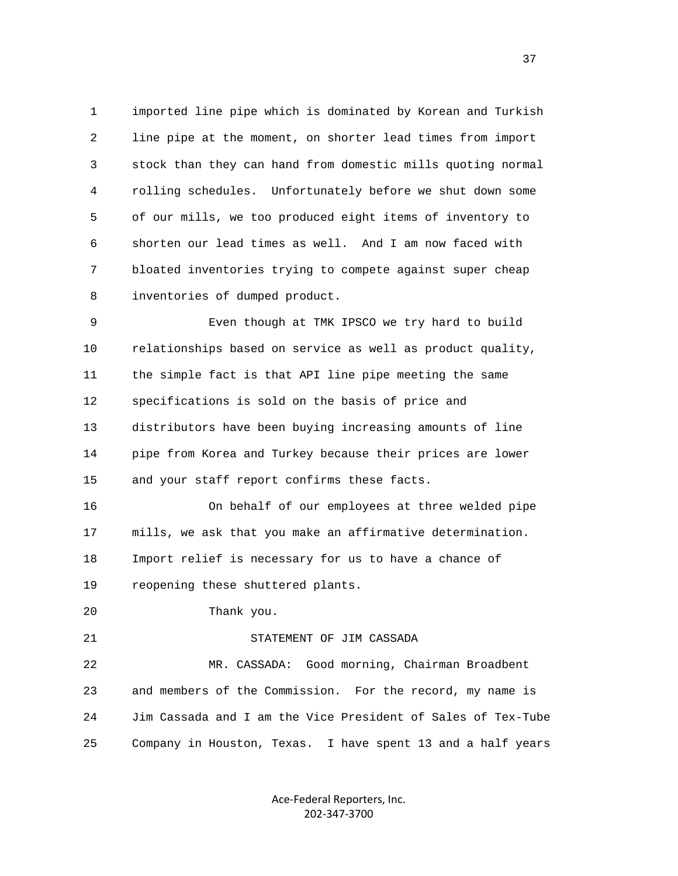1 imported line pipe which is dominated by Korean and Turkish 2 line pipe at the moment, on shorter lead times from import 3 stock than they can hand from domestic mills quoting normal 4 rolling schedules. Unfortunately before we shut down some 5 of our mills, we too produced eight items of inventory to 6 shorten our lead times as well. And I am now faced with 7 bloated inventories trying to compete against super cheap 8 inventories of dumped product.

 9 Even though at TMK IPSCO we try hard to build 10 relationships based on service as well as product quality, 11 the simple fact is that API line pipe meeting the same 12 specifications is sold on the basis of price and 13 distributors have been buying increasing amounts of line 14 pipe from Korea and Turkey because their prices are lower 15 and your staff report confirms these facts.

 16 On behalf of our employees at three welded pipe 17 mills, we ask that you make an affirmative determination. 18 Import relief is necessary for us to have a chance of 19 reopening these shuttered plants.

20 Thank you.

## 21 STATEMENT OF JIM CASSADA

 22 MR. CASSADA: Good morning, Chairman Broadbent 23 and members of the Commission. For the record, my name is 24 Jim Cassada and I am the Vice President of Sales of Tex-Tube 25 Company in Houston, Texas. I have spent 13 and a half years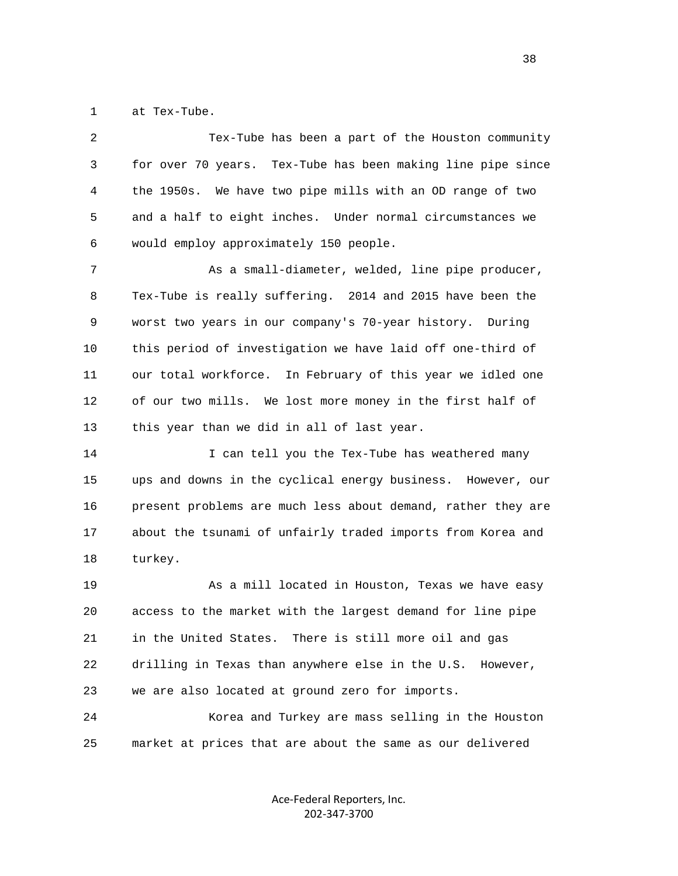1 at Tex-Tube.

 2 Tex-Tube has been a part of the Houston community 3 for over 70 years. Tex-Tube has been making line pipe since 4 the 1950s. We have two pipe mills with an OD range of two 5 and a half to eight inches. Under normal circumstances we 6 would employ approximately 150 people. 7 As a small-diameter, welded, line pipe producer, 8 Tex-Tube is really suffering. 2014 and 2015 have been the 9 worst two years in our company's 70-year history. During 10 this period of investigation we have laid off one-third of 11 our total workforce. In February of this year we idled one 12 of our two mills. We lost more money in the first half of 13 this year than we did in all of last year. 14 I can tell you the Tex-Tube has weathered many 15 ups and downs in the cyclical energy business. However, our 16 present problems are much less about demand, rather they are 17 about the tsunami of unfairly traded imports from Korea and 18 turkey. 19 As a mill located in Houston, Texas we have easy 20 access to the market with the largest demand for line pipe 21 in the United States. There is still more oil and gas 22 drilling in Texas than anywhere else in the U.S. However, 23 we are also located at ground zero for imports. 24 Korea and Turkey are mass selling in the Houston

> Ace‐Federal Reporters, Inc. 202‐347‐3700

25 market at prices that are about the same as our delivered

and the state of the state of the state of the state of the state of the state of the state of the state of the state of the state of the state of the state of the state of the state of the state of the state of the state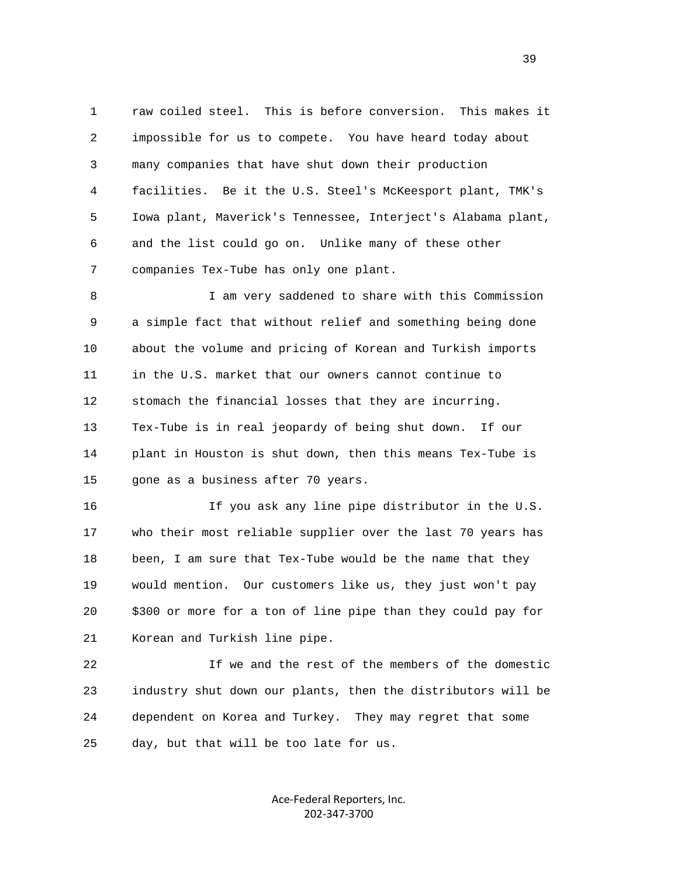1 raw coiled steel. This is before conversion. This makes it 2 impossible for us to compete. You have heard today about 3 many companies that have shut down their production 4 facilities. Be it the U.S. Steel's McKeesport plant, TMK's 5 Iowa plant, Maverick's Tennessee, Interject's Alabama plant, 6 and the list could go on. Unlike many of these other 7 companies Tex-Tube has only one plant.

 8 I am very saddened to share with this Commission 9 a simple fact that without relief and something being done 10 about the volume and pricing of Korean and Turkish imports 11 in the U.S. market that our owners cannot continue to 12 stomach the financial losses that they are incurring. 13 Tex-Tube is in real jeopardy of being shut down. If our 14 plant in Houston is shut down, then this means Tex-Tube is 15 gone as a business after 70 years.

 16 If you ask any line pipe distributor in the U.S. 17 who their most reliable supplier over the last 70 years has 18 been, I am sure that Tex-Tube would be the name that they 19 would mention. Our customers like us, they just won't pay 20 \$300 or more for a ton of line pipe than they could pay for 21 Korean and Turkish line pipe.

 22 If we and the rest of the members of the domestic 23 industry shut down our plants, then the distributors will be 24 dependent on Korea and Turkey. They may regret that some 25 day, but that will be too late for us.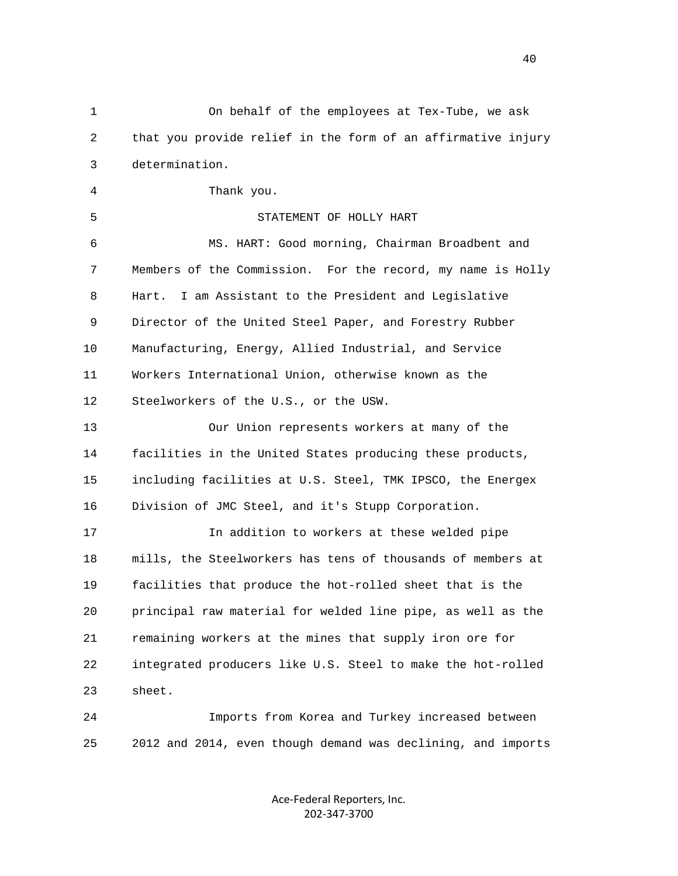1 On behalf of the employees at Tex-Tube, we ask 2 that you provide relief in the form of an affirmative injury 3 determination. 4 Thank you. 5 STATEMENT OF HOLLY HART 6 MS. HART: Good morning, Chairman Broadbent and 7 Members of the Commission. For the record, my name is Holly 8 Hart. I am Assistant to the President and Legislative 9 Director of the United Steel Paper, and Forestry Rubber 10 Manufacturing, Energy, Allied Industrial, and Service 11 Workers International Union, otherwise known as the 12 Steelworkers of the U.S., or the USW. 13 Our Union represents workers at many of the 14 facilities in the United States producing these products, 15 including facilities at U.S. Steel, TMK IPSCO, the Energex 16 Division of JMC Steel, and it's Stupp Corporation. 17 In addition to workers at these welded pipe 18 mills, the Steelworkers has tens of thousands of members at 19 facilities that produce the hot-rolled sheet that is the 20 principal raw material for welded line pipe, as well as the 21 remaining workers at the mines that supply iron ore for 22 integrated producers like U.S. Steel to make the hot-rolled 23 sheet. 24 Imports from Korea and Turkey increased between 25 2012 and 2014, even though demand was declining, and imports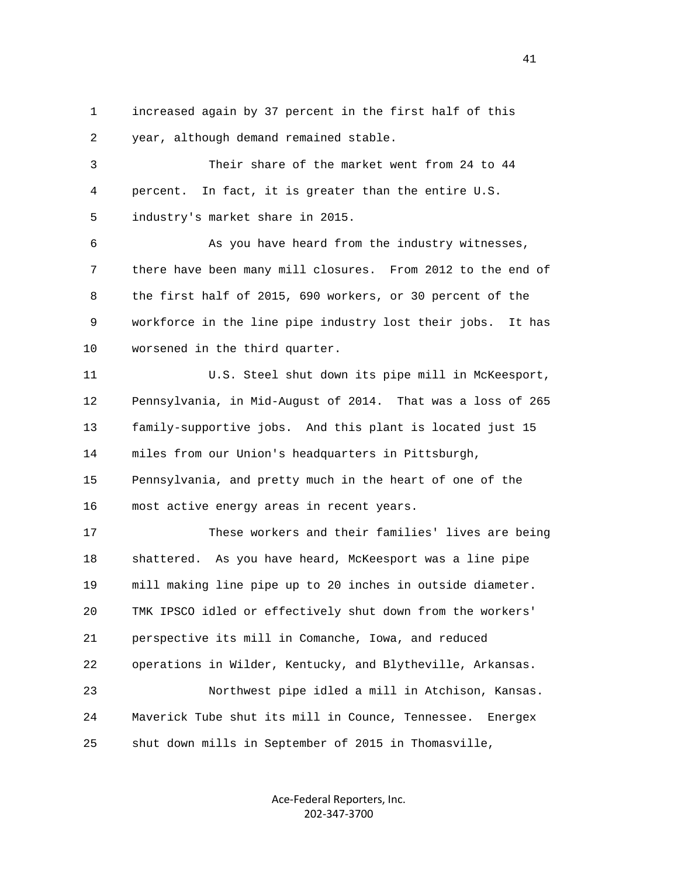1 increased again by 37 percent in the first half of this 2 year, although demand remained stable.

 3 Their share of the market went from 24 to 44 4 percent. In fact, it is greater than the entire U.S. 5 industry's market share in 2015.

 6 As you have heard from the industry witnesses, 7 there have been many mill closures. From 2012 to the end of 8 the first half of 2015, 690 workers, or 30 percent of the 9 workforce in the line pipe industry lost their jobs. It has 10 worsened in the third quarter.

 11 U.S. Steel shut down its pipe mill in McKeesport, 12 Pennsylvania, in Mid-August of 2014. That was a loss of 265 13 family-supportive jobs. And this plant is located just 15 14 miles from our Union's headquarters in Pittsburgh, 15 Pennsylvania, and pretty much in the heart of one of the 16 most active energy areas in recent years.

 17 These workers and their families' lives are being 18 shattered. As you have heard, McKeesport was a line pipe 19 mill making line pipe up to 20 inches in outside diameter. 20 TMK IPSCO idled or effectively shut down from the workers' 21 perspective its mill in Comanche, Iowa, and reduced 22 operations in Wilder, Kentucky, and Blytheville, Arkansas. 23 Northwest pipe idled a mill in Atchison, Kansas. 24 Maverick Tube shut its mill in Counce, Tennessee. Energex 25 shut down mills in September of 2015 in Thomasville,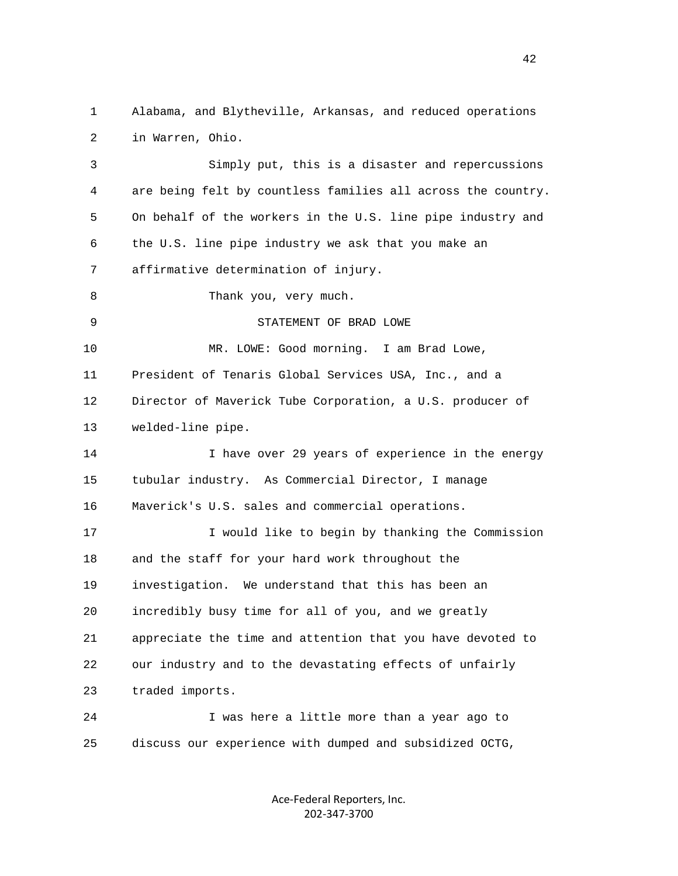1 Alabama, and Blytheville, Arkansas, and reduced operations 2 in Warren, Ohio.

 3 Simply put, this is a disaster and repercussions 4 are being felt by countless families all across the country. 5 On behalf of the workers in the U.S. line pipe industry and 6 the U.S. line pipe industry we ask that you make an 7 affirmative determination of injury. 8 Thank you, very much. 9 STATEMENT OF BRAD LOWE 10 MR. LOWE: Good morning. I am Brad Lowe, 11 President of Tenaris Global Services USA, Inc., and a 12 Director of Maverick Tube Corporation, a U.S. producer of 13 welded-line pipe. 14 I have over 29 years of experience in the energy 15 tubular industry. As Commercial Director, I manage 16 Maverick's U.S. sales and commercial operations. 17 I would like to begin by thanking the Commission 18 and the staff for your hard work throughout the 19 investigation. We understand that this has been an 20 incredibly busy time for all of you, and we greatly 21 appreciate the time and attention that you have devoted to 22 our industry and to the devastating effects of unfairly 23 traded imports. 24 I was here a little more than a year ago to 25 discuss our experience with dumped and subsidized OCTG,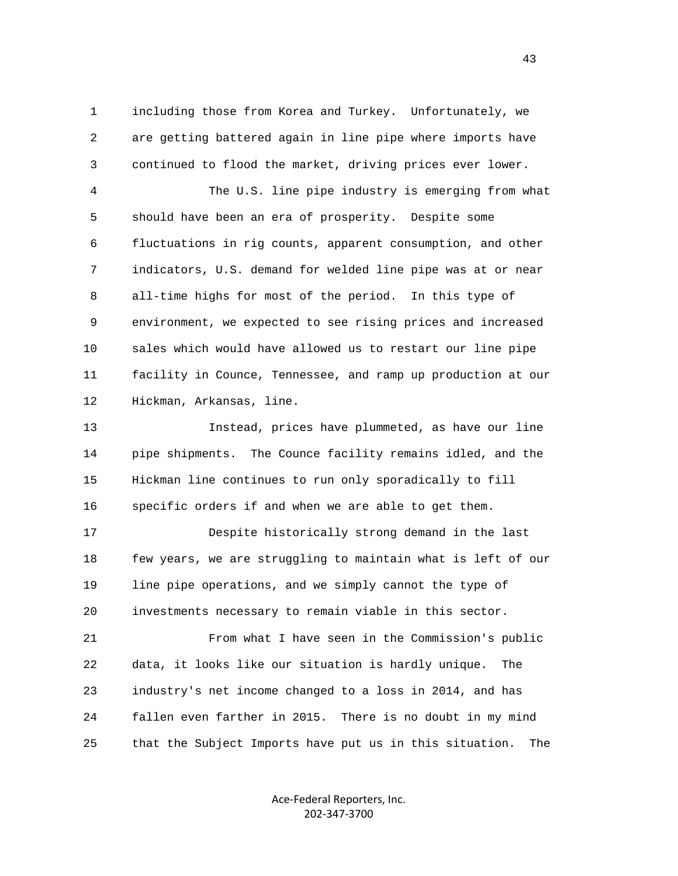1 including those from Korea and Turkey. Unfortunately, we 2 are getting battered again in line pipe where imports have 3 continued to flood the market, driving prices ever lower.

 4 The U.S. line pipe industry is emerging from what 5 should have been an era of prosperity. Despite some 6 fluctuations in rig counts, apparent consumption, and other 7 indicators, U.S. demand for welded line pipe was at or near 8 all-time highs for most of the period. In this type of 9 environment, we expected to see rising prices and increased 10 sales which would have allowed us to restart our line pipe 11 facility in Counce, Tennessee, and ramp up production at our 12 Hickman, Arkansas, line.

 13 Instead, prices have plummeted, as have our line 14 pipe shipments. The Counce facility remains idled, and the 15 Hickman line continues to run only sporadically to fill 16 specific orders if and when we are able to get them.

 17 Despite historically strong demand in the last 18 few years, we are struggling to maintain what is left of our 19 line pipe operations, and we simply cannot the type of 20 investments necessary to remain viable in this sector.

 21 From what I have seen in the Commission's public 22 data, it looks like our situation is hardly unique. The 23 industry's net income changed to a loss in 2014, and has 24 fallen even farther in 2015. There is no doubt in my mind 25 that the Subject Imports have put us in this situation. The

> Ace‐Federal Reporters, Inc. 202‐347‐3700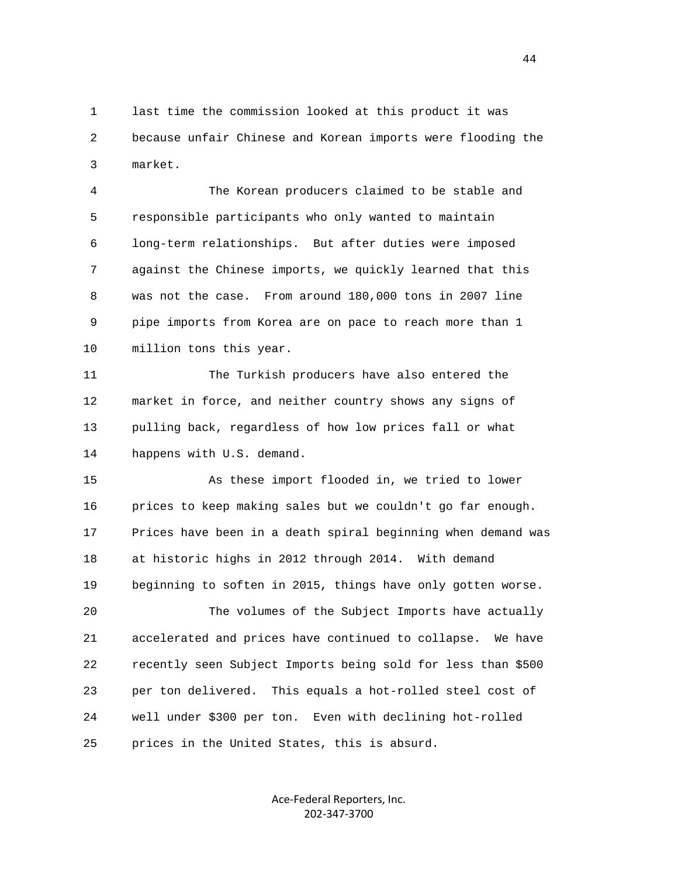1 last time the commission looked at this product it was 2 because unfair Chinese and Korean imports were flooding the 3 market.

 4 The Korean producers claimed to be stable and 5 responsible participants who only wanted to maintain 6 long-term relationships. But after duties were imposed 7 against the Chinese imports, we quickly learned that this 8 was not the case. From around 180,000 tons in 2007 line 9 pipe imports from Korea are on pace to reach more than 1 10 million tons this year.

 11 The Turkish producers have also entered the 12 market in force, and neither country shows any signs of 13 pulling back, regardless of how low prices fall or what 14 happens with U.S. demand.

 15 As these import flooded in, we tried to lower 16 prices to keep making sales but we couldn't go far enough. 17 Prices have been in a death spiral beginning when demand was 18 at historic highs in 2012 through 2014. With demand 19 beginning to soften in 2015, things have only gotten worse. 20 The volumes of the Subject Imports have actually

 21 accelerated and prices have continued to collapse. We have 22 recently seen Subject Imports being sold for less than \$500 23 per ton delivered. This equals a hot-rolled steel cost of 24 well under \$300 per ton. Even with declining hot-rolled 25 prices in the United States, this is absurd.

> Ace‐Federal Reporters, Inc. 202‐347‐3700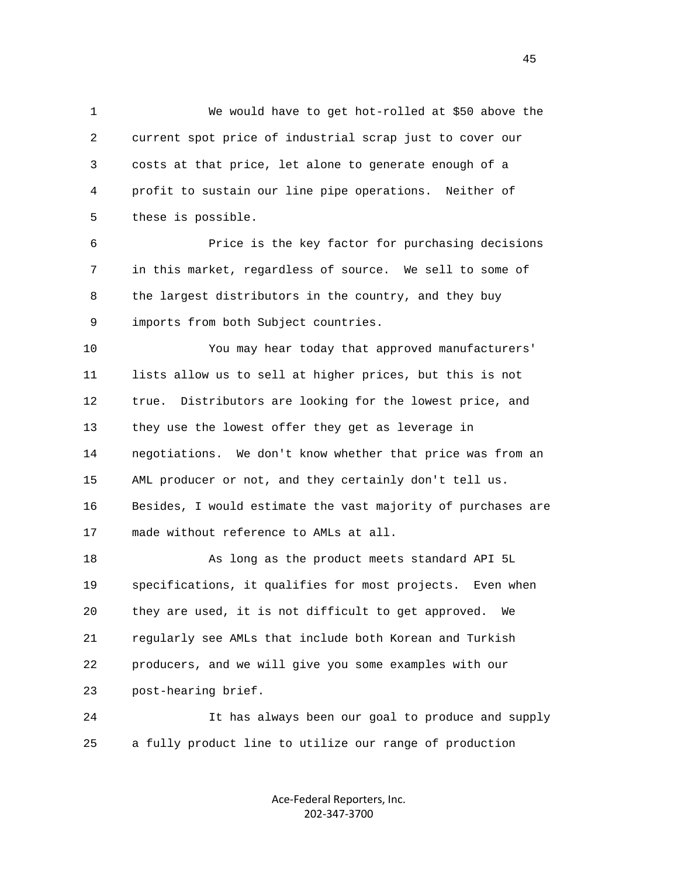1 We would have to get hot-rolled at \$50 above the 2 current spot price of industrial scrap just to cover our 3 costs at that price, let alone to generate enough of a 4 profit to sustain our line pipe operations. Neither of 5 these is possible.

 6 Price is the key factor for purchasing decisions 7 in this market, regardless of source. We sell to some of 8 the largest distributors in the country, and they buy 9 imports from both Subject countries.

 10 You may hear today that approved manufacturers' 11 lists allow us to sell at higher prices, but this is not 12 true. Distributors are looking for the lowest price, and 13 they use the lowest offer they get as leverage in 14 negotiations. We don't know whether that price was from an 15 AML producer or not, and they certainly don't tell us. 16 Besides, I would estimate the vast majority of purchases are 17 made without reference to AMLs at all.

 18 As long as the product meets standard API 5L 19 specifications, it qualifies for most projects. Even when 20 they are used, it is not difficult to get approved. We 21 regularly see AMLs that include both Korean and Turkish 22 producers, and we will give you some examples with our 23 post-hearing brief.

 24 It has always been our goal to produce and supply 25 a fully product line to utilize our range of production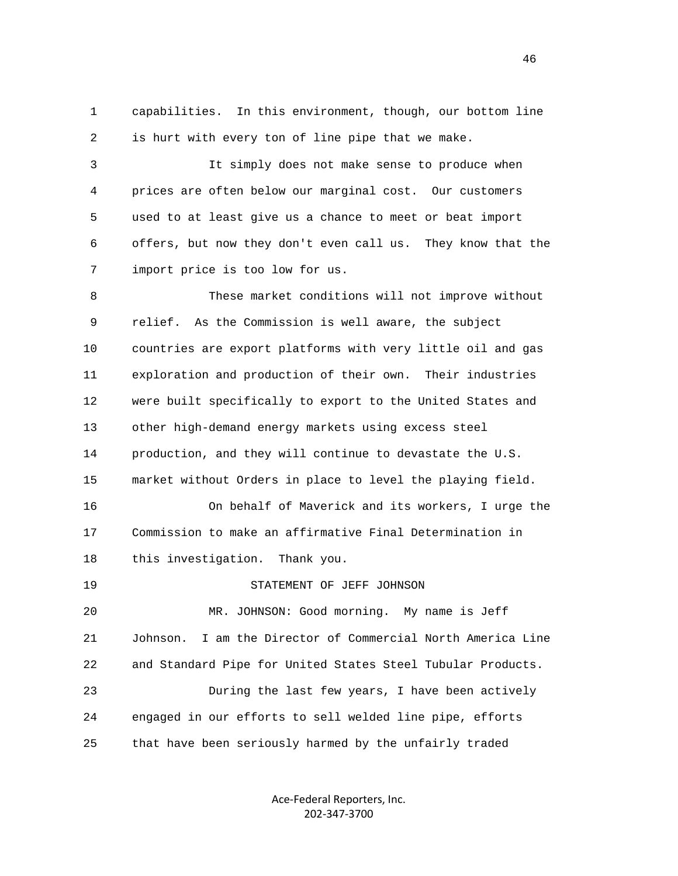1 capabilities. In this environment, though, our bottom line 2 is hurt with every ton of line pipe that we make.

 3 It simply does not make sense to produce when 4 prices are often below our marginal cost. Our customers 5 used to at least give us a chance to meet or beat import 6 offers, but now they don't even call us. They know that the 7 import price is too low for us.

 8 These market conditions will not improve without 9 relief. As the Commission is well aware, the subject 10 countries are export platforms with very little oil and gas 11 exploration and production of their own. Their industries 12 were built specifically to export to the United States and 13 other high-demand energy markets using excess steel 14 production, and they will continue to devastate the U.S. 15 market without Orders in place to level the playing field. 16 On behalf of Maverick and its workers, I urge the 17 Commission to make an affirmative Final Determination in 18 this investigation. Thank you. 19 STATEMENT OF JEFF JOHNSON 20 MR. JOHNSON: Good morning. My name is Jeff 21 Johnson. I am the Director of Commercial North America Line 22 and Standard Pipe for United States Steel Tubular Products. 23 During the last few years, I have been actively 24 engaged in our efforts to sell welded line pipe, efforts

25 that have been seriously harmed by the unfairly traded

Ace‐Federal Reporters, Inc. 202‐347‐3700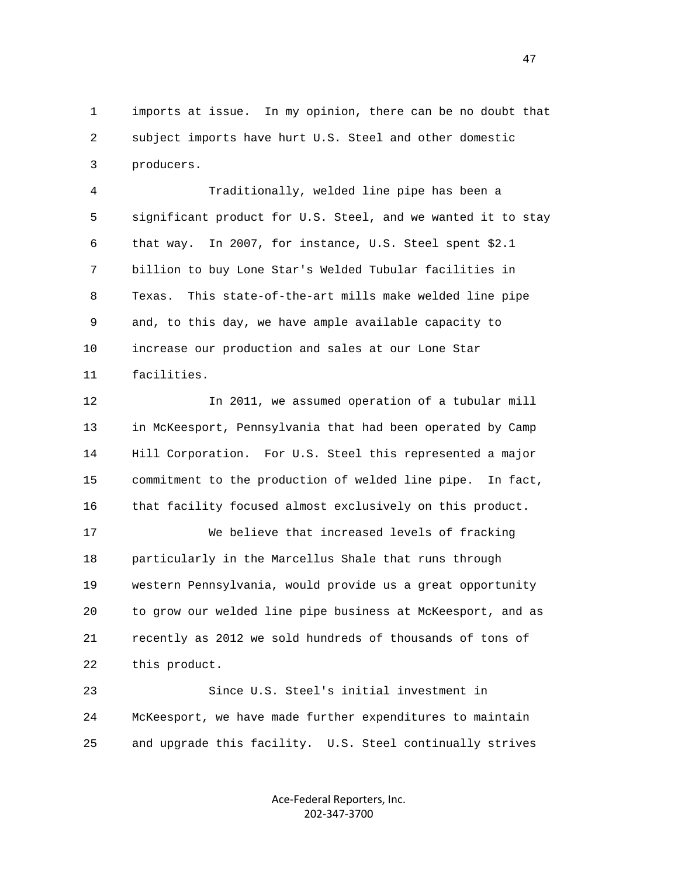1 imports at issue. In my opinion, there can be no doubt that 2 subject imports have hurt U.S. Steel and other domestic 3 producers.

 4 Traditionally, welded line pipe has been a 5 significant product for U.S. Steel, and we wanted it to stay 6 that way. In 2007, for instance, U.S. Steel spent \$2.1 7 billion to buy Lone Star's Welded Tubular facilities in 8 Texas. This state-of-the-art mills make welded line pipe 9 and, to this day, we have ample available capacity to 10 increase our production and sales at our Lone Star 11 facilities.

 12 In 2011, we assumed operation of a tubular mill 13 in McKeesport, Pennsylvania that had been operated by Camp 14 Hill Corporation. For U.S. Steel this represented a major 15 commitment to the production of welded line pipe. In fact, 16 that facility focused almost exclusively on this product.

 17 We believe that increased levels of fracking 18 particularly in the Marcellus Shale that runs through 19 western Pennsylvania, would provide us a great opportunity 20 to grow our welded line pipe business at McKeesport, and as 21 recently as 2012 we sold hundreds of thousands of tons of 22 this product.

 23 Since U.S. Steel's initial investment in 24 McKeesport, we have made further expenditures to maintain 25 and upgrade this facility. U.S. Steel continually strives

> Ace‐Federal Reporters, Inc. 202‐347‐3700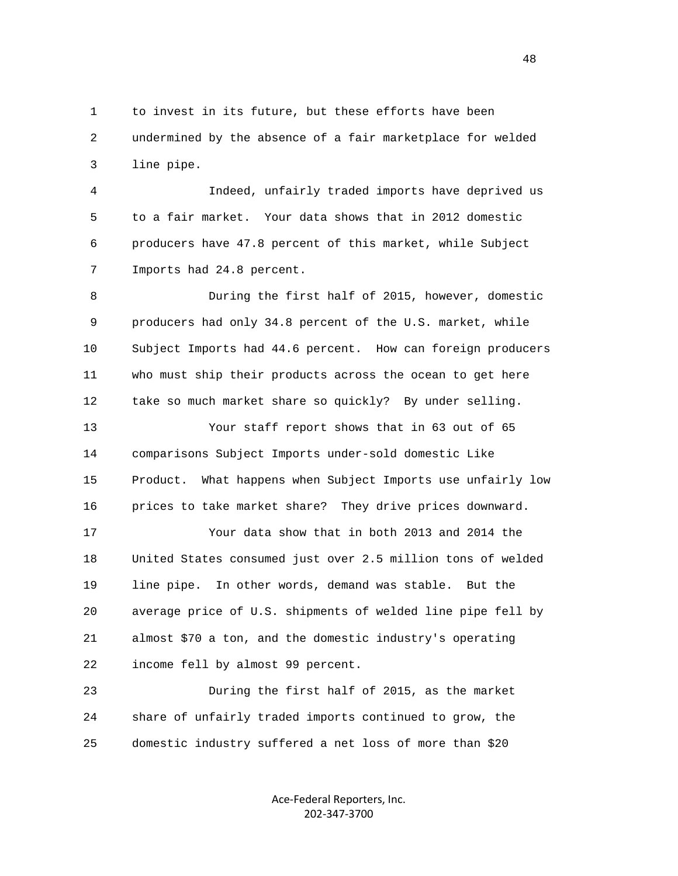1 to invest in its future, but these efforts have been 2 undermined by the absence of a fair marketplace for welded 3 line pipe.

 4 Indeed, unfairly traded imports have deprived us 5 to a fair market. Your data shows that in 2012 domestic 6 producers have 47.8 percent of this market, while Subject 7 Imports had 24.8 percent.

 8 During the first half of 2015, however, domestic 9 producers had only 34.8 percent of the U.S. market, while 10 Subject Imports had 44.6 percent. How can foreign producers 11 who must ship their products across the ocean to get here 12 take so much market share so quickly? By under selling.

 13 Your staff report shows that in 63 out of 65 14 comparisons Subject Imports under-sold domestic Like 15 Product. What happens when Subject Imports use unfairly low 16 prices to take market share? They drive prices downward.

 17 Your data show that in both 2013 and 2014 the 18 United States consumed just over 2.5 million tons of welded 19 line pipe. In other words, demand was stable. But the 20 average price of U.S. shipments of welded line pipe fell by 21 almost \$70 a ton, and the domestic industry's operating 22 income fell by almost 99 percent.

 23 During the first half of 2015, as the market 24 share of unfairly traded imports continued to grow, the 25 domestic industry suffered a net loss of more than \$20

> Ace‐Federal Reporters, Inc. 202‐347‐3700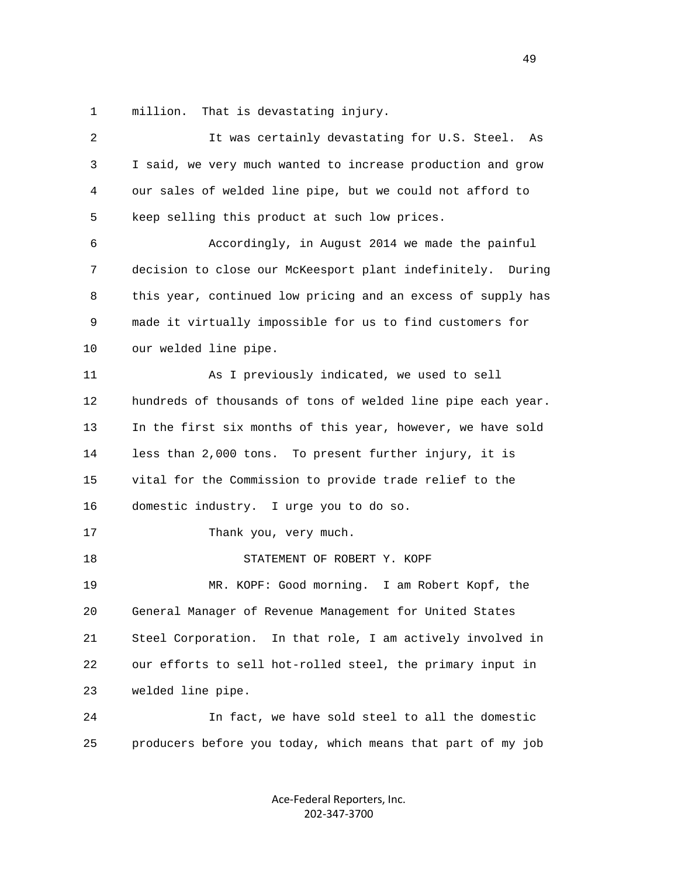1 million. That is devastating injury.

| 2  | It was certainly devastating for U.S. Steel.<br>As            |
|----|---------------------------------------------------------------|
| 3  | I said, we very much wanted to increase production and grow   |
| 4  | our sales of welded line pipe, but we could not afford to     |
| 5  | keep selling this product at such low prices.                 |
| 6  | Accordingly, in August 2014 we made the painful               |
| 7  | decision to close our McKeesport plant indefinitely. During   |
| 8  | this year, continued low pricing and an excess of supply has  |
| 9  | made it virtually impossible for us to find customers for     |
| 10 | our welded line pipe.                                         |
| 11 | As I previously indicated, we used to sell                    |
| 12 | hundreds of thousands of tons of welded line pipe each year.  |
| 13 | In the first six months of this year, however, we have sold   |
| 14 | less than 2,000 tons. To present further injury, it is        |
| 15 | vital for the Commission to provide trade relief to the       |
| 16 | domestic industry. I urge you to do so.                       |
| 17 | Thank you, very much.                                         |
| 18 | STATEMENT OF ROBERT Y. KOPF                                   |
| 19 | MR. KOPF: Good morning. I am Robert Kopf, the                 |
| 20 | General Manager of Revenue Management for United States       |
| 21 | In that role, I am actively involved in<br>Steel Corporation. |
| 22 | our efforts to sell hot-rolled steel, the primary input in    |
| 23 | welded line pipe.                                             |
| 24 | In fact, we have sold steel to all the domestic               |
| 25 | producers before you today, which means that part of my job   |
|    |                                                               |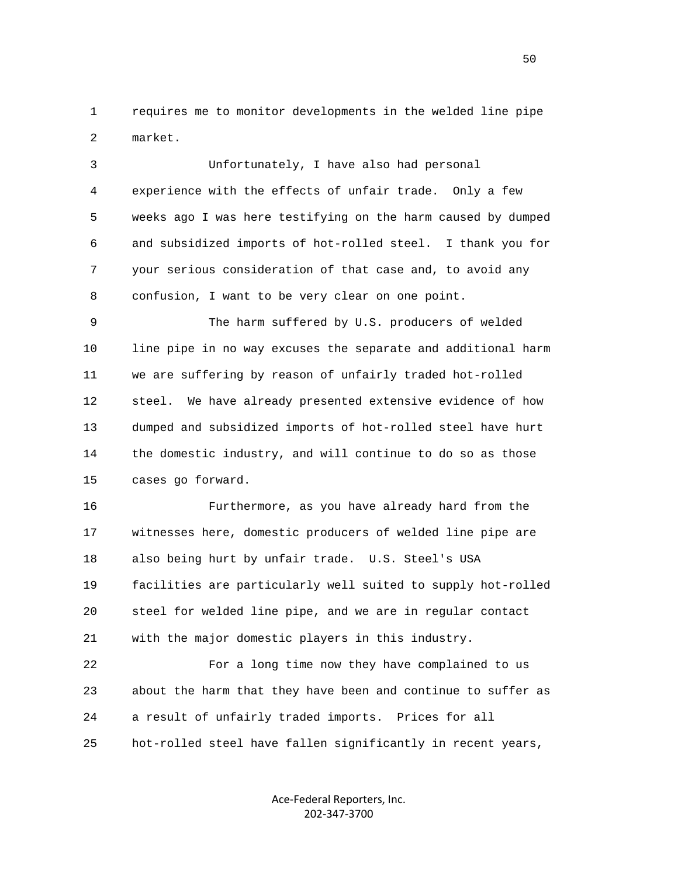1 requires me to monitor developments in the welded line pipe 2 market.

 3 Unfortunately, I have also had personal 4 experience with the effects of unfair trade. Only a few 5 weeks ago I was here testifying on the harm caused by dumped 6 and subsidized imports of hot-rolled steel. I thank you for 7 your serious consideration of that case and, to avoid any 8 confusion, I want to be very clear on one point.

 9 The harm suffered by U.S. producers of welded 10 line pipe in no way excuses the separate and additional harm 11 we are suffering by reason of unfairly traded hot-rolled 12 steel. We have already presented extensive evidence of how 13 dumped and subsidized imports of hot-rolled steel have hurt 14 the domestic industry, and will continue to do so as those 15 cases go forward.

 16 Furthermore, as you have already hard from the 17 witnesses here, domestic producers of welded line pipe are 18 also being hurt by unfair trade. U.S. Steel's USA 19 facilities are particularly well suited to supply hot-rolled 20 steel for welded line pipe, and we are in regular contact 21 with the major domestic players in this industry.

 22 For a long time now they have complained to us 23 about the harm that they have been and continue to suffer as 24 a result of unfairly traded imports. Prices for all 25 hot-rolled steel have fallen significantly in recent years,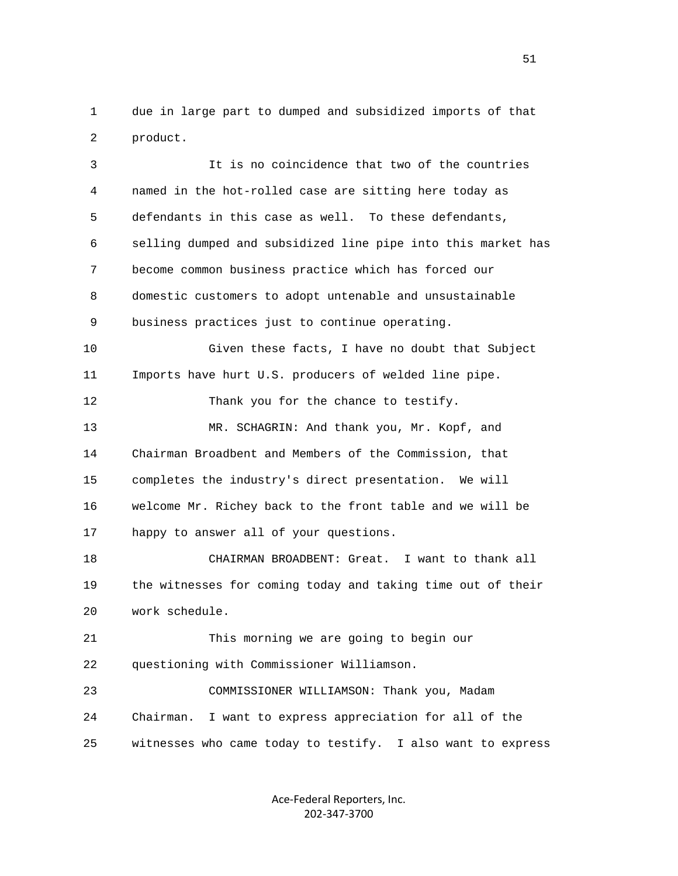1 due in large part to dumped and subsidized imports of that 2 product.

 3 It is no coincidence that two of the countries 4 named in the hot-rolled case are sitting here today as 5 defendants in this case as well. To these defendants, 6 selling dumped and subsidized line pipe into this market has 7 become common business practice which has forced our 8 domestic customers to adopt untenable and unsustainable 9 business practices just to continue operating. 10 Given these facts, I have no doubt that Subject 11 Imports have hurt U.S. producers of welded line pipe. 12 Thank you for the chance to testify. 13 MR. SCHAGRIN: And thank you, Mr. Kopf, and 14 Chairman Broadbent and Members of the Commission, that 15 completes the industry's direct presentation. We will 16 welcome Mr. Richey back to the front table and we will be 17 happy to answer all of your questions. 18 CHAIRMAN BROADBENT: Great. I want to thank all 19 the witnesses for coming today and taking time out of their 20 work schedule. 21 This morning we are going to begin our 22 questioning with Commissioner Williamson. 23 COMMISSIONER WILLIAMSON: Thank you, Madam 24 Chairman. I want to express appreciation for all of the 25 witnesses who came today to testify. I also want to express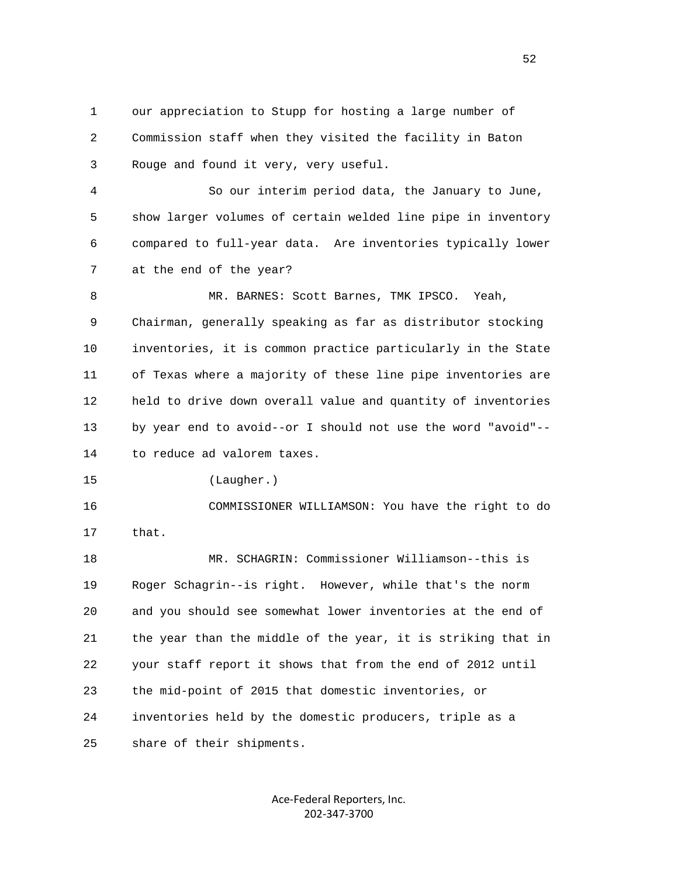1 our appreciation to Stupp for hosting a large number of 2 Commission staff when they visited the facility in Baton 3 Rouge and found it very, very useful.

 4 So our interim period data, the January to June, 5 show larger volumes of certain welded line pipe in inventory 6 compared to full-year data. Are inventories typically lower 7 at the end of the year?

 8 MR. BARNES: Scott Barnes, TMK IPSCO. Yeah, 9 Chairman, generally speaking as far as distributor stocking 10 inventories, it is common practice particularly in the State 11 of Texas where a majority of these line pipe inventories are 12 held to drive down overall value and quantity of inventories 13 by year end to avoid--or I should not use the word "avoid"-- 14 to reduce ad valorem taxes.

15 (Laugher.)

 16 COMMISSIONER WILLIAMSON: You have the right to do 17 that.

 18 MR. SCHAGRIN: Commissioner Williamson--this is 19 Roger Schagrin--is right. However, while that's the norm 20 and you should see somewhat lower inventories at the end of 21 the year than the middle of the year, it is striking that in 22 your staff report it shows that from the end of 2012 until 23 the mid-point of 2015 that domestic inventories, or 24 inventories held by the domestic producers, triple as a 25 share of their shipments.

> Ace‐Federal Reporters, Inc. 202‐347‐3700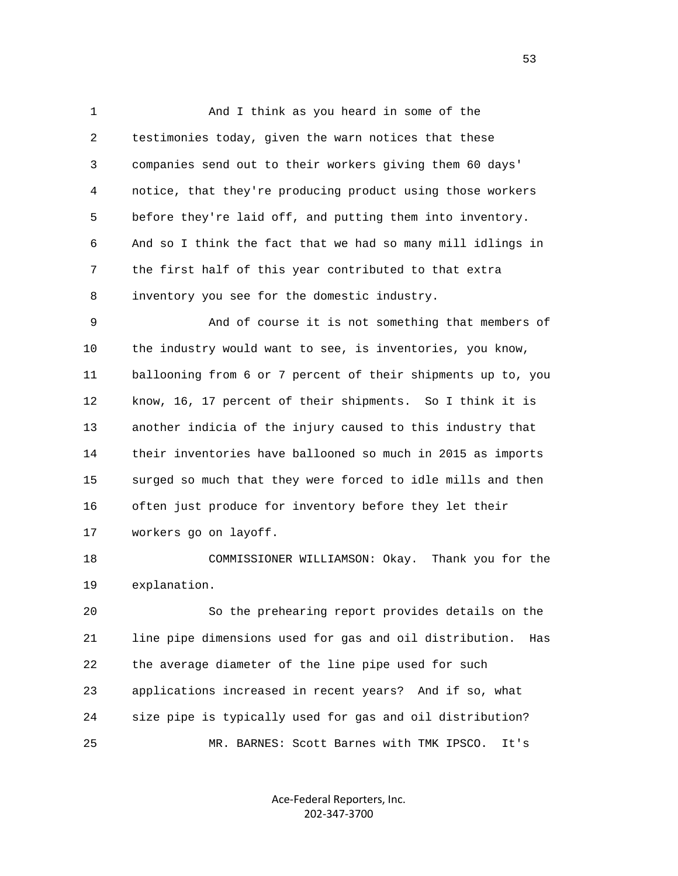1 And I think as you heard in some of the 2 testimonies today, given the warn notices that these 3 companies send out to their workers giving them 60 days' 4 notice, that they're producing product using those workers 5 before they're laid off, and putting them into inventory. 6 And so I think the fact that we had so many mill idlings in 7 the first half of this year contributed to that extra 8 inventory you see for the domestic industry.

 9 And of course it is not something that members of 10 the industry would want to see, is inventories, you know, 11 ballooning from 6 or 7 percent of their shipments up to, you 12 know, 16, 17 percent of their shipments. So I think it is 13 another indicia of the injury caused to this industry that 14 their inventories have ballooned so much in 2015 as imports 15 surged so much that they were forced to idle mills and then 16 often just produce for inventory before they let their 17 workers go on layoff.

 18 COMMISSIONER WILLIAMSON: Okay. Thank you for the 19 explanation.

 20 So the prehearing report provides details on the 21 line pipe dimensions used for gas and oil distribution. Has 22 the average diameter of the line pipe used for such 23 applications increased in recent years? And if so, what 24 size pipe is typically used for gas and oil distribution? 25 MR. BARNES: Scott Barnes with TMK IPSCO. It's

> Ace‐Federal Reporters, Inc. 202‐347‐3700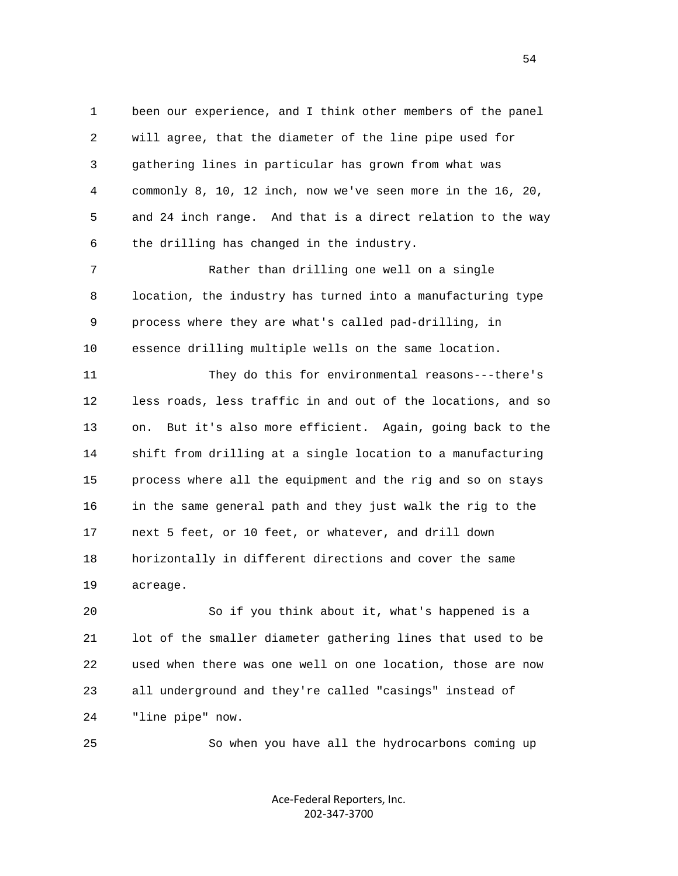1 been our experience, and I think other members of the panel 2 will agree, that the diameter of the line pipe used for 3 gathering lines in particular has grown from what was 4 commonly 8, 10, 12 inch, now we've seen more in the 16, 20, 5 and 24 inch range. And that is a direct relation to the way 6 the drilling has changed in the industry.

 7 Rather than drilling one well on a single 8 location, the industry has turned into a manufacturing type 9 process where they are what's called pad-drilling, in 10 essence drilling multiple wells on the same location.

 11 They do this for environmental reasons---there's 12 less roads, less traffic in and out of the locations, and so 13 on. But it's also more efficient. Again, going back to the 14 shift from drilling at a single location to a manufacturing 15 process where all the equipment and the rig and so on stays 16 in the same general path and they just walk the rig to the 17 next 5 feet, or 10 feet, or whatever, and drill down 18 horizontally in different directions and cover the same 19 acreage.

 20 So if you think about it, what's happened is a 21 lot of the smaller diameter gathering lines that used to be 22 used when there was one well on one location, those are now 23 all underground and they're called "casings" instead of 24 "line pipe" now.

25 So when you have all the hydrocarbons coming up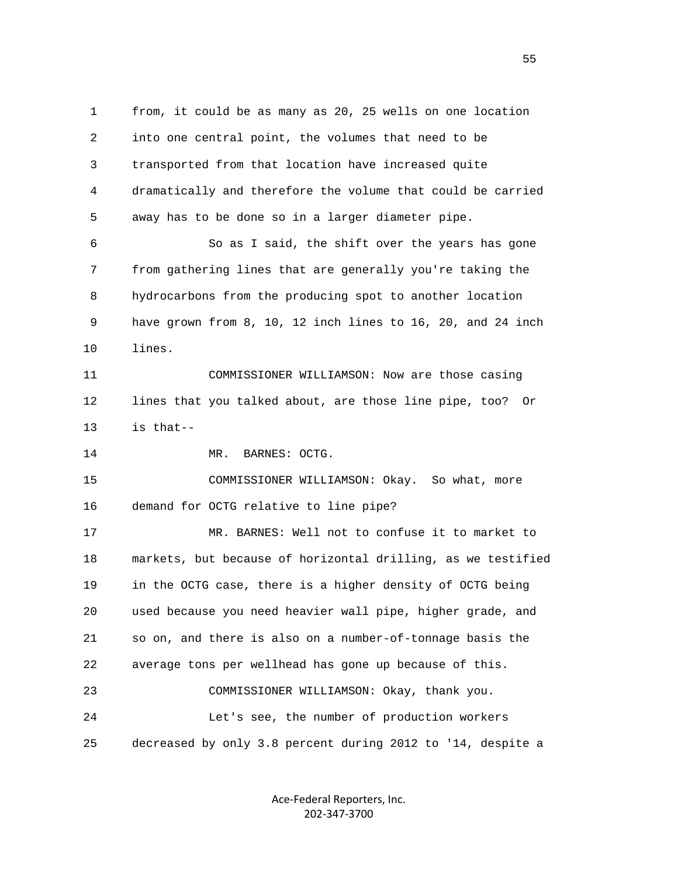1 from, it could be as many as 20, 25 wells on one location 2 into one central point, the volumes that need to be 3 transported from that location have increased quite 4 dramatically and therefore the volume that could be carried 5 away has to be done so in a larger diameter pipe. 6 So as I said, the shift over the years has gone 7 from gathering lines that are generally you're taking the 8 hydrocarbons from the producing spot to another location 9 have grown from 8, 10, 12 inch lines to 16, 20, and 24 inch 10 lines. 11 COMMISSIONER WILLIAMSON: Now are those casing 12 lines that you talked about, are those line pipe, too? Or 13 is that-- 14 MR. BARNES: OCTG. 15 COMMISSIONER WILLIAMSON: Okay. So what, more 16 demand for OCTG relative to line pipe? 17 MR. BARNES: Well not to confuse it to market to 18 markets, but because of horizontal drilling, as we testified 19 in the OCTG case, there is a higher density of OCTG being 20 used because you need heavier wall pipe, higher grade, and 21 so on, and there is also on a number-of-tonnage basis the 22 average tons per wellhead has gone up because of this. 23 COMMISSIONER WILLIAMSON: Okay, thank you. 24 Let's see, the number of production workers 25 decreased by only 3.8 percent during 2012 to '14, despite a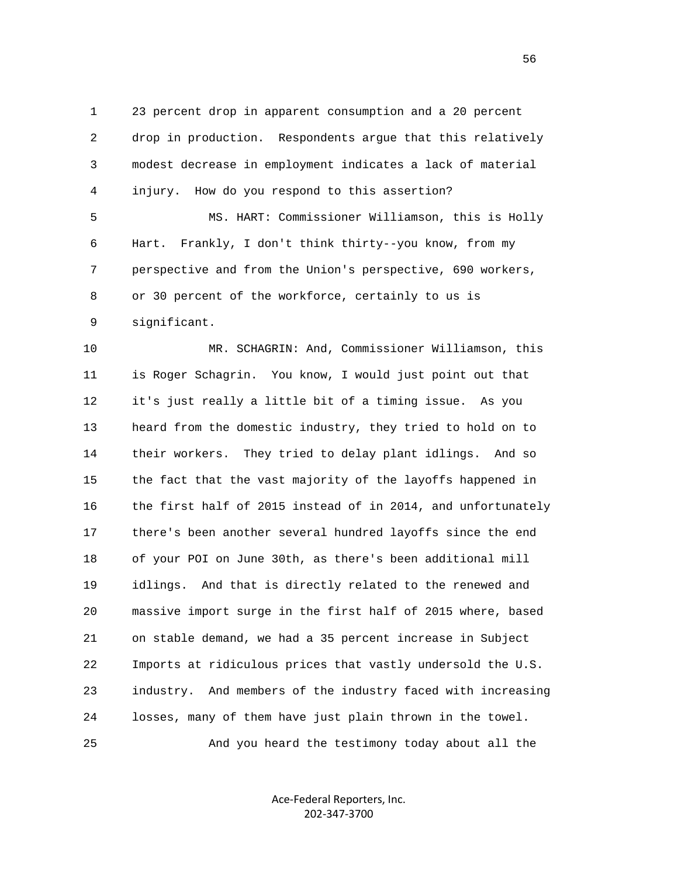1 23 percent drop in apparent consumption and a 20 percent 2 drop in production. Respondents argue that this relatively 3 modest decrease in employment indicates a lack of material 4 injury. How do you respond to this assertion?

 5 MS. HART: Commissioner Williamson, this is Holly 6 Hart. Frankly, I don't think thirty--you know, from my 7 perspective and from the Union's perspective, 690 workers, 8 or 30 percent of the workforce, certainly to us is 9 significant.

 10 MR. SCHAGRIN: And, Commissioner Williamson, this 11 is Roger Schagrin. You know, I would just point out that 12 it's just really a little bit of a timing issue. As you 13 heard from the domestic industry, they tried to hold on to 14 their workers. They tried to delay plant idlings. And so 15 the fact that the vast majority of the layoffs happened in 16 the first half of 2015 instead of in 2014, and unfortunately 17 there's been another several hundred layoffs since the end 18 of your POI on June 30th, as there's been additional mill 19 idlings. And that is directly related to the renewed and 20 massive import surge in the first half of 2015 where, based 21 on stable demand, we had a 35 percent increase in Subject 22 Imports at ridiculous prices that vastly undersold the U.S. 23 industry. And members of the industry faced with increasing 24 losses, many of them have just plain thrown in the towel. 25 And you heard the testimony today about all the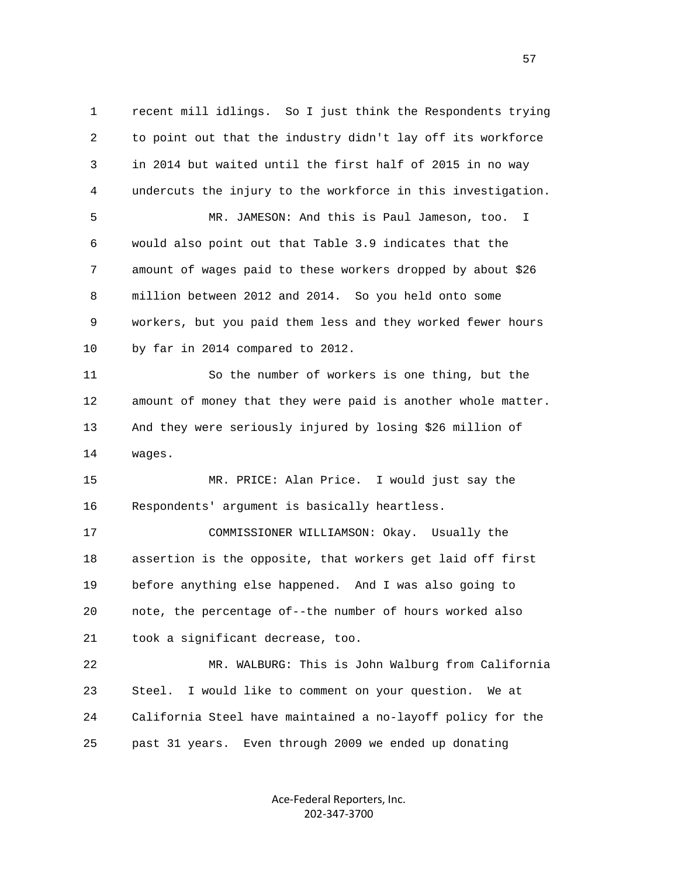1 recent mill idlings. So I just think the Respondents trying 2 to point out that the industry didn't lay off its workforce 3 in 2014 but waited until the first half of 2015 in no way 4 undercuts the injury to the workforce in this investigation. 5 MR. JAMESON: And this is Paul Jameson, too. I 6 would also point out that Table 3.9 indicates that the 7 amount of wages paid to these workers dropped by about \$26 8 million between 2012 and 2014. So you held onto some 9 workers, but you paid them less and they worked fewer hours 10 by far in 2014 compared to 2012. 11 So the number of workers is one thing, but the 12 amount of money that they were paid is another whole matter. 13 And they were seriously injured by losing \$26 million of 14 wages. 15 MR. PRICE: Alan Price. I would just say the 16 Respondents' argument is basically heartless. 17 COMMISSIONER WILLIAMSON: Okay. Usually the 18 assertion is the opposite, that workers get laid off first 19 before anything else happened. And I was also going to 20 note, the percentage of--the number of hours worked also 21 took a significant decrease, too. 22 MR. WALBURG: This is John Walburg from California 23 Steel. I would like to comment on your question. We at 24 California Steel have maintained a no-layoff policy for the 25 past 31 years. Even through 2009 we ended up donating

> Ace‐Federal Reporters, Inc. 202‐347‐3700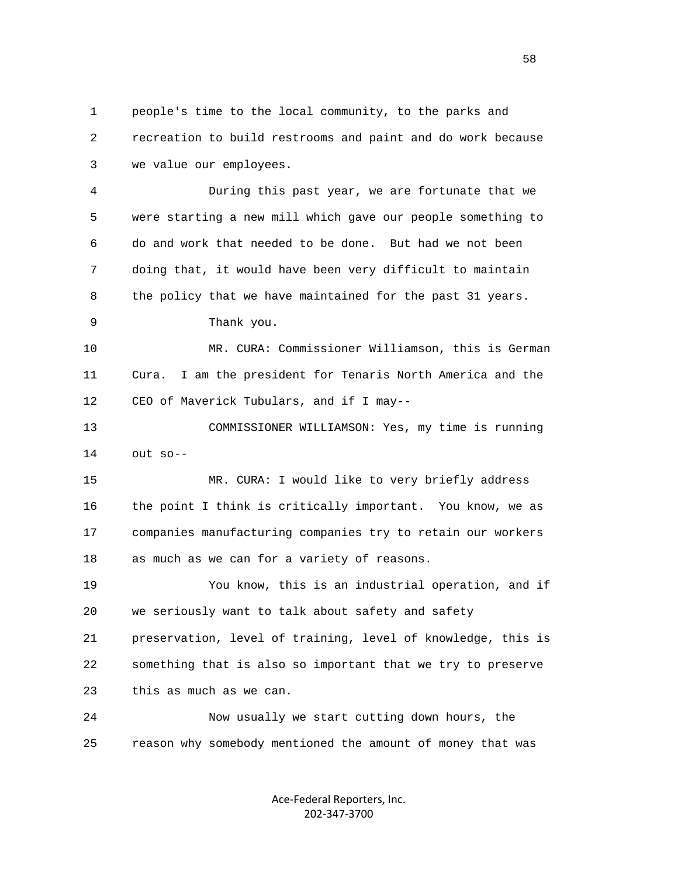1 people's time to the local community, to the parks and 2 recreation to build restrooms and paint and do work because 3 we value our employees.

 4 During this past year, we are fortunate that we 5 were starting a new mill which gave our people something to 6 do and work that needed to be done. But had we not been 7 doing that, it would have been very difficult to maintain 8 the policy that we have maintained for the past 31 years.

9 Thank you.

 10 MR. CURA: Commissioner Williamson, this is German 11 Cura. I am the president for Tenaris North America and the 12 CEO of Maverick Tubulars, and if I may--

 13 COMMISSIONER WILLIAMSON: Yes, my time is running 14 out so--

 15 MR. CURA: I would like to very briefly address 16 the point I think is critically important. You know, we as 17 companies manufacturing companies try to retain our workers 18 as much as we can for a variety of reasons.

 19 You know, this is an industrial operation, and if 20 we seriously want to talk about safety and safety 21 preservation, level of training, level of knowledge, this is 22 something that is also so important that we try to preserve 23 this as much as we can.

 24 Now usually we start cutting down hours, the 25 reason why somebody mentioned the amount of money that was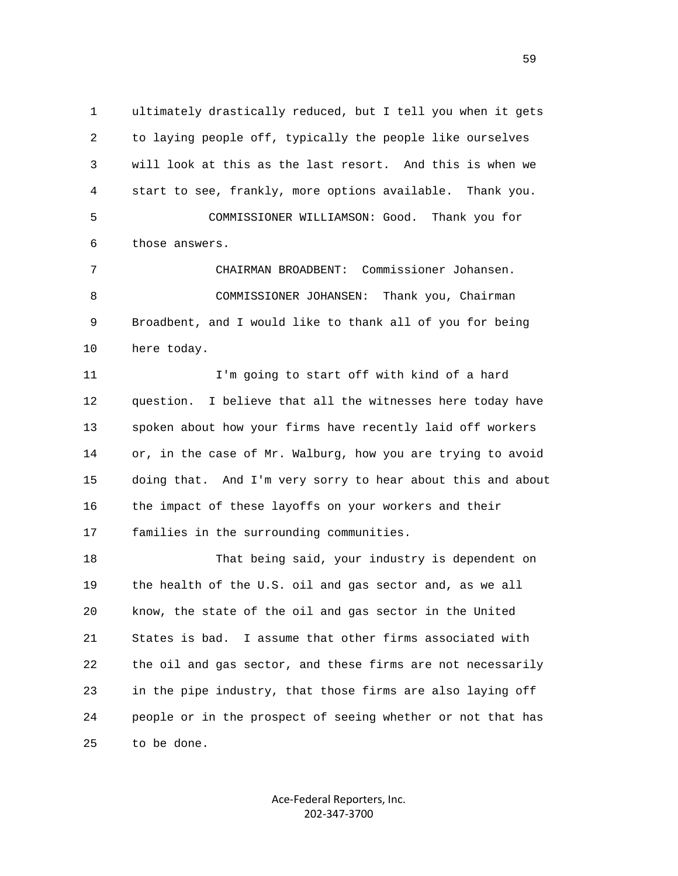1 ultimately drastically reduced, but I tell you when it gets 2 to laying people off, typically the people like ourselves 3 will look at this as the last resort. And this is when we 4 start to see, frankly, more options available. Thank you. 5 COMMISSIONER WILLIAMSON: Good. Thank you for 6 those answers.

 7 CHAIRMAN BROADBENT: Commissioner Johansen. 8 COMMISSIONER JOHANSEN: Thank you, Chairman 9 Broadbent, and I would like to thank all of you for being 10 here today.

 11 I'm going to start off with kind of a hard 12 question. I believe that all the witnesses here today have 13 spoken about how your firms have recently laid off workers 14 or, in the case of Mr. Walburg, how you are trying to avoid 15 doing that. And I'm very sorry to hear about this and about 16 the impact of these layoffs on your workers and their 17 families in the surrounding communities.

 18 That being said, your industry is dependent on 19 the health of the U.S. oil and gas sector and, as we all 20 know, the state of the oil and gas sector in the United 21 States is bad. I assume that other firms associated with 22 the oil and gas sector, and these firms are not necessarily 23 in the pipe industry, that those firms are also laying off 24 people or in the prospect of seeing whether or not that has 25 to be done.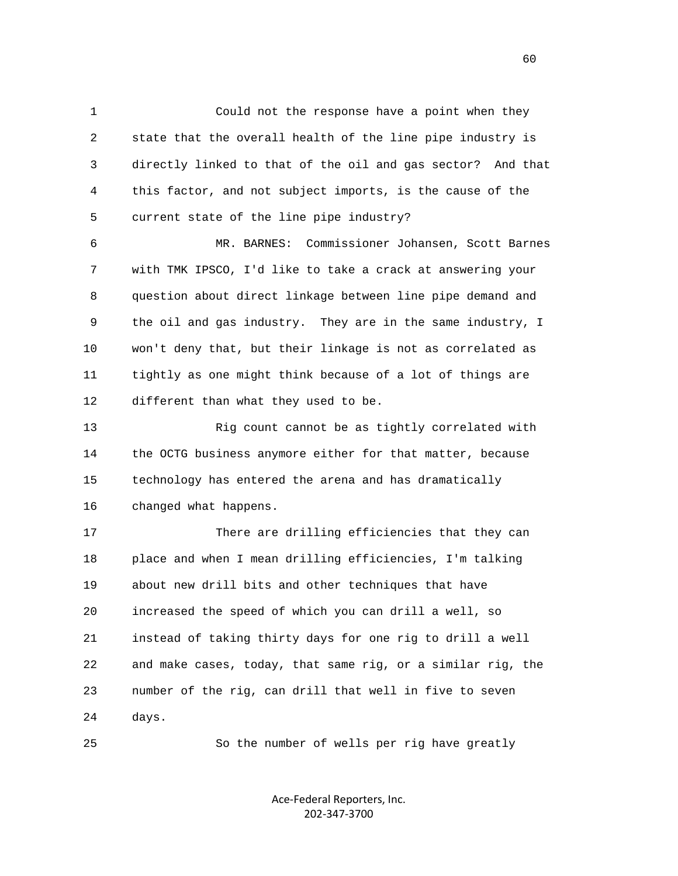1 Could not the response have a point when they 2 state that the overall health of the line pipe industry is 3 directly linked to that of the oil and gas sector? And that 4 this factor, and not subject imports, is the cause of the 5 current state of the line pipe industry?

 6 MR. BARNES: Commissioner Johansen, Scott Barnes 7 with TMK IPSCO, I'd like to take a crack at answering your 8 question about direct linkage between line pipe demand and 9 the oil and gas industry. They are in the same industry, I 10 won't deny that, but their linkage is not as correlated as 11 tightly as one might think because of a lot of things are 12 different than what they used to be.

 13 Rig count cannot be as tightly correlated with 14 the OCTG business anymore either for that matter, because 15 technology has entered the arena and has dramatically 16 changed what happens.

 17 There are drilling efficiencies that they can 18 place and when I mean drilling efficiencies, I'm talking 19 about new drill bits and other techniques that have 20 increased the speed of which you can drill a well, so 21 instead of taking thirty days for one rig to drill a well 22 and make cases, today, that same rig, or a similar rig, the 23 number of the rig, can drill that well in five to seven 24 days.

25 So the number of wells per rig have greatly

Ace‐Federal Reporters, Inc. 202‐347‐3700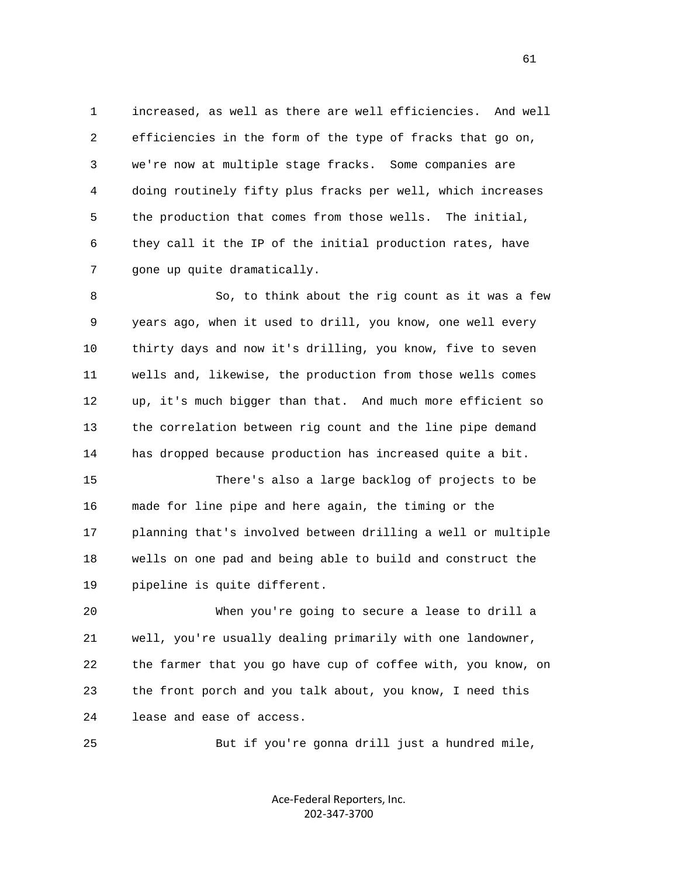1 increased, as well as there are well efficiencies. And well 2 efficiencies in the form of the type of fracks that go on, 3 we're now at multiple stage fracks. Some companies are 4 doing routinely fifty plus fracks per well, which increases 5 the production that comes from those wells. The initial, 6 they call it the IP of the initial production rates, have 7 gone up quite dramatically.

 8 So, to think about the rig count as it was a few 9 years ago, when it used to drill, you know, one well every 10 thirty days and now it's drilling, you know, five to seven 11 wells and, likewise, the production from those wells comes 12 up, it's much bigger than that. And much more efficient so 13 the correlation between rig count and the line pipe demand 14 has dropped because production has increased quite a bit.

 15 There's also a large backlog of projects to be 16 made for line pipe and here again, the timing or the 17 planning that's involved between drilling a well or multiple 18 wells on one pad and being able to build and construct the 19 pipeline is quite different.

 20 When you're going to secure a lease to drill a 21 well, you're usually dealing primarily with one landowner, 22 the farmer that you go have cup of coffee with, you know, on 23 the front porch and you talk about, you know, I need this 24 lease and ease of access.

25 But if you're gonna drill just a hundred mile,

Ace‐Federal Reporters, Inc. 202‐347‐3700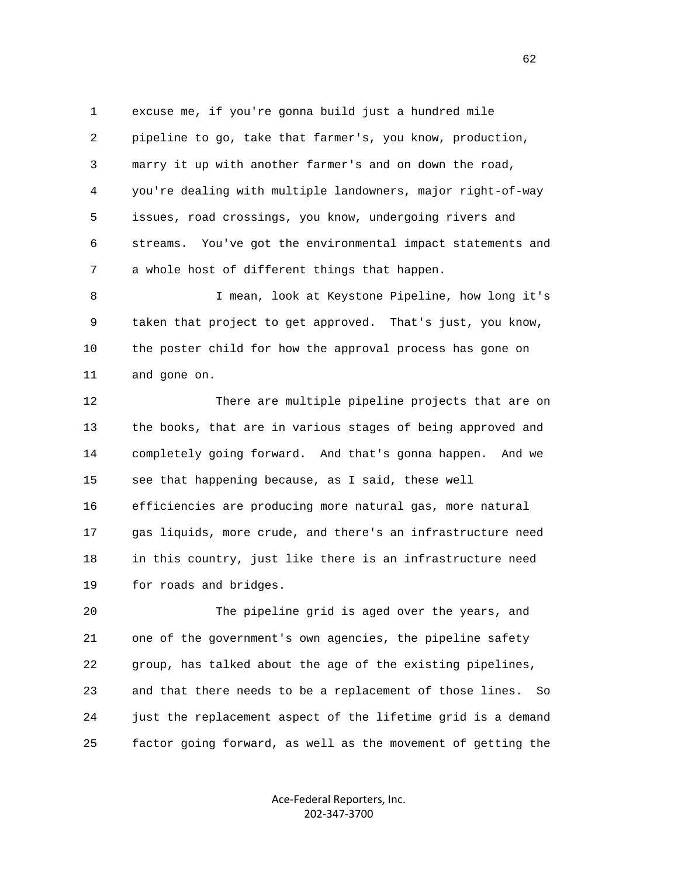1 excuse me, if you're gonna build just a hundred mile 2 pipeline to go, take that farmer's, you know, production, 3 marry it up with another farmer's and on down the road, 4 you're dealing with multiple landowners, major right-of-way 5 issues, road crossings, you know, undergoing rivers and 6 streams. You've got the environmental impact statements and 7 a whole host of different things that happen.

 8 I mean, look at Keystone Pipeline, how long it's 9 taken that project to get approved. That's just, you know, 10 the poster child for how the approval process has gone on 11 and gone on.

 12 There are multiple pipeline projects that are on 13 the books, that are in various stages of being approved and 14 completely going forward. And that's gonna happen. And we 15 see that happening because, as I said, these well 16 efficiencies are producing more natural gas, more natural 17 gas liquids, more crude, and there's an infrastructure need 18 in this country, just like there is an infrastructure need 19 for roads and bridges.

 20 The pipeline grid is aged over the years, and 21 one of the government's own agencies, the pipeline safety 22 group, has talked about the age of the existing pipelines, 23 and that there needs to be a replacement of those lines. So 24 just the replacement aspect of the lifetime grid is a demand 25 factor going forward, as well as the movement of getting the

> Ace‐Federal Reporters, Inc. 202‐347‐3700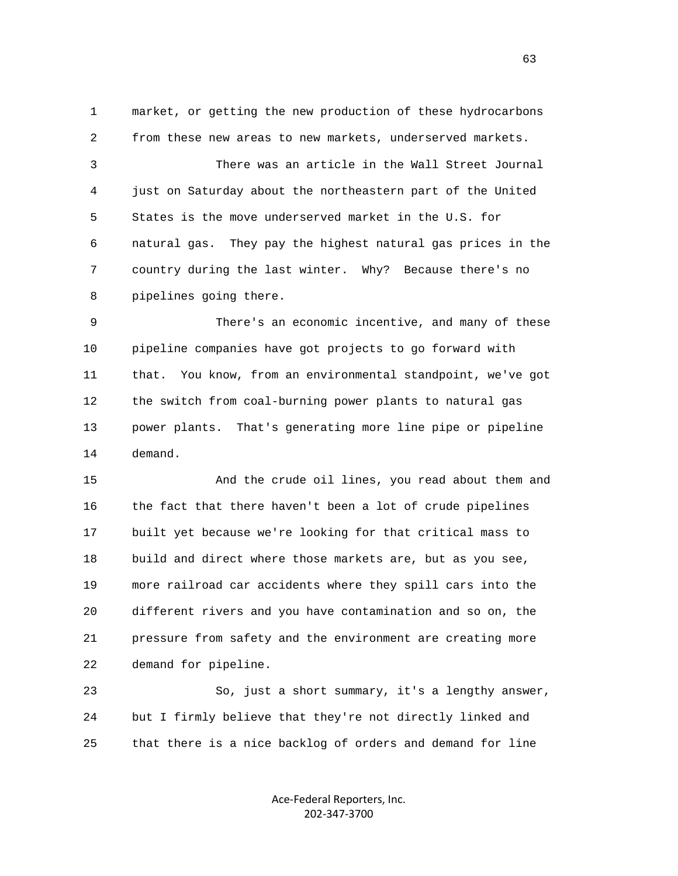1 market, or getting the new production of these hydrocarbons 2 from these new areas to new markets, underserved markets.

 3 There was an article in the Wall Street Journal 4 just on Saturday about the northeastern part of the United 5 States is the move underserved market in the U.S. for 6 natural gas. They pay the highest natural gas prices in the 7 country during the last winter. Why? Because there's no 8 pipelines going there.

 9 There's an economic incentive, and many of these 10 pipeline companies have got projects to go forward with 11 that. You know, from an environmental standpoint, we've got 12 the switch from coal-burning power plants to natural gas 13 power plants. That's generating more line pipe or pipeline 14 demand.

 15 And the crude oil lines, you read about them and 16 the fact that there haven't been a lot of crude pipelines 17 built yet because we're looking for that critical mass to 18 build and direct where those markets are, but as you see, 19 more railroad car accidents where they spill cars into the 20 different rivers and you have contamination and so on, the 21 pressure from safety and the environment are creating more 22 demand for pipeline.

 23 So, just a short summary, it's a lengthy answer, 24 but I firmly believe that they're not directly linked and 25 that there is a nice backlog of orders and demand for line

> Ace‐Federal Reporters, Inc. 202‐347‐3700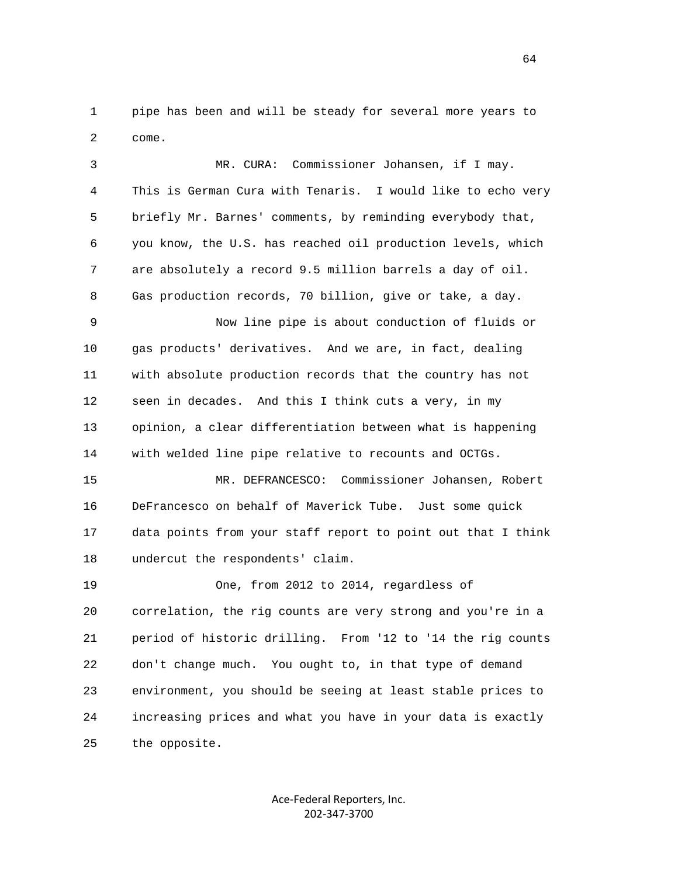1 pipe has been and will be steady for several more years to 2 come.

 3 MR. CURA: Commissioner Johansen, if I may. 4 This is German Cura with Tenaris. I would like to echo very 5 briefly Mr. Barnes' comments, by reminding everybody that, 6 you know, the U.S. has reached oil production levels, which 7 are absolutely a record 9.5 million barrels a day of oil. 8 Gas production records, 70 billion, give or take, a day. 9 Now line pipe is about conduction of fluids or 10 gas products' derivatives. And we are, in fact, dealing 11 with absolute production records that the country has not 12 seen in decades. And this I think cuts a very, in my 13 opinion, a clear differentiation between what is happening 14 with welded line pipe relative to recounts and OCTGs. 15 MR. DEFRANCESCO: Commissioner Johansen, Robert 16 DeFrancesco on behalf of Maverick Tube. Just some quick 17 data points from your staff report to point out that I think

18 undercut the respondents' claim.

 19 One, from 2012 to 2014, regardless of 20 correlation, the rig counts are very strong and you're in a 21 period of historic drilling. From '12 to '14 the rig counts 22 don't change much. You ought to, in that type of demand 23 environment, you should be seeing at least stable prices to 24 increasing prices and what you have in your data is exactly 25 the opposite.

> Ace‐Federal Reporters, Inc. 202‐347‐3700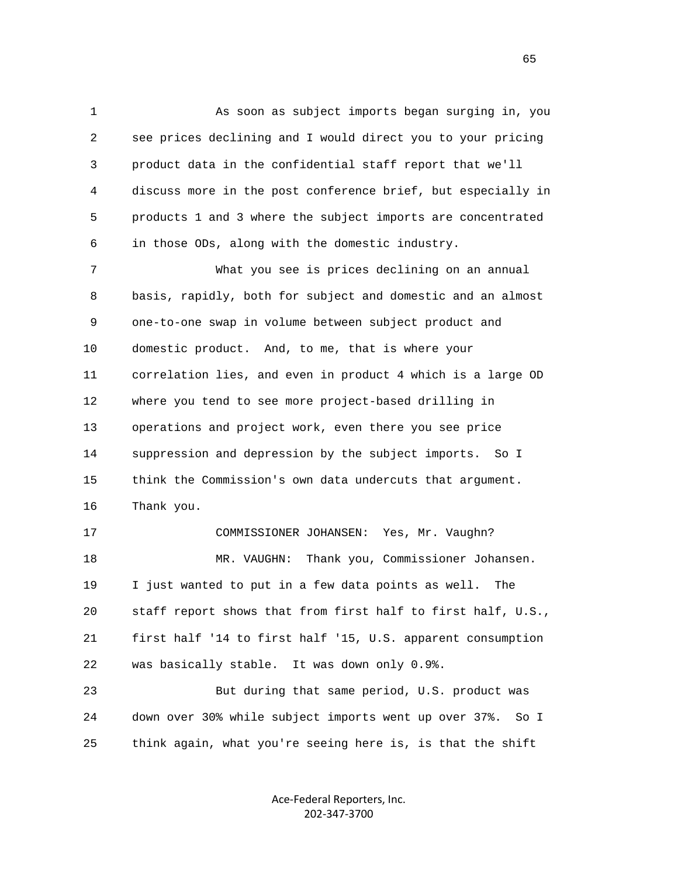1 As soon as subject imports began surging in, you 2 see prices declining and I would direct you to your pricing 3 product data in the confidential staff report that we'll 4 discuss more in the post conference brief, but especially in 5 products 1 and 3 where the subject imports are concentrated 6 in those ODs, along with the domestic industry.

 7 What you see is prices declining on an annual 8 basis, rapidly, both for subject and domestic and an almost 9 one-to-one swap in volume between subject product and 10 domestic product. And, to me, that is where your 11 correlation lies, and even in product 4 which is a large OD 12 where you tend to see more project-based drilling in 13 operations and project work, even there you see price 14 suppression and depression by the subject imports. So I 15 think the Commission's own data undercuts that argument. 16 Thank you.

 17 COMMISSIONER JOHANSEN: Yes, Mr. Vaughn? 18 MR. VAUGHN: Thank you, Commissioner Johansen. 19 I just wanted to put in a few data points as well. The 20 staff report shows that from first half to first half, U.S., 21 first half '14 to first half '15, U.S. apparent consumption 22 was basically stable. It was down only 0.9%.

 23 But during that same period, U.S. product was 24 down over 30% while subject imports went up over 37%. So I 25 think again, what you're seeing here is, is that the shift

> Ace‐Federal Reporters, Inc. 202‐347‐3700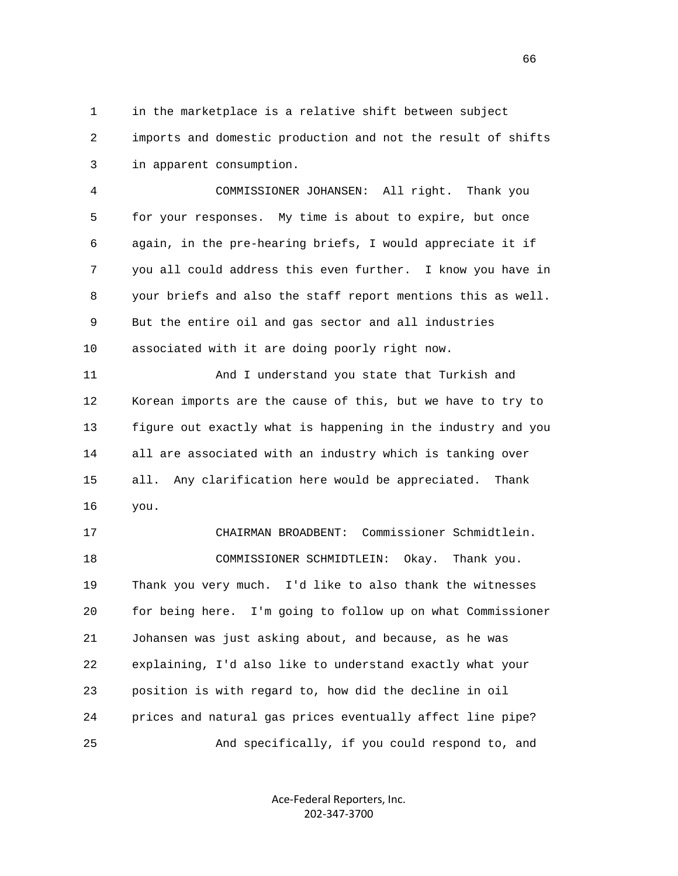1 in the marketplace is a relative shift between subject 2 imports and domestic production and not the result of shifts 3 in apparent consumption.

 4 COMMISSIONER JOHANSEN: All right. Thank you 5 for your responses. My time is about to expire, but once 6 again, in the pre-hearing briefs, I would appreciate it if 7 you all could address this even further. I know you have in 8 your briefs and also the staff report mentions this as well. 9 But the entire oil and gas sector and all industries 10 associated with it are doing poorly right now.

 11 And I understand you state that Turkish and 12 Korean imports are the cause of this, but we have to try to 13 figure out exactly what is happening in the industry and you 14 all are associated with an industry which is tanking over 15 all. Any clarification here would be appreciated. Thank 16 you.

 17 CHAIRMAN BROADBENT: Commissioner Schmidtlein. 18 COMMISSIONER SCHMIDTLEIN: Okay. Thank you. 19 Thank you very much. I'd like to also thank the witnesses 20 for being here. I'm going to follow up on what Commissioner 21 Johansen was just asking about, and because, as he was 22 explaining, I'd also like to understand exactly what your 23 position is with regard to, how did the decline in oil 24 prices and natural gas prices eventually affect line pipe? 25 And specifically, if you could respond to, and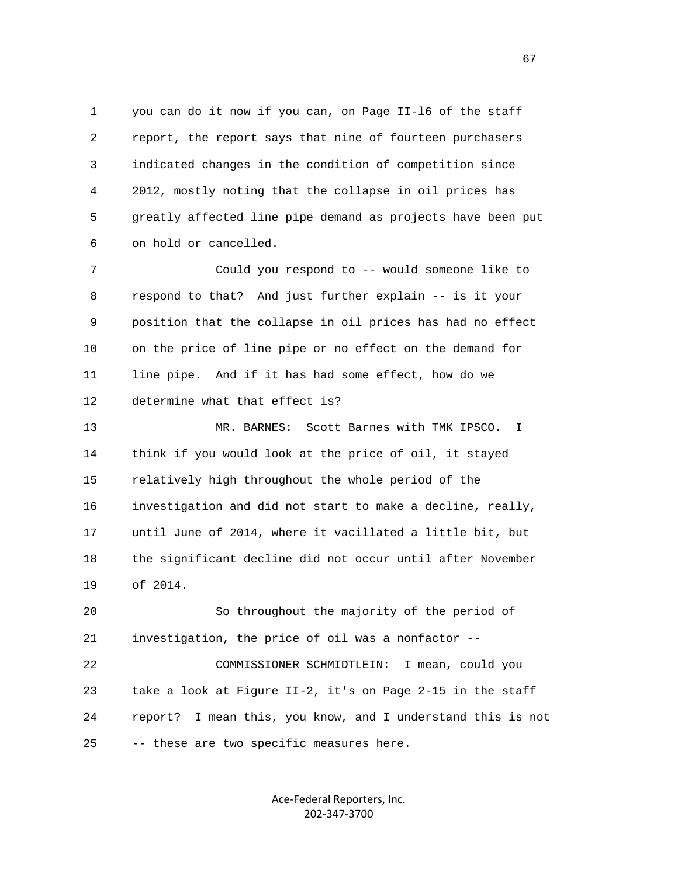1 you can do it now if you can, on Page II-l6 of the staff 2 report, the report says that nine of fourteen purchasers 3 indicated changes in the condition of competition since 4 2012, mostly noting that the collapse in oil prices has 5 greatly affected line pipe demand as projects have been put 6 on hold or cancelled.

 7 Could you respond to -- would someone like to 8 respond to that? And just further explain -- is it your 9 position that the collapse in oil prices has had no effect 10 on the price of line pipe or no effect on the demand for 11 line pipe. And if it has had some effect, how do we 12 determine what that effect is?

 13 MR. BARNES: Scott Barnes with TMK IPSCO. I 14 think if you would look at the price of oil, it stayed 15 relatively high throughout the whole period of the 16 investigation and did not start to make a decline, really, 17 until June of 2014, where it vacillated a little bit, but 18 the significant decline did not occur until after November 19 of 2014.

 20 So throughout the majority of the period of 21 investigation, the price of oil was a nonfactor --

 22 COMMISSIONER SCHMIDTLEIN: I mean, could you 23 take a look at Figure II-2, it's on Page 2-15 in the staff 24 report? I mean this, you know, and I understand this is not 25 -- these are two specific measures here.

> Ace‐Federal Reporters, Inc. 202‐347‐3700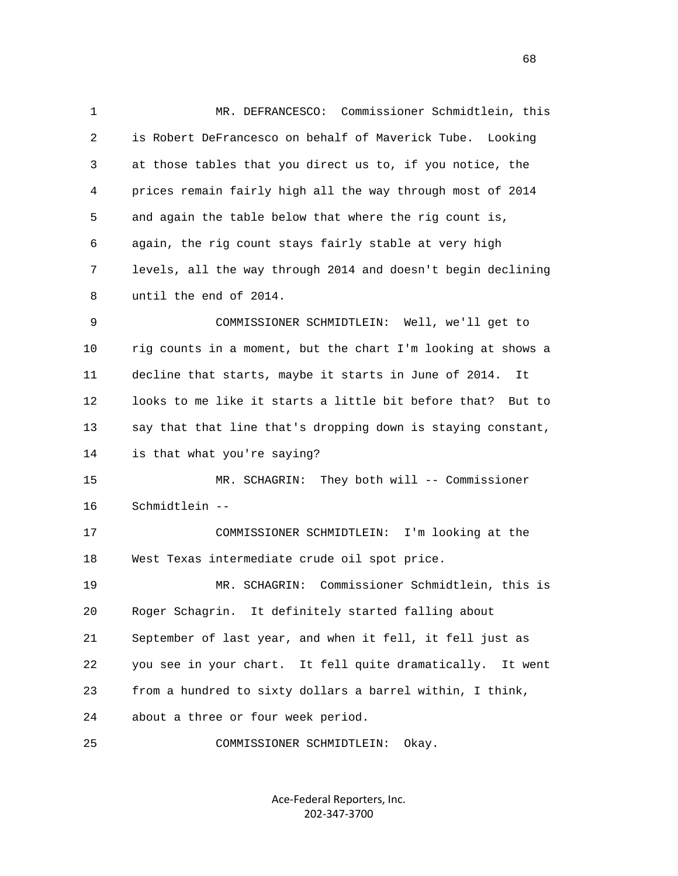1 MR. DEFRANCESCO: Commissioner Schmidtlein, this 2 is Robert DeFrancesco on behalf of Maverick Tube. Looking 3 at those tables that you direct us to, if you notice, the 4 prices remain fairly high all the way through most of 2014 5 and again the table below that where the rig count is, 6 again, the rig count stays fairly stable at very high 7 levels, all the way through 2014 and doesn't begin declining 8 until the end of 2014. 9 COMMISSIONER SCHMIDTLEIN: Well, we'll get to 10 rig counts in a moment, but the chart I'm looking at shows a 11 decline that starts, maybe it starts in June of 2014. It 12 looks to me like it starts a little bit before that? But to 13 say that that line that's dropping down is staying constant, 14 is that what you're saying? 15 MR. SCHAGRIN: They both will -- Commissioner 16 Schmidtlein -- 17 COMMISSIONER SCHMIDTLEIN: I'm looking at the 18 West Texas intermediate crude oil spot price. 19 MR. SCHAGRIN: Commissioner Schmidtlein, this is 20 Roger Schagrin. It definitely started falling about 21 September of last year, and when it fell, it fell just as 22 you see in your chart. It fell quite dramatically. It went 23 from a hundred to sixty dollars a barrel within, I think, 24 about a three or four week period. 25 COMMISSIONER SCHMIDTLEIN: Okay.

> Ace‐Federal Reporters, Inc. 202‐347‐3700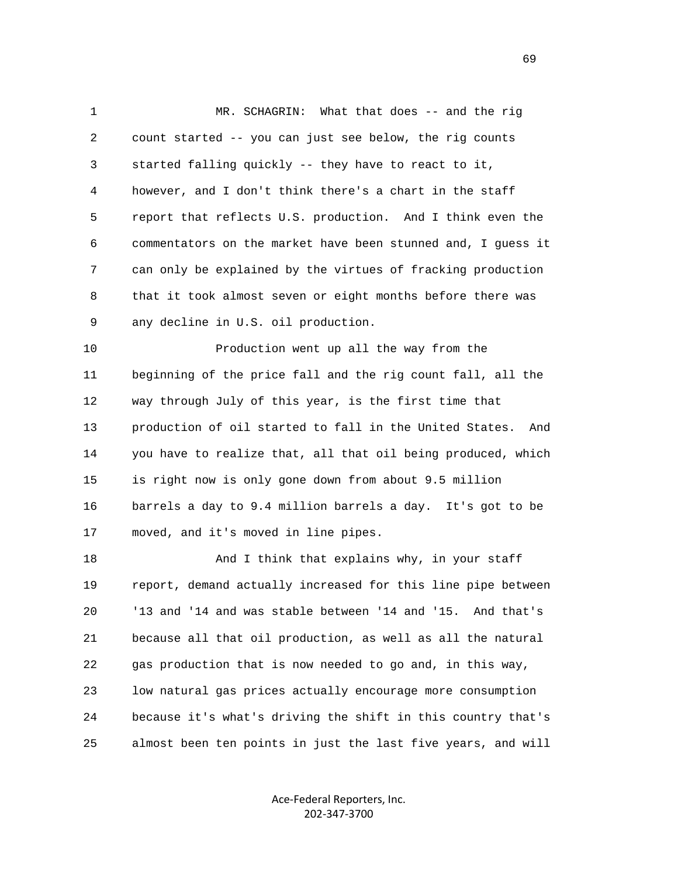1 MR. SCHAGRIN: What that does -- and the rig 2 count started -- you can just see below, the rig counts 3 started falling quickly -- they have to react to it, 4 however, and I don't think there's a chart in the staff 5 report that reflects U.S. production. And I think even the 6 commentators on the market have been stunned and, I guess it 7 can only be explained by the virtues of fracking production 8 that it took almost seven or eight months before there was 9 any decline in U.S. oil production.

 10 Production went up all the way from the 11 beginning of the price fall and the rig count fall, all the 12 way through July of this year, is the first time that 13 production of oil started to fall in the United States. And 14 you have to realize that, all that oil being produced, which 15 is right now is only gone down from about 9.5 million 16 barrels a day to 9.4 million barrels a day. It's got to be 17 moved, and it's moved in line pipes.

18 And I think that explains why, in your staff 19 report, demand actually increased for this line pipe between 20 '13 and '14 and was stable between '14 and '15. And that's 21 because all that oil production, as well as all the natural 22 gas production that is now needed to go and, in this way, 23 low natural gas prices actually encourage more consumption 24 because it's what's driving the shift in this country that's 25 almost been ten points in just the last five years, and will

> Ace‐Federal Reporters, Inc. 202‐347‐3700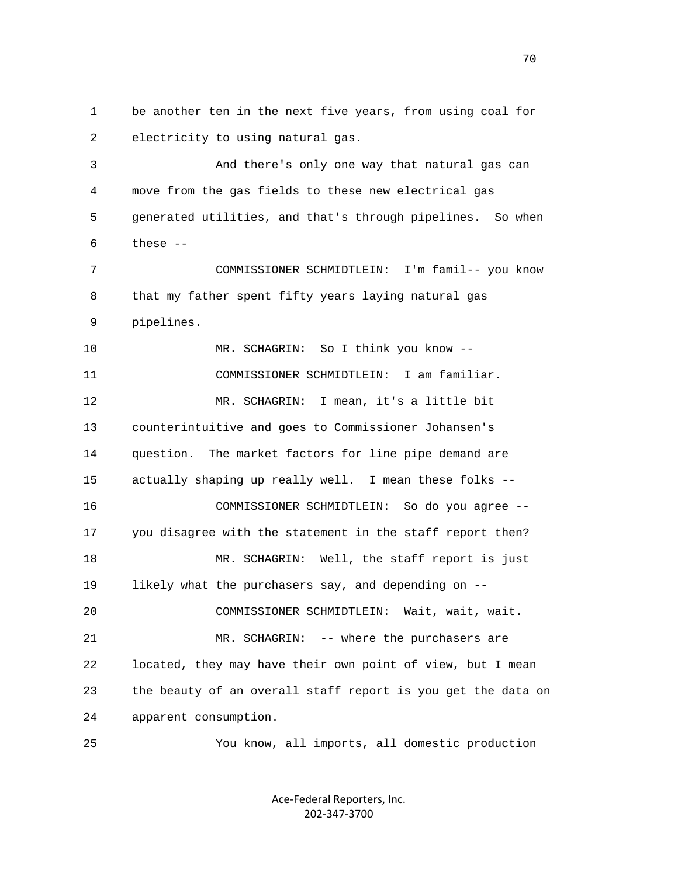1 be another ten in the next five years, from using coal for 2 electricity to using natural gas. 3 And there's only one way that natural gas can 4 move from the gas fields to these new electrical gas 5 generated utilities, and that's through pipelines. So when 6 these -- 7 COMMISSIONER SCHMIDTLEIN: I'm famil-- you know 8 that my father spent fifty years laying natural gas 9 pipelines. 10 MR. SCHAGRIN: So I think you know -- 11 COMMISSIONER SCHMIDTLEIN: I am familiar. 12 MR. SCHAGRIN: I mean, it's a little bit 13 counterintuitive and goes to Commissioner Johansen's 14 question. The market factors for line pipe demand are 15 actually shaping up really well. I mean these folks -- 16 COMMISSIONER SCHMIDTLEIN: So do you agree -- 17 you disagree with the statement in the staff report then? 18 MR. SCHAGRIN: Well, the staff report is just 19 likely what the purchasers say, and depending on -- 20 COMMISSIONER SCHMIDTLEIN: Wait, wait, wait. 21 MR. SCHAGRIN: -- where the purchasers are 22 located, they may have their own point of view, but I mean 23 the beauty of an overall staff report is you get the data on 24 apparent consumption. 25 You know, all imports, all domestic production

> Ace‐Federal Reporters, Inc. 202‐347‐3700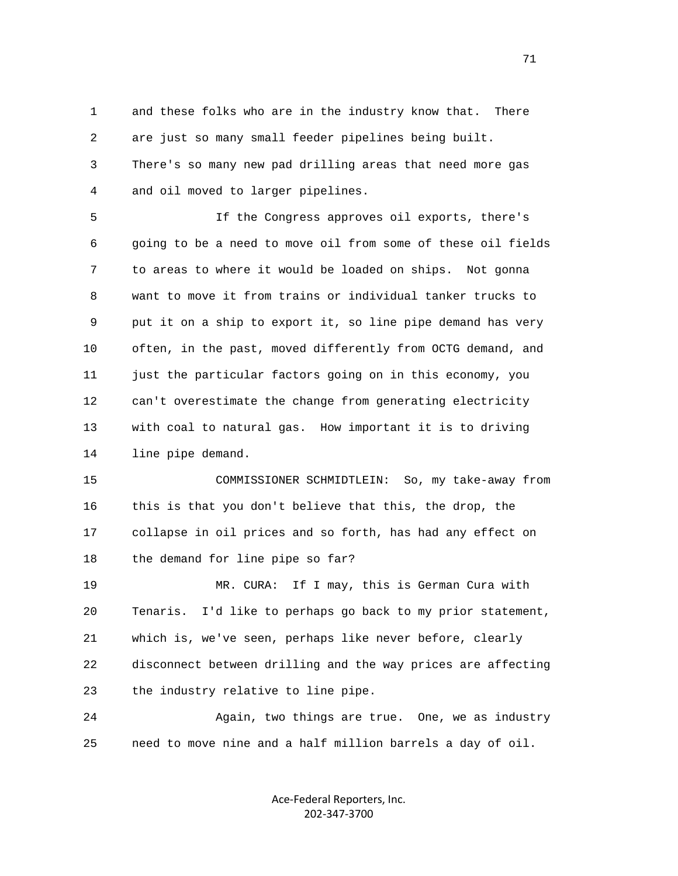1 and these folks who are in the industry know that. There 2 are just so many small feeder pipelines being built. 3 There's so many new pad drilling areas that need more gas 4 and oil moved to larger pipelines.

 5 If the Congress approves oil exports, there's 6 going to be a need to move oil from some of these oil fields 7 to areas to where it would be loaded on ships. Not gonna 8 want to move it from trains or individual tanker trucks to 9 put it on a ship to export it, so line pipe demand has very 10 often, in the past, moved differently from OCTG demand, and 11 just the particular factors going on in this economy, you 12 can't overestimate the change from generating electricity 13 with coal to natural gas. How important it is to driving 14 line pipe demand.

 15 COMMISSIONER SCHMIDTLEIN: So, my take-away from 16 this is that you don't believe that this, the drop, the 17 collapse in oil prices and so forth, has had any effect on 18 the demand for line pipe so far?

 19 MR. CURA: If I may, this is German Cura with 20 Tenaris. I'd like to perhaps go back to my prior statement, 21 which is, we've seen, perhaps like never before, clearly 22 disconnect between drilling and the way prices are affecting 23 the industry relative to line pipe.

24 Again, two things are true. One, we as industry 25 need to move nine and a half million barrels a day of oil.

> Ace‐Federal Reporters, Inc. 202‐347‐3700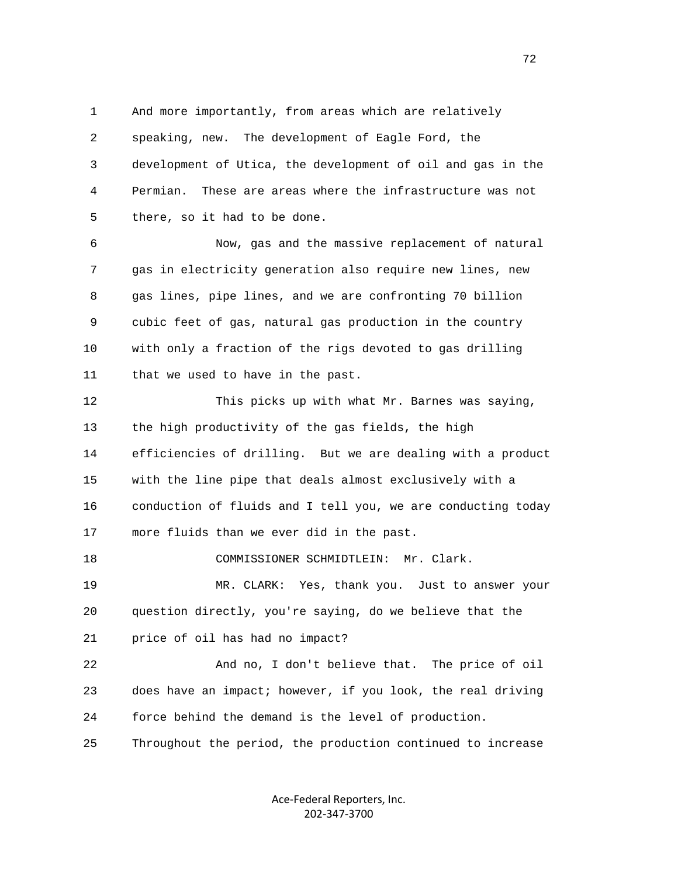1 And more importantly, from areas which are relatively 2 speaking, new. The development of Eagle Ford, the 3 development of Utica, the development of oil and gas in the 4 Permian. These are areas where the infrastructure was not 5 there, so it had to be done.

 6 Now, gas and the massive replacement of natural 7 gas in electricity generation also require new lines, new 8 gas lines, pipe lines, and we are confronting 70 billion 9 cubic feet of gas, natural gas production in the country 10 with only a fraction of the rigs devoted to gas drilling 11 that we used to have in the past.

 12 This picks up with what Mr. Barnes was saying, 13 the high productivity of the gas fields, the high 14 efficiencies of drilling. But we are dealing with a product 15 with the line pipe that deals almost exclusively with a 16 conduction of fluids and I tell you, we are conducting today 17 more fluids than we ever did in the past. 18 COMMISSIONER SCHMIDTLEIN: Mr. Clark.

 19 MR. CLARK: Yes, thank you. Just to answer your 20 question directly, you're saying, do we believe that the 21 price of oil has had no impact?

 22 And no, I don't believe that. The price of oil 23 does have an impact; however, if you look, the real driving 24 force behind the demand is the level of production.

25 Throughout the period, the production continued to increase

Ace‐Federal Reporters, Inc. 202‐347‐3700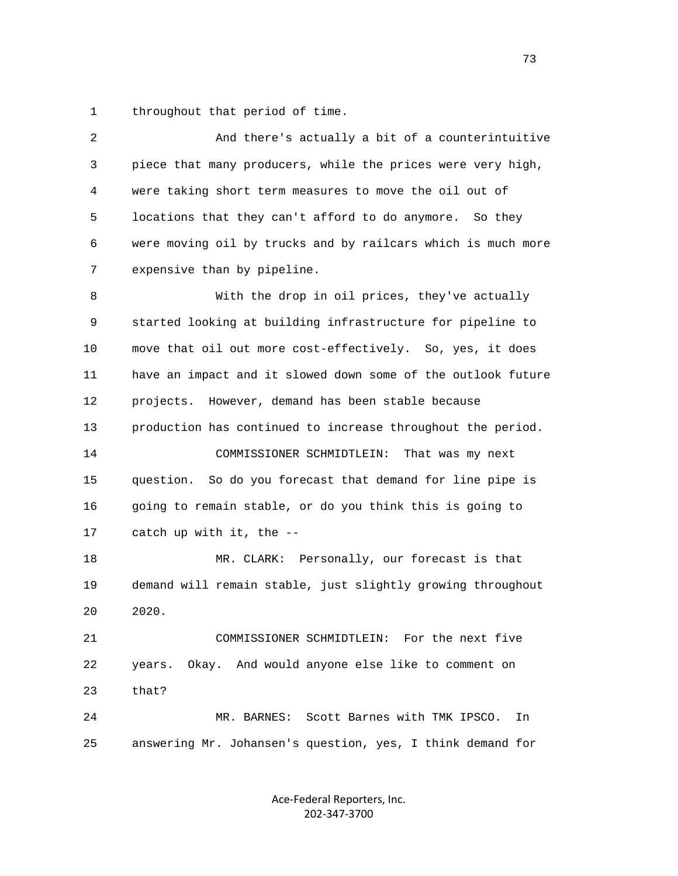1 throughout that period of time.

| piece that many producers, while the prices were very high,<br>locations that they can't afford to do anymore. So they<br>were moving oil by trucks and by railcars which is much more |
|----------------------------------------------------------------------------------------------------------------------------------------------------------------------------------------|
|                                                                                                                                                                                        |
|                                                                                                                                                                                        |
|                                                                                                                                                                                        |
|                                                                                                                                                                                        |
|                                                                                                                                                                                        |
| With the drop in oil prices, they've actually                                                                                                                                          |
| started looking at building infrastructure for pipeline to                                                                                                                             |
| move that oil out more cost-effectively. So, yes, it does                                                                                                                              |
| have an impact and it slowed down some of the outlook future                                                                                                                           |
|                                                                                                                                                                                        |
| production has continued to increase throughout the period.                                                                                                                            |
|                                                                                                                                                                                        |
| question. So do you forecast that demand for line pipe is                                                                                                                              |
|                                                                                                                                                                                        |
|                                                                                                                                                                                        |
|                                                                                                                                                                                        |
| demand will remain stable, just slightly growing throughout                                                                                                                            |
|                                                                                                                                                                                        |
|                                                                                                                                                                                        |
|                                                                                                                                                                                        |
|                                                                                                                                                                                        |
|                                                                                                                                                                                        |
| In                                                                                                                                                                                     |
| going to remain stable, or do you think this is going to<br>MR. CLARK: Personally, our forecast is that<br>COMMISSIONER SCHMIDTLEIN: For the next five                                 |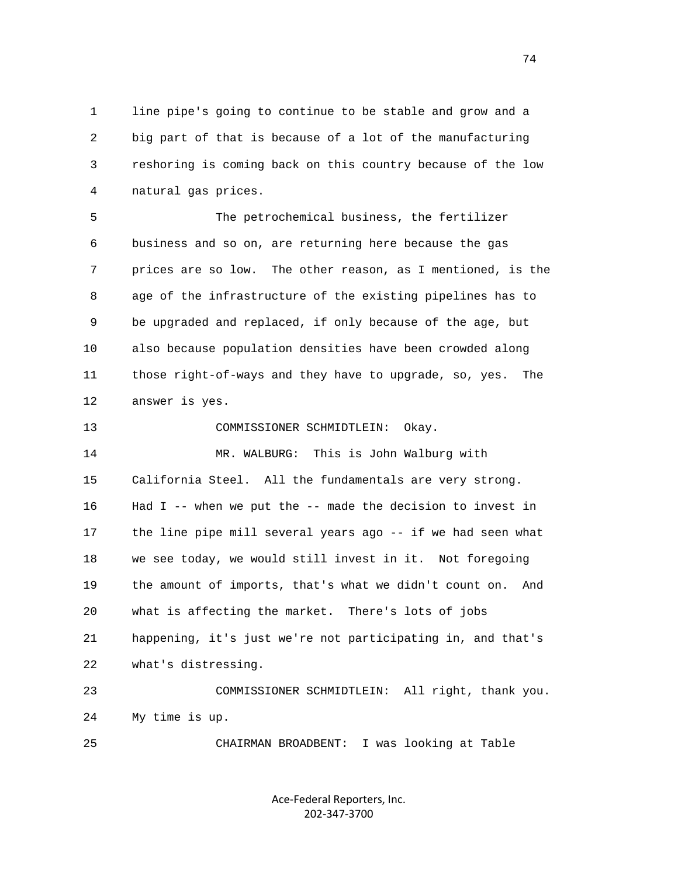1 line pipe's going to continue to be stable and grow and a 2 big part of that is because of a lot of the manufacturing 3 reshoring is coming back on this country because of the low 4 natural gas prices.

 5 The petrochemical business, the fertilizer 6 business and so on, are returning here because the gas 7 prices are so low. The other reason, as I mentioned, is the 8 age of the infrastructure of the existing pipelines has to 9 be upgraded and replaced, if only because of the age, but 10 also because population densities have been crowded along 11 those right-of-ways and they have to upgrade, so, yes. The 12 answer is yes.

 13 COMMISSIONER SCHMIDTLEIN: Okay. 14 MR. WALBURG: This is John Walburg with 15 California Steel. All the fundamentals are very strong. 16 Had I -- when we put the -- made the decision to invest in 17 the line pipe mill several years ago -- if we had seen what 18 we see today, we would still invest in it. Not foregoing 19 the amount of imports, that's what we didn't count on. And 20 what is affecting the market. There's lots of jobs 21 happening, it's just we're not participating in, and that's 22 what's distressing. 23 COMMISSIONER SCHMIDTLEIN: All right, thank you. 24 My time is up.

25 CHAIRMAN BROADBENT: I was looking at Table

Ace‐Federal Reporters, Inc. 202‐347‐3700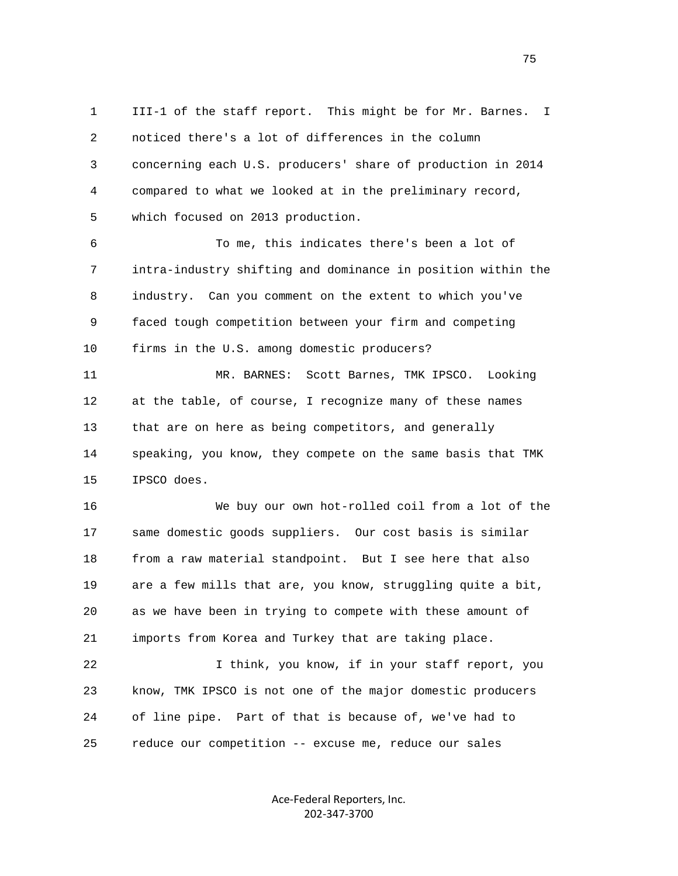1 III-1 of the staff report. This might be for Mr. Barnes. I 2 noticed there's a lot of differences in the column 3 concerning each U.S. producers' share of production in 2014 4 compared to what we looked at in the preliminary record, 5 which focused on 2013 production.

 6 To me, this indicates there's been a lot of 7 intra-industry shifting and dominance in position within the 8 industry. Can you comment on the extent to which you've 9 faced tough competition between your firm and competing 10 firms in the U.S. among domestic producers?

 11 MR. BARNES: Scott Barnes, TMK IPSCO. Looking 12 at the table, of course, I recognize many of these names 13 that are on here as being competitors, and generally 14 speaking, you know, they compete on the same basis that TMK 15 IPSCO does.

 16 We buy our own hot-rolled coil from a lot of the 17 same domestic goods suppliers. Our cost basis is similar 18 from a raw material standpoint. But I see here that also 19 are a few mills that are, you know, struggling quite a bit, 20 as we have been in trying to compete with these amount of 21 imports from Korea and Turkey that are taking place.

 22 I think, you know, if in your staff report, you 23 know, TMK IPSCO is not one of the major domestic producers 24 of line pipe. Part of that is because of, we've had to 25 reduce our competition -- excuse me, reduce our sales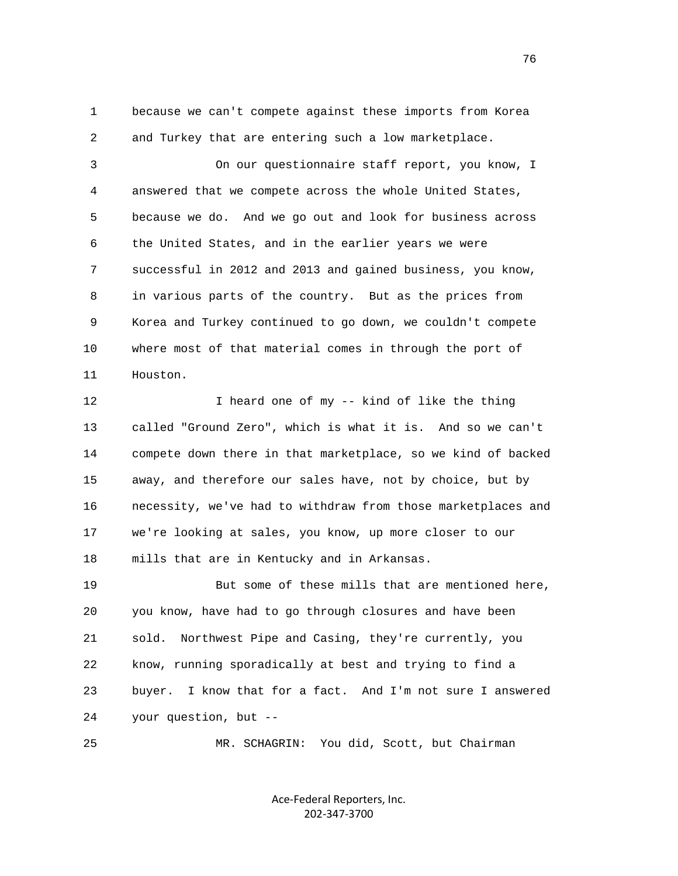1 because we can't compete against these imports from Korea 2 and Turkey that are entering such a low marketplace.

 3 On our questionnaire staff report, you know, I 4 answered that we compete across the whole United States, 5 because we do. And we go out and look for business across 6 the United States, and in the earlier years we were 7 successful in 2012 and 2013 and gained business, you know, 8 in various parts of the country. But as the prices from 9 Korea and Turkey continued to go down, we couldn't compete 10 where most of that material comes in through the port of 11 Houston.

12 I heard one of my -- kind of like the thing 13 called "Ground Zero", which is what it is. And so we can't 14 compete down there in that marketplace, so we kind of backed 15 away, and therefore our sales have, not by choice, but by 16 necessity, we've had to withdraw from those marketplaces and 17 we're looking at sales, you know, up more closer to our 18 mills that are in Kentucky and in Arkansas.

 19 But some of these mills that are mentioned here, 20 you know, have had to go through closures and have been 21 sold. Northwest Pipe and Casing, they're currently, you 22 know, running sporadically at best and trying to find a 23 buyer. I know that for a fact. And I'm not sure I answered 24 your question, but --

25 MR. SCHAGRIN: You did, Scott, but Chairman

Ace‐Federal Reporters, Inc. 202‐347‐3700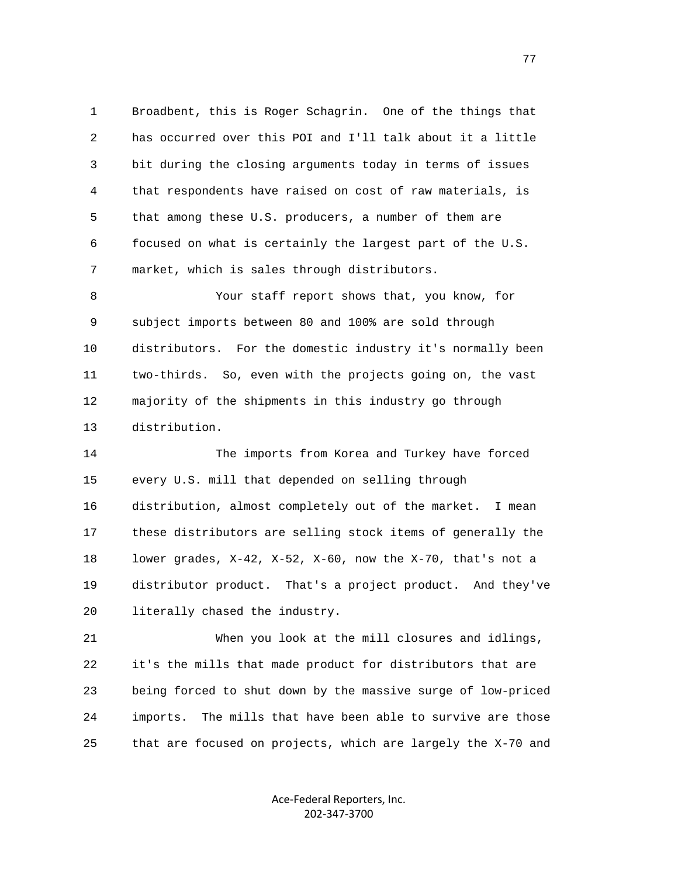1 Broadbent, this is Roger Schagrin. One of the things that 2 has occurred over this POI and I'll talk about it a little 3 bit during the closing arguments today in terms of issues 4 that respondents have raised on cost of raw materials, is 5 that among these U.S. producers, a number of them are 6 focused on what is certainly the largest part of the U.S. 7 market, which is sales through distributors.

 8 Your staff report shows that, you know, for 9 subject imports between 80 and 100% are sold through 10 distributors. For the domestic industry it's normally been 11 two-thirds. So, even with the projects going on, the vast 12 majority of the shipments in this industry go through 13 distribution.

 14 The imports from Korea and Turkey have forced 15 every U.S. mill that depended on selling through 16 distribution, almost completely out of the market. I mean 17 these distributors are selling stock items of generally the 18 lower grades, X-42, X-52, X-60, now the X-70, that's not a 19 distributor product. That's a project product. And they've 20 literally chased the industry.

 21 When you look at the mill closures and idlings, 22 it's the mills that made product for distributors that are 23 being forced to shut down by the massive surge of low-priced 24 imports. The mills that have been able to survive are those 25 that are focused on projects, which are largely the X-70 and

> Ace‐Federal Reporters, Inc. 202‐347‐3700

na na matsay na matsay na matsay na matsay na matsay na matsay na matsay na matsay na matsay na matsay na mats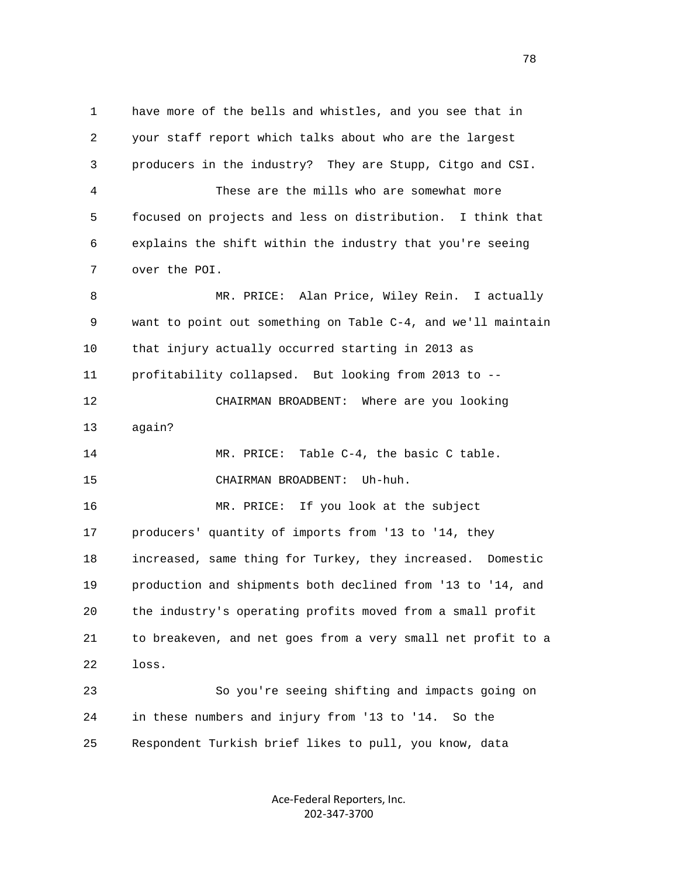1 have more of the bells and whistles, and you see that in 2 your staff report which talks about who are the largest 3 producers in the industry? They are Stupp, Citgo and CSI. 4 These are the mills who are somewhat more 5 focused on projects and less on distribution. I think that 6 explains the shift within the industry that you're seeing 7 over the POI. 8 MR. PRICE: Alan Price, Wiley Rein. I actually 9 want to point out something on Table C-4, and we'll maintain 10 that injury actually occurred starting in 2013 as 11 profitability collapsed. But looking from 2013 to -- 12 CHAIRMAN BROADBENT: Where are you looking 13 again? 14 MR. PRICE: Table C-4, the basic C table. 15 CHAIRMAN BROADBENT: Uh-huh. 16 MR. PRICE: If you look at the subject 17 producers' quantity of imports from '13 to '14, they 18 increased, same thing for Turkey, they increased. Domestic 19 production and shipments both declined from '13 to '14, and 20 the industry's operating profits moved from a small profit 21 to breakeven, and net goes from a very small net profit to a 22 loss. 23 So you're seeing shifting and impacts going on 24 in these numbers and injury from '13 to '14. So the 25 Respondent Turkish brief likes to pull, you know, data

> Ace‐Federal Reporters, Inc. 202‐347‐3700

n and the state of the state of the state of the state of the state of the state of the state of the state of the state of the state of the state of the state of the state of the state of the state of the state of the stat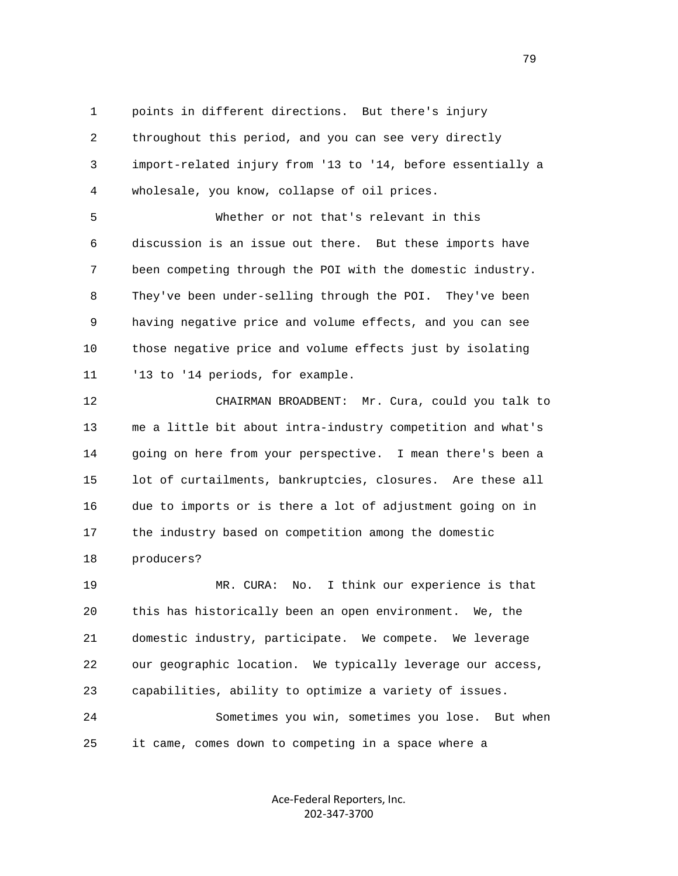1 points in different directions. But there's injury 2 throughout this period, and you can see very directly 3 import-related injury from '13 to '14, before essentially a 4 wholesale, you know, collapse of oil prices.

 5 Whether or not that's relevant in this 6 discussion is an issue out there. But these imports have 7 been competing through the POI with the domestic industry. 8 They've been under-selling through the POI. They've been 9 having negative price and volume effects, and you can see 10 those negative price and volume effects just by isolating 11 '13 to '14 periods, for example.

 12 CHAIRMAN BROADBENT: Mr. Cura, could you talk to 13 me a little bit about intra-industry competition and what's 14 going on here from your perspective. I mean there's been a 15 lot of curtailments, bankruptcies, closures. Are these all 16 due to imports or is there a lot of adjustment going on in 17 the industry based on competition among the domestic 18 producers?

 19 MR. CURA: No. I think our experience is that 20 this has historically been an open environment. We, the 21 domestic industry, participate. We compete. We leverage 22 our geographic location. We typically leverage our access, 23 capabilities, ability to optimize a variety of issues. 24 Sometimes you win, sometimes you lose. But when 25 it came, comes down to competing in a space where a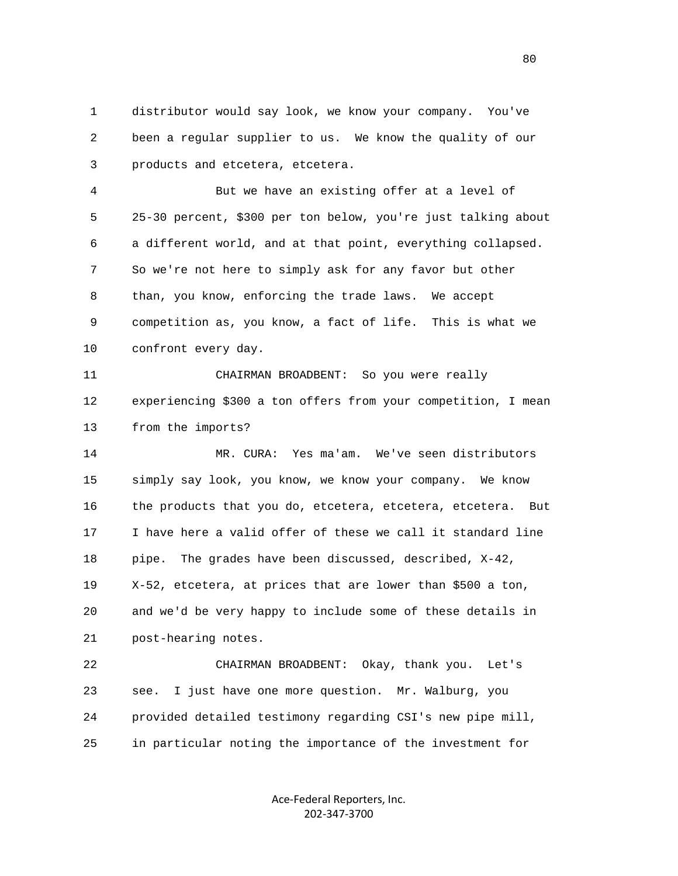1 distributor would say look, we know your company. You've 2 been a regular supplier to us. We know the quality of our 3 products and etcetera, etcetera.

 4 But we have an existing offer at a level of 5 25-30 percent, \$300 per ton below, you're just talking about 6 a different world, and at that point, everything collapsed. 7 So we're not here to simply ask for any favor but other 8 than, you know, enforcing the trade laws. We accept 9 competition as, you know, a fact of life. This is what we 10 confront every day.

 11 CHAIRMAN BROADBENT: So you were really 12 experiencing \$300 a ton offers from your competition, I mean 13 from the imports?

 14 MR. CURA: Yes ma'am. We've seen distributors 15 simply say look, you know, we know your company. We know 16 the products that you do, etcetera, etcetera, etcetera. But 17 I have here a valid offer of these we call it standard line 18 pipe. The grades have been discussed, described, X-42, 19 X-52, etcetera, at prices that are lower than \$500 a ton, 20 and we'd be very happy to include some of these details in 21 post-hearing notes.

 22 CHAIRMAN BROADBENT: Okay, thank you. Let's 23 see. I just have one more question. Mr. Walburg, you 24 provided detailed testimony regarding CSI's new pipe mill, 25 in particular noting the importance of the investment for

> Ace‐Federal Reporters, Inc. 202‐347‐3700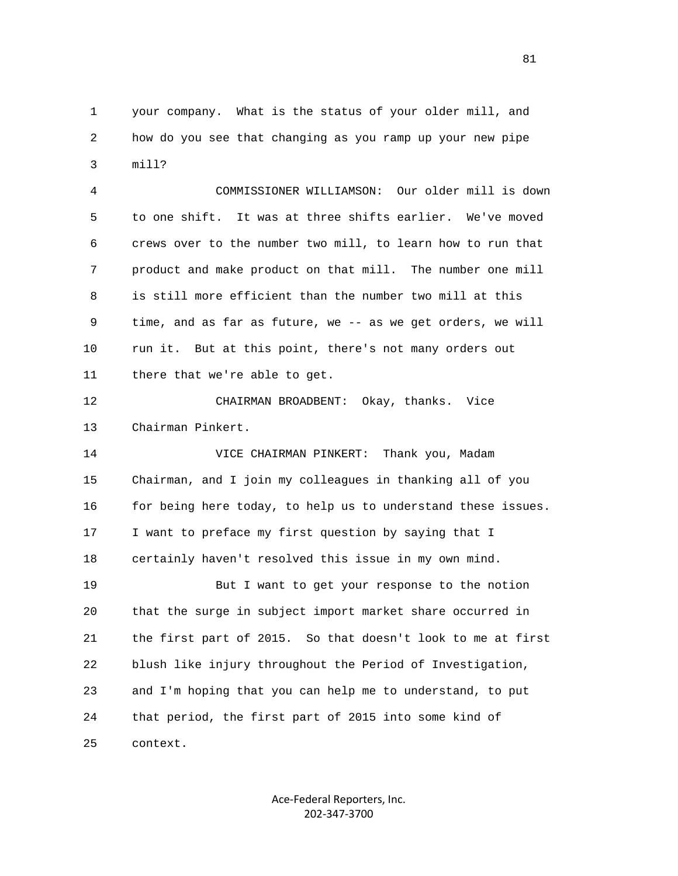1 your company. What is the status of your older mill, and 2 how do you see that changing as you ramp up your new pipe 3 mill?

 4 COMMISSIONER WILLIAMSON: Our older mill is down 5 to one shift. It was at three shifts earlier. We've moved 6 crews over to the number two mill, to learn how to run that 7 product and make product on that mill. The number one mill 8 is still more efficient than the number two mill at this 9 time, and as far as future, we -- as we get orders, we will 10 run it. But at this point, there's not many orders out 11 there that we're able to get.

 12 CHAIRMAN BROADBENT: Okay, thanks. Vice 13 Chairman Pinkert.

 14 VICE CHAIRMAN PINKERT: Thank you, Madam 15 Chairman, and I join my colleagues in thanking all of you 16 for being here today, to help us to understand these issues. 17 I want to preface my first question by saying that I 18 certainly haven't resolved this issue in my own mind. 19 But I want to get your response to the notion 20 that the surge in subject import market share occurred in 21 the first part of 2015. So that doesn't look to me at first 22 blush like injury throughout the Period of Investigation, 23 and I'm hoping that you can help me to understand, to put

 24 that period, the first part of 2015 into some kind of 25 context.

> Ace‐Federal Reporters, Inc. 202‐347‐3700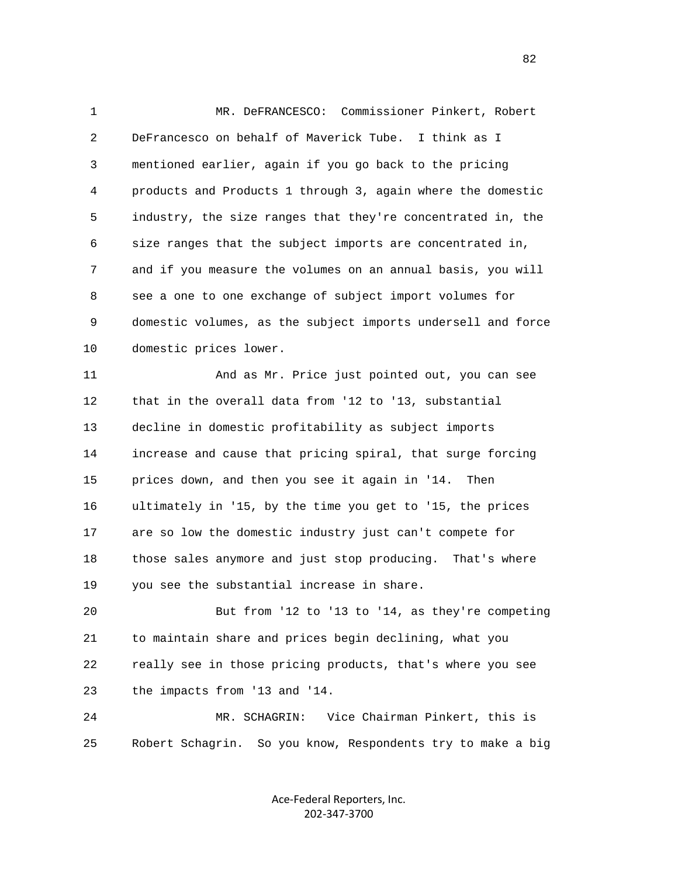1 MR. DeFRANCESCO: Commissioner Pinkert, Robert 2 DeFrancesco on behalf of Maverick Tube. I think as I 3 mentioned earlier, again if you go back to the pricing 4 products and Products 1 through 3, again where the domestic 5 industry, the size ranges that they're concentrated in, the 6 size ranges that the subject imports are concentrated in, 7 and if you measure the volumes on an annual basis, you will 8 see a one to one exchange of subject import volumes for 9 domestic volumes, as the subject imports undersell and force 10 domestic prices lower. 11 And as Mr. Price just pointed out, you can see 12 that in the overall data from '12 to '13, substantial 13 decline in domestic profitability as subject imports 14 increase and cause that pricing spiral, that surge forcing 15 prices down, and then you see it again in '14. Then 16 ultimately in '15, by the time you get to '15, the prices 17 are so low the domestic industry just can't compete for 18 those sales anymore and just stop producing. That's where 19 you see the substantial increase in share. 20 But from '12 to '13 to '14, as they're competing 21 to maintain share and prices begin declining, what you

 22 really see in those pricing products, that's where you see 23 the impacts from '13 and '14.

 24 MR. SCHAGRIN: Vice Chairman Pinkert, this is 25 Robert Schagrin. So you know, Respondents try to make a big

> Ace‐Federal Reporters, Inc. 202‐347‐3700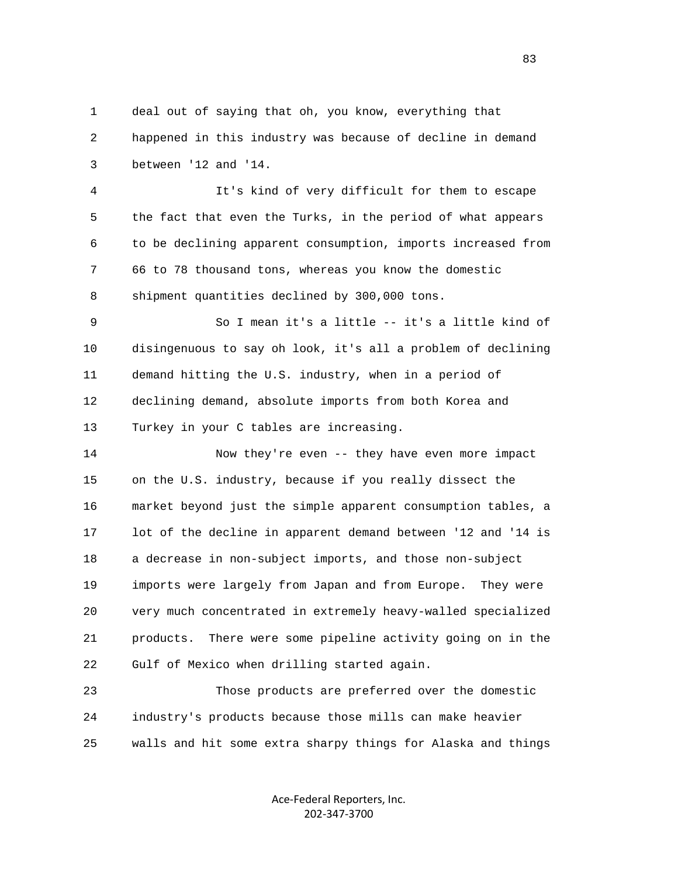1 deal out of saying that oh, you know, everything that 2 happened in this industry was because of decline in demand 3 between '12 and '14.

 4 It's kind of very difficult for them to escape 5 the fact that even the Turks, in the period of what appears 6 to be declining apparent consumption, imports increased from 7 66 to 78 thousand tons, whereas you know the domestic 8 shipment quantities declined by 300,000 tons.

 9 So I mean it's a little -- it's a little kind of 10 disingenuous to say oh look, it's all a problem of declining 11 demand hitting the U.S. industry, when in a period of 12 declining demand, absolute imports from both Korea and 13 Turkey in your C tables are increasing.

 14 Now they're even -- they have even more impact 15 on the U.S. industry, because if you really dissect the 16 market beyond just the simple apparent consumption tables, a 17 lot of the decline in apparent demand between '12 and '14 is 18 a decrease in non-subject imports, and those non-subject 19 imports were largely from Japan and from Europe. They were 20 very much concentrated in extremely heavy-walled specialized 21 products. There were some pipeline activity going on in the 22 Gulf of Mexico when drilling started again.

 23 Those products are preferred over the domestic 24 industry's products because those mills can make heavier 25 walls and hit some extra sharpy things for Alaska and things

> Ace‐Federal Reporters, Inc. 202‐347‐3700

<u>83</u>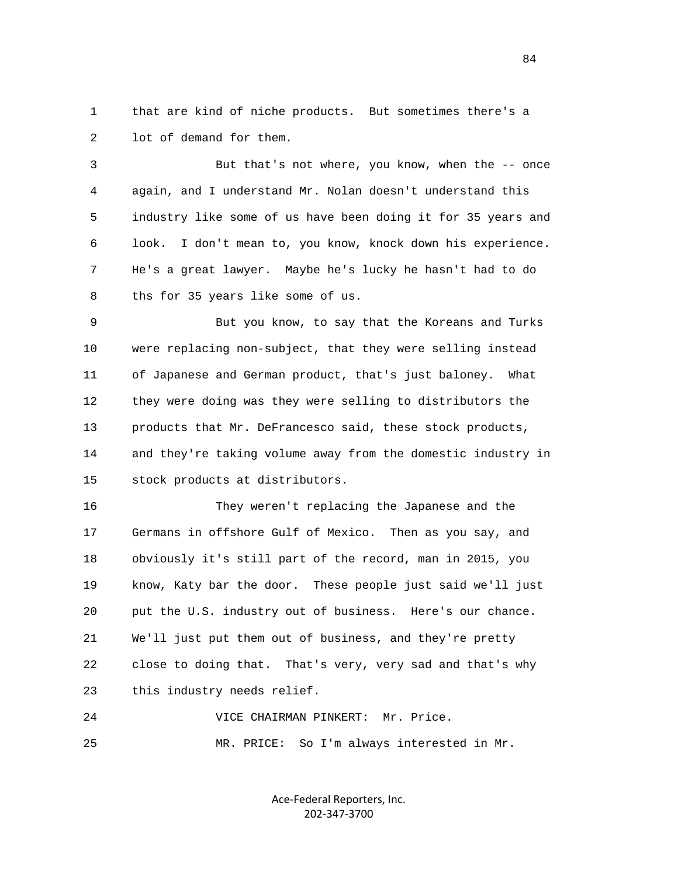1 that are kind of niche products. But sometimes there's a 2 lot of demand for them.

 3 But that's not where, you know, when the -- once 4 again, and I understand Mr. Nolan doesn't understand this 5 industry like some of us have been doing it for 35 years and 6 look. I don't mean to, you know, knock down his experience. 7 He's a great lawyer. Maybe he's lucky he hasn't had to do 8 ths for 35 years like some of us.

 9 But you know, to say that the Koreans and Turks 10 were replacing non-subject, that they were selling instead 11 of Japanese and German product, that's just baloney. What 12 they were doing was they were selling to distributors the 13 products that Mr. DeFrancesco said, these stock products, 14 and they're taking volume away from the domestic industry in 15 stock products at distributors.

 16 They weren't replacing the Japanese and the 17 Germans in offshore Gulf of Mexico. Then as you say, and 18 obviously it's still part of the record, man in 2015, you 19 know, Katy bar the door. These people just said we'll just 20 put the U.S. industry out of business. Here's our chance. 21 We'll just put them out of business, and they're pretty 22 close to doing that. That's very, very sad and that's why 23 this industry needs relief.

 24 VICE CHAIRMAN PINKERT: Mr. Price. 25 MR. PRICE: So I'm always interested in Mr.

> Ace‐Federal Reporters, Inc. 202‐347‐3700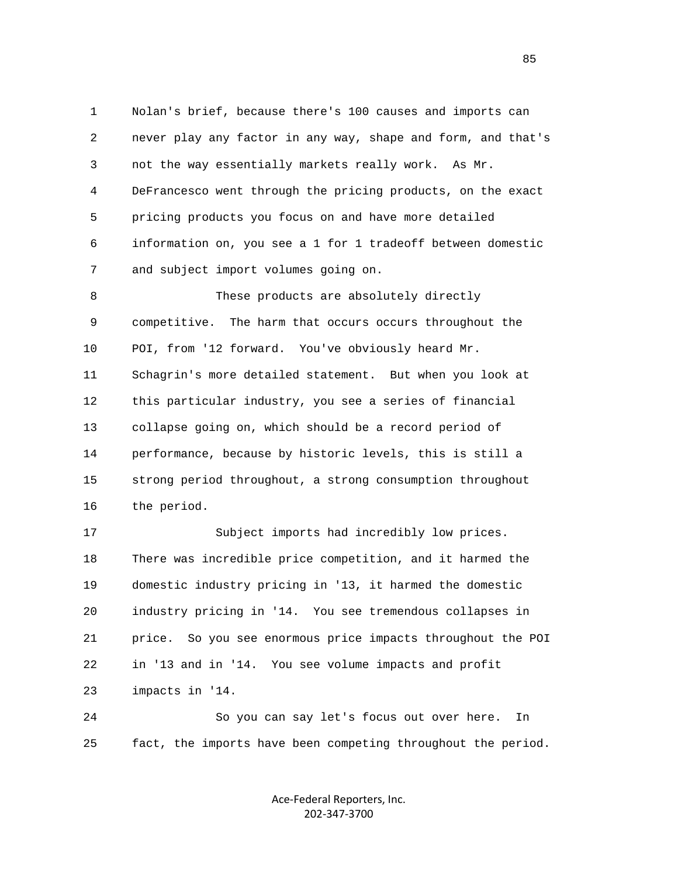1 Nolan's brief, because there's 100 causes and imports can 2 never play any factor in any way, shape and form, and that's 3 not the way essentially markets really work. As Mr. 4 DeFrancesco went through the pricing products, on the exact 5 pricing products you focus on and have more detailed 6 information on, you see a 1 for 1 tradeoff between domestic 7 and subject import volumes going on. 8 These products are absolutely directly

 9 competitive. The harm that occurs occurs throughout the 10 POI, from '12 forward. You've obviously heard Mr. 11 Schagrin's more detailed statement. But when you look at 12 this particular industry, you see a series of financial 13 collapse going on, which should be a record period of 14 performance, because by historic levels, this is still a 15 strong period throughout, a strong consumption throughout 16 the period.

 17 Subject imports had incredibly low prices. 18 There was incredible price competition, and it harmed the 19 domestic industry pricing in '13, it harmed the domestic 20 industry pricing in '14. You see tremendous collapses in 21 price. So you see enormous price impacts throughout the POI 22 in '13 and in '14. You see volume impacts and profit 23 impacts in '14.

 24 So you can say let's focus out over here. In 25 fact, the imports have been competing throughout the period.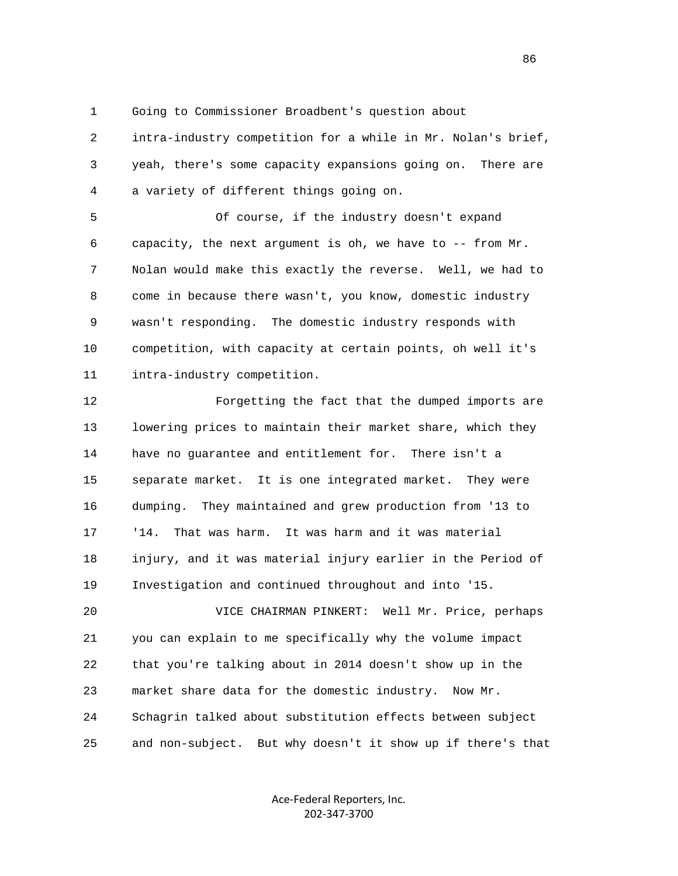1 Going to Commissioner Broadbent's question about

 2 intra-industry competition for a while in Mr. Nolan's brief, 3 yeah, there's some capacity expansions going on. There are 4 a variety of different things going on.

 5 Of course, if the industry doesn't expand 6 capacity, the next argument is oh, we have to -- from Mr. 7 Nolan would make this exactly the reverse. Well, we had to 8 come in because there wasn't, you know, domestic industry 9 wasn't responding. The domestic industry responds with 10 competition, with capacity at certain points, oh well it's 11 intra-industry competition.

 12 Forgetting the fact that the dumped imports are 13 lowering prices to maintain their market share, which they 14 have no guarantee and entitlement for. There isn't a 15 separate market. It is one integrated market. They were 16 dumping. They maintained and grew production from '13 to 17 '14. That was harm. It was harm and it was material 18 injury, and it was material injury earlier in the Period of 19 Investigation and continued throughout and into '15.

 20 VICE CHAIRMAN PINKERT: Well Mr. Price, perhaps 21 you can explain to me specifically why the volume impact 22 that you're talking about in 2014 doesn't show up in the 23 market share data for the domestic industry. Now Mr. 24 Schagrin talked about substitution effects between subject 25 and non-subject. But why doesn't it show up if there's that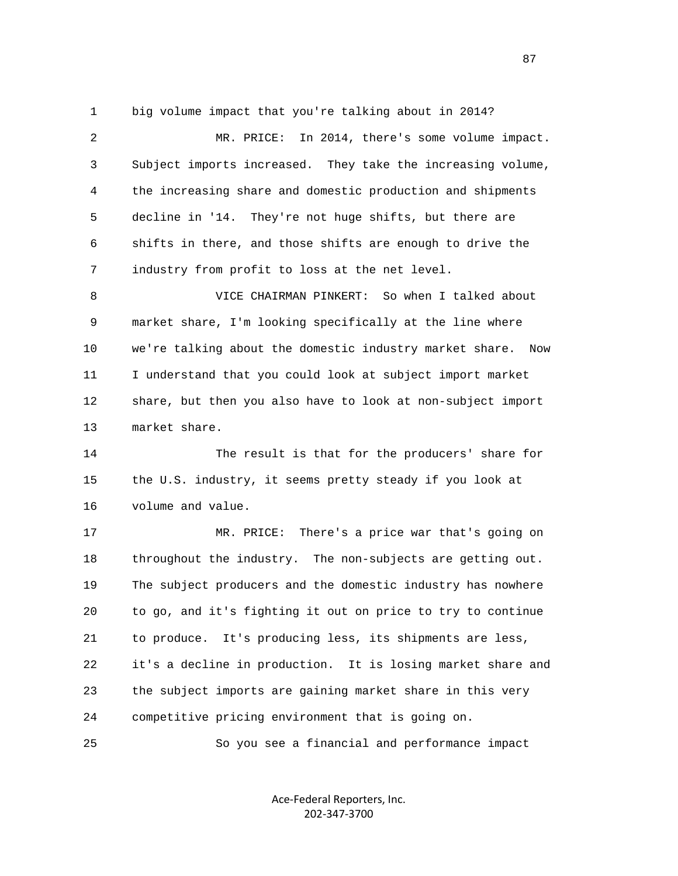1 big volume impact that you're talking about in 2014?

 2 MR. PRICE: In 2014, there's some volume impact. 3 Subject imports increased. They take the increasing volume, 4 the increasing share and domestic production and shipments 5 decline in '14. They're not huge shifts, but there are 6 shifts in there, and those shifts are enough to drive the 7 industry from profit to loss at the net level.

 8 VICE CHAIRMAN PINKERT: So when I talked about 9 market share, I'm looking specifically at the line where 10 we're talking about the domestic industry market share. Now 11 I understand that you could look at subject import market 12 share, but then you also have to look at non-subject import 13 market share.

 14 The result is that for the producers' share for 15 the U.S. industry, it seems pretty steady if you look at 16 volume and value.

 17 MR. PRICE: There's a price war that's going on 18 throughout the industry. The non-subjects are getting out. 19 The subject producers and the domestic industry has nowhere 20 to go, and it's fighting it out on price to try to continue 21 to produce. It's producing less, its shipments are less, 22 it's a decline in production. It is losing market share and 23 the subject imports are gaining market share in this very 24 competitive pricing environment that is going on.

25 So you see a financial and performance impact

Ace‐Federal Reporters, Inc. 202‐347‐3700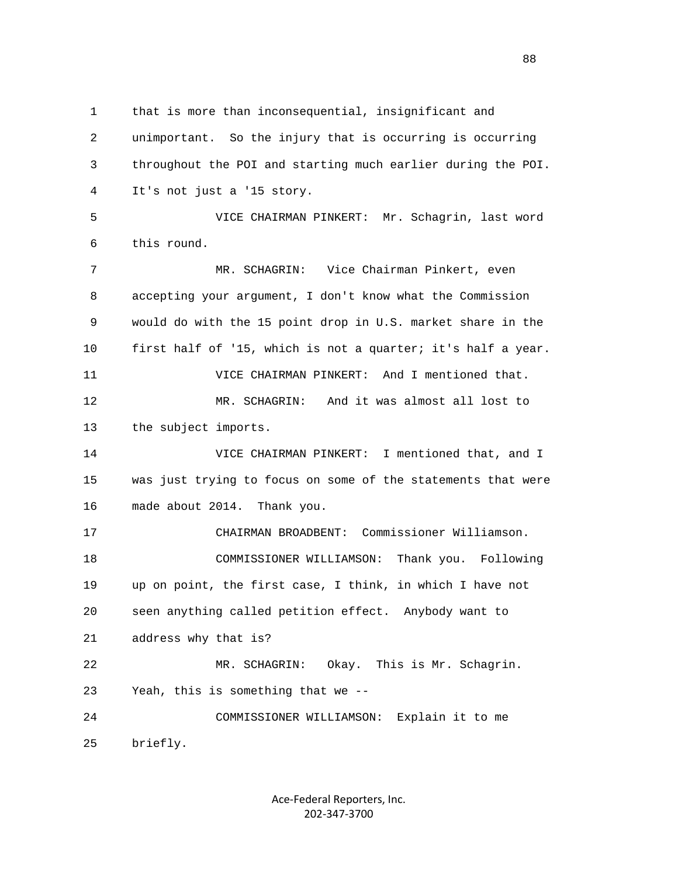1 that is more than inconsequential, insignificant and 2 unimportant. So the injury that is occurring is occurring 3 throughout the POI and starting much earlier during the POI. 4 It's not just a '15 story. 5 VICE CHAIRMAN PINKERT: Mr. Schagrin, last word 6 this round. 7 MR. SCHAGRIN: Vice Chairman Pinkert, even 8 accepting your argument, I don't know what the Commission 9 would do with the 15 point drop in U.S. market share in the 10 first half of '15, which is not a quarter; it's half a year. 11 VICE CHAIRMAN PINKERT: And I mentioned that. 12 MR. SCHAGRIN: And it was almost all lost to 13 the subject imports. 14 VICE CHAIRMAN PINKERT: I mentioned that, and I 15 was just trying to focus on some of the statements that were 16 made about 2014. Thank you. 17 CHAIRMAN BROADBENT: Commissioner Williamson. 18 COMMISSIONER WILLIAMSON: Thank you. Following 19 up on point, the first case, I think, in which I have not 20 seen anything called petition effect. Anybody want to 21 address why that is? 22 MR. SCHAGRIN: Okay. This is Mr. Schagrin. 23 Yeah, this is something that we -- 24 COMMISSIONER WILLIAMSON: Explain it to me 25 briefly.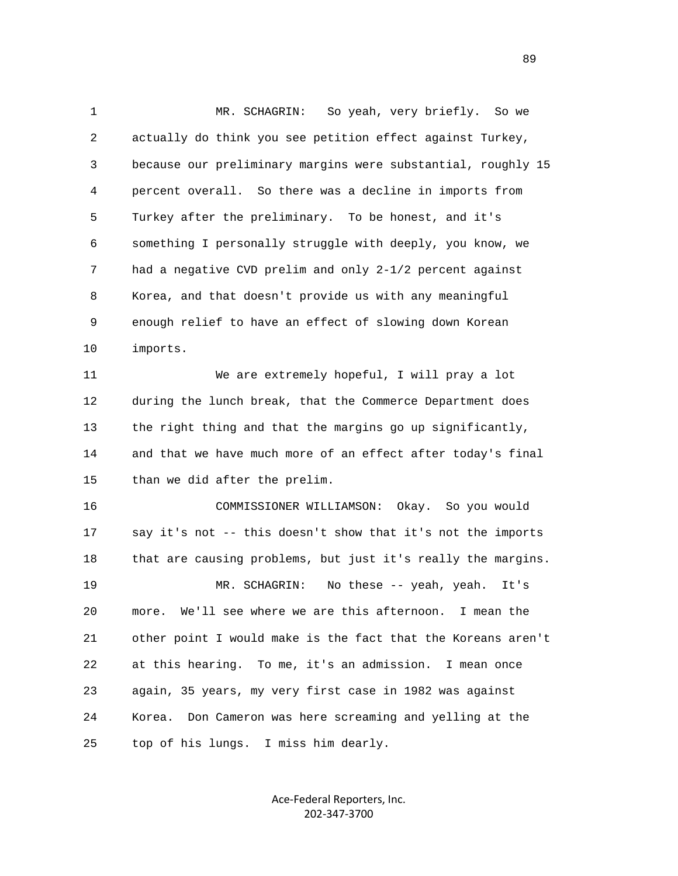1 MR. SCHAGRIN: So yeah, very briefly. So we 2 actually do think you see petition effect against Turkey, 3 because our preliminary margins were substantial, roughly 15 4 percent overall. So there was a decline in imports from 5 Turkey after the preliminary. To be honest, and it's 6 something I personally struggle with deeply, you know, we 7 had a negative CVD prelim and only 2-1/2 percent against 8 Korea, and that doesn't provide us with any meaningful 9 enough relief to have an effect of slowing down Korean 10 imports. 11 We are extremely hopeful, I will pray a lot 12 during the lunch break, that the Commerce Department does 13 the right thing and that the margins go up significantly, 14 and that we have much more of an effect after today's final 15 than we did after the prelim. 16 COMMISSIONER WILLIAMSON: Okay. So you would 17 say it's not -- this doesn't show that it's not the imports 18 that are causing problems, but just it's really the margins. 19 MR. SCHAGRIN: No these -- yeah, yeah. It's

 20 more. We'll see where we are this afternoon. I mean the 21 other point I would make is the fact that the Koreans aren't 22 at this hearing. To me, it's an admission. I mean once 23 again, 35 years, my very first case in 1982 was against 24 Korea. Don Cameron was here screaming and yelling at the 25 top of his lungs. I miss him dearly.

> Ace‐Federal Reporters, Inc. 202‐347‐3700

89 and the state of the state of the state of the state of the state of the state of the state of the state of the state of the state of the state of the state of the state of the state of the state of the state of the sta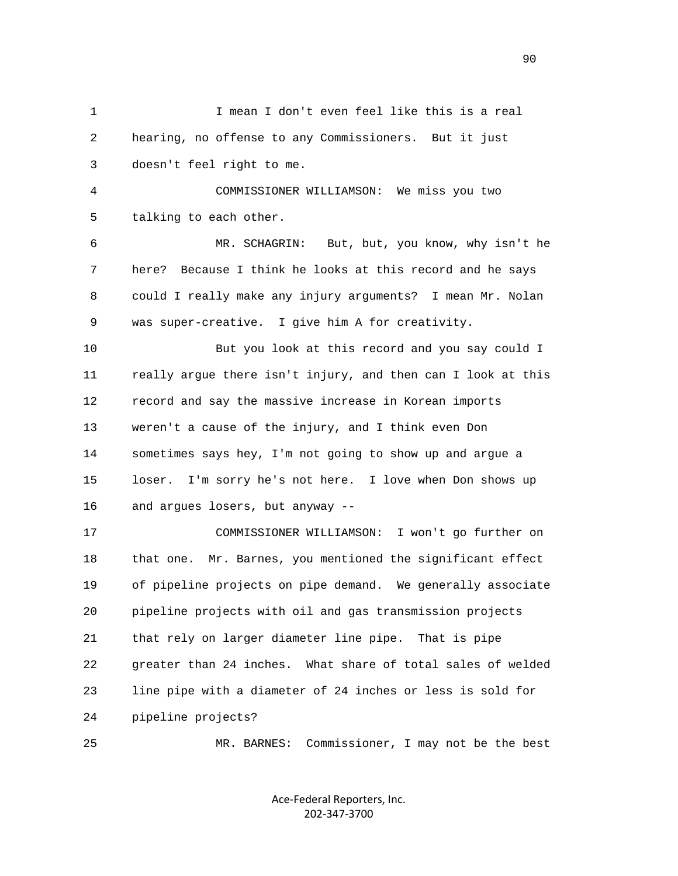1 I mean I don't even feel like this is a real 2 hearing, no offense to any Commissioners. But it just 3 doesn't feel right to me. 4 COMMISSIONER WILLIAMSON: We miss you two 5 talking to each other. 6 MR. SCHAGRIN: But, but, you know, why isn't he 7 here? Because I think he looks at this record and he says 8 could I really make any injury arguments? I mean Mr. Nolan 9 was super-creative. I give him A for creativity. 10 But you look at this record and you say could I 11 really argue there isn't injury, and then can I look at this 12 record and say the massive increase in Korean imports 13 weren't a cause of the injury, and I think even Don 14 sometimes says hey, I'm not going to show up and argue a 15 loser. I'm sorry he's not here. I love when Don shows up 16 and argues losers, but anyway -- 17 COMMISSIONER WILLIAMSON: I won't go further on 18 that one. Mr. Barnes, you mentioned the significant effect 19 of pipeline projects on pipe demand. We generally associate 20 pipeline projects with oil and gas transmission projects 21 that rely on larger diameter line pipe. That is pipe 22 greater than 24 inches. What share of total sales of welded 23 line pipe with a diameter of 24 inches or less is sold for 24 pipeline projects? 25 MR. BARNES: Commissioner, I may not be the best

> Ace‐Federal Reporters, Inc. 202‐347‐3700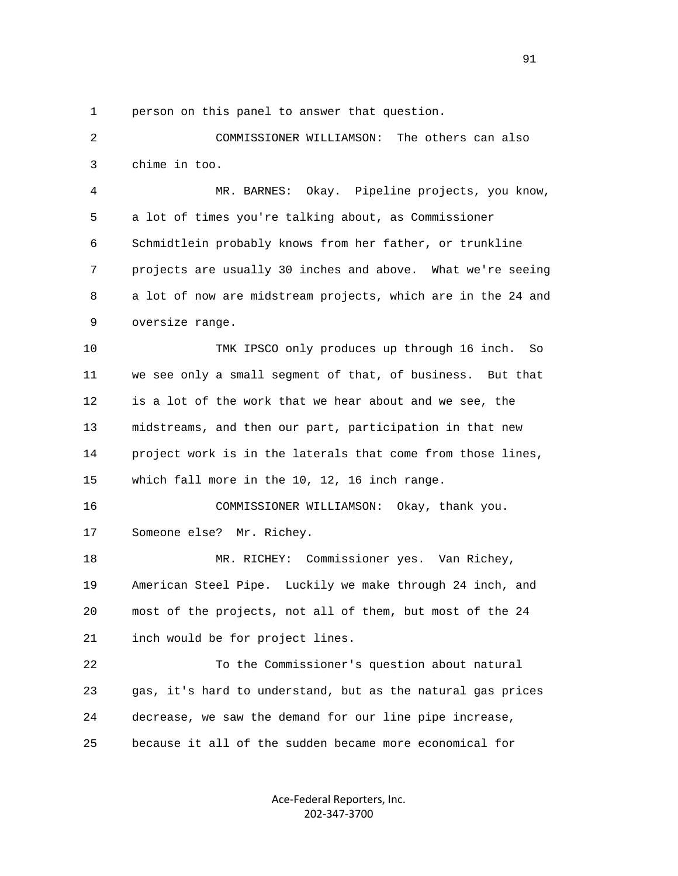1 person on this panel to answer that question.

 2 COMMISSIONER WILLIAMSON: The others can also 3 chime in too.

 4 MR. BARNES: Okay. Pipeline projects, you know, 5 a lot of times you're talking about, as Commissioner 6 Schmidtlein probably knows from her father, or trunkline 7 projects are usually 30 inches and above. What we're seeing 8 a lot of now are midstream projects, which are in the 24 and 9 oversize range.

 10 TMK IPSCO only produces up through 16 inch. So 11 we see only a small segment of that, of business. But that 12 is a lot of the work that we hear about and we see, the 13 midstreams, and then our part, participation in that new 14 project work is in the laterals that come from those lines, 15 which fall more in the 10, 12, 16 inch range.

 16 COMMISSIONER WILLIAMSON: Okay, thank you. 17 Someone else? Mr. Richey.

 18 MR. RICHEY: Commissioner yes. Van Richey, 19 American Steel Pipe. Luckily we make through 24 inch, and 20 most of the projects, not all of them, but most of the 24 21 inch would be for project lines.

 22 To the Commissioner's question about natural 23 gas, it's hard to understand, but as the natural gas prices 24 decrease, we saw the demand for our line pipe increase, 25 because it all of the sudden became more economical for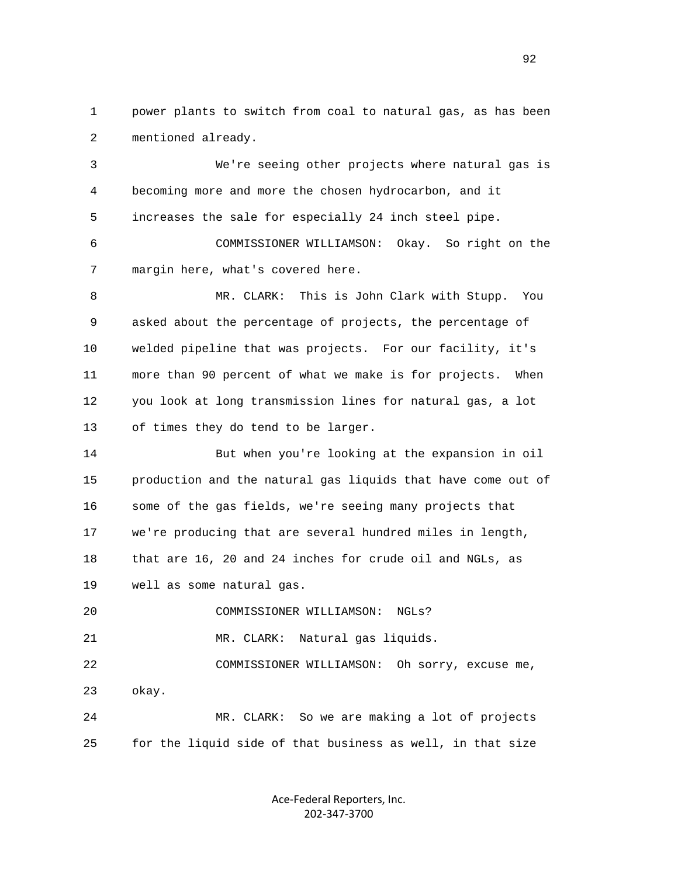1 power plants to switch from coal to natural gas, as has been 2 mentioned already.

 3 We're seeing other projects where natural gas is 4 becoming more and more the chosen hydrocarbon, and it 5 increases the sale for especially 24 inch steel pipe.

 6 COMMISSIONER WILLIAMSON: Okay. So right on the 7 margin here, what's covered here.

 8 MR. CLARK: This is John Clark with Stupp. You 9 asked about the percentage of projects, the percentage of 10 welded pipeline that was projects. For our facility, it's 11 more than 90 percent of what we make is for projects. When 12 you look at long transmission lines for natural gas, a lot 13 of times they do tend to be larger.

 14 But when you're looking at the expansion in oil 15 production and the natural gas liquids that have come out of 16 some of the gas fields, we're seeing many projects that 17 we're producing that are several hundred miles in length, 18 that are 16, 20 and 24 inches for crude oil and NGLs, as 19 well as some natural gas.

 20 COMMISSIONER WILLIAMSON: NGLs? 21 MR. CLARK: Natural gas liquids. 22 COMMISSIONER WILLIAMSON: Oh sorry, excuse me, 23 okay. 24 MR. CLARK: So we are making a lot of projects

25 for the liquid side of that business as well, in that size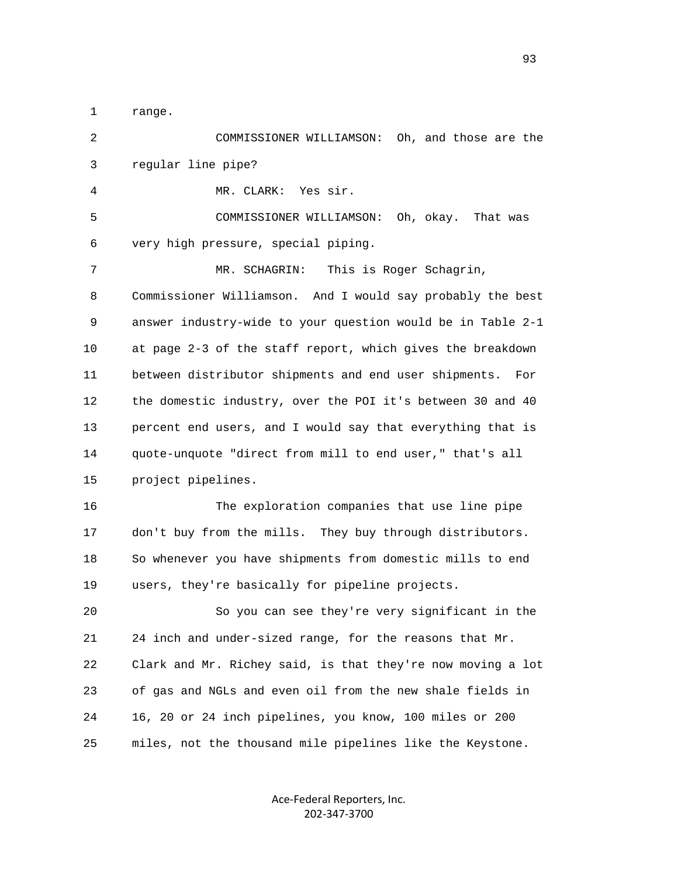1 range.

 2 COMMISSIONER WILLIAMSON: Oh, and those are the 3 regular line pipe? 4 MR. CLARK: Yes sir.

 5 COMMISSIONER WILLIAMSON: Oh, okay. That was 6 very high pressure, special piping.

 7 MR. SCHAGRIN: This is Roger Schagrin, 8 Commissioner Williamson. And I would say probably the best 9 answer industry-wide to your question would be in Table 2-1 10 at page 2-3 of the staff report, which gives the breakdown 11 between distributor shipments and end user shipments. For 12 the domestic industry, over the POI it's between 30 and 40 13 percent end users, and I would say that everything that is 14 quote-unquote "direct from mill to end user," that's all 15 project pipelines.

 16 The exploration companies that use line pipe 17 don't buy from the mills. They buy through distributors. 18 So whenever you have shipments from domestic mills to end 19 users, they're basically for pipeline projects.

 20 So you can see they're very significant in the 21 24 inch and under-sized range, for the reasons that Mr. 22 Clark and Mr. Richey said, is that they're now moving a lot 23 of gas and NGLs and even oil from the new shale fields in 24 16, 20 or 24 inch pipelines, you know, 100 miles or 200 25 miles, not the thousand mile pipelines like the Keystone.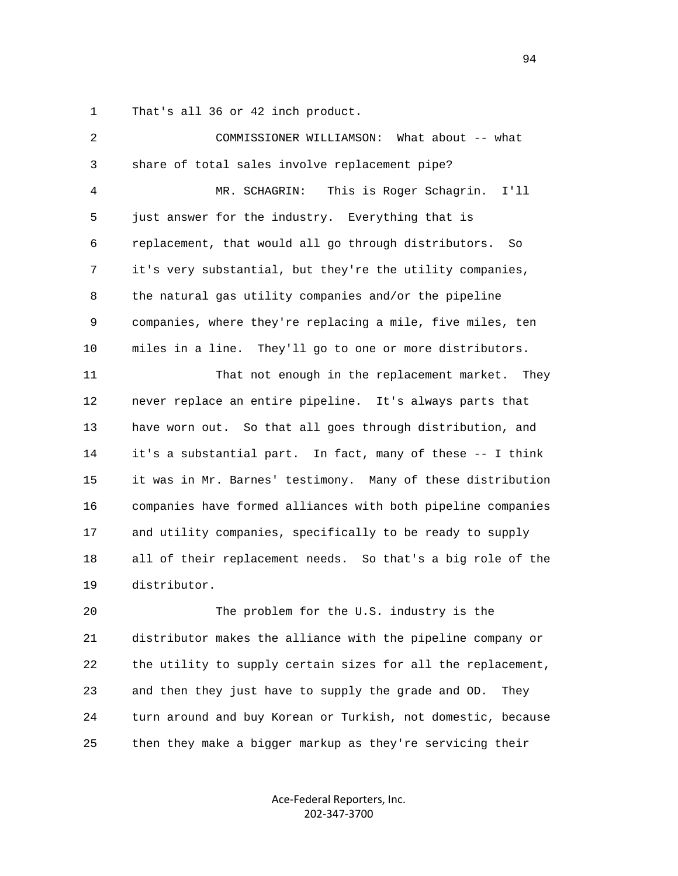1 That's all 36 or 42 inch product.

| 2            | What about -- what<br>COMMISSIONER WILLIAMSON:               |
|--------------|--------------------------------------------------------------|
| $\mathsf{3}$ | share of total sales involve replacement pipe?               |
| 4            | MR. SCHAGRIN:<br>This is Roger Schagrin.<br>I'11             |
| 5            | just answer for the industry. Everything that is             |
| 6            | replacement, that would all go through distributors.<br>So   |
| 7            | it's very substantial, but they're the utility companies,    |
| 8            | the natural gas utility companies and/or the pipeline        |
| 9            | companies, where they're replacing a mile, five miles, ten   |
| 10           | miles in a line.<br>They'll go to one or more distributors.  |
| 11           | That not enough in the replacement market.<br>They           |
| 12           | never replace an entire pipeline. It's always parts that     |
| 13           | have worn out. So that all goes through distribution, and    |
| 14           | it's a substantial part. In fact, many of these -- I think   |
| 15           | it was in Mr. Barnes' testimony. Many of these distribution  |
| 16           | companies have formed alliances with both pipeline companies |
| 17           | and utility companies, specifically to be ready to supply    |
| 18           | all of their replacement needs. So that's a big role of the  |
| 19           | distributor.                                                 |
| 20           | The problem for the U.S. industry is the                     |
| 21           | distributor makes the alliance with the pipeline company or  |
| 22           | the utility to supply certain sizes for all the replacement, |

 23 and then they just have to supply the grade and OD. They 24 turn around and buy Korean or Turkish, not domestic, because 25 then they make a bigger markup as they're servicing their

> Ace‐Federal Reporters, Inc. 202‐347‐3700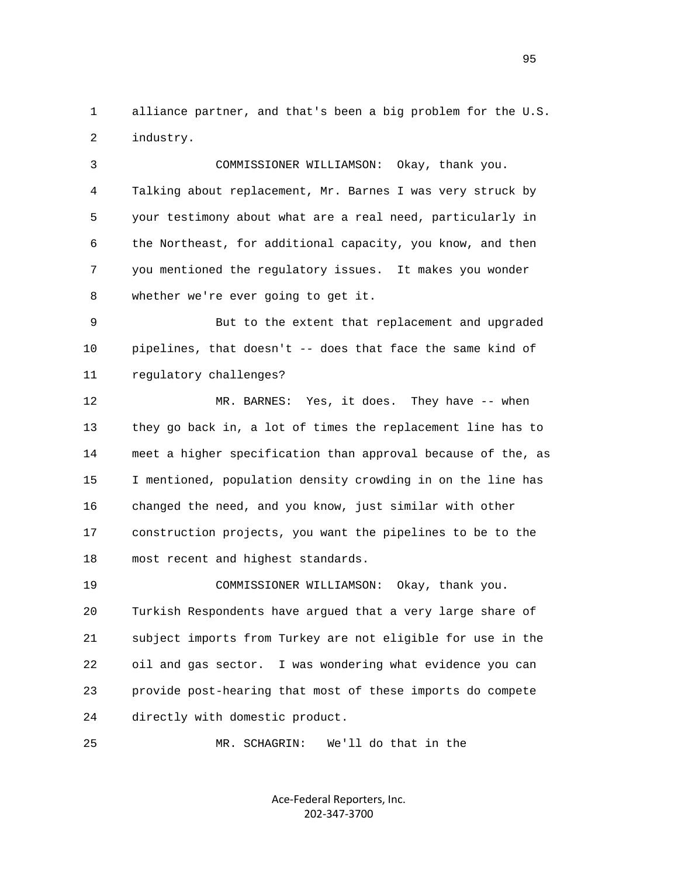1 alliance partner, and that's been a big problem for the U.S. 2 industry.

 3 COMMISSIONER WILLIAMSON: Okay, thank you. 4 Talking about replacement, Mr. Barnes I was very struck by 5 your testimony about what are a real need, particularly in 6 the Northeast, for additional capacity, you know, and then 7 you mentioned the regulatory issues. It makes you wonder 8 whether we're ever going to get it.

 9 But to the extent that replacement and upgraded 10 pipelines, that doesn't -- does that face the same kind of 11 regulatory challenges?

 12 MR. BARNES: Yes, it does. They have -- when 13 they go back in, a lot of times the replacement line has to 14 meet a higher specification than approval because of the, as 15 I mentioned, population density crowding in on the line has 16 changed the need, and you know, just similar with other 17 construction projects, you want the pipelines to be to the 18 most recent and highest standards.

 19 COMMISSIONER WILLIAMSON: Okay, thank you. 20 Turkish Respondents have argued that a very large share of 21 subject imports from Turkey are not eligible for use in the 22 oil and gas sector. I was wondering what evidence you can 23 provide post-hearing that most of these imports do compete 24 directly with domestic product.

25 MR. SCHAGRIN: We'll do that in the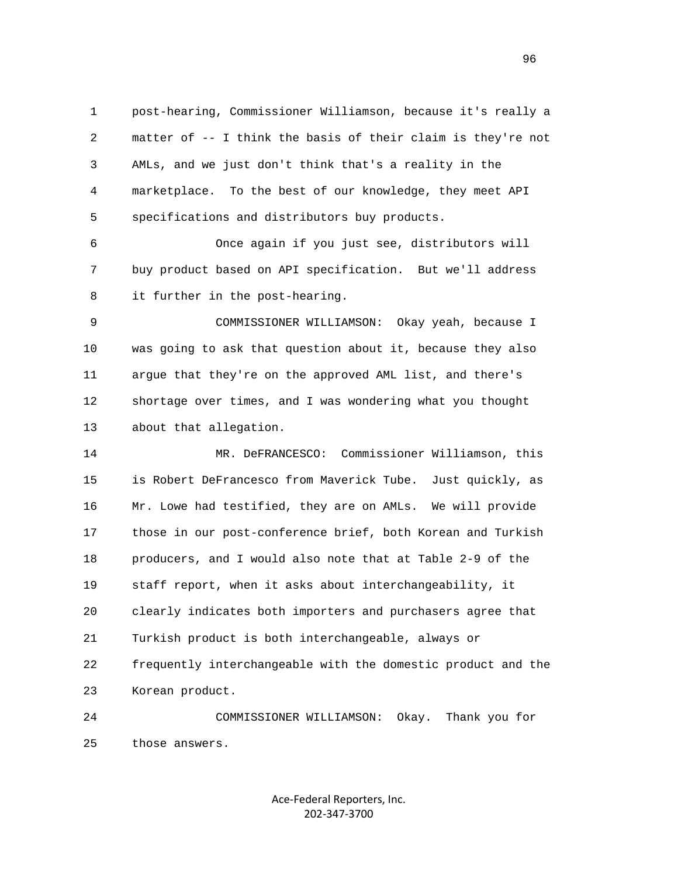1 post-hearing, Commissioner Williamson, because it's really a 2 matter of -- I think the basis of their claim is they're not 3 AMLs, and we just don't think that's a reality in the 4 marketplace. To the best of our knowledge, they meet API 5 specifications and distributors buy products.

 6 Once again if you just see, distributors will 7 buy product based on API specification. But we'll address 8 it further in the post-hearing.

 9 COMMISSIONER WILLIAMSON: Okay yeah, because I 10 was going to ask that question about it, because they also 11 argue that they're on the approved AML list, and there's 12 shortage over times, and I was wondering what you thought 13 about that allegation.

 14 MR. DeFRANCESCO: Commissioner Williamson, this 15 is Robert DeFrancesco from Maverick Tube. Just quickly, as 16 Mr. Lowe had testified, they are on AMLs. We will provide 17 those in our post-conference brief, both Korean and Turkish 18 producers, and I would also note that at Table 2-9 of the 19 staff report, when it asks about interchangeability, it 20 clearly indicates both importers and purchasers agree that 21 Turkish product is both interchangeable, always or 22 frequently interchangeable with the domestic product and the 23 Korean product.

 24 COMMISSIONER WILLIAMSON: Okay. Thank you for 25 those answers.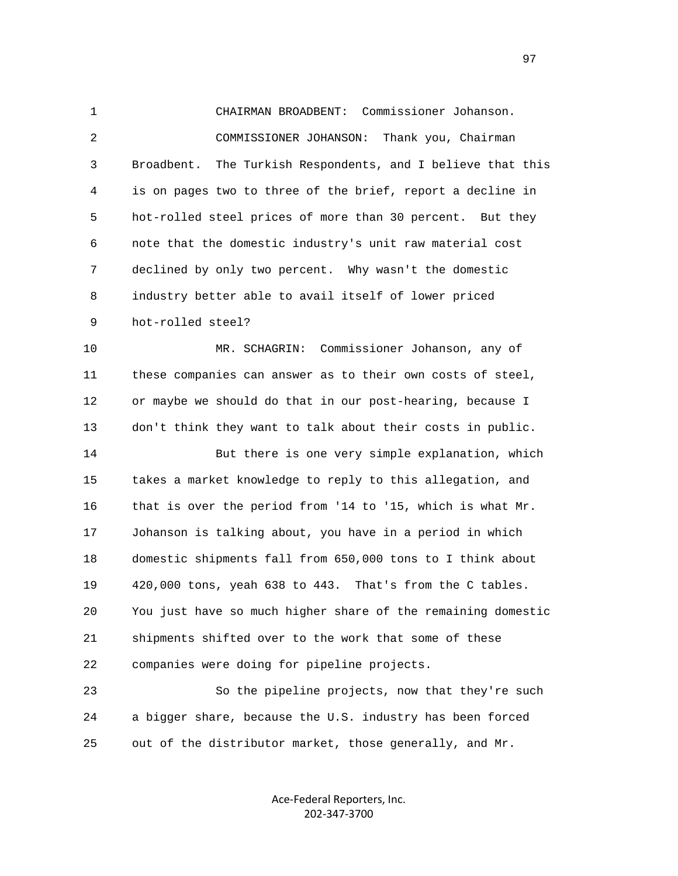1 CHAIRMAN BROADBENT: Commissioner Johanson. 2 COMMISSIONER JOHANSON: Thank you, Chairman 3 Broadbent. The Turkish Respondents, and I believe that this 4 is on pages two to three of the brief, report a decline in 5 hot-rolled steel prices of more than 30 percent. But they 6 note that the domestic industry's unit raw material cost 7 declined by only two percent. Why wasn't the domestic 8 industry better able to avail itself of lower priced 9 hot-rolled steel?

 10 MR. SCHAGRIN: Commissioner Johanson, any of 11 these companies can answer as to their own costs of steel, 12 or maybe we should do that in our post-hearing, because I 13 don't think they want to talk about their costs in public.

 14 But there is one very simple explanation, which 15 takes a market knowledge to reply to this allegation, and 16 that is over the period from '14 to '15, which is what Mr. 17 Johanson is talking about, you have in a period in which 18 domestic shipments fall from 650,000 tons to I think about 19 420,000 tons, yeah 638 to 443. That's from the C tables. 20 You just have so much higher share of the remaining domestic 21 shipments shifted over to the work that some of these 22 companies were doing for pipeline projects.

 23 So the pipeline projects, now that they're such 24 a bigger share, because the U.S. industry has been forced 25 out of the distributor market, those generally, and Mr.

> Ace‐Federal Reporters, Inc. 202‐347‐3700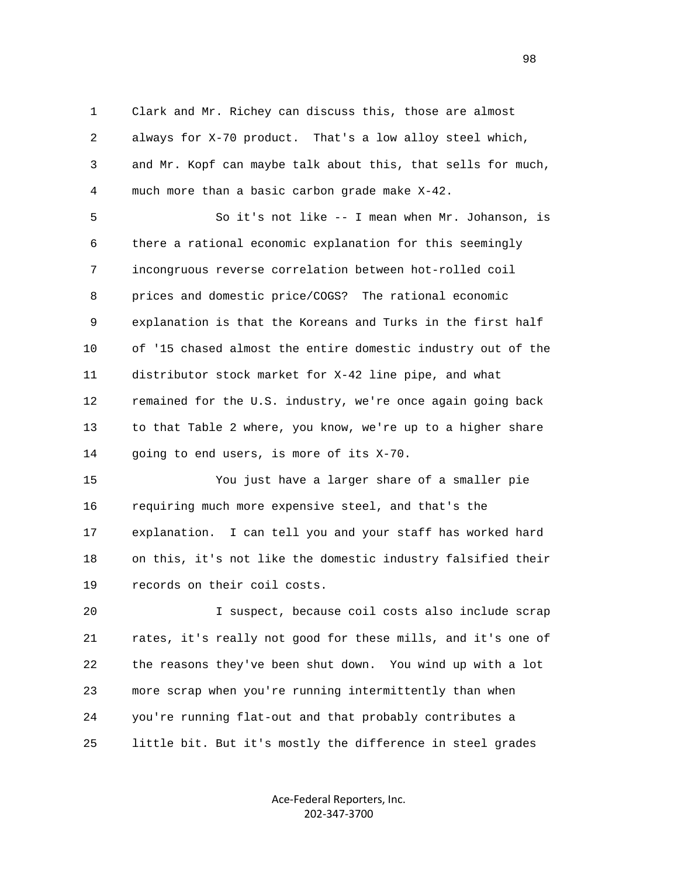1 Clark and Mr. Richey can discuss this, those are almost 2 always for X-70 product. That's a low alloy steel which, 3 and Mr. Kopf can maybe talk about this, that sells for much, 4 much more than a basic carbon grade make X-42.

 5 So it's not like -- I mean when Mr. Johanson, is 6 there a rational economic explanation for this seemingly 7 incongruous reverse correlation between hot-rolled coil 8 prices and domestic price/COGS? The rational economic 9 explanation is that the Koreans and Turks in the first half 10 of '15 chased almost the entire domestic industry out of the 11 distributor stock market for X-42 line pipe, and what 12 remained for the U.S. industry, we're once again going back 13 to that Table 2 where, you know, we're up to a higher share 14 going to end users, is more of its X-70.

 15 You just have a larger share of a smaller pie 16 requiring much more expensive steel, and that's the 17 explanation. I can tell you and your staff has worked hard 18 on this, it's not like the domestic industry falsified their 19 records on their coil costs.

 20 I suspect, because coil costs also include scrap 21 rates, it's really not good for these mills, and it's one of 22 the reasons they've been shut down. You wind up with a lot 23 more scrap when you're running intermittently than when 24 you're running flat-out and that probably contributes a 25 little bit. But it's mostly the difference in steel grades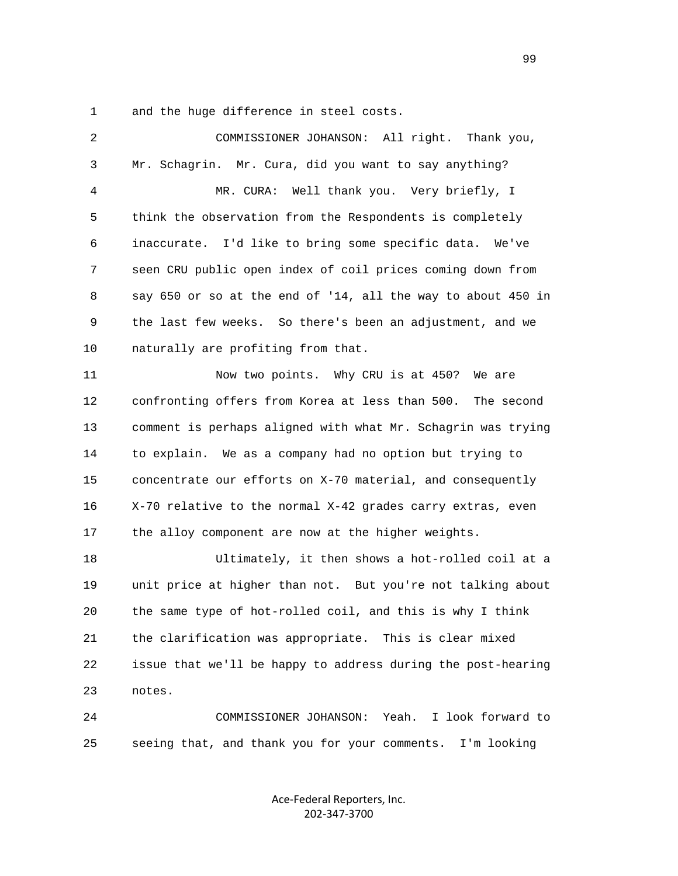1 and the huge difference in steel costs.

| $\overline{c}$ | COMMISSIONER JOHANSON: All right. Thank you,                 |
|----------------|--------------------------------------------------------------|
| 3              | Mr. Schagrin. Mr. Cura, did you want to say anything?        |
| $\overline{4}$ | MR. CURA: Well thank you. Very briefly, I                    |
| 5              | think the observation from the Respondents is completely     |
| 6              | inaccurate. I'd like to bring some specific data. We've      |
| 7              | seen CRU public open index of coil prices coming down from   |
| 8              | say 650 or so at the end of '14, all the way to about 450 in |
| 9              | the last few weeks. So there's been an adjustment, and we    |
| 10             | naturally are profiting from that.                           |
| 11             | Now two points. Why CRU is at 450? We are                    |
| 12             | confronting offers from Korea at less than 500. The second   |
| 13             | comment is perhaps aligned with what Mr. Schagrin was trying |
| 14             | to explain. We as a company had no option but trying to      |
| 15             | concentrate our efforts on X-70 material, and consequently   |
| 16             | X-70 relative to the normal X-42 grades carry extras, even   |
| 17             | the alloy component are now at the higher weights.           |
| 18             | Ultimately, it then shows a hot-rolled coil at a             |
| 19             | unit price at higher than not. But you're not talking about  |
| 20             | the same type of hot-rolled coil, and this is why I think    |
| 21             | the clarification was appropriate. This is clear mixed       |
| 22             | issue that we'll be happy to address during the post-hearing |
| 23             | notes.                                                       |
| 24             | I look forward to<br>COMMISSIONER JOHANSON: Yeah.            |
| 25             | seeing that, and thank you for your comments.<br>I'm looking |

Ace‐Federal Reporters, Inc. 202‐347‐3700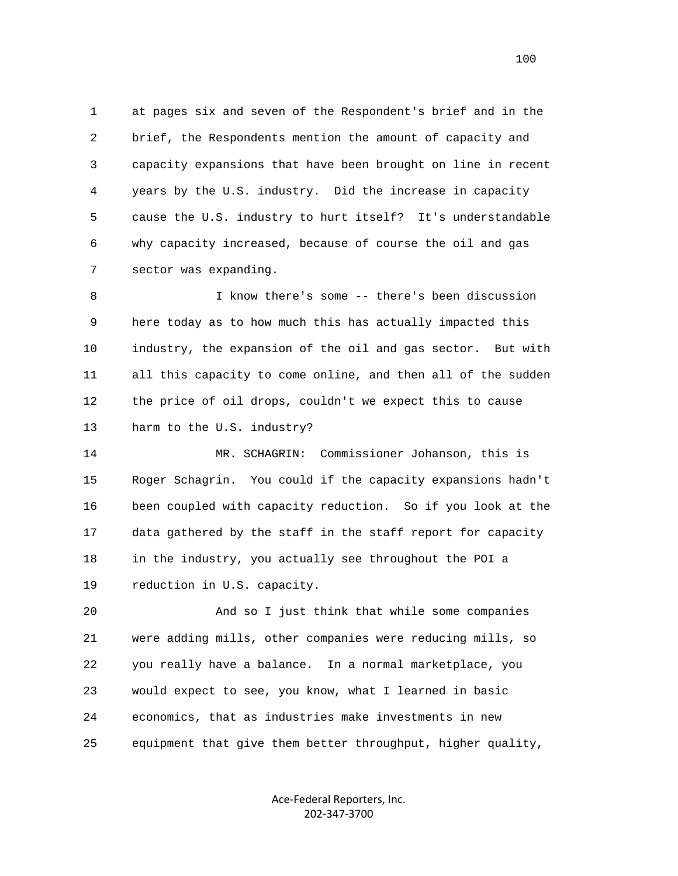1 at pages six and seven of the Respondent's brief and in the 2 brief, the Respondents mention the amount of capacity and 3 capacity expansions that have been brought on line in recent 4 years by the U.S. industry. Did the increase in capacity 5 cause the U.S. industry to hurt itself? It's understandable 6 why capacity increased, because of course the oil and gas 7 sector was expanding.

 8 I know there's some -- there's been discussion 9 here today as to how much this has actually impacted this 10 industry, the expansion of the oil and gas sector. But with 11 all this capacity to come online, and then all of the sudden 12 the price of oil drops, couldn't we expect this to cause 13 harm to the U.S. industry?

 14 MR. SCHAGRIN: Commissioner Johanson, this is 15 Roger Schagrin. You could if the capacity expansions hadn't 16 been coupled with capacity reduction. So if you look at the 17 data gathered by the staff in the staff report for capacity 18 in the industry, you actually see throughout the POI a 19 reduction in U.S. capacity.

 20 And so I just think that while some companies 21 were adding mills, other companies were reducing mills, so 22 you really have a balance. In a normal marketplace, you 23 would expect to see, you know, what I learned in basic 24 economics, that as industries make investments in new 25 equipment that give them better throughput, higher quality,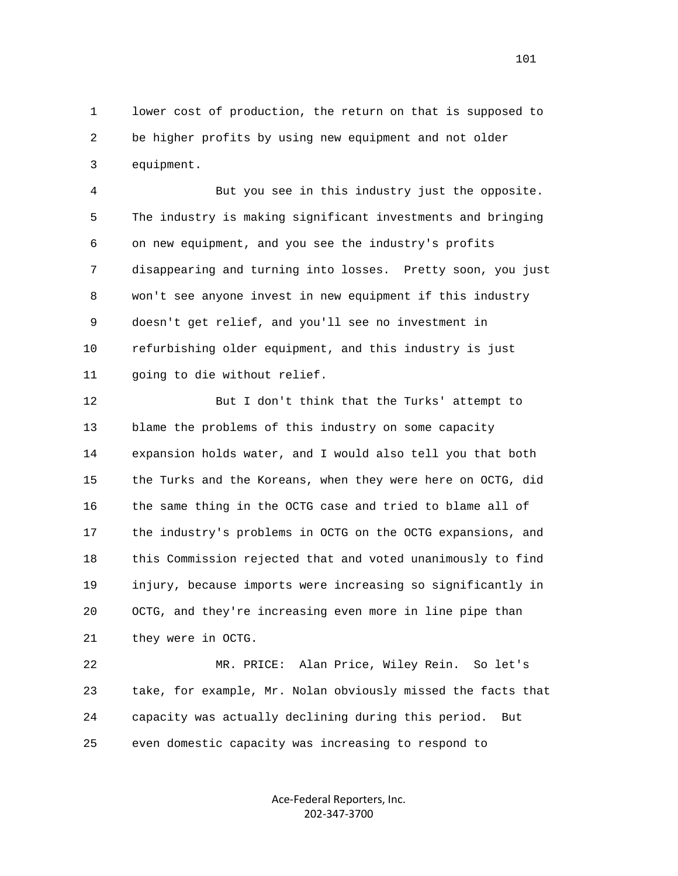1 lower cost of production, the return on that is supposed to 2 be higher profits by using new equipment and not older 3 equipment.

 4 But you see in this industry just the opposite. 5 The industry is making significant investments and bringing 6 on new equipment, and you see the industry's profits 7 disappearing and turning into losses. Pretty soon, you just 8 won't see anyone invest in new equipment if this industry 9 doesn't get relief, and you'll see no investment in 10 refurbishing older equipment, and this industry is just 11 going to die without relief.

 12 But I don't think that the Turks' attempt to 13 blame the problems of this industry on some capacity 14 expansion holds water, and I would also tell you that both 15 the Turks and the Koreans, when they were here on OCTG, did 16 the same thing in the OCTG case and tried to blame all of 17 the industry's problems in OCTG on the OCTG expansions, and 18 this Commission rejected that and voted unanimously to find 19 injury, because imports were increasing so significantly in 20 OCTG, and they're increasing even more in line pipe than 21 they were in OCTG.

 22 MR. PRICE: Alan Price, Wiley Rein. So let's 23 take, for example, Mr. Nolan obviously missed the facts that 24 capacity was actually declining during this period. But 25 even domestic capacity was increasing to respond to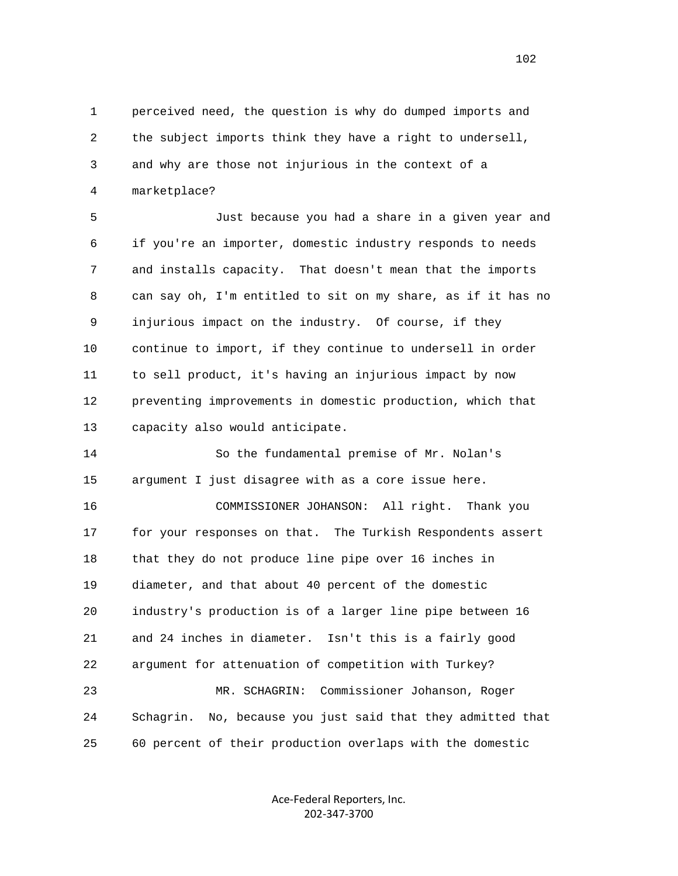1 perceived need, the question is why do dumped imports and 2 the subject imports think they have a right to undersell, 3 and why are those not injurious in the context of a 4 marketplace?

 5 Just because you had a share in a given year and 6 if you're an importer, domestic industry responds to needs 7 and installs capacity. That doesn't mean that the imports 8 can say oh, I'm entitled to sit on my share, as if it has no 9 injurious impact on the industry. Of course, if they 10 continue to import, if they continue to undersell in order 11 to sell product, it's having an injurious impact by now 12 preventing improvements in domestic production, which that 13 capacity also would anticipate.

 14 So the fundamental premise of Mr. Nolan's 15 argument I just disagree with as a core issue here.

 16 COMMISSIONER JOHANSON: All right. Thank you 17 for your responses on that. The Turkish Respondents assert 18 that they do not produce line pipe over 16 inches in 19 diameter, and that about 40 percent of the domestic 20 industry's production is of a larger line pipe between 16 21 and 24 inches in diameter. Isn't this is a fairly good 22 argument for attenuation of competition with Turkey? 23 MR. SCHAGRIN: Commissioner Johanson, Roger 24 Schagrin. No, because you just said that they admitted that 25 60 percent of their production overlaps with the domestic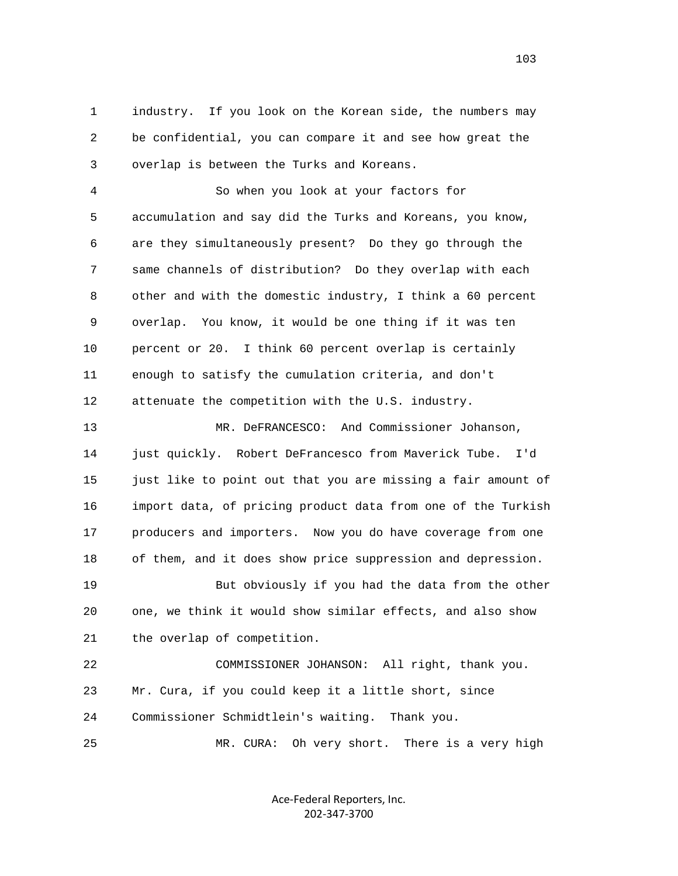1 industry. If you look on the Korean side, the numbers may 2 be confidential, you can compare it and see how great the 3 overlap is between the Turks and Koreans.

 4 So when you look at your factors for 5 accumulation and say did the Turks and Koreans, you know, 6 are they simultaneously present? Do they go through the 7 same channels of distribution? Do they overlap with each 8 other and with the domestic industry, I think a 60 percent 9 overlap. You know, it would be one thing if it was ten 10 percent or 20. I think 60 percent overlap is certainly 11 enough to satisfy the cumulation criteria, and don't 12 attenuate the competition with the U.S. industry.

 13 MR. DeFRANCESCO: And Commissioner Johanson, 14 just quickly. Robert DeFrancesco from Maverick Tube. I'd 15 just like to point out that you are missing a fair amount of 16 import data, of pricing product data from one of the Turkish 17 producers and importers. Now you do have coverage from one 18 of them, and it does show price suppression and depression. 19 But obviously if you had the data from the other 20 one, we think it would show similar effects, and also show 21 the overlap of competition. 22 COMMISSIONER JOHANSON: All right, thank you.

23 Mr. Cura, if you could keep it a little short, since

24 Commissioner Schmidtlein's waiting. Thank you.

25 MR. CURA: Oh very short. There is a very high

Ace‐Federal Reporters, Inc. 202‐347‐3700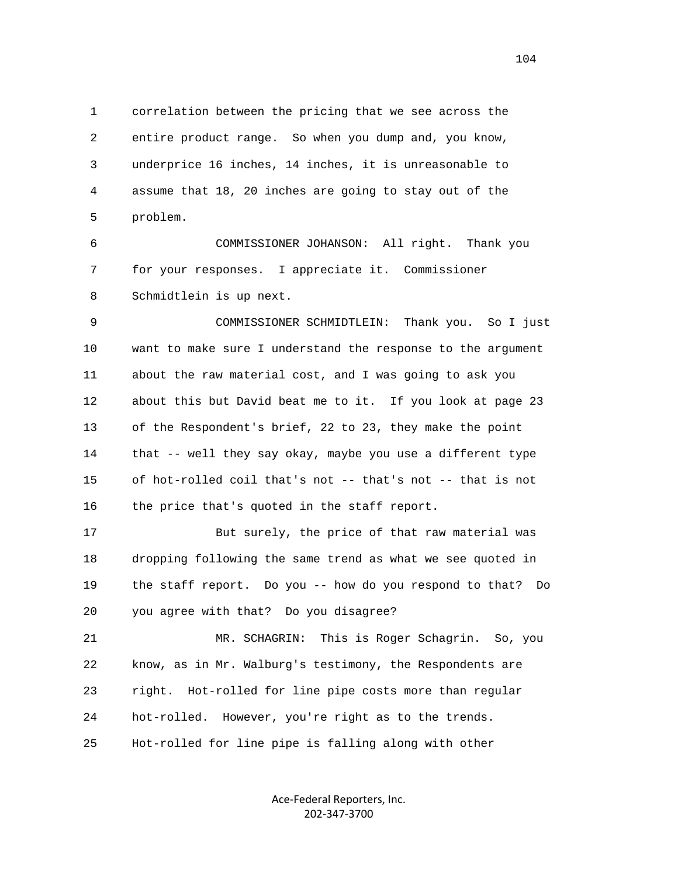1 correlation between the pricing that we see across the 2 entire product range. So when you dump and, you know, 3 underprice 16 inches, 14 inches, it is unreasonable to 4 assume that 18, 20 inches are going to stay out of the 5 problem.

 6 COMMISSIONER JOHANSON: All right. Thank you 7 for your responses. I appreciate it. Commissioner 8 Schmidtlein is up next.

 9 COMMISSIONER SCHMIDTLEIN: Thank you. So I just 10 want to make sure I understand the response to the argument 11 about the raw material cost, and I was going to ask you 12 about this but David beat me to it. If you look at page 23 13 of the Respondent's brief, 22 to 23, they make the point 14 that -- well they say okay, maybe you use a different type 15 of hot-rolled coil that's not -- that's not -- that is not 16 the price that's quoted in the staff report.

 17 But surely, the price of that raw material was 18 dropping following the same trend as what we see quoted in 19 the staff report. Do you -- how do you respond to that? Do 20 you agree with that? Do you disagree?

 21 MR. SCHAGRIN: This is Roger Schagrin. So, you 22 know, as in Mr. Walburg's testimony, the Respondents are 23 right. Hot-rolled for line pipe costs more than regular 24 hot-rolled. However, you're right as to the trends. 25 Hot-rolled for line pipe is falling along with other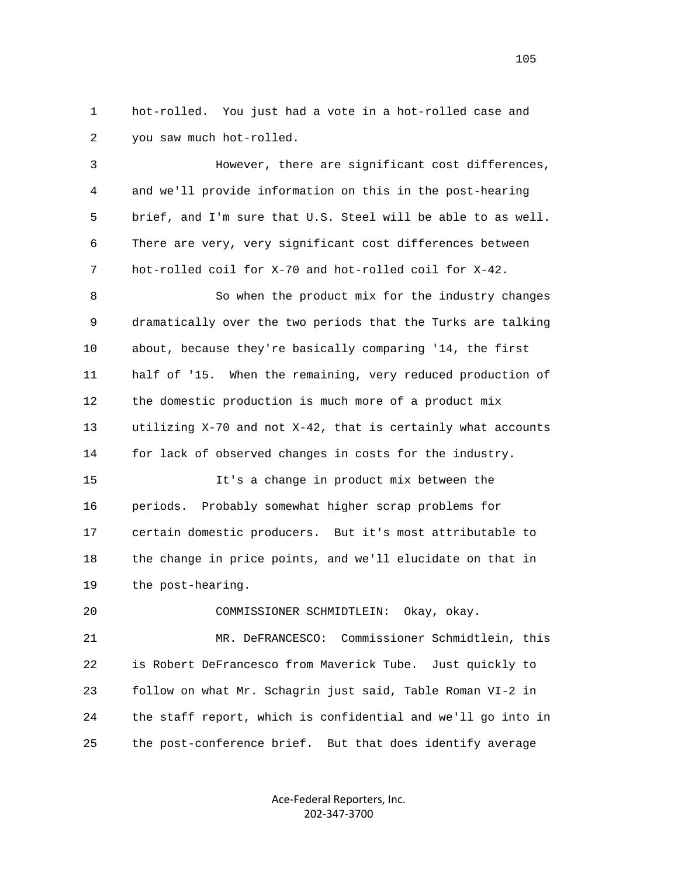1 hot-rolled. You just had a vote in a hot-rolled case and 2 you saw much hot-rolled.

 3 However, there are significant cost differences, 4 and we'll provide information on this in the post-hearing 5 brief, and I'm sure that U.S. Steel will be able to as well. 6 There are very, very significant cost differences between 7 hot-rolled coil for X-70 and hot-rolled coil for X-42. 8 So when the product mix for the industry changes 9 dramatically over the two periods that the Turks are talking

 10 about, because they're basically comparing '14, the first 11 half of '15. When the remaining, very reduced production of 12 the domestic production is much more of a product mix 13 utilizing X-70 and not X-42, that is certainly what accounts 14 for lack of observed changes in costs for the industry.

 15 It's a change in product mix between the 16 periods. Probably somewhat higher scrap problems for 17 certain domestic producers. But it's most attributable to 18 the change in price points, and we'll elucidate on that in 19 the post-hearing.

20 COMMISSIONER SCHMIDTLEIN: Okay, okay.

 21 MR. DeFRANCESCO: Commissioner Schmidtlein, this 22 is Robert DeFrancesco from Maverick Tube. Just quickly to 23 follow on what Mr. Schagrin just said, Table Roman VI-2 in 24 the staff report, which is confidential and we'll go into in 25 the post-conference brief. But that does identify average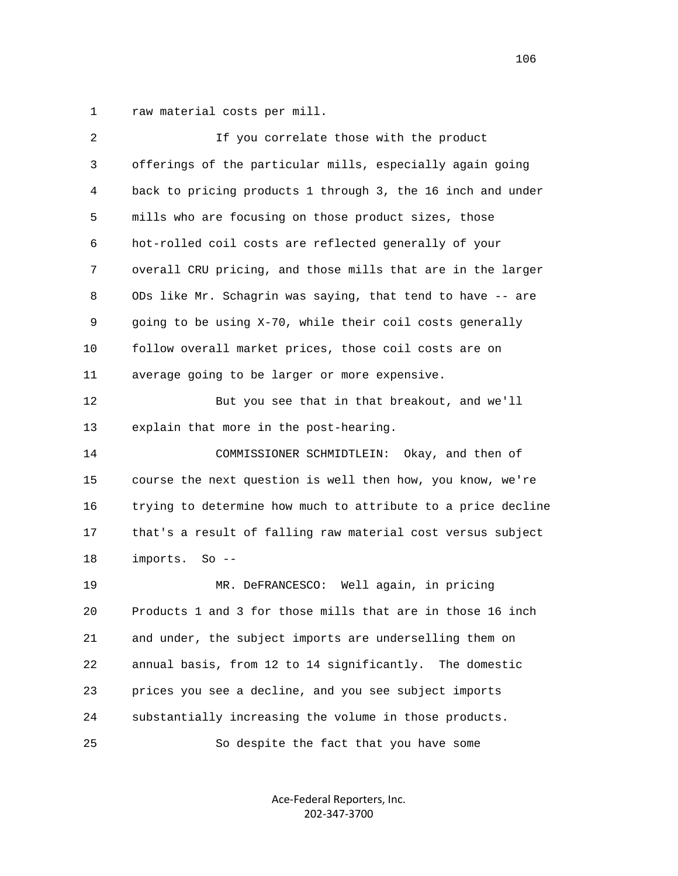1 raw material costs per mill.

| $\overline{2}$ | If you correlate those with the product                      |
|----------------|--------------------------------------------------------------|
| 3              | offerings of the particular mills, especially again going    |
| 4              | back to pricing products 1 through 3, the 16 inch and under  |
| 5              | mills who are focusing on those product sizes, those         |
| 6              | hot-rolled coil costs are reflected generally of your        |
| 7              | overall CRU pricing, and those mills that are in the larger  |
| 8              | ODs like Mr. Schagrin was saying, that tend to have -- are   |
| 9              | going to be using X-70, while their coil costs generally     |
| 10             | follow overall market prices, those coil costs are on        |
| 11             | average going to be larger or more expensive.                |
| 12             | But you see that in that breakout, and we'll                 |
| 13             | explain that more in the post-hearing.                       |
| 14             | COMMISSIONER SCHMIDTLEIN: Okay, and then of                  |
| 15             | course the next question is well then how, you know, we're   |
| 16             | trying to determine how much to attribute to a price decline |
| 17             | that's a result of falling raw material cost versus subject  |
| 18             | imports.<br>$So --$                                          |
| 19             | MR. DeFRANCESCO: Well again, in pricing                      |
| 20             | Products 1 and 3 for those mills that are in those 16 inch   |
| 21             | and under, the subject imports are underselling them on      |
| 22             | annual basis, from 12 to 14 significantly.<br>The domestic   |
| 23             | prices you see a decline, and you see subject imports        |
| 24             | substantially increasing the volume in those products.       |
| 25             | So despite the fact that you have some                       |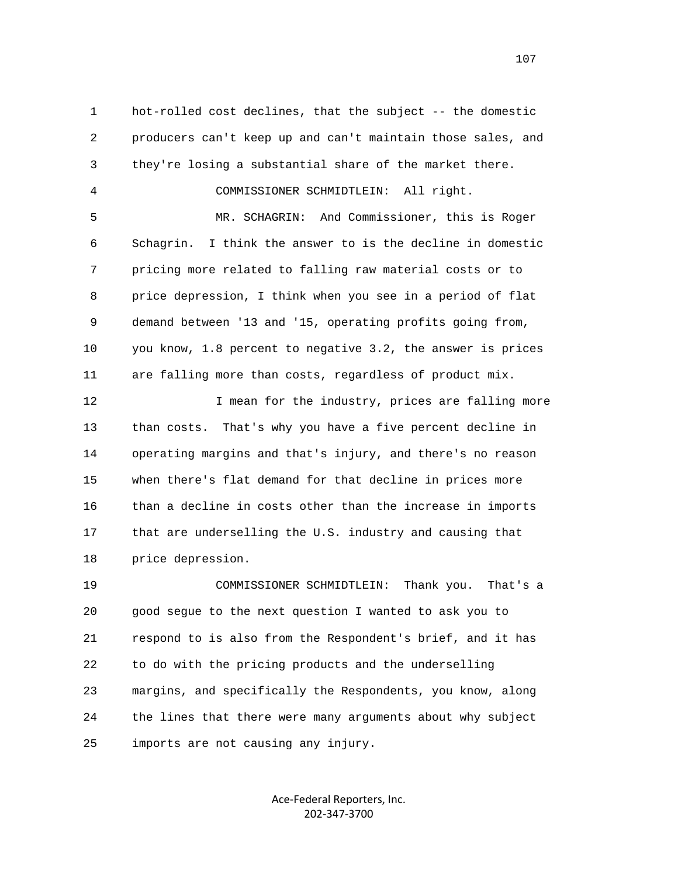1 hot-rolled cost declines, that the subject -- the domestic 2 producers can't keep up and can't maintain those sales, and 3 they're losing a substantial share of the market there. 4 COMMISSIONER SCHMIDTLEIN: All right. 5 MR. SCHAGRIN: And Commissioner, this is Roger 6 Schagrin. I think the answer to is the decline in domestic 7 pricing more related to falling raw material costs or to 8 price depression, I think when you see in a period of flat 9 demand between '13 and '15, operating profits going from, 10 you know, 1.8 percent to negative 3.2, the answer is prices 11 are falling more than costs, regardless of product mix. 12 12 I mean for the industry, prices are falling more

 13 than costs. That's why you have a five percent decline in 14 operating margins and that's injury, and there's no reason 15 when there's flat demand for that decline in prices more 16 than a decline in costs other than the increase in imports 17 that are underselling the U.S. industry and causing that 18 price depression.

 19 COMMISSIONER SCHMIDTLEIN: Thank you. That's a 20 good segue to the next question I wanted to ask you to 21 respond to is also from the Respondent's brief, and it has 22 to do with the pricing products and the underselling 23 margins, and specifically the Respondents, you know, along 24 the lines that there were many arguments about why subject 25 imports are not causing any injury.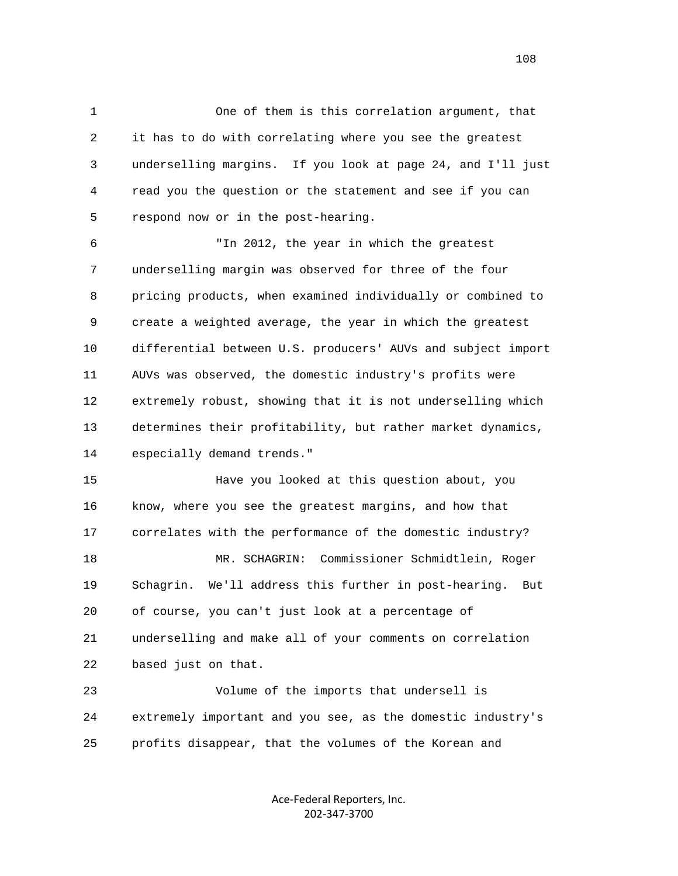1 One of them is this correlation argument, that 2 it has to do with correlating where you see the greatest 3 underselling margins. If you look at page 24, and I'll just 4 read you the question or the statement and see if you can 5 respond now or in the post-hearing.

 6 "In 2012, the year in which the greatest 7 underselling margin was observed for three of the four 8 pricing products, when examined individually or combined to 9 create a weighted average, the year in which the greatest 10 differential between U.S. producers' AUVs and subject import 11 AUVs was observed, the domestic industry's profits were 12 extremely robust, showing that it is not underselling which 13 determines their profitability, but rather market dynamics, 14 especially demand trends."

 15 Have you looked at this question about, you 16 know, where you see the greatest margins, and how that 17 correlates with the performance of the domestic industry? 18 MR. SCHAGRIN: Commissioner Schmidtlein, Roger 19 Schagrin. We'll address this further in post-hearing. But 20 of course, you can't just look at a percentage of 21 underselling and make all of your comments on correlation 22 based just on that.

 23 Volume of the imports that undersell is 24 extremely important and you see, as the domestic industry's 25 profits disappear, that the volumes of the Korean and

> Ace‐Federal Reporters, Inc. 202‐347‐3700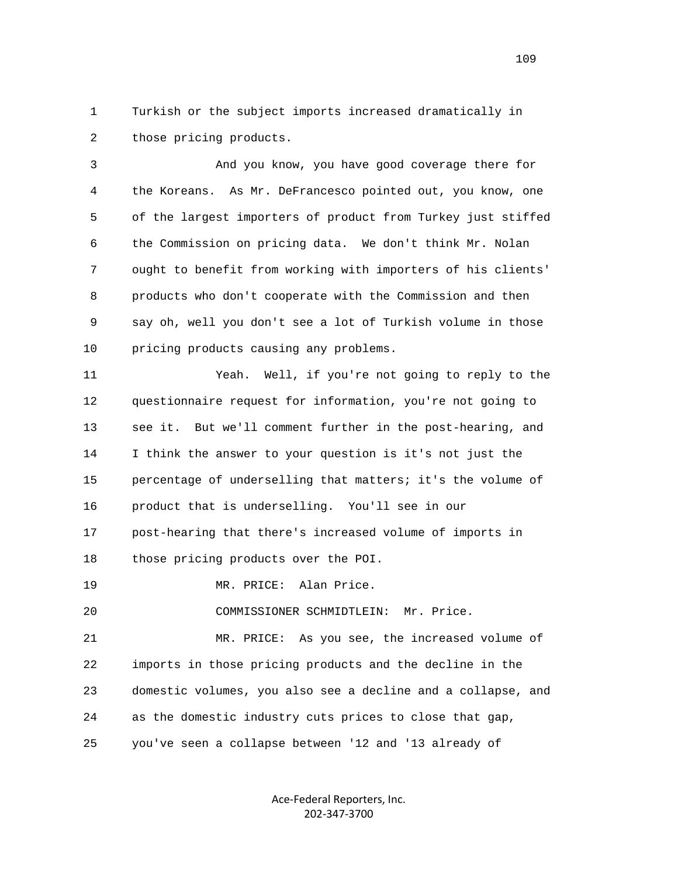1 Turkish or the subject imports increased dramatically in 2 those pricing products.

 3 And you know, you have good coverage there for 4 the Koreans. As Mr. DeFrancesco pointed out, you know, one 5 of the largest importers of product from Turkey just stiffed 6 the Commission on pricing data. We don't think Mr. Nolan 7 ought to benefit from working with importers of his clients' 8 products who don't cooperate with the Commission and then 9 say oh, well you don't see a lot of Turkish volume in those 10 pricing products causing any problems.

 11 Yeah. Well, if you're not going to reply to the 12 questionnaire request for information, you're not going to 13 see it. But we'll comment further in the post-hearing, and 14 I think the answer to your question is it's not just the 15 percentage of underselling that matters; it's the volume of 16 product that is underselling. You'll see in our 17 post-hearing that there's increased volume of imports in 18 those pricing products over the POI. 19 MR. PRICE: Alan Price.

20 COMMISSIONER SCHMIDTLEIN: Mr. Price.

 21 MR. PRICE: As you see, the increased volume of 22 imports in those pricing products and the decline in the 23 domestic volumes, you also see a decline and a collapse, and 24 as the domestic industry cuts prices to close that gap, 25 you've seen a collapse between '12 and '13 already of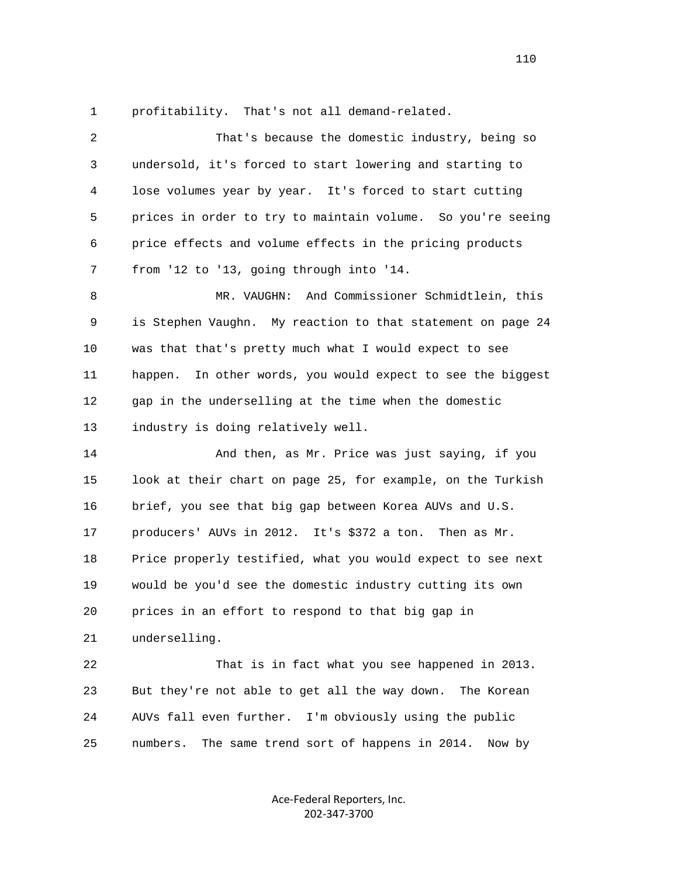1 profitability. That's not all demand-related.

| 2  | That's because the domestic industry, being so                 |
|----|----------------------------------------------------------------|
| 3  | undersold, it's forced to start lowering and starting to       |
| 4  | lose volumes year by year. It's forced to start cutting        |
| 5  | prices in order to try to maintain volume. So you're seeing    |
| 6  | price effects and volume effects in the pricing products       |
| 7  | from '12 to '13, going through into '14.                       |
| 8  | MR. VAUGHN: And Commissioner Schmidtlein, this                 |
| 9  | is Stephen Vaughn. My reaction to that statement on page 24    |
| 10 | was that that's pretty much what I would expect to see         |
| 11 | In other words, you would expect to see the biggest<br>happen. |
| 12 | gap in the underselling at the time when the domestic          |
| 13 | industry is doing relatively well.                             |
| 14 | And then, as Mr. Price was just saying, if you                 |
| 15 | look at their chart on page 25, for example, on the Turkish    |
| 16 | brief, you see that big gap between Korea AUVs and U.S.        |
| 17 | producers' AUVs in 2012. It's \$372 a ton.<br>Then as Mr.      |
| 18 | Price properly testified, what you would expect to see next    |
| 19 | would be you'd see the domestic industry cutting its own       |
| 20 | prices in an effort to respond to that big gap in              |
| 21 | underselling.                                                  |
| 22 | That is in fact what you see happened in 2013.                 |
| 23 | But they're not able to get all the way down.<br>The Korean    |
| 24 | AUVs fall even further. I'm obviously using the public         |
| 25 | numbers.<br>The same trend sort of happens in 2014.<br>Now by  |

Ace‐Federal Reporters, Inc. 202‐347‐3700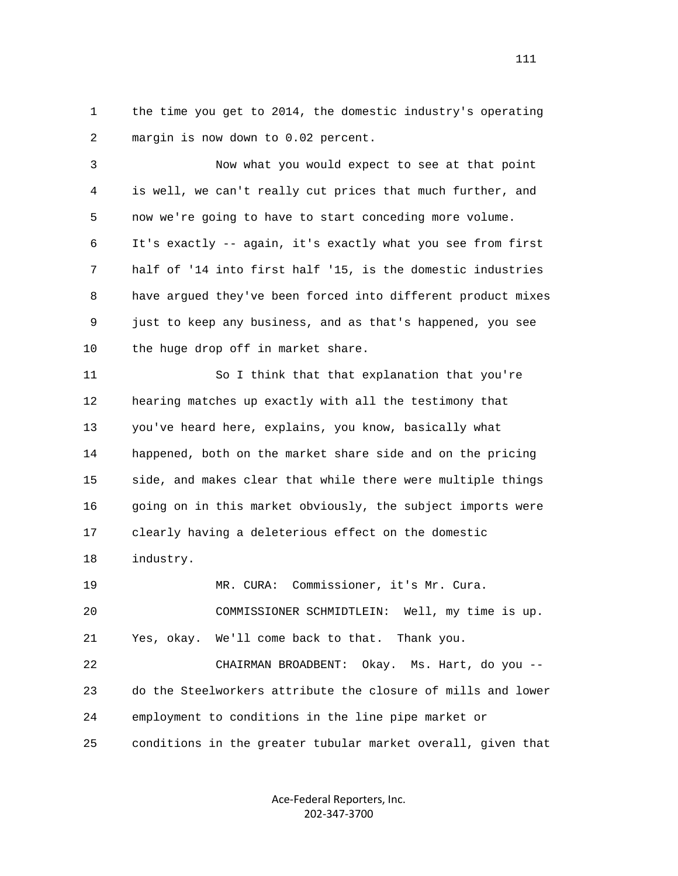1 the time you get to 2014, the domestic industry's operating 2 margin is now down to 0.02 percent.

 3 Now what you would expect to see at that point 4 is well, we can't really cut prices that much further, and 5 now we're going to have to start conceding more volume. 6 It's exactly -- again, it's exactly what you see from first 7 half of '14 into first half '15, is the domestic industries 8 have argued they've been forced into different product mixes 9 just to keep any business, and as that's happened, you see 10 the huge drop off in market share.

 11 So I think that that explanation that you're 12 hearing matches up exactly with all the testimony that 13 you've heard here, explains, you know, basically what 14 happened, both on the market share side and on the pricing 15 side, and makes clear that while there were multiple things 16 going on in this market obviously, the subject imports were 17 clearly having a deleterious effect on the domestic 18 industry. 19 MR. CURA: Commissioner, it's Mr. Cura.

 20 COMMISSIONER SCHMIDTLEIN: Well, my time is up. 21 Yes, okay. We'll come back to that. Thank you.

 22 CHAIRMAN BROADBENT: Okay. Ms. Hart, do you -- 23 do the Steelworkers attribute the closure of mills and lower 24 employment to conditions in the line pipe market or 25 conditions in the greater tubular market overall, given that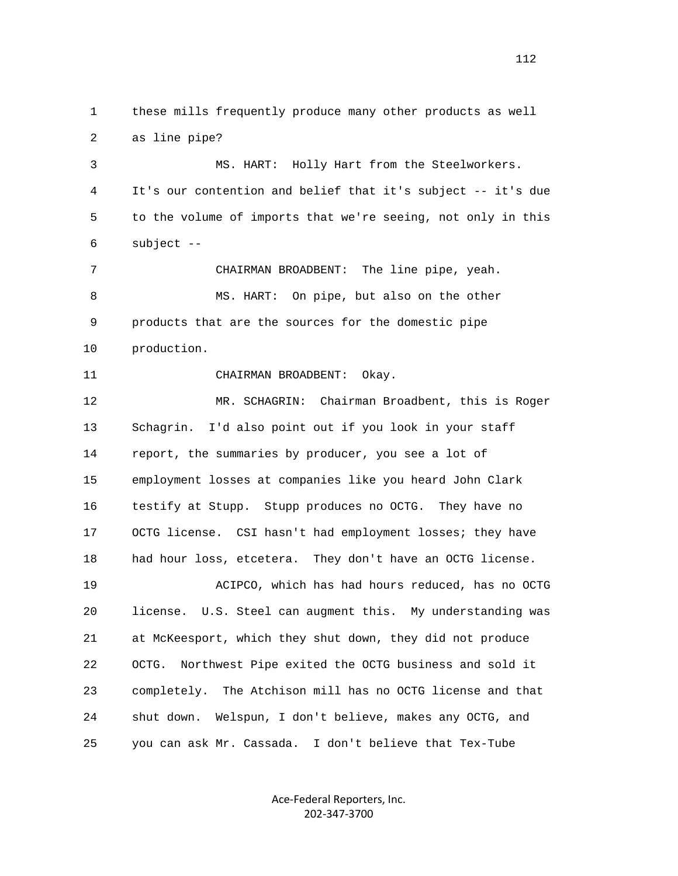1 these mills frequently produce many other products as well 2 as line pipe? 3 MS. HART: Holly Hart from the Steelworkers. 4 It's our contention and belief that it's subject -- it's due 5 to the volume of imports that we're seeing, not only in this 6 subject -- 7 CHAIRMAN BROADBENT: The line pipe, yeah. 8 MS. HART: On pipe, but also on the other 9 products that are the sources for the domestic pipe 10 production. 11 CHAIRMAN BROADBENT: Okay. 12 MR. SCHAGRIN: Chairman Broadbent, this is Roger 13 Schagrin. I'd also point out if you look in your staff 14 report, the summaries by producer, you see a lot of 15 employment losses at companies like you heard John Clark 16 testify at Stupp. Stupp produces no OCTG. They have no 17 OCTG license. CSI hasn't had employment losses; they have 18 had hour loss, etcetera. They don't have an OCTG license. 19 ACIPCO, which has had hours reduced, has no OCTG 20 license. U.S. Steel can augment this. My understanding was 21 at McKeesport, which they shut down, they did not produce 22 OCTG. Northwest Pipe exited the OCTG business and sold it 23 completely. The Atchison mill has no OCTG license and that 24 shut down. Welspun, I don't believe, makes any OCTG, and 25 you can ask Mr. Cassada. I don't believe that Tex-Tube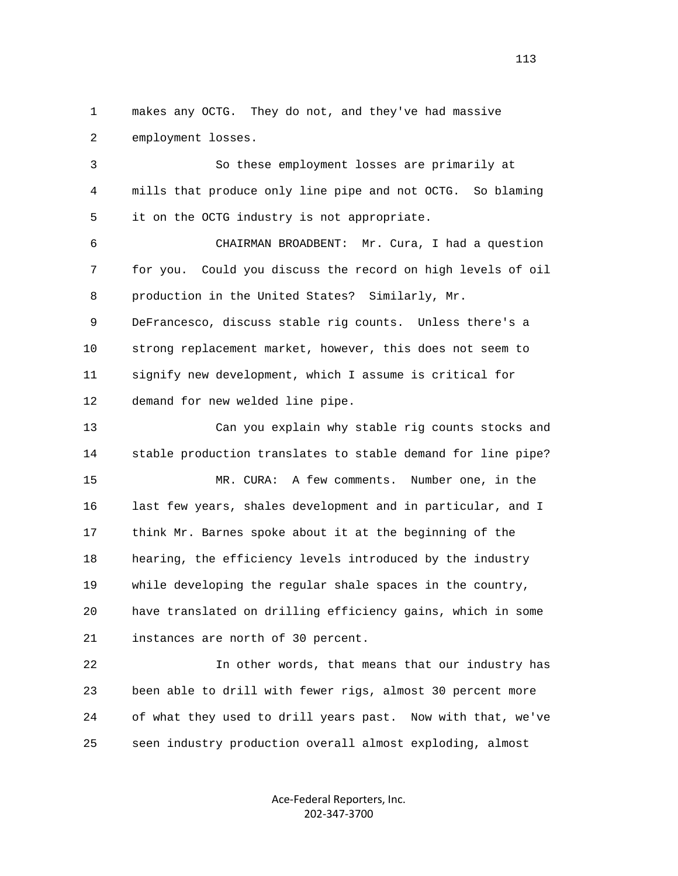1 makes any OCTG. They do not, and they've had massive 2 employment losses.

 3 So these employment losses are primarily at 4 mills that produce only line pipe and not OCTG. So blaming 5 it on the OCTG industry is not appropriate.

 6 CHAIRMAN BROADBENT: Mr. Cura, I had a question 7 for you. Could you discuss the record on high levels of oil 8 production in the United States? Similarly, Mr.

 9 DeFrancesco, discuss stable rig counts. Unless there's a 10 strong replacement market, however, this does not seem to 11 signify new development, which I assume is critical for 12 demand for new welded line pipe.

 13 Can you explain why stable rig counts stocks and 14 stable production translates to stable demand for line pipe? 15 MR. CURA: A few comments. Number one, in the 16 last few years, shales development and in particular, and I 17 think Mr. Barnes spoke about it at the beginning of the 18 hearing, the efficiency levels introduced by the industry 19 while developing the regular shale spaces in the country, 20 have translated on drilling efficiency gains, which in some 21 instances are north of 30 percent.

 22 In other words, that means that our industry has 23 been able to drill with fewer rigs, almost 30 percent more 24 of what they used to drill years past. Now with that, we've 25 seen industry production overall almost exploding, almost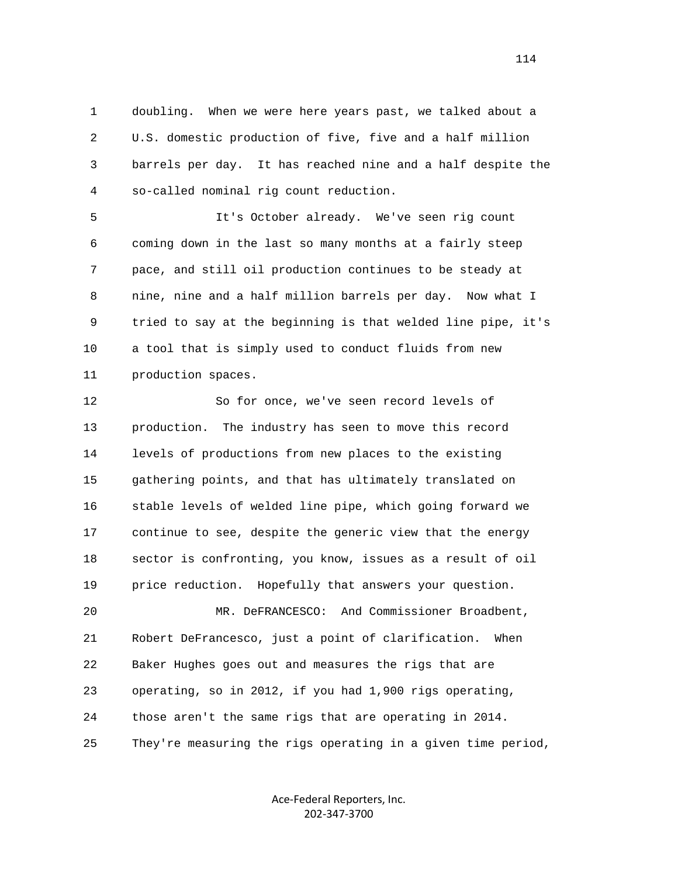1 doubling. When we were here years past, we talked about a 2 U.S. domestic production of five, five and a half million 3 barrels per day. It has reached nine and a half despite the 4 so-called nominal rig count reduction.

 5 It's October already. We've seen rig count 6 coming down in the last so many months at a fairly steep 7 pace, and still oil production continues to be steady at 8 nine, nine and a half million barrels per day. Now what I 9 tried to say at the beginning is that welded line pipe, it's 10 a tool that is simply used to conduct fluids from new 11 production spaces.

 12 So for once, we've seen record levels of 13 production. The industry has seen to move this record 14 levels of productions from new places to the existing 15 gathering points, and that has ultimately translated on 16 stable levels of welded line pipe, which going forward we 17 continue to see, despite the generic view that the energy 18 sector is confronting, you know, issues as a result of oil 19 price reduction. Hopefully that answers your question. 20 MR. DeFRANCESCO: And Commissioner Broadbent, 21 Robert DeFrancesco, just a point of clarification. When 22 Baker Hughes goes out and measures the rigs that are 23 operating, so in 2012, if you had 1,900 rigs operating, 24 those aren't the same rigs that are operating in 2014. 25 They're measuring the rigs operating in a given time period,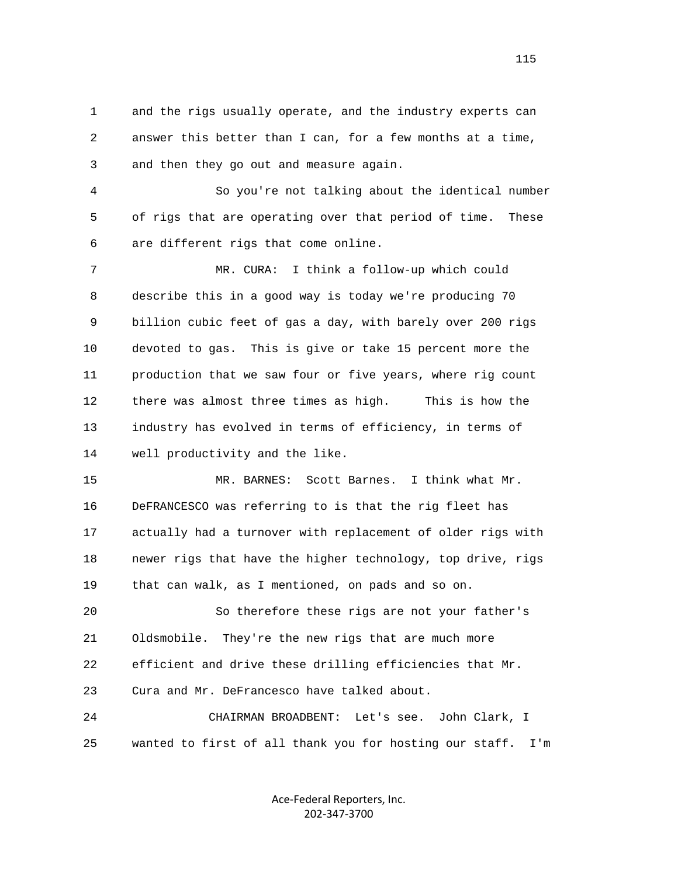1 and the rigs usually operate, and the industry experts can 2 answer this better than I can, for a few months at a time, 3 and then they go out and measure again.

 4 So you're not talking about the identical number 5 of rigs that are operating over that period of time. These 6 are different rigs that come online.

 7 MR. CURA: I think a follow-up which could 8 describe this in a good way is today we're producing 70 9 billion cubic feet of gas a day, with barely over 200 rigs 10 devoted to gas. This is give or take 15 percent more the 11 production that we saw four or five years, where rig count 12 there was almost three times as high. This is how the 13 industry has evolved in terms of efficiency, in terms of 14 well productivity and the like.

 15 MR. BARNES: Scott Barnes. I think what Mr. 16 DeFRANCESCO was referring to is that the rig fleet has 17 actually had a turnover with replacement of older rigs with 18 newer rigs that have the higher technology, top drive, rigs 19 that can walk, as I mentioned, on pads and so on.

 20 So therefore these rigs are not your father's 21 Oldsmobile. They're the new rigs that are much more 22 efficient and drive these drilling efficiencies that Mr. 23 Cura and Mr. DeFrancesco have talked about. 24 CHAIRMAN BROADBENT: Let's see. John Clark, I

25 wanted to first of all thank you for hosting our staff. I'm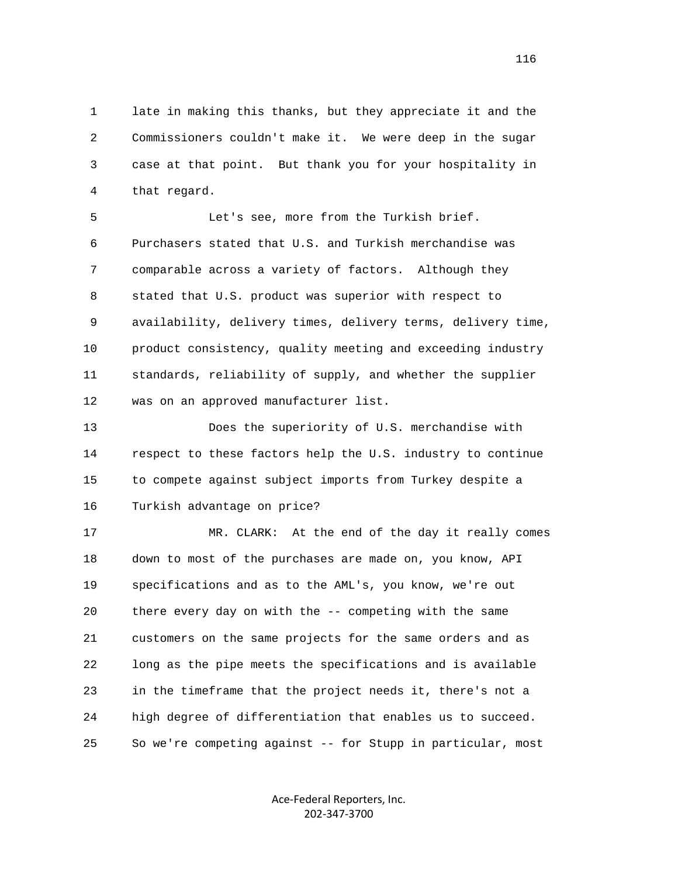1 late in making this thanks, but they appreciate it and the 2 Commissioners couldn't make it. We were deep in the sugar 3 case at that point. But thank you for your hospitality in 4 that regard.

 5 Let's see, more from the Turkish brief. 6 Purchasers stated that U.S. and Turkish merchandise was 7 comparable across a variety of factors. Although they 8 stated that U.S. product was superior with respect to 9 availability, delivery times, delivery terms, delivery time, 10 product consistency, quality meeting and exceeding industry 11 standards, reliability of supply, and whether the supplier 12 was on an approved manufacturer list.

 13 Does the superiority of U.S. merchandise with 14 respect to these factors help the U.S. industry to continue 15 to compete against subject imports from Turkey despite a 16 Turkish advantage on price?

 17 MR. CLARK: At the end of the day it really comes 18 down to most of the purchases are made on, you know, API 19 specifications and as to the AML's, you know, we're out 20 there every day on with the -- competing with the same 21 customers on the same projects for the same orders and as 22 long as the pipe meets the specifications and is available 23 in the timeframe that the project needs it, there's not a 24 high degree of differentiation that enables us to succeed. 25 So we're competing against -- for Stupp in particular, most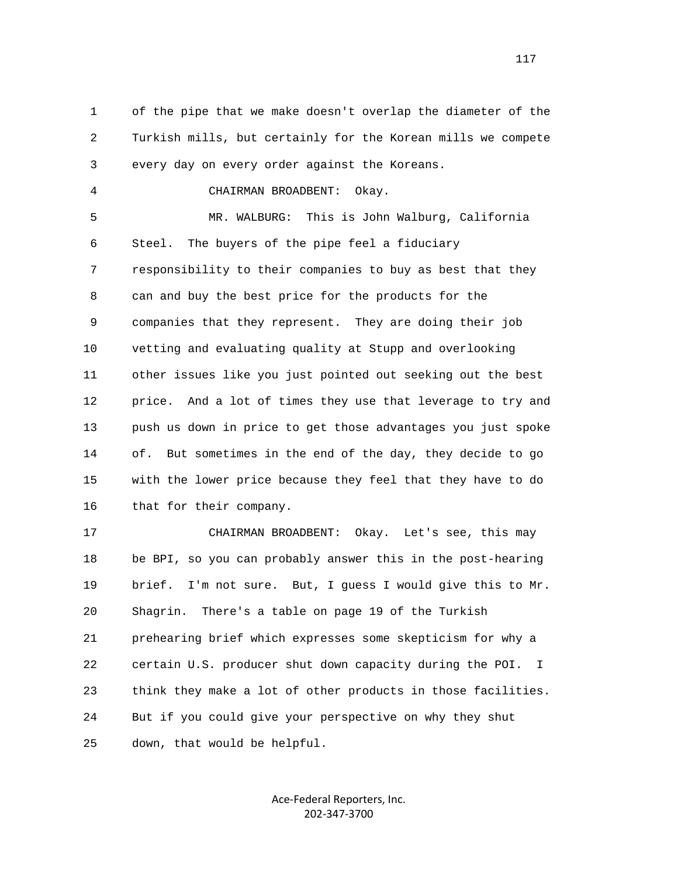1 of the pipe that we make doesn't overlap the diameter of the 2 Turkish mills, but certainly for the Korean mills we compete 3 every day on every order against the Koreans.

4 CHAIRMAN BROADBENT: Okay.

 5 MR. WALBURG: This is John Walburg, California 6 Steel. The buyers of the pipe feel a fiduciary 7 responsibility to their companies to buy as best that they 8 can and buy the best price for the products for the 9 companies that they represent. They are doing their job 10 vetting and evaluating quality at Stupp and overlooking 11 other issues like you just pointed out seeking out the best 12 price. And a lot of times they use that leverage to try and 13 push us down in price to get those advantages you just spoke 14 of. But sometimes in the end of the day, they decide to go 15 with the lower price because they feel that they have to do 16 that for their company.

 17 CHAIRMAN BROADBENT: Okay. Let's see, this may 18 be BPI, so you can probably answer this in the post-hearing 19 brief. I'm not sure. But, I guess I would give this to Mr. 20 Shagrin. There's a table on page 19 of the Turkish 21 prehearing brief which expresses some skepticism for why a 22 certain U.S. producer shut down capacity during the POI. I 23 think they make a lot of other products in those facilities. 24 But if you could give your perspective on why they shut 25 down, that would be helpful.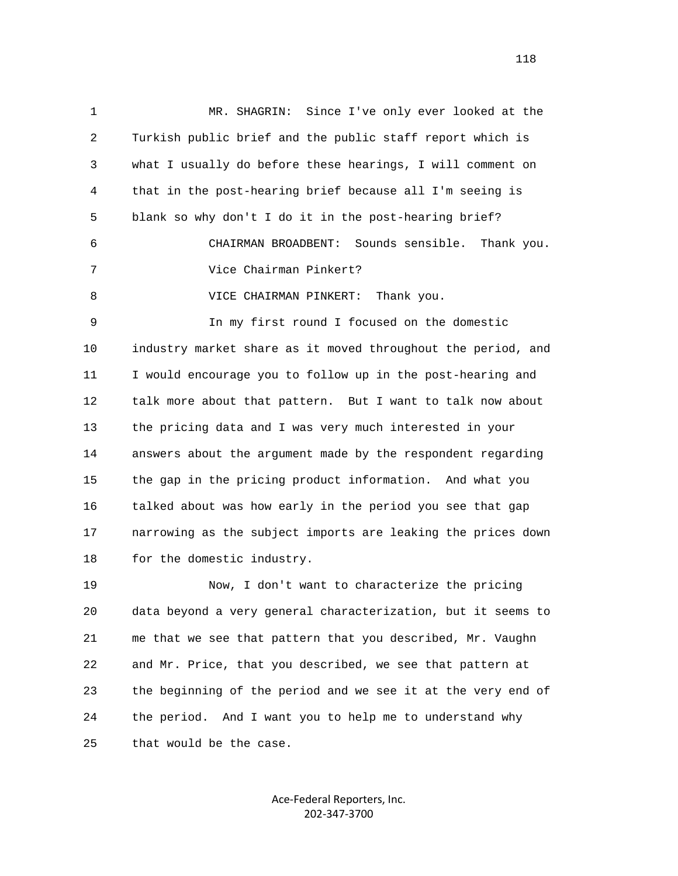1 MR. SHAGRIN: Since I've only ever looked at the 2 Turkish public brief and the public staff report which is 3 what I usually do before these hearings, I will comment on 4 that in the post-hearing brief because all I'm seeing is 5 blank so why don't I do it in the post-hearing brief? 6 CHAIRMAN BROADBENT: Sounds sensible. Thank you. 7 Vice Chairman Pinkert? 8 VICE CHAIRMAN PINKERT: Thank you. 9 In my first round I focused on the domestic 10 industry market share as it moved throughout the period, and 11 I would encourage you to follow up in the post-hearing and 12 talk more about that pattern. But I want to talk now about 13 the pricing data and I was very much interested in your 14 answers about the argument made by the respondent regarding 15 the gap in the pricing product information. And what you 16 talked about was how early in the period you see that gap 17 narrowing as the subject imports are leaking the prices down 18 for the domestic industry. 19 Now, I don't want to characterize the pricing 20 data beyond a very general characterization, but it seems to 21 me that we see that pattern that you described, Mr. Vaughn 22 and Mr. Price, that you described, we see that pattern at

 23 the beginning of the period and we see it at the very end of 24 the period. And I want you to help me to understand why 25 that would be the case.

> Ace‐Federal Reporters, Inc. 202‐347‐3700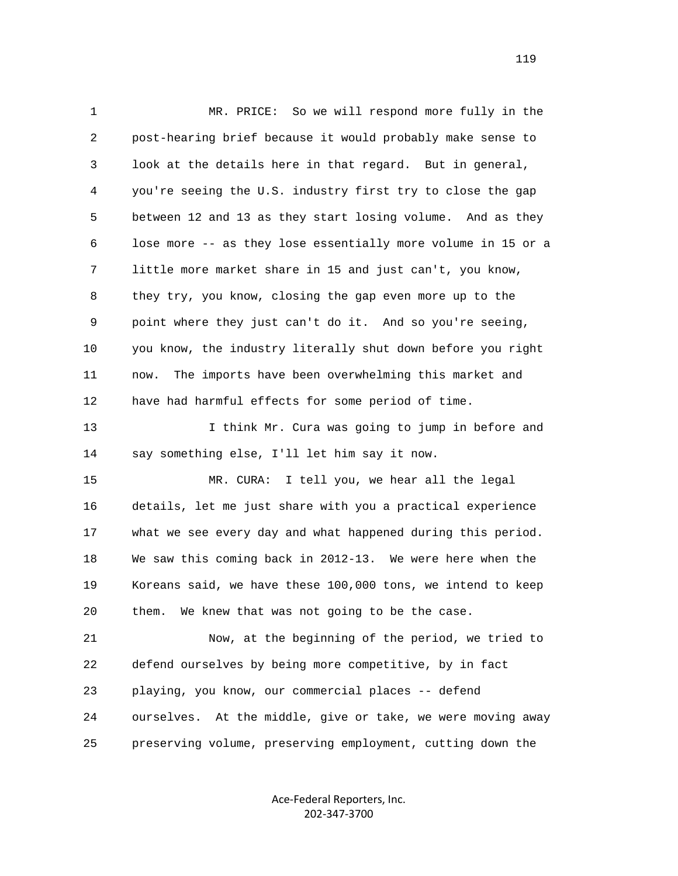1 MR. PRICE: So we will respond more fully in the 2 post-hearing brief because it would probably make sense to 3 look at the details here in that regard. But in general, 4 you're seeing the U.S. industry first try to close the gap 5 between 12 and 13 as they start losing volume. And as they 6 lose more -- as they lose essentially more volume in 15 or a 7 little more market share in 15 and just can't, you know, 8 they try, you know, closing the gap even more up to the 9 point where they just can't do it. And so you're seeing, 10 you know, the industry literally shut down before you right 11 now. The imports have been overwhelming this market and 12 have had harmful effects for some period of time. 13 I think Mr. Cura was going to jump in before and 14 say something else, I'll let him say it now. 15 MR. CURA: I tell you, we hear all the legal 16 details, let me just share with you a practical experience 17 what we see every day and what happened during this period. 18 We saw this coming back in 2012-13. We were here when the 19 Koreans said, we have these 100,000 tons, we intend to keep 20 them. We knew that was not going to be the case. 21 Now, at the beginning of the period, we tried to 22 defend ourselves by being more competitive, by in fact 23 playing, you know, our commercial places -- defend 24 ourselves. At the middle, give or take, we were moving away 25 preserving volume, preserving employment, cutting down the

> Ace‐Federal Reporters, Inc. 202‐347‐3700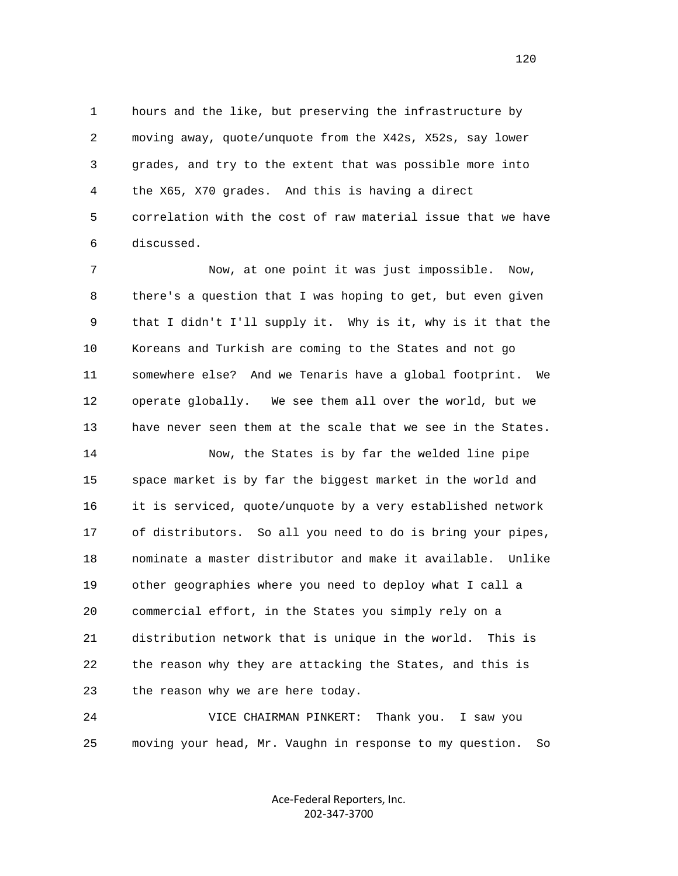1 hours and the like, but preserving the infrastructure by 2 moving away, quote/unquote from the X42s, X52s, say lower 3 grades, and try to the extent that was possible more into 4 the X65, X70 grades. And this is having a direct 5 correlation with the cost of raw material issue that we have 6 discussed.

 7 Now, at one point it was just impossible. Now, 8 there's a question that I was hoping to get, but even given 9 that I didn't I'll supply it. Why is it, why is it that the 10 Koreans and Turkish are coming to the States and not go 11 somewhere else? And we Tenaris have a global footprint. We 12 operate globally. We see them all over the world, but we 13 have never seen them at the scale that we see in the States.

 14 Now, the States is by far the welded line pipe 15 space market is by far the biggest market in the world and 16 it is serviced, quote/unquote by a very established network 17 of distributors. So all you need to do is bring your pipes, 18 nominate a master distributor and make it available. Unlike 19 other geographies where you need to deploy what I call a 20 commercial effort, in the States you simply rely on a 21 distribution network that is unique in the world. This is 22 the reason why they are attacking the States, and this is 23 the reason why we are here today.

 24 VICE CHAIRMAN PINKERT: Thank you. I saw you 25 moving your head, Mr. Vaughn in response to my question. So

> Ace‐Federal Reporters, Inc. 202‐347‐3700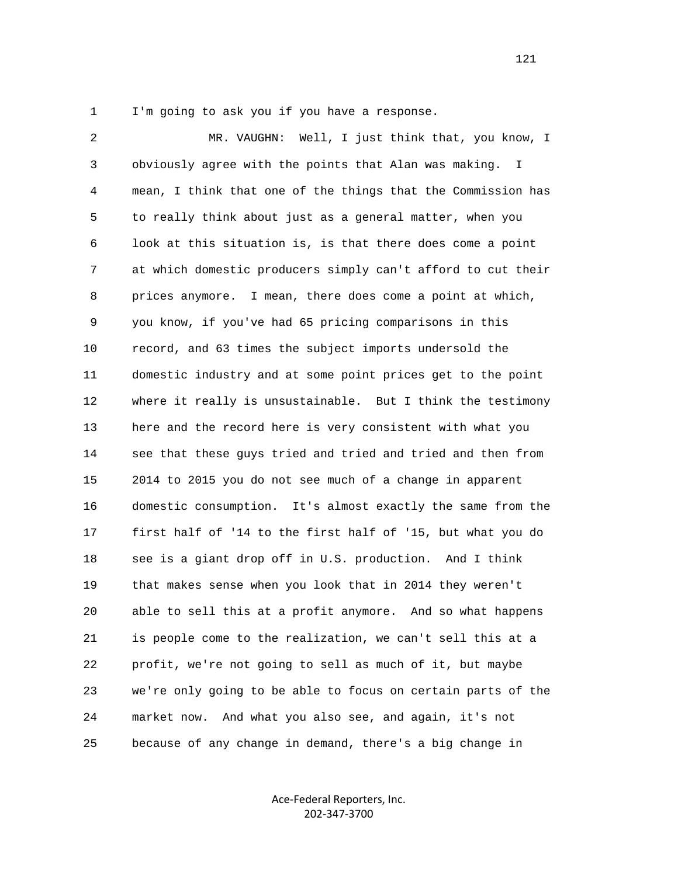1 I'm going to ask you if you have a response.

 2 MR. VAUGHN: Well, I just think that, you know, I 3 obviously agree with the points that Alan was making. I 4 mean, I think that one of the things that the Commission has 5 to really think about just as a general matter, when you 6 look at this situation is, is that there does come a point 7 at which domestic producers simply can't afford to cut their 8 prices anymore. I mean, there does come a point at which, 9 you know, if you've had 65 pricing comparisons in this 10 record, and 63 times the subject imports undersold the 11 domestic industry and at some point prices get to the point 12 where it really is unsustainable. But I think the testimony 13 here and the record here is very consistent with what you 14 see that these guys tried and tried and tried and then from 15 2014 to 2015 you do not see much of a change in apparent 16 domestic consumption. It's almost exactly the same from the 17 first half of '14 to the first half of '15, but what you do 18 see is a giant drop off in U.S. production. And I think 19 that makes sense when you look that in 2014 they weren't 20 able to sell this at a profit anymore. And so what happens 21 is people come to the realization, we can't sell this at a 22 profit, we're not going to sell as much of it, but maybe 23 we're only going to be able to focus on certain parts of the 24 market now. And what you also see, and again, it's not 25 because of any change in demand, there's a big change in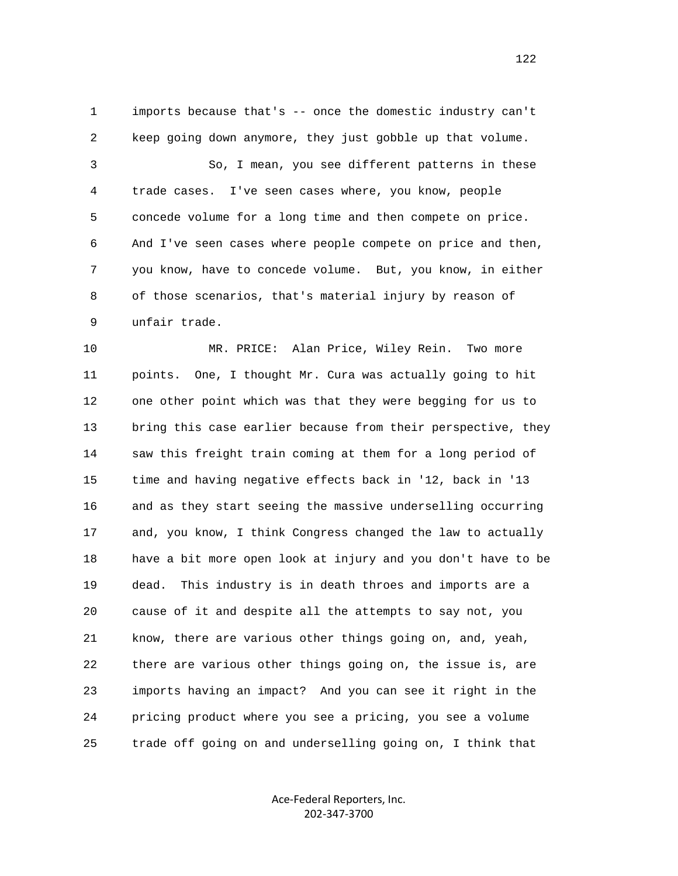1 imports because that's -- once the domestic industry can't 2 keep going down anymore, they just gobble up that volume. 3 So, I mean, you see different patterns in these 4 trade cases. I've seen cases where, you know, people 5 concede volume for a long time and then compete on price. 6 And I've seen cases where people compete on price and then, 7 you know, have to concede volume. But, you know, in either 8 of those scenarios, that's material injury by reason of 9 unfair trade.

 10 MR. PRICE: Alan Price, Wiley Rein. Two more 11 points. One, I thought Mr. Cura was actually going to hit 12 one other point which was that they were begging for us to 13 bring this case earlier because from their perspective, they 14 saw this freight train coming at them for a long period of 15 time and having negative effects back in '12, back in '13 16 and as they start seeing the massive underselling occurring 17 and, you know, I think Congress changed the law to actually 18 have a bit more open look at injury and you don't have to be 19 dead. This industry is in death throes and imports are a 20 cause of it and despite all the attempts to say not, you 21 know, there are various other things going on, and, yeah, 22 there are various other things going on, the issue is, are 23 imports having an impact? And you can see it right in the 24 pricing product where you see a pricing, you see a volume 25 trade off going on and underselling going on, I think that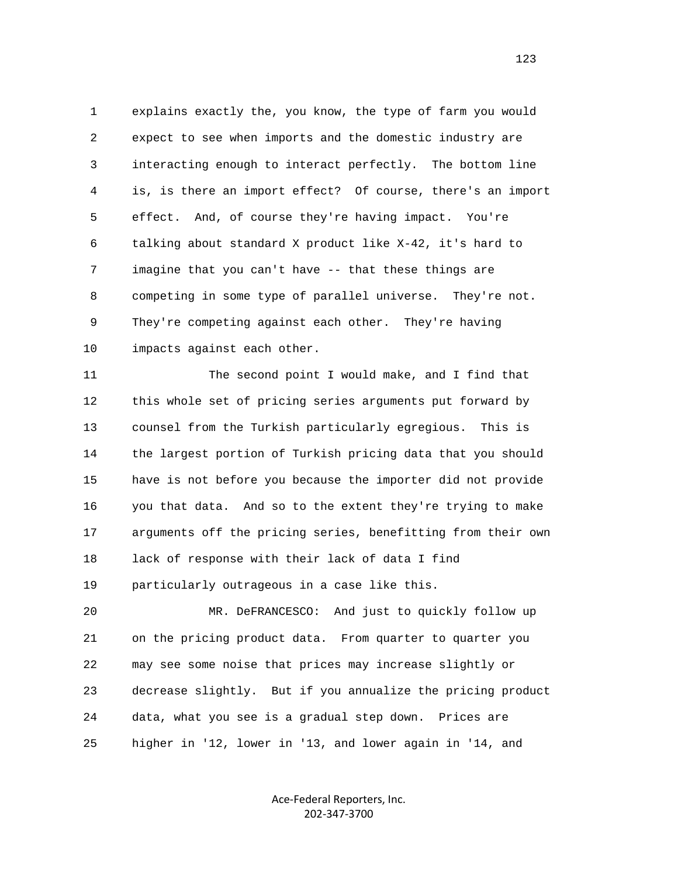1 explains exactly the, you know, the type of farm you would 2 expect to see when imports and the domestic industry are 3 interacting enough to interact perfectly. The bottom line 4 is, is there an import effect? Of course, there's an import 5 effect. And, of course they're having impact. You're 6 talking about standard X product like X-42, it's hard to 7 imagine that you can't have -- that these things are 8 competing in some type of parallel universe. They're not. 9 They're competing against each other. They're having 10 impacts against each other.

11 The second point I would make, and I find that 12 this whole set of pricing series arguments put forward by 13 counsel from the Turkish particularly egregious. This is 14 the largest portion of Turkish pricing data that you should 15 have is not before you because the importer did not provide 16 you that data. And so to the extent they're trying to make 17 arguments off the pricing series, benefitting from their own 18 lack of response with their lack of data I find 19 particularly outrageous in a case like this.

 20 MR. DeFRANCESCO: And just to quickly follow up 21 on the pricing product data. From quarter to quarter you 22 may see some noise that prices may increase slightly or 23 decrease slightly. But if you annualize the pricing product 24 data, what you see is a gradual step down. Prices are 25 higher in '12, lower in '13, and lower again in '14, and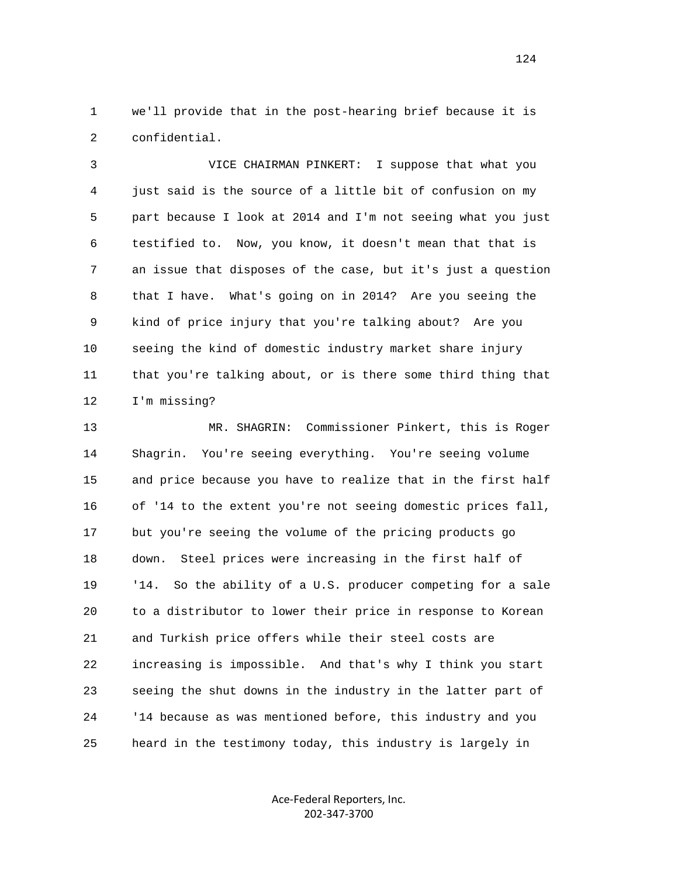1 we'll provide that in the post-hearing brief because it is 2 confidential.

 3 VICE CHAIRMAN PINKERT: I suppose that what you 4 just said is the source of a little bit of confusion on my 5 part because I look at 2014 and I'm not seeing what you just 6 testified to. Now, you know, it doesn't mean that that is 7 an issue that disposes of the case, but it's just a question 8 that I have. What's going on in 2014? Are you seeing the 9 kind of price injury that you're talking about? Are you 10 seeing the kind of domestic industry market share injury 11 that you're talking about, or is there some third thing that 12 I'm missing?

 13 MR. SHAGRIN: Commissioner Pinkert, this is Roger 14 Shagrin. You're seeing everything. You're seeing volume 15 and price because you have to realize that in the first half 16 of '14 to the extent you're not seeing domestic prices fall, 17 but you're seeing the volume of the pricing products go 18 down. Steel prices were increasing in the first half of 19 '14. So the ability of a U.S. producer competing for a sale 20 to a distributor to lower their price in response to Korean 21 and Turkish price offers while their steel costs are 22 increasing is impossible. And that's why I think you start 23 seeing the shut downs in the industry in the latter part of 24 '14 because as was mentioned before, this industry and you 25 heard in the testimony today, this industry is largely in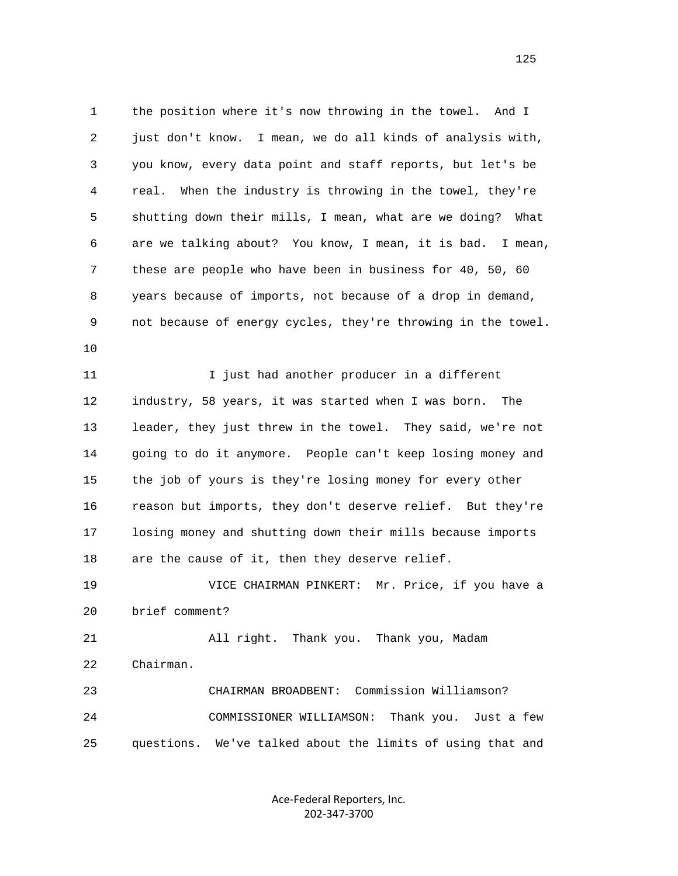1 the position where it's now throwing in the towel. And I 2 just don't know. I mean, we do all kinds of analysis with, 3 you know, every data point and staff reports, but let's be 4 real. When the industry is throwing in the towel, they're 5 shutting down their mills, I mean, what are we doing? What 6 are we talking about? You know, I mean, it is bad. I mean, 7 these are people who have been in business for 40, 50, 60 8 years because of imports, not because of a drop in demand, 9 not because of energy cycles, they're throwing in the towel. 10

 11 I just had another producer in a different 12 industry, 58 years, it was started when I was born. The 13 leader, they just threw in the towel. They said, we're not 14 going to do it anymore. People can't keep losing money and 15 the job of yours is they're losing money for every other 16 reason but imports, they don't deserve relief. But they're 17 losing money and shutting down their mills because imports 18 are the cause of it, then they deserve relief. 19 VICE CHAIRMAN PINKERT: Mr. Price, if you have a

20 brief comment?

 21 All right. Thank you. Thank you, Madam 22 Chairman.

 23 CHAIRMAN BROADBENT: Commission Williamson? 24 COMMISSIONER WILLIAMSON: Thank you. Just a few 25 questions. We've talked about the limits of using that and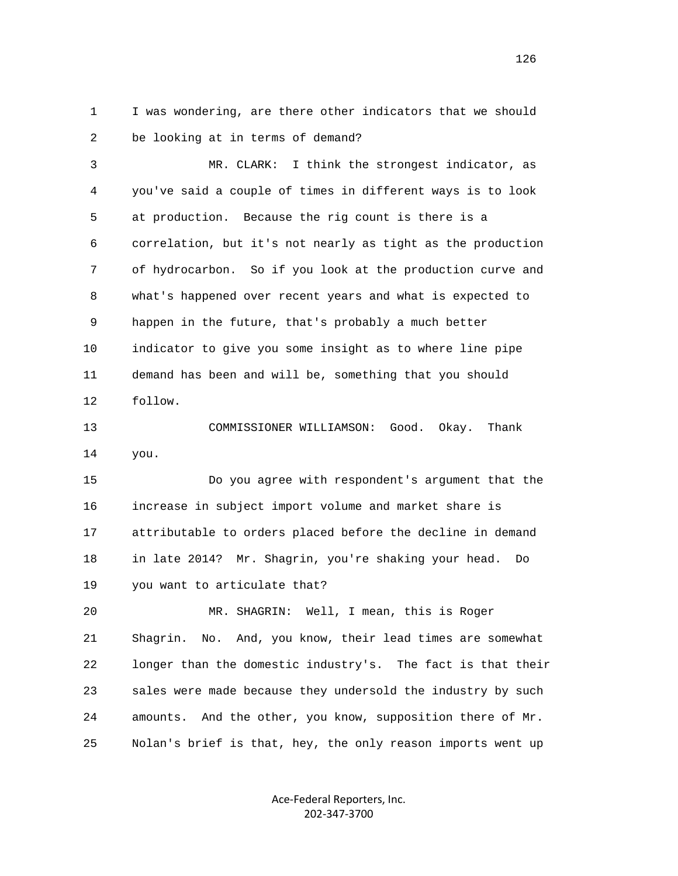1 I was wondering, are there other indicators that we should 2 be looking at in terms of demand?

 3 MR. CLARK: I think the strongest indicator, as 4 you've said a couple of times in different ways is to look 5 at production. Because the rig count is there is a 6 correlation, but it's not nearly as tight as the production 7 of hydrocarbon. So if you look at the production curve and 8 what's happened over recent years and what is expected to 9 happen in the future, that's probably a much better 10 indicator to give you some insight as to where line pipe 11 demand has been and will be, something that you should 12 follow.

 13 COMMISSIONER WILLIAMSON: Good. Okay. Thank 14 you.

 15 Do you agree with respondent's argument that the 16 increase in subject import volume and market share is 17 attributable to orders placed before the decline in demand 18 in late 2014? Mr. Shagrin, you're shaking your head. Do 19 you want to articulate that?

 20 MR. SHAGRIN: Well, I mean, this is Roger 21 Shagrin. No. And, you know, their lead times are somewhat 22 longer than the domestic industry's. The fact is that their 23 sales were made because they undersold the industry by such 24 amounts. And the other, you know, supposition there of Mr. 25 Nolan's brief is that, hey, the only reason imports went up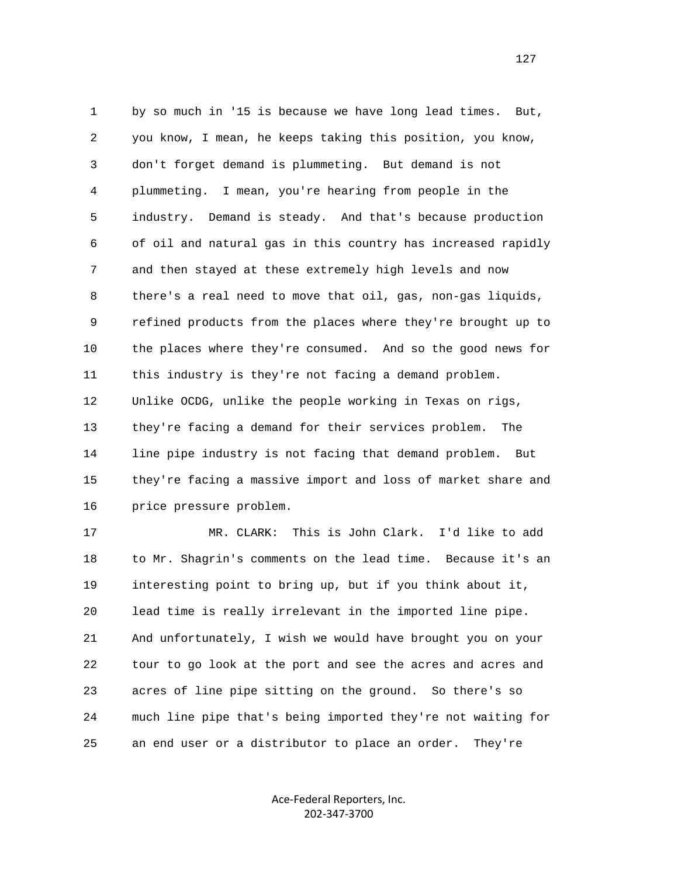1 by so much in '15 is because we have long lead times. But, 2 you know, I mean, he keeps taking this position, you know, 3 don't forget demand is plummeting. But demand is not 4 plummeting. I mean, you're hearing from people in the 5 industry. Demand is steady. And that's because production 6 of oil and natural gas in this country has increased rapidly 7 and then stayed at these extremely high levels and now 8 there's a real need to move that oil, gas, non-gas liquids, 9 refined products from the places where they're brought up to 10 the places where they're consumed. And so the good news for 11 this industry is they're not facing a demand problem. 12 Unlike OCDG, unlike the people working in Texas on rigs, 13 they're facing a demand for their services problem. The 14 line pipe industry is not facing that demand problem. But 15 they're facing a massive import and loss of market share and 16 price pressure problem.

 17 MR. CLARK: This is John Clark. I'd like to add 18 to Mr. Shagrin's comments on the lead time. Because it's an 19 interesting point to bring up, but if you think about it, 20 lead time is really irrelevant in the imported line pipe. 21 And unfortunately, I wish we would have brought you on your 22 tour to go look at the port and see the acres and acres and 23 acres of line pipe sitting on the ground. So there's so 24 much line pipe that's being imported they're not waiting for 25 an end user or a distributor to place an order. They're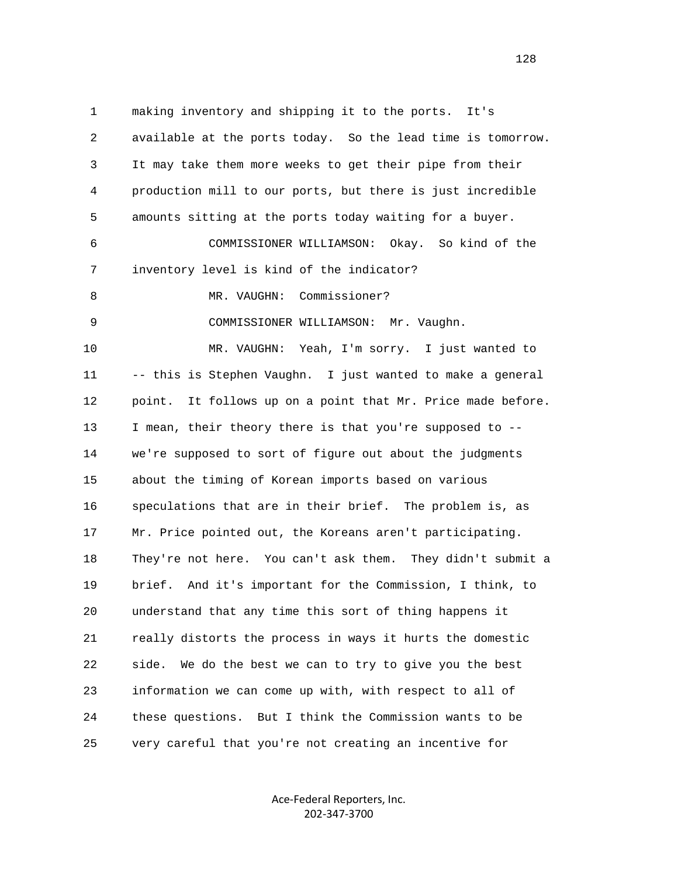1 making inventory and shipping it to the ports. It's 2 available at the ports today. So the lead time is tomorrow. 3 It may take them more weeks to get their pipe from their 4 production mill to our ports, but there is just incredible 5 amounts sitting at the ports today waiting for a buyer. 6 COMMISSIONER WILLIAMSON: Okay. So kind of the 7 inventory level is kind of the indicator? 8 MR. VAUGHN: Commissioner? 9 COMMISSIONER WILLIAMSON: Mr. Vaughn. 10 MR. VAUGHN: Yeah, I'm sorry. I just wanted to 11 -- this is Stephen Vaughn. I just wanted to make a general 12 point. It follows up on a point that Mr. Price made before. 13 I mean, their theory there is that you're supposed to -- 14 we're supposed to sort of figure out about the judgments 15 about the timing of Korean imports based on various 16 speculations that are in their brief. The problem is, as 17 Mr. Price pointed out, the Koreans aren't participating. 18 They're not here. You can't ask them. They didn't submit a 19 brief. And it's important for the Commission, I think, to 20 understand that any time this sort of thing happens it 21 really distorts the process in ways it hurts the domestic 22 side. We do the best we can to try to give you the best 23 information we can come up with, with respect to all of 24 these questions. But I think the Commission wants to be 25 very careful that you're not creating an incentive for

> Ace‐Federal Reporters, Inc. 202‐347‐3700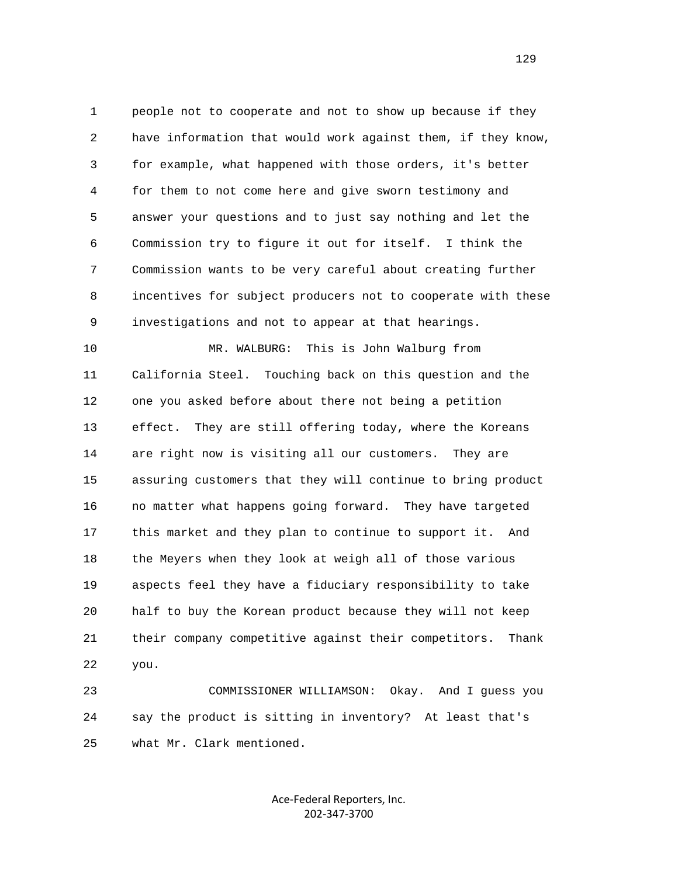1 people not to cooperate and not to show up because if they 2 have information that would work against them, if they know, 3 for example, what happened with those orders, it's better 4 for them to not come here and give sworn testimony and 5 answer your questions and to just say nothing and let the 6 Commission try to figure it out for itself. I think the 7 Commission wants to be very careful about creating further 8 incentives for subject producers not to cooperate with these 9 investigations and not to appear at that hearings.

 10 MR. WALBURG: This is John Walburg from 11 California Steel. Touching back on this question and the 12 one you asked before about there not being a petition 13 effect. They are still offering today, where the Koreans 14 are right now is visiting all our customers. They are 15 assuring customers that they will continue to bring product 16 no matter what happens going forward. They have targeted 17 this market and they plan to continue to support it. And 18 the Meyers when they look at weigh all of those various 19 aspects feel they have a fiduciary responsibility to take 20 half to buy the Korean product because they will not keep 21 their company competitive against their competitors. Thank 22 you.

 23 COMMISSIONER WILLIAMSON: Okay. And I guess you 24 say the product is sitting in inventory? At least that's 25 what Mr. Clark mentioned.

> Ace‐Federal Reporters, Inc. 202‐347‐3700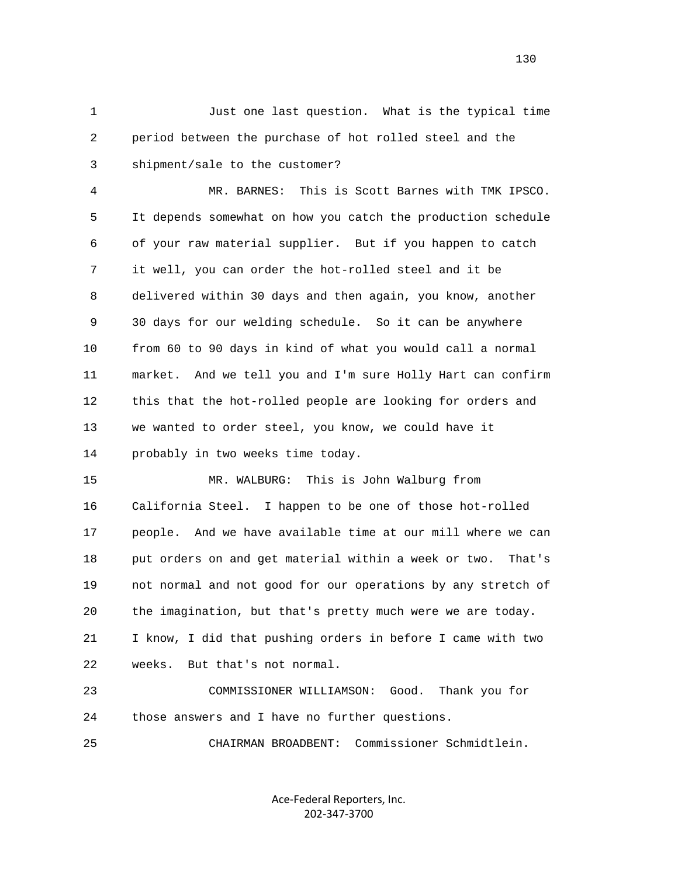1 Just one last question. What is the typical time 2 period between the purchase of hot rolled steel and the 3 shipment/sale to the customer?

 4 MR. BARNES: This is Scott Barnes with TMK IPSCO. 5 It depends somewhat on how you catch the production schedule 6 of your raw material supplier. But if you happen to catch 7 it well, you can order the hot-rolled steel and it be 8 delivered within 30 days and then again, you know, another 9 30 days for our welding schedule. So it can be anywhere 10 from 60 to 90 days in kind of what you would call a normal 11 market. And we tell you and I'm sure Holly Hart can confirm 12 this that the hot-rolled people are looking for orders and 13 we wanted to order steel, you know, we could have it 14 probably in two weeks time today.

 15 MR. WALBURG: This is John Walburg from 16 California Steel. I happen to be one of those hot-rolled 17 people. And we have available time at our mill where we can 18 put orders on and get material within a week or two. That's 19 not normal and not good for our operations by any stretch of 20 the imagination, but that's pretty much were we are today. 21 I know, I did that pushing orders in before I came with two 22 weeks. But that's not normal.

 23 COMMISSIONER WILLIAMSON: Good. Thank you for 24 those answers and I have no further questions.

25 CHAIRMAN BROADBENT: Commissioner Schmidtlein.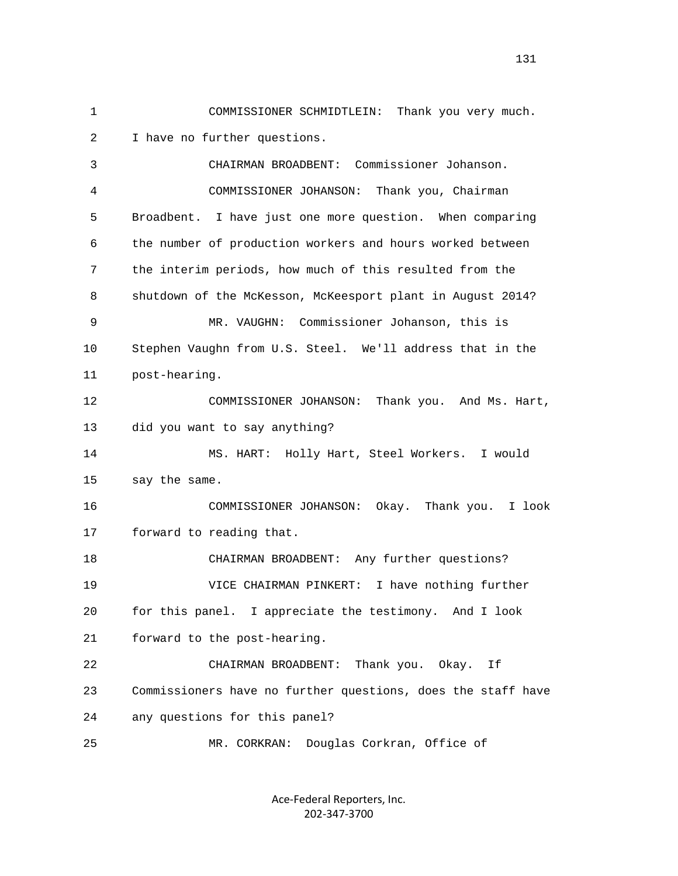2 I have no further questions. 3 CHAIRMAN BROADBENT: Commissioner Johanson. 4 COMMISSIONER JOHANSON: Thank you, Chairman 5 Broadbent. I have just one more question. When comparing 6 the number of production workers and hours worked between 7 the interim periods, how much of this resulted from the 8 shutdown of the McKesson, McKeesport plant in August 2014? 9 MR. VAUGHN: Commissioner Johanson, this is 10 Stephen Vaughn from U.S. Steel. We'll address that in the 11 post-hearing. 12 COMMISSIONER JOHANSON: Thank you. And Ms. Hart, 13 did you want to say anything? 14 MS. HART: Holly Hart, Steel Workers. I would 15 say the same. 16 COMMISSIONER JOHANSON: Okay. Thank you. I look

1 COMMISSIONER SCHMIDTLEIN: Thank you very much.

17 forward to reading that.

 18 CHAIRMAN BROADBENT: Any further questions? 19 VICE CHAIRMAN PINKERT: I have nothing further 20 for this panel. I appreciate the testimony. And I look 21 forward to the post-hearing.

 22 CHAIRMAN BROADBENT: Thank you. Okay. If 23 Commissioners have no further questions, does the staff have 24 any questions for this panel?

25 MR. CORKRAN: Douglas Corkran, Office of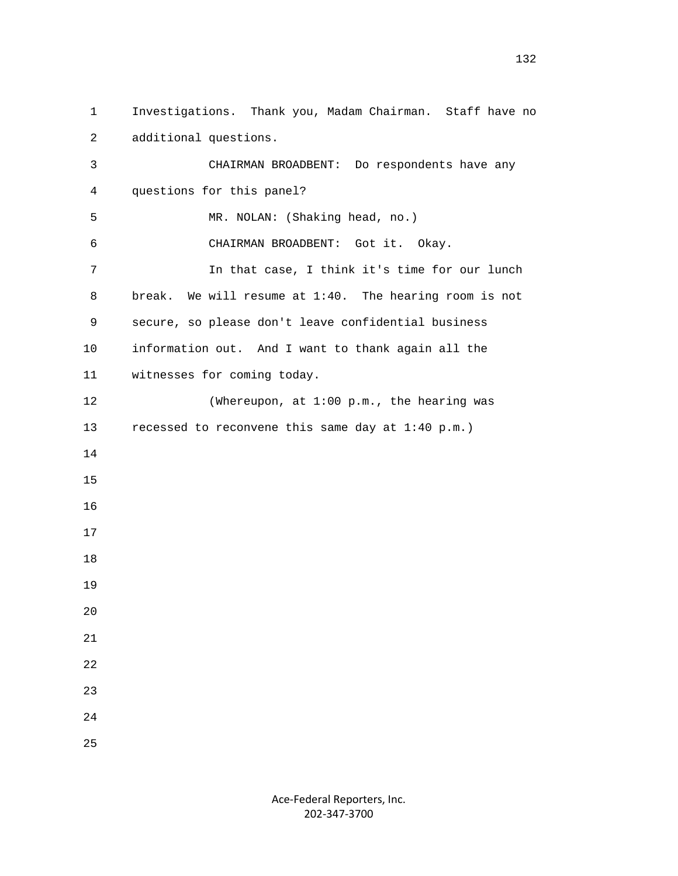1 Investigations. Thank you, Madam Chairman. Staff have no 2 additional questions. 3 CHAIRMAN BROADBENT: Do respondents have any 4 questions for this panel? 5 MR. NOLAN: (Shaking head, no.) 6 CHAIRMAN BROADBENT: Got it. Okay. 7 In that case, I think it's time for our lunch 8 break. We will resume at 1:40. The hearing room is not 9 secure, so please don't leave confidential business 10 information out. And I want to thank again all the 11 witnesses for coming today. 12 (Whereupon, at 1:00 p.m., the hearing was 13 recessed to reconvene this same day at 1:40 p.m.) 14 15 16 17 18 19 20 21 22 23 24 25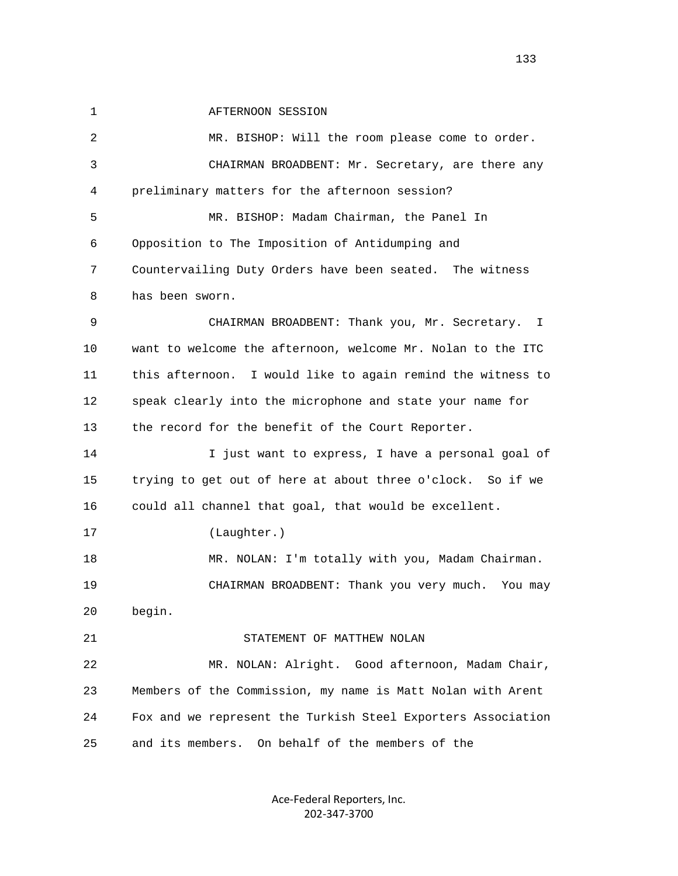1 **AFTERNOON SESSION** 

 2 MR. BISHOP: Will the room please come to order. 3 CHAIRMAN BROADBENT: Mr. Secretary, are there any 4 preliminary matters for the afternoon session? 5 MR. BISHOP: Madam Chairman, the Panel In 6 Opposition to The Imposition of Antidumping and 7 Countervailing Duty Orders have been seated. The witness 8 has been sworn. 9 CHAIRMAN BROADBENT: Thank you, Mr. Secretary. I 10 want to welcome the afternoon, welcome Mr. Nolan to the ITC 11 this afternoon. I would like to again remind the witness to 12 speak clearly into the microphone and state your name for 13 the record for the benefit of the Court Reporter. 14 I just want to express, I have a personal goal of 15 trying to get out of here at about three o'clock. So if we 16 could all channel that goal, that would be excellent. 17 (Laughter.) 18 MR. NOLAN: I'm totally with you, Madam Chairman. 19 CHAIRMAN BROADBENT: Thank you very much. You may 20 begin. 21 STATEMENT OF MATTHEW NOLAN 22 MR. NOLAN: Alright. Good afternoon, Madam Chair, 23 Members of the Commission, my name is Matt Nolan with Arent 24 Fox and we represent the Turkish Steel Exporters Association 25 and its members. On behalf of the members of the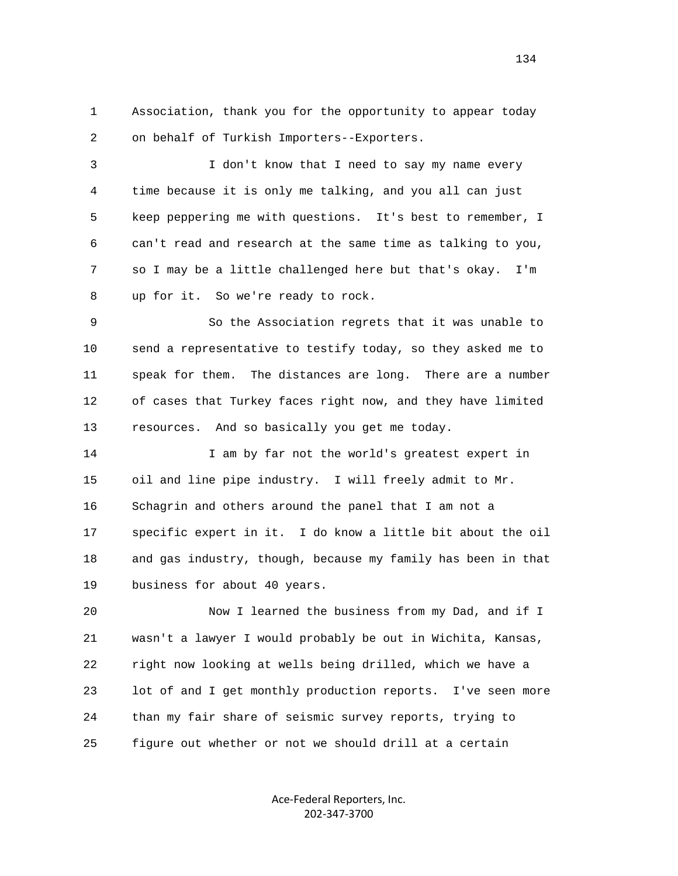1 Association, thank you for the opportunity to appear today 2 on behalf of Turkish Importers--Exporters.

 3 I don't know that I need to say my name every 4 time because it is only me talking, and you all can just 5 keep peppering me with questions. It's best to remember, I 6 can't read and research at the same time as talking to you, 7 so I may be a little challenged here but that's okay. I'm 8 up for it. So we're ready to rock.

 9 So the Association regrets that it was unable to 10 send a representative to testify today, so they asked me to 11 speak for them. The distances are long. There are a number 12 of cases that Turkey faces right now, and they have limited 13 resources. And so basically you get me today.

 14 I am by far not the world's greatest expert in 15 oil and line pipe industry. I will freely admit to Mr. 16 Schagrin and others around the panel that I am not a 17 specific expert in it. I do know a little bit about the oil 18 and gas industry, though, because my family has been in that 19 business for about 40 years.

 20 Now I learned the business from my Dad, and if I 21 wasn't a lawyer I would probably be out in Wichita, Kansas, 22 right now looking at wells being drilled, which we have a 23 lot of and I get monthly production reports. I've seen more 24 than my fair share of seismic survey reports, trying to 25 figure out whether or not we should drill at a certain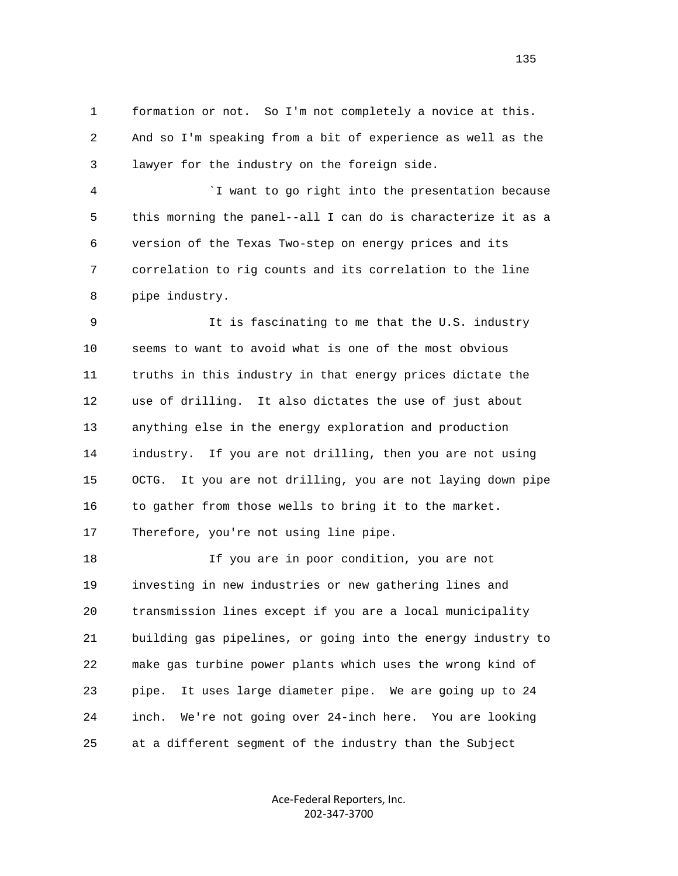1 formation or not. So I'm not completely a novice at this. 2 And so I'm speaking from a bit of experience as well as the 3 lawyer for the industry on the foreign side.

 4 `I want to go right into the presentation because 5 this morning the panel--all I can do is characterize it as a 6 version of the Texas Two-step on energy prices and its 7 correlation to rig counts and its correlation to the line 8 pipe industry.

 9 It is fascinating to me that the U.S. industry 10 seems to want to avoid what is one of the most obvious 11 truths in this industry in that energy prices dictate the 12 use of drilling. It also dictates the use of just about 13 anything else in the energy exploration and production 14 industry. If you are not drilling, then you are not using 15 OCTG. It you are not drilling, you are not laying down pipe 16 to gather from those wells to bring it to the market. 17 Therefore, you're not using line pipe.

 18 If you are in poor condition, you are not 19 investing in new industries or new gathering lines and 20 transmission lines except if you are a local municipality 21 building gas pipelines, or going into the energy industry to 22 make gas turbine power plants which uses the wrong kind of 23 pipe. It uses large diameter pipe. We are going up to 24 24 inch. We're not going over 24-inch here. You are looking 25 at a different segment of the industry than the Subject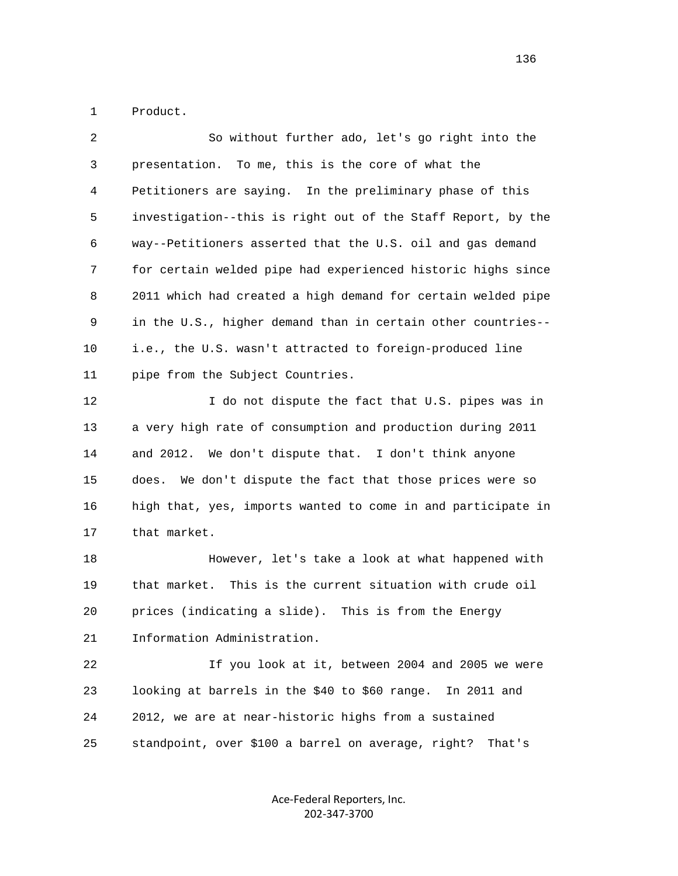1 Product.

| 2  | So without further ado, let's go right into the              |
|----|--------------------------------------------------------------|
| 3  | presentation. To me, this is the core of what the            |
| 4  | Petitioners are saying. In the preliminary phase of this     |
| 5  | investigation--this is right out of the Staff Report, by the |
| 6  | way--Petitioners asserted that the U.S. oil and gas demand   |
| 7  | for certain welded pipe had experienced historic highs since |
| 8  | 2011 which had created a high demand for certain welded pipe |
| 9  | in the U.S., higher demand than in certain other countries-- |
| 10 | i.e., the U.S. wasn't attracted to foreign-produced line     |
| 11 | pipe from the Subject Countries.                             |
| 12 | I do not dispute the fact that U.S. pipes was in             |
| 13 | a very high rate of consumption and production during 2011   |
| 14 | and 2012. We don't dispute that. I don't think anyone        |

 15 does. We don't dispute the fact that those prices were so 16 high that, yes, imports wanted to come in and participate in 17 that market.

 18 However, let's take a look at what happened with 19 that market. This is the current situation with crude oil 20 prices (indicating a slide). This is from the Energy 21 Information Administration.

 22 If you look at it, between 2004 and 2005 we were 23 looking at barrels in the \$40 to \$60 range. In 2011 and 24 2012, we are at near-historic highs from a sustained 25 standpoint, over \$100 a barrel on average, right? That's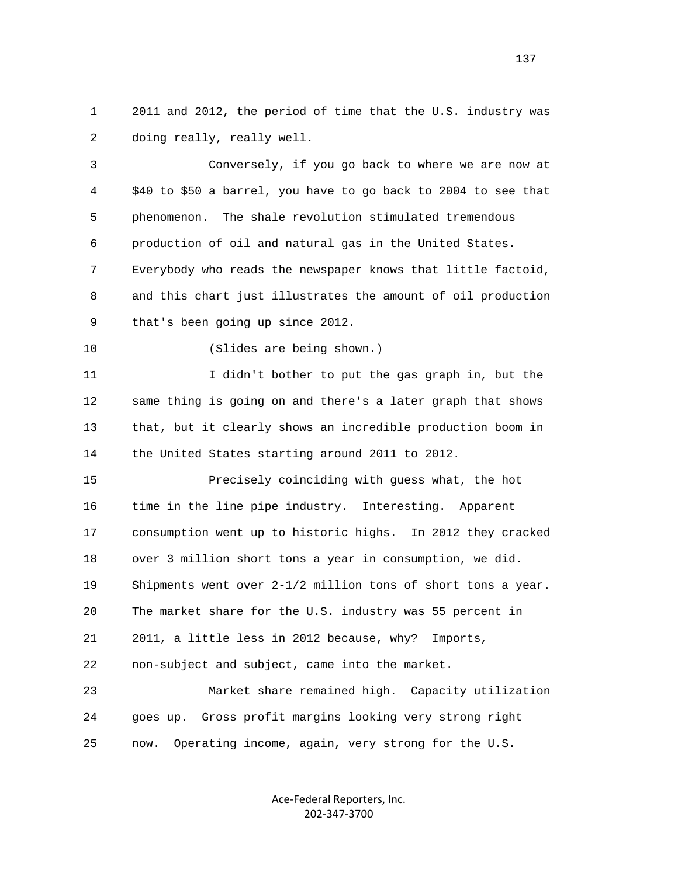1 2011 and 2012, the period of time that the U.S. industry was 2 doing really, really well.

 3 Conversely, if you go back to where we are now at 4 \$40 to \$50 a barrel, you have to go back to 2004 to see that 5 phenomenon. The shale revolution stimulated tremendous 6 production of oil and natural gas in the United States. 7 Everybody who reads the newspaper knows that little factoid, 8 and this chart just illustrates the amount of oil production 9 that's been going up since 2012. 10 (Slides are being shown.)

 11 I didn't bother to put the gas graph in, but the 12 same thing is going on and there's a later graph that shows 13 that, but it clearly shows an incredible production boom in 14 the United States starting around 2011 to 2012.

 15 Precisely coinciding with guess what, the hot 16 time in the line pipe industry. Interesting. Apparent 17 consumption went up to historic highs. In 2012 they cracked 18 over 3 million short tons a year in consumption, we did. 19 Shipments went over 2-1/2 million tons of short tons a year. 20 The market share for the U.S. industry was 55 percent in 21 2011, a little less in 2012 because, why? Imports, 22 non-subject and subject, came into the market. 23 Market share remained high. Capacity utilization

 24 goes up. Gross profit margins looking very strong right 25 now. Operating income, again, very strong for the U.S.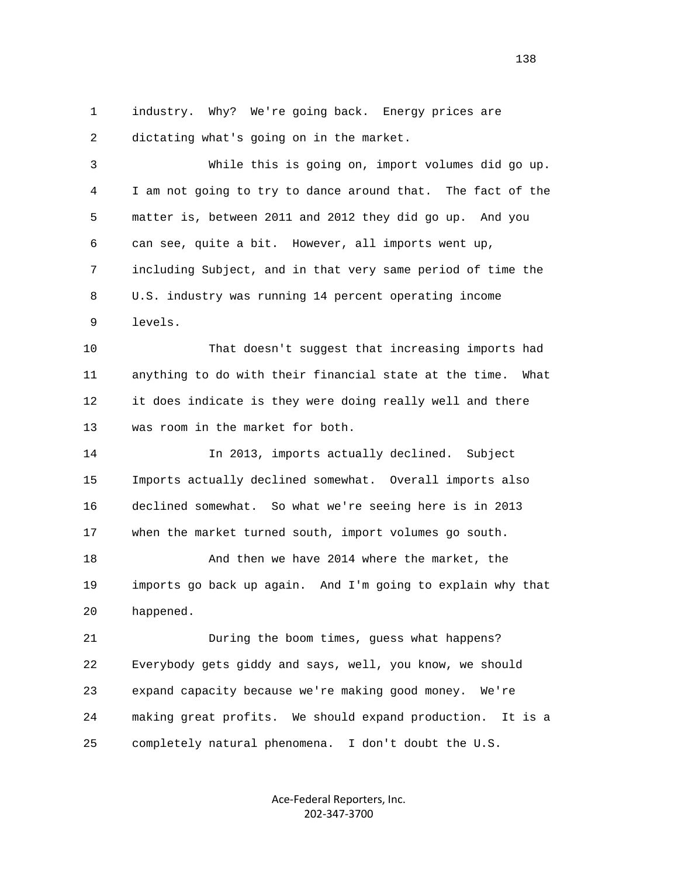1 industry. Why? We're going back. Energy prices are 2 dictating what's going on in the market.

 3 While this is going on, import volumes did go up. 4 I am not going to try to dance around that. The fact of the 5 matter is, between 2011 and 2012 they did go up. And you 6 can see, quite a bit. However, all imports went up, 7 including Subject, and in that very same period of time the 8 U.S. industry was running 14 percent operating income 9 levels.

 10 That doesn't suggest that increasing imports had 11 anything to do with their financial state at the time. What 12 it does indicate is they were doing really well and there 13 was room in the market for both.

 14 In 2013, imports actually declined. Subject 15 Imports actually declined somewhat. Overall imports also 16 declined somewhat. So what we're seeing here is in 2013 17 when the market turned south, import volumes go south. 18 And then we have 2014 where the market, the

 19 imports go back up again. And I'm going to explain why that 20 happened.

 21 During the boom times, guess what happens? 22 Everybody gets giddy and says, well, you know, we should 23 expand capacity because we're making good money. We're 24 making great profits. We should expand production. It is a 25 completely natural phenomena. I don't doubt the U.S.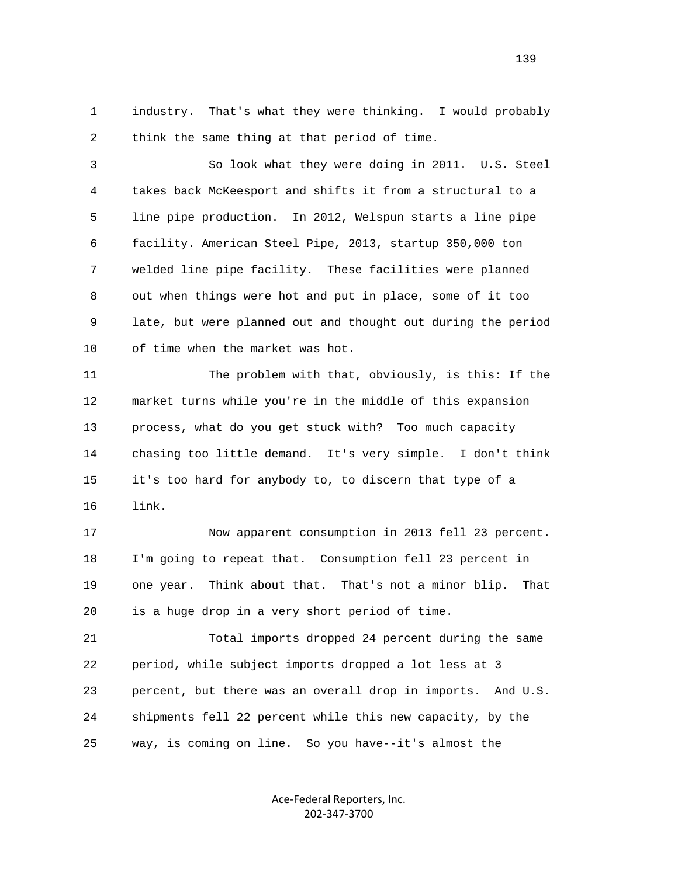1 industry. That's what they were thinking. I would probably 2 think the same thing at that period of time.

 3 So look what they were doing in 2011. U.S. Steel 4 takes back McKeesport and shifts it from a structural to a 5 line pipe production. In 2012, Welspun starts a line pipe 6 facility. American Steel Pipe, 2013, startup 350,000 ton 7 welded line pipe facility. These facilities were planned 8 out when things were hot and put in place, some of it too 9 late, but were planned out and thought out during the period 10 of time when the market was hot.

 11 The problem with that, obviously, is this: If the 12 market turns while you're in the middle of this expansion 13 process, what do you get stuck with? Too much capacity 14 chasing too little demand. It's very simple. I don't think 15 it's too hard for anybody to, to discern that type of a 16 link.

 17 Now apparent consumption in 2013 fell 23 percent. 18 I'm going to repeat that. Consumption fell 23 percent in 19 one year. Think about that. That's not a minor blip. That 20 is a huge drop in a very short period of time.

 21 Total imports dropped 24 percent during the same 22 period, while subject imports dropped a lot less at 3 23 percent, but there was an overall drop in imports. And U.S. 24 shipments fell 22 percent while this new capacity, by the 25 way, is coming on line. So you have--it's almost the

> Ace‐Federal Reporters, Inc. 202‐347‐3700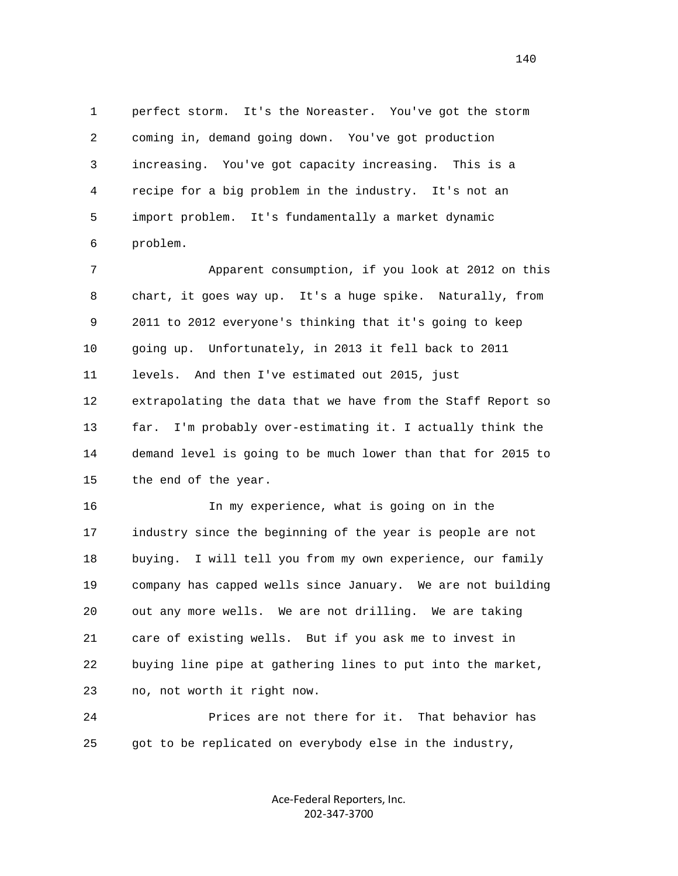1 perfect storm. It's the Noreaster. You've got the storm 2 coming in, demand going down. You've got production 3 increasing. You've got capacity increasing. This is a 4 recipe for a big problem in the industry. It's not an 5 import problem. It's fundamentally a market dynamic 6 problem.

 7 Apparent consumption, if you look at 2012 on this 8 chart, it goes way up. It's a huge spike. Naturally, from 9 2011 to 2012 everyone's thinking that it's going to keep 10 going up. Unfortunately, in 2013 it fell back to 2011 11 levels. And then I've estimated out 2015, just 12 extrapolating the data that we have from the Staff Report so 13 far. I'm probably over-estimating it. I actually think the 14 demand level is going to be much lower than that for 2015 to 15 the end of the year.

 16 In my experience, what is going on in the 17 industry since the beginning of the year is people are not 18 buying. I will tell you from my own experience, our family 19 company has capped wells since January. We are not building 20 out any more wells. We are not drilling. We are taking 21 care of existing wells. But if you ask me to invest in 22 buying line pipe at gathering lines to put into the market, 23 no, not worth it right now.

 24 Prices are not there for it. That behavior has 25 got to be replicated on everybody else in the industry,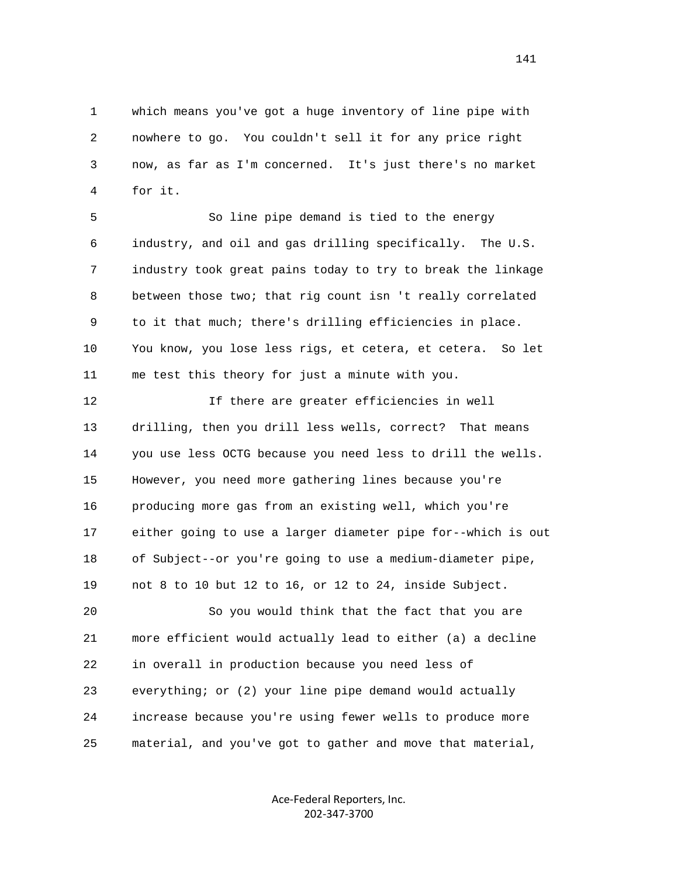1 which means you've got a huge inventory of line pipe with 2 nowhere to go. You couldn't sell it for any price right 3 now, as far as I'm concerned. It's just there's no market 4 for it.

 5 So line pipe demand is tied to the energy 6 industry, and oil and gas drilling specifically. The U.S. 7 industry took great pains today to try to break the linkage 8 between those two; that rig count isn 't really correlated 9 to it that much; there's drilling efficiencies in place. 10 You know, you lose less rigs, et cetera, et cetera. So let 11 me test this theory for just a minute with you.

 12 If there are greater efficiencies in well 13 drilling, then you drill less wells, correct? That means 14 you use less OCTG because you need less to drill the wells. 15 However, you need more gathering lines because you're 16 producing more gas from an existing well, which you're 17 either going to use a larger diameter pipe for--which is out 18 of Subject--or you're going to use a medium-diameter pipe, 19 not 8 to 10 but 12 to 16, or 12 to 24, inside Subject.

 20 So you would think that the fact that you are 21 more efficient would actually lead to either (a) a decline 22 in overall in production because you need less of 23 everything; or (2) your line pipe demand would actually 24 increase because you're using fewer wells to produce more 25 material, and you've got to gather and move that material,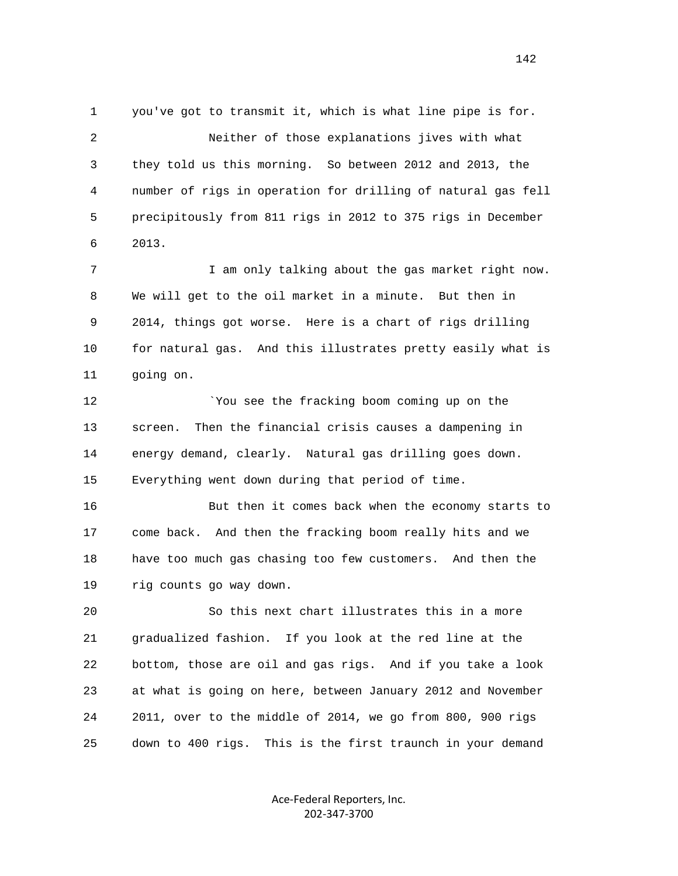1 you've got to transmit it, which is what line pipe is for. 2 Neither of those explanations jives with what 3 they told us this morning. So between 2012 and 2013, the 4 number of rigs in operation for drilling of natural gas fell 5 precipitously from 811 rigs in 2012 to 375 rigs in December 6 2013.

7 1 I am only talking about the gas market right now. 8 We will get to the oil market in a minute. But then in 9 2014, things got worse. Here is a chart of rigs drilling 10 for natural gas. And this illustrates pretty easily what is 11 going on.

12 `You see the fracking boom coming up on the 13 screen. Then the financial crisis causes a dampening in 14 energy demand, clearly. Natural gas drilling goes down. 15 Everything went down during that period of time.

 16 But then it comes back when the economy starts to 17 come back. And then the fracking boom really hits and we 18 have too much gas chasing too few customers. And then the 19 rig counts go way down.

 20 So this next chart illustrates this in a more 21 gradualized fashion. If you look at the red line at the 22 bottom, those are oil and gas rigs. And if you take a look 23 at what is going on here, between January 2012 and November 24 2011, over to the middle of 2014, we go from 800, 900 rigs 25 down to 400 rigs. This is the first traunch in your demand

> Ace‐Federal Reporters, Inc. 202‐347‐3700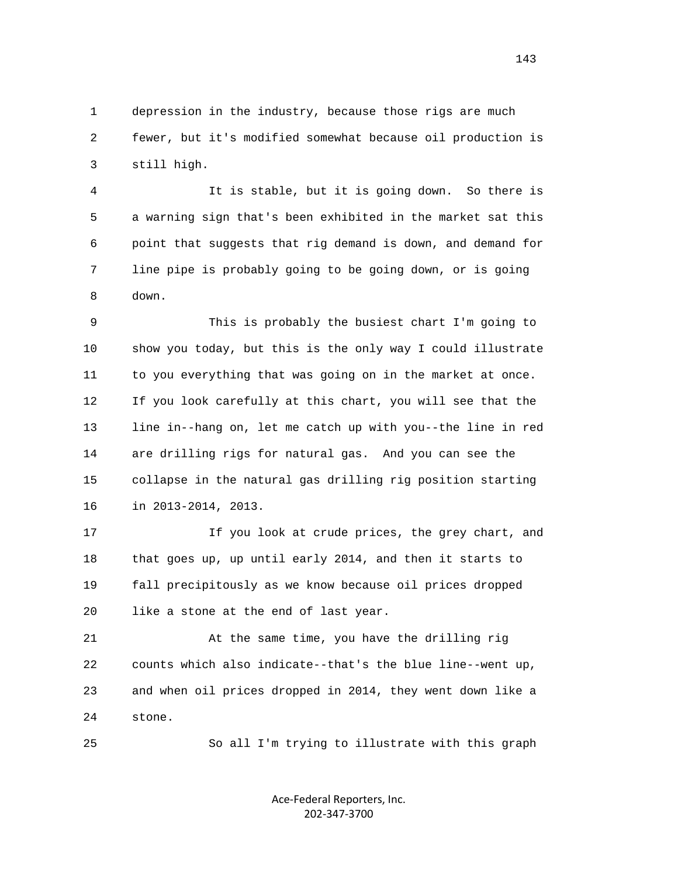1 depression in the industry, because those rigs are much 2 fewer, but it's modified somewhat because oil production is 3 still high.

 4 It is stable, but it is going down. So there is 5 a warning sign that's been exhibited in the market sat this 6 point that suggests that rig demand is down, and demand for 7 line pipe is probably going to be going down, or is going 8 down.

 9 This is probably the busiest chart I'm going to 10 show you today, but this is the only way I could illustrate 11 to you everything that was going on in the market at once. 12 If you look carefully at this chart, you will see that the 13 line in--hang on, let me catch up with you--the line in red 14 are drilling rigs for natural gas. And you can see the 15 collapse in the natural gas drilling rig position starting 16 in 2013-2014, 2013.

17 17 If you look at crude prices, the grey chart, and 18 that goes up, up until early 2014, and then it starts to 19 fall precipitously as we know because oil prices dropped 20 like a stone at the end of last year.

 21 At the same time, you have the drilling rig 22 counts which also indicate--that's the blue line--went up, 23 and when oil prices dropped in 2014, they went down like a 24 stone.

25 So all I'm trying to illustrate with this graph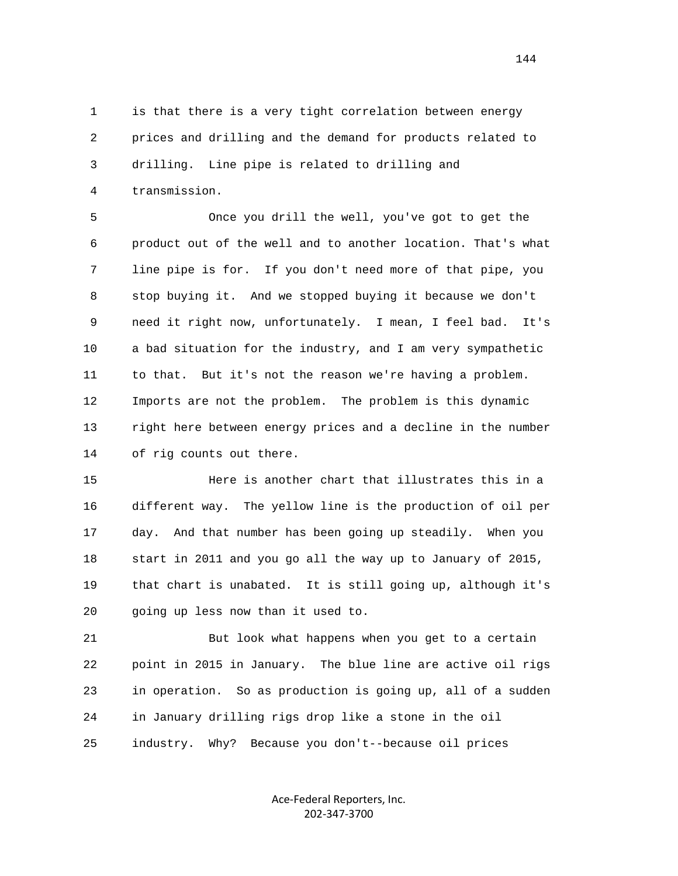1 is that there is a very tight correlation between energy 2 prices and drilling and the demand for products related to 3 drilling. Line pipe is related to drilling and 4 transmission.

 5 Once you drill the well, you've got to get the 6 product out of the well and to another location. That's what 7 line pipe is for. If you don't need more of that pipe, you 8 stop buying it. And we stopped buying it because we don't 9 need it right now, unfortunately. I mean, I feel bad. It's 10 a bad situation for the industry, and I am very sympathetic 11 to that. But it's not the reason we're having a problem. 12 Imports are not the problem. The problem is this dynamic 13 right here between energy prices and a decline in the number 14 of rig counts out there.

 15 Here is another chart that illustrates this in a 16 different way. The yellow line is the production of oil per 17 day. And that number has been going up steadily. When you 18 start in 2011 and you go all the way up to January of 2015, 19 that chart is unabated. It is still going up, although it's 20 going up less now than it used to.

 21 But look what happens when you get to a certain 22 point in 2015 in January. The blue line are active oil rigs 23 in operation. So as production is going up, all of a sudden 24 in January drilling rigs drop like a stone in the oil 25 industry. Why? Because you don't--because oil prices

> Ace‐Federal Reporters, Inc. 202‐347‐3700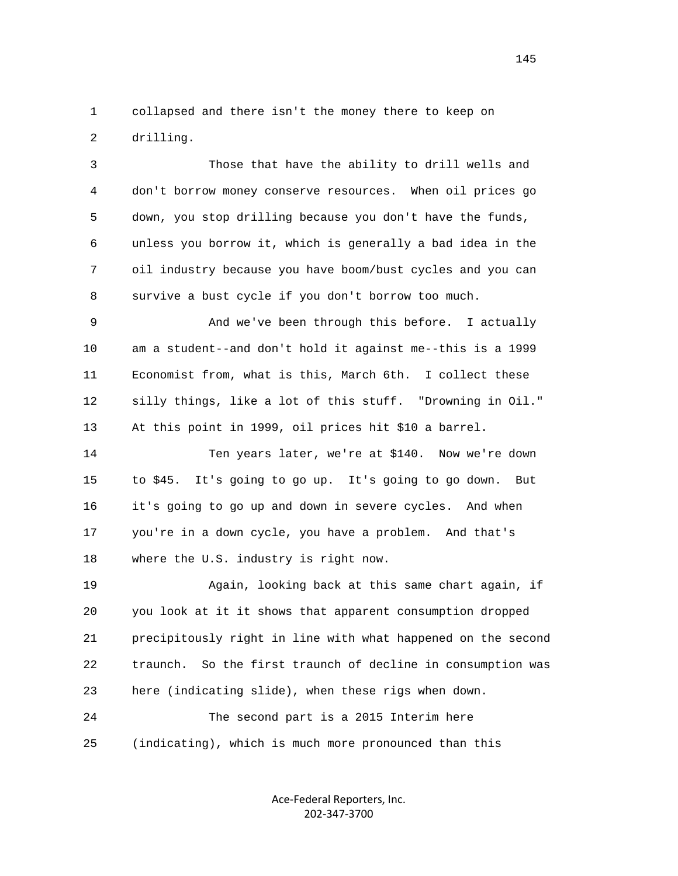1 collapsed and there isn't the money there to keep on 2 drilling.

 3 Those that have the ability to drill wells and 4 don't borrow money conserve resources. When oil prices go 5 down, you stop drilling because you don't have the funds, 6 unless you borrow it, which is generally a bad idea in the 7 oil industry because you have boom/bust cycles and you can 8 survive a bust cycle if you don't borrow too much.

 9 And we've been through this before. I actually 10 am a student--and don't hold it against me--this is a 1999 11 Economist from, what is this, March 6th. I collect these 12 silly things, like a lot of this stuff. "Drowning in Oil." 13 At this point in 1999, oil prices hit \$10 a barrel.

 14 Ten years later, we're at \$140. Now we're down 15 to \$45. It's going to go up. It's going to go down. But 16 it's going to go up and down in severe cycles. And when 17 you're in a down cycle, you have a problem. And that's 18 where the U.S. industry is right now.

 19 Again, looking back at this same chart again, if 20 you look at it it shows that apparent consumption dropped 21 precipitously right in line with what happened on the second 22 traunch. So the first traunch of decline in consumption was 23 here (indicating slide), when these rigs when down. 24 The second part is a 2015 Interim here

25 (indicating), which is much more pronounced than this

Ace‐Federal Reporters, Inc. 202‐347‐3700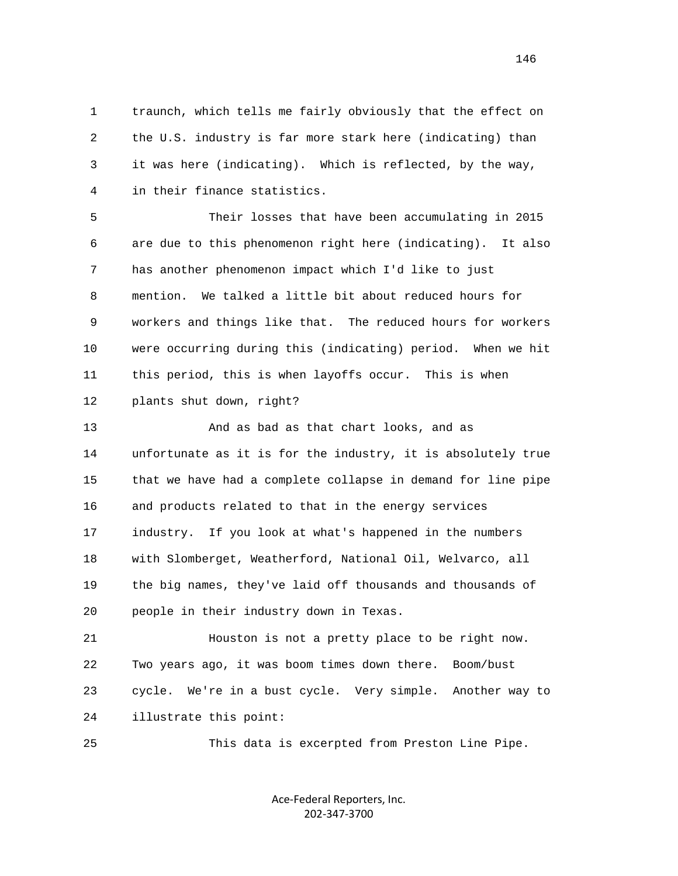1 traunch, which tells me fairly obviously that the effect on 2 the U.S. industry is far more stark here (indicating) than 3 it was here (indicating). Which is reflected, by the way, 4 in their finance statistics.

 5 Their losses that have been accumulating in 2015 6 are due to this phenomenon right here (indicating). It also 7 has another phenomenon impact which I'd like to just 8 mention. We talked a little bit about reduced hours for 9 workers and things like that. The reduced hours for workers 10 were occurring during this (indicating) period. When we hit 11 this period, this is when layoffs occur. This is when 12 plants shut down, right?

 13 And as bad as that chart looks, and as 14 unfortunate as it is for the industry, it is absolutely true 15 that we have had a complete collapse in demand for line pipe 16 and products related to that in the energy services 17 industry. If you look at what's happened in the numbers 18 with Slomberget, Weatherford, National Oil, Welvarco, all 19 the big names, they've laid off thousands and thousands of 20 people in their industry down in Texas.

 21 Houston is not a pretty place to be right now. 22 Two years ago, it was boom times down there. Boom/bust 23 cycle. We're in a bust cycle. Very simple. Another way to 24 illustrate this point:

25 This data is excerpted from Preston Line Pipe.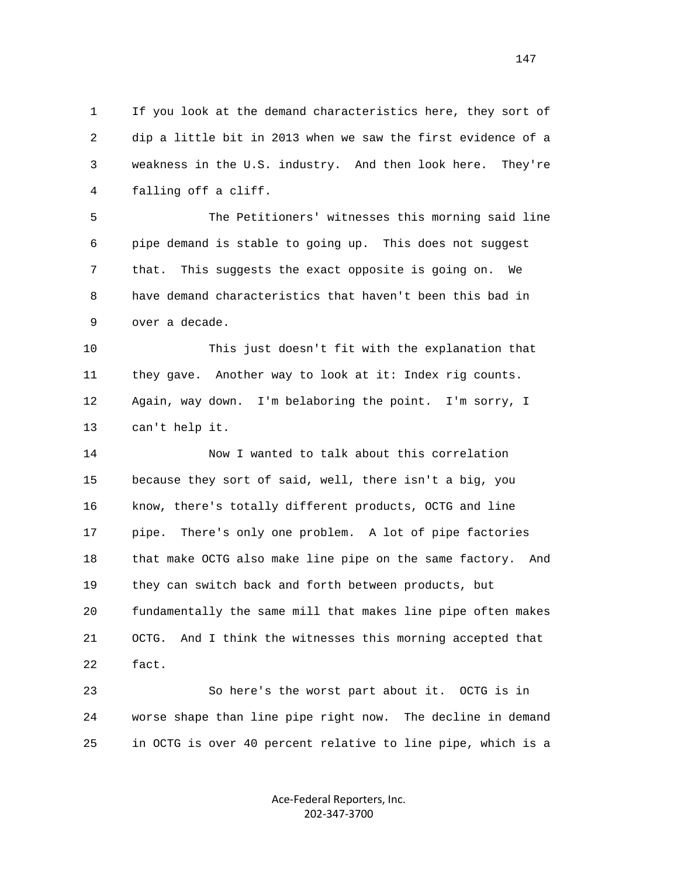1 If you look at the demand characteristics here, they sort of 2 dip a little bit in 2013 when we saw the first evidence of a 3 weakness in the U.S. industry. And then look here. They're 4 falling off a cliff.

 5 The Petitioners' witnesses this morning said line 6 pipe demand is stable to going up. This does not suggest 7 that. This suggests the exact opposite is going on. We 8 have demand characteristics that haven't been this bad in 9 over a decade.

 10 This just doesn't fit with the explanation that 11 they gave. Another way to look at it: Index rig counts. 12 Again, way down. I'm belaboring the point. I'm sorry, I 13 can't help it.

 14 Now I wanted to talk about this correlation 15 because they sort of said, well, there isn't a big, you 16 know, there's totally different products, OCTG and line 17 pipe. There's only one problem. A lot of pipe factories 18 that make OCTG also make line pipe on the same factory. And 19 they can switch back and forth between products, but 20 fundamentally the same mill that makes line pipe often makes 21 OCTG. And I think the witnesses this morning accepted that 22 fact.

 23 So here's the worst part about it. OCTG is in 24 worse shape than line pipe right now. The decline in demand 25 in OCTG is over 40 percent relative to line pipe, which is a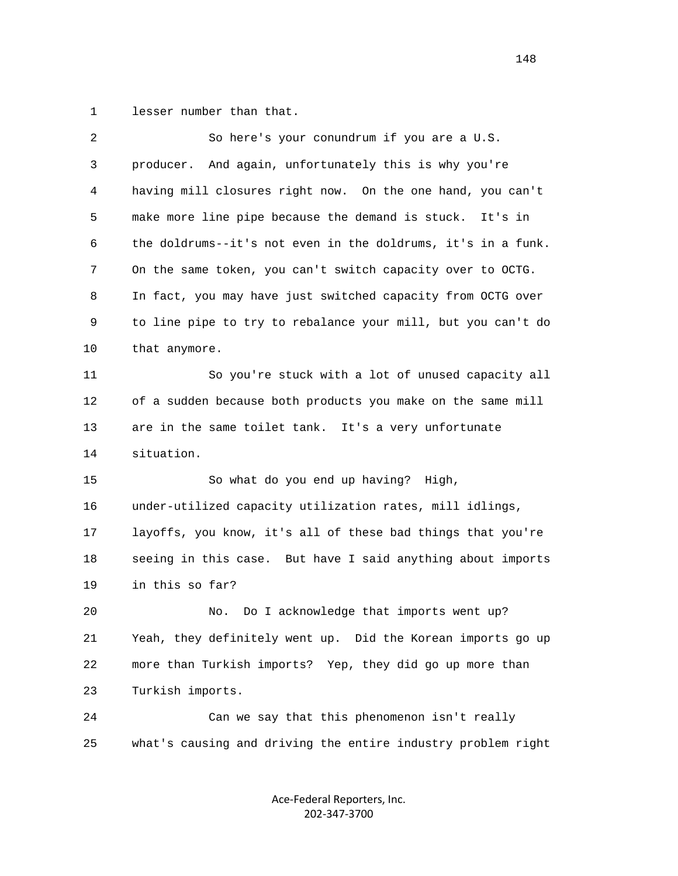1 lesser number than that.

|    | 2 | So here's your conundrum if you are a U.S.                   |
|----|---|--------------------------------------------------------------|
|    | 3 | producer. And again, unfortunately this is why you're        |
|    | 4 | having mill closures right now. On the one hand, you can't   |
|    | 5 | make more line pipe because the demand is stuck. It's in     |
|    | 6 | the doldrums--it's not even in the doldrums, it's in a funk. |
|    | 7 | On the same token, you can't switch capacity over to OCTG.   |
|    | 8 | In fact, you may have just switched capacity from OCTG over  |
|    | 9 | to line pipe to try to rebalance your mill, but you can't do |
| 10 |   | that anymore.                                                |
| 11 |   | So you're stuck with a lot of unused capacity all            |
| 12 |   | of a sudden because both products you make on the same mill  |
| 13 |   | are in the same toilet tank. It's a very unfortunate         |
|    |   | situation.                                                   |
| 14 |   |                                                              |
| 15 |   | So what do you end up having? High,                          |
| 16 |   | under-utilized capacity utilization rates, mill idlings,     |
| 17 |   | layoffs, you know, it's all of these bad things that you're  |
| 18 |   | seeing in this case. But have I said anything about imports  |
| 19 |   | in this so far?                                              |
| 20 |   | Do I acknowledge that imports went up?<br>No.                |
| 21 |   | Yeah, they definitely went up. Did the Korean imports go up  |
| 22 |   | more than Turkish imports? Yep, they did go up more than     |
| 23 |   | Turkish imports.                                             |
| 24 |   | Can we say that this phenomenon isn't really                 |
| 25 |   | what's causing and driving the entire industry problem right |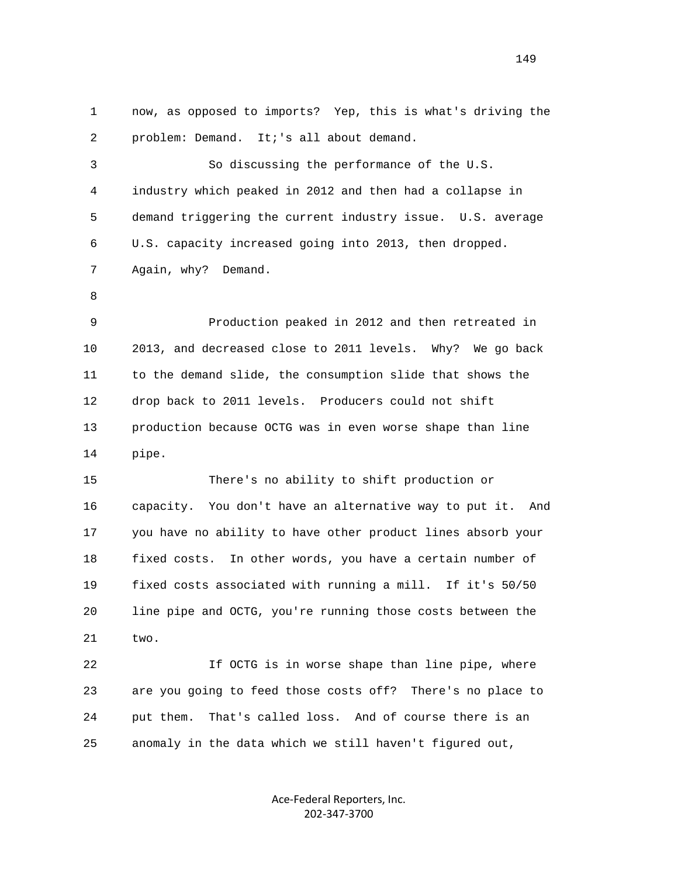1 now, as opposed to imports? Yep, this is what's driving the 2 problem: Demand. It;'s all about demand. 3 So discussing the performance of the U.S. 4 industry which peaked in 2012 and then had a collapse in 5 demand triggering the current industry issue. U.S. average 6 U.S. capacity increased going into 2013, then dropped. 7 Again, why? Demand. 8 9 Production peaked in 2012 and then retreated in 10 2013, and decreased close to 2011 levels. Why? We go back 11 to the demand slide, the consumption slide that shows the 12 drop back to 2011 levels. Producers could not shift 13 production because OCTG was in even worse shape than line 14 pipe. 15 There's no ability to shift production or 16 capacity. You don't have an alternative way to put it. And 17 you have no ability to have other product lines absorb your 18 fixed costs. In other words, you have a certain number of 19 fixed costs associated with running a mill. If it's 50/50 20 line pipe and OCTG, you're running those costs between the 21 two. 22 If OCTG is in worse shape than line pipe, where 23 are you going to feed those costs off? There's no place to 24 put them. That's called loss. And of course there is an 25 anomaly in the data which we still haven't figured out,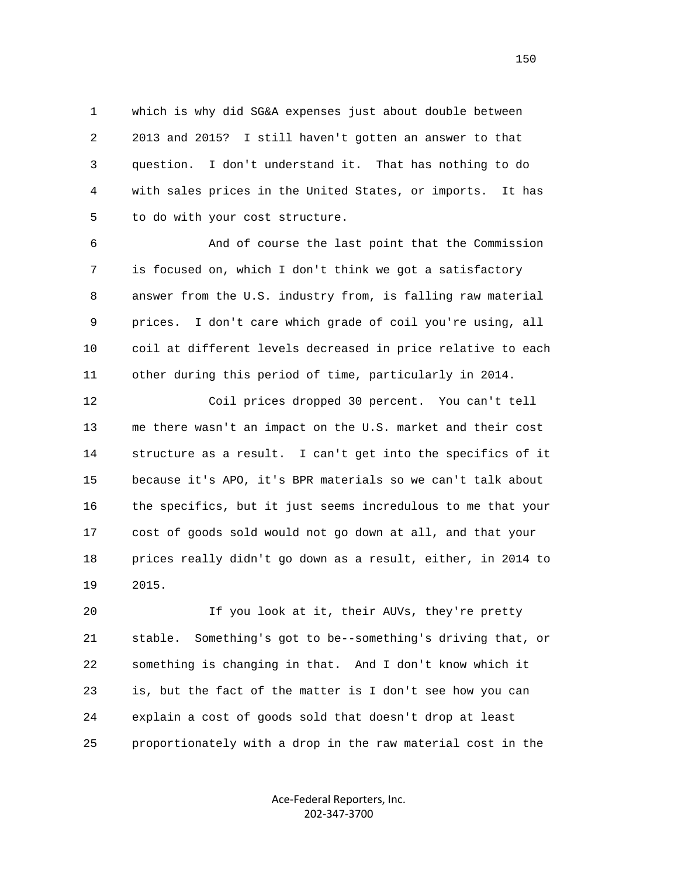1 which is why did SG&A expenses just about double between 2 2013 and 2015? I still haven't gotten an answer to that 3 question. I don't understand it. That has nothing to do 4 with sales prices in the United States, or imports. It has 5 to do with your cost structure.

 6 And of course the last point that the Commission 7 is focused on, which I don't think we got a satisfactory 8 answer from the U.S. industry from, is falling raw material 9 prices. I don't care which grade of coil you're using, all 10 coil at different levels decreased in price relative to each 11 other during this period of time, particularly in 2014.

 12 Coil prices dropped 30 percent. You can't tell 13 me there wasn't an impact on the U.S. market and their cost 14 structure as a result. I can't get into the specifics of it 15 because it's APO, it's BPR materials so we can't talk about 16 the specifics, but it just seems incredulous to me that your 17 cost of goods sold would not go down at all, and that your 18 prices really didn't go down as a result, either, in 2014 to 19 2015.

 20 If you look at it, their AUVs, they're pretty 21 stable. Something's got to be--something's driving that, or 22 something is changing in that. And I don't know which it 23 is, but the fact of the matter is I don't see how you can 24 explain a cost of goods sold that doesn't drop at least 25 proportionately with a drop in the raw material cost in the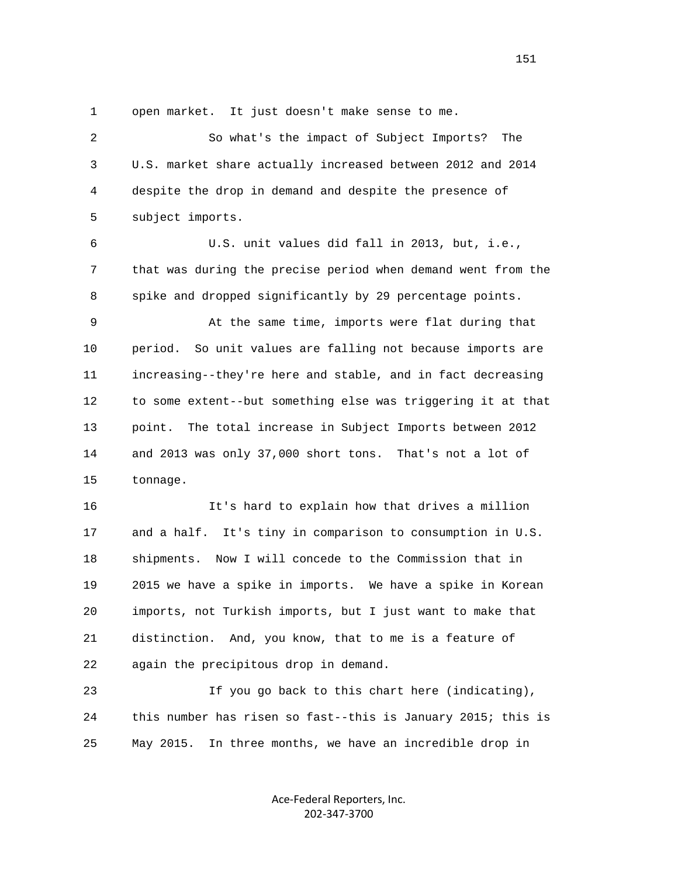1 open market. It just doesn't make sense to me.

| $\overline{a}$ | So what's the impact of Subject Imports?<br>The               |
|----------------|---------------------------------------------------------------|
| 3              | U.S. market share actually increased between 2012 and 2014    |
| 4              | despite the drop in demand and despite the presence of        |
| 5              | subject imports.                                              |
| 6              | U.S. unit values did fall in 2013, but, i.e.,                 |
| 7              | that was during the precise period when demand went from the  |
| 8              | spike and dropped significantly by 29 percentage points.      |
| 9              | At the same time, imports were flat during that               |
| 10             | So unit values are falling not because imports are<br>period. |
| 11             | increasing--they're here and stable, and in fact decreasing   |
| 12             | to some extent--but something else was triggering it at that  |
| 13             | point.<br>The total increase in Subject Imports between 2012  |
| 14             | and 2013 was only 37,000 short tons. That's not a lot of      |
| 15             | tonnage.                                                      |
| 16             | It's hard to explain how that drives a million                |
| 17             | and a half. It's tiny in comparison to consumption in U.S.    |
| 18             | shipments. Now I will concede to the Commission that in       |
| 19             | 2015 we have a spike in imports. We have a spike in Korean    |
| 20             | imports, not Turkish imports, but I just want to make that    |
| 21             | distinction. And, you know, that to me is a feature of        |
| 22             | again the precipitous drop in demand.                         |
| 23             | If you go back to this chart here (indicating),               |
| 24             | this number has risen so fast--this is January 2015; this is  |

25 May 2015. In three months, we have an incredible drop in

Ace‐Federal Reporters, Inc. 202‐347‐3700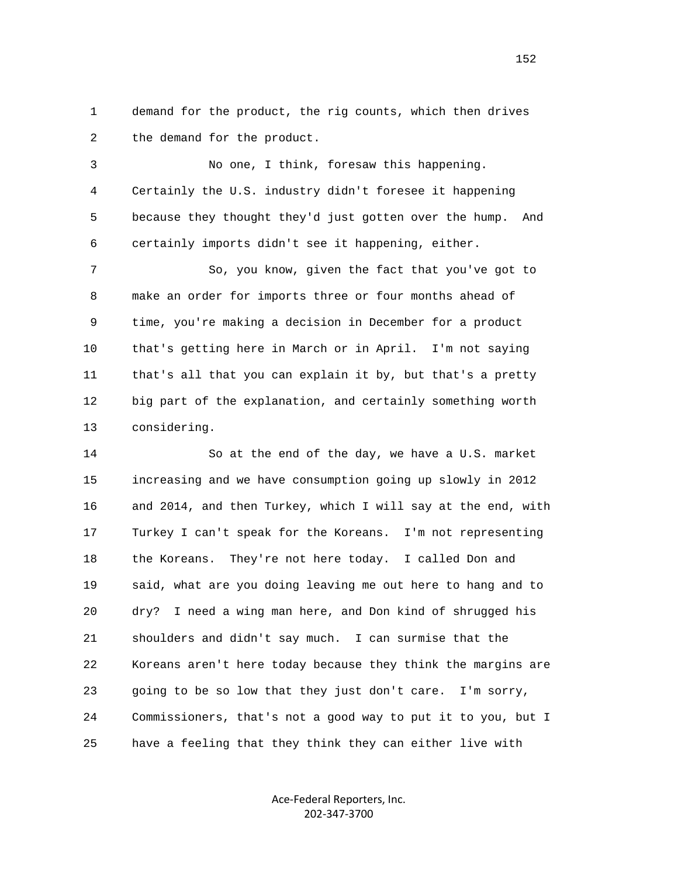1 demand for the product, the rig counts, which then drives 2 the demand for the product.

 3 No one, I think, foresaw this happening. 4 Certainly the U.S. industry didn't foresee it happening 5 because they thought they'd just gotten over the hump. And 6 certainly imports didn't see it happening, either.

 7 So, you know, given the fact that you've got to 8 make an order for imports three or four months ahead of 9 time, you're making a decision in December for a product 10 that's getting here in March or in April. I'm not saying 11 that's all that you can explain it by, but that's a pretty 12 big part of the explanation, and certainly something worth 13 considering.

 14 So at the end of the day, we have a U.S. market 15 increasing and we have consumption going up slowly in 2012 16 and 2014, and then Turkey, which I will say at the end, with 17 Turkey I can't speak for the Koreans. I'm not representing 18 the Koreans. They're not here today. I called Don and 19 said, what are you doing leaving me out here to hang and to 20 dry? I need a wing man here, and Don kind of shrugged his 21 shoulders and didn't say much. I can surmise that the 22 Koreans aren't here today because they think the margins are 23 going to be so low that they just don't care. I'm sorry, 24 Commissioners, that's not a good way to put it to you, but I 25 have a feeling that they think they can either live with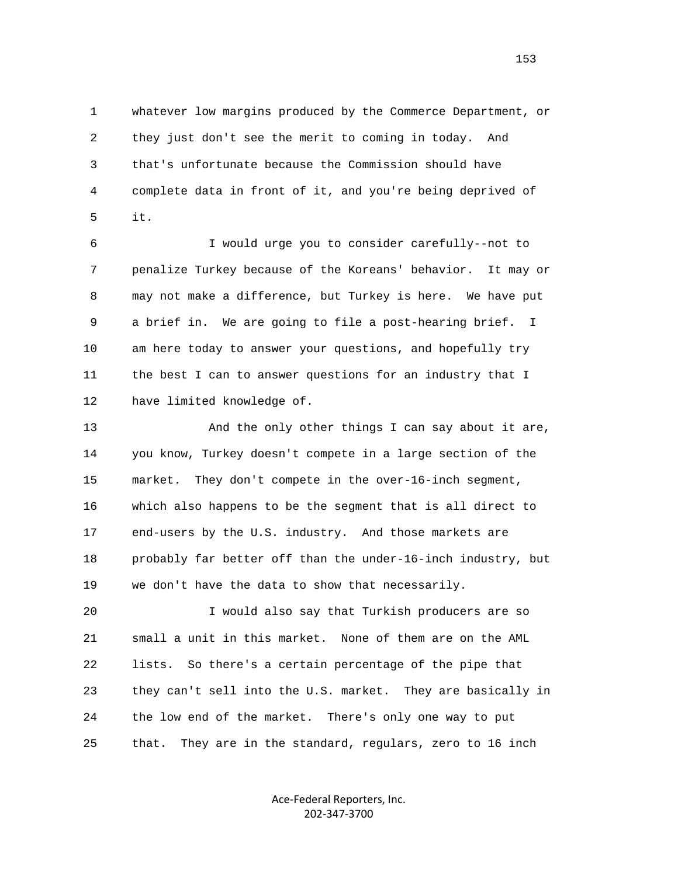1 whatever low margins produced by the Commerce Department, or 2 they just don't see the merit to coming in today. And 3 that's unfortunate because the Commission should have 4 complete data in front of it, and you're being deprived of  $5$  it.

> 6 I would urge you to consider carefully--not to 7 penalize Turkey because of the Koreans' behavior. It may or 8 may not make a difference, but Turkey is here. We have put 9 a brief in. We are going to file a post-hearing brief. I 10 am here today to answer your questions, and hopefully try 11 the best I can to answer questions for an industry that I 12 have limited knowledge of.

> 13 And the only other things I can say about it are, 14 you know, Turkey doesn't compete in a large section of the 15 market. They don't compete in the over-16-inch segment, 16 which also happens to be the segment that is all direct to 17 end-users by the U.S. industry. And those markets are 18 probably far better off than the under-16-inch industry, but 19 we don't have the data to show that necessarily.

> 20 I would also say that Turkish producers are so 21 small a unit in this market. None of them are on the AML 22 lists. So there's a certain percentage of the pipe that 23 they can't sell into the U.S. market. They are basically in 24 the low end of the market. There's only one way to put 25 that. They are in the standard, regulars, zero to 16 inch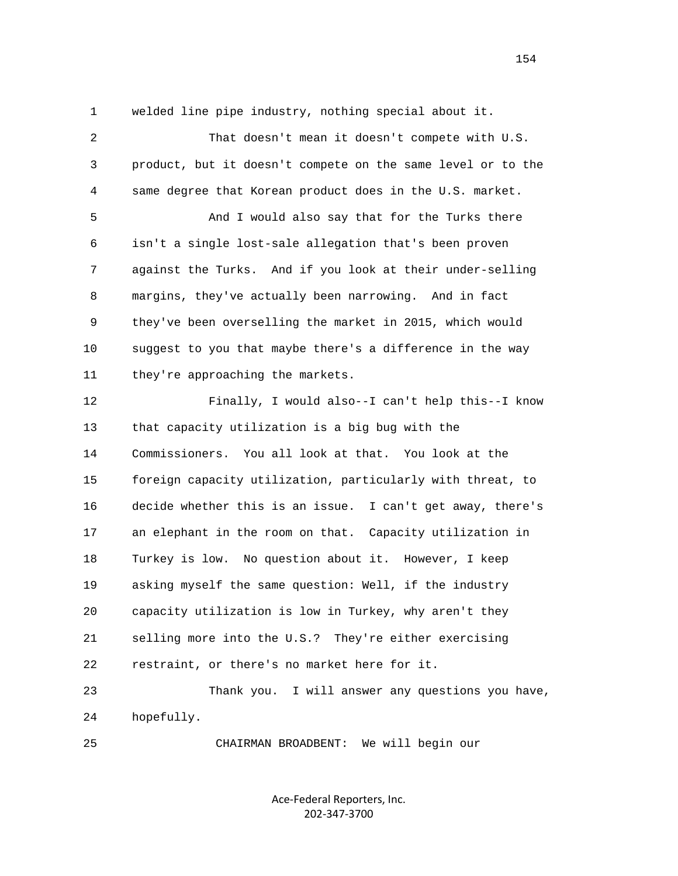1 welded line pipe industry, nothing special about it.

 2 That doesn't mean it doesn't compete with U.S. 3 product, but it doesn't compete on the same level or to the 4 same degree that Korean product does in the U.S. market. 5 And I would also say that for the Turks there 6 isn't a single lost-sale allegation that's been proven 7 against the Turks. And if you look at their under-selling 8 margins, they've actually been narrowing. And in fact 9 they've been overselling the market in 2015, which would 10 suggest to you that maybe there's a difference in the way 11 they're approaching the markets. 12 Finally, I would also--I can't help this--I know 13 that capacity utilization is a big bug with the 14 Commissioners. You all look at that. You look at the 15 foreign capacity utilization, particularly with threat, to 16 decide whether this is an issue. I can't get away, there's 17 an elephant in the room on that. Capacity utilization in 18 Turkey is low. No question about it. However, I keep 19 asking myself the same question: Well, if the industry 20 capacity utilization is low in Turkey, why aren't they 21 selling more into the U.S.? They're either exercising 22 restraint, or there's no market here for it. 23 Thank you. I will answer any questions you have, 24 hopefully.

> Ace‐Federal Reporters, Inc. 202‐347‐3700

25 CHAIRMAN BROADBENT: We will begin our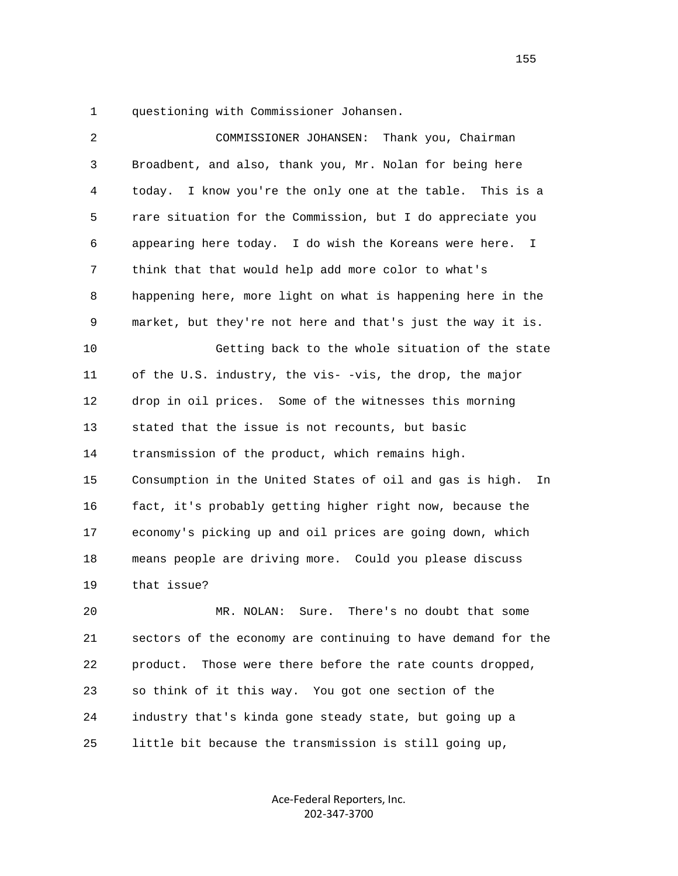1 questioning with Commissioner Johansen.

| 2  | Thank you, Chairman<br>COMMISSIONER JOHANSEN:                          |
|----|------------------------------------------------------------------------|
| 3  | Broadbent, and also, thank you, Mr. Nolan for being here               |
| 4  | I know you're the only one at the table. This is a<br>today.           |
| 5  | rare situation for the Commission, but I do appreciate you             |
| 6  | appearing here today. I do wish the Koreans were here.<br>$\mathbf{I}$ |
| 7  | think that that would help add more color to what's                    |
| 8  | happening here, more light on what is happening here in the            |
| 9  | market, but they're not here and that's just the way it is.            |
| 10 | Getting back to the whole situation of the state                       |
| 11 | of the U.S. industry, the vis- -vis, the drop, the major               |
| 12 | drop in oil prices. Some of the witnesses this morning                 |
| 13 | stated that the issue is not recounts, but basic                       |
| 14 | transmission of the product, which remains high.                       |
| 15 | Consumption in the United States of oil and gas is high.<br>In         |
| 16 | fact, it's probably getting higher right now, because the              |
| 17 | economy's picking up and oil prices are going down, which              |
| 18 | means people are driving more. Could you please discuss                |
| 19 | that issue?                                                            |
| 20 | There's no doubt that some<br>MR. NOLAN:<br>Sure.                      |
| 21 | sectors of the economy are continuing to have demand for the           |
| 22 | product.<br>Those were there before the rate counts dropped,           |
| 23 | so think of it this way. You got one section of the                    |
|    |                                                                        |

25 little bit because the transmission is still going up,

24 industry that's kinda gone steady state, but going up a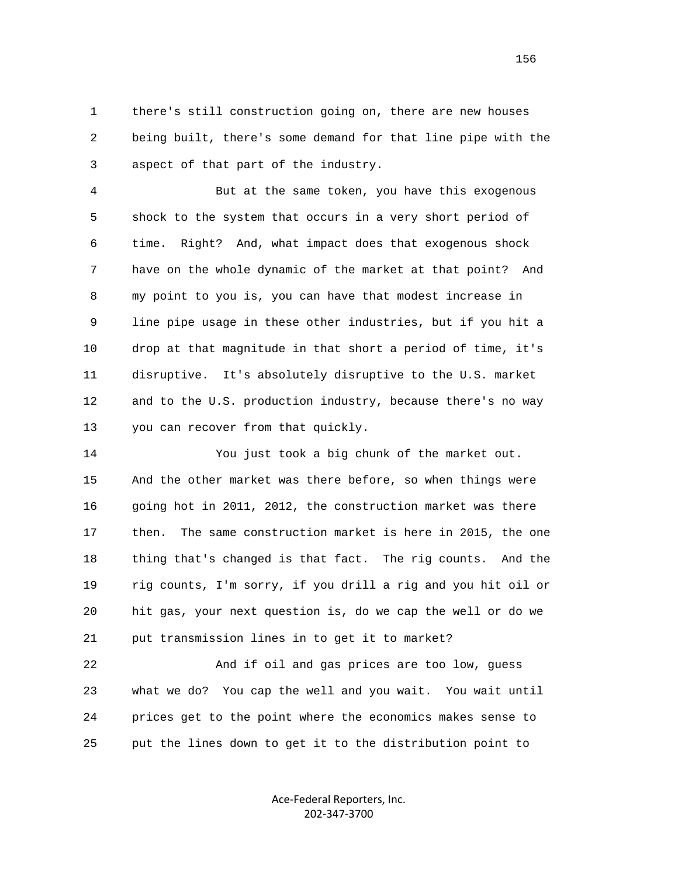1 there's still construction going on, there are new houses 2 being built, there's some demand for that line pipe with the 3 aspect of that part of the industry.

 4 But at the same token, you have this exogenous 5 shock to the system that occurs in a very short period of 6 time. Right? And, what impact does that exogenous shock 7 have on the whole dynamic of the market at that point? And 8 my point to you is, you can have that modest increase in 9 line pipe usage in these other industries, but if you hit a 10 drop at that magnitude in that short a period of time, it's 11 disruptive. It's absolutely disruptive to the U.S. market 12 and to the U.S. production industry, because there's no way 13 you can recover from that quickly.

 14 You just took a big chunk of the market out. 15 And the other market was there before, so when things were 16 going hot in 2011, 2012, the construction market was there 17 then. The same construction market is here in 2015, the one 18 thing that's changed is that fact. The rig counts. And the 19 rig counts, I'm sorry, if you drill a rig and you hit oil or 20 hit gas, your next question is, do we cap the well or do we 21 put transmission lines in to get it to market?

 22 And if oil and gas prices are too low, guess 23 what we do? You cap the well and you wait. You wait until 24 prices get to the point where the economics makes sense to 25 put the lines down to get it to the distribution point to

> Ace‐Federal Reporters, Inc. 202‐347‐3700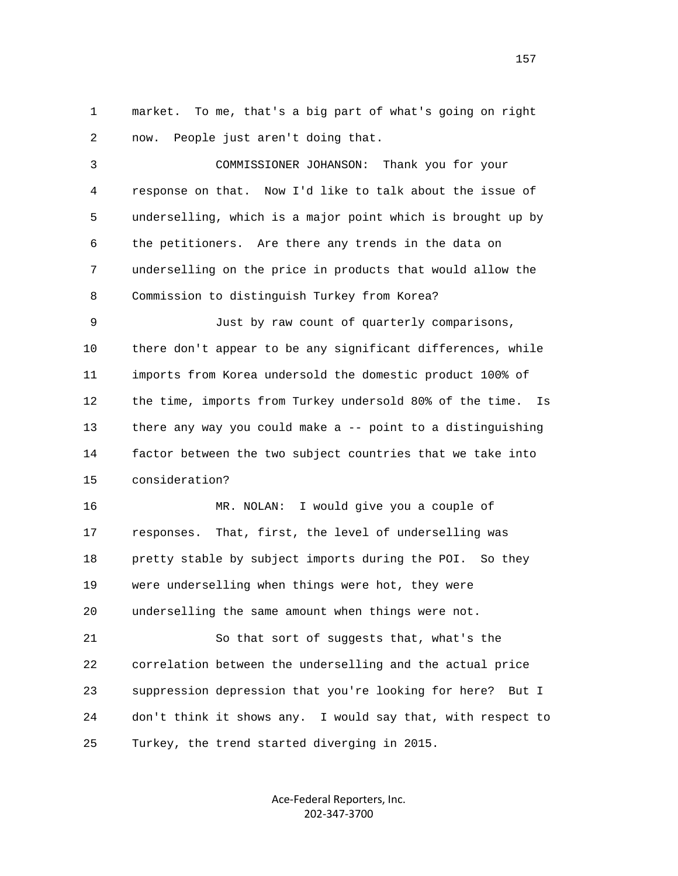1 market. To me, that's a big part of what's going on right 2 now. People just aren't doing that.

 3 COMMISSIONER JOHANSON: Thank you for your 4 response on that. Now I'd like to talk about the issue of 5 underselling, which is a major point which is brought up by 6 the petitioners. Are there any trends in the data on 7 underselling on the price in products that would allow the 8 Commission to distinguish Turkey from Korea?

 9 Just by raw count of quarterly comparisons, 10 there don't appear to be any significant differences, while 11 imports from Korea undersold the domestic product 100% of 12 the time, imports from Turkey undersold 80% of the time. Is 13 there any way you could make a -- point to a distinguishing 14 factor between the two subject countries that we take into 15 consideration?

 16 MR. NOLAN: I would give you a couple of 17 responses. That, first, the level of underselling was 18 pretty stable by subject imports during the POI. So they 19 were underselling when things were hot, they were 20 underselling the same amount when things were not.

 21 So that sort of suggests that, what's the 22 correlation between the underselling and the actual price 23 suppression depression that you're looking for here? But I 24 don't think it shows any. I would say that, with respect to 25 Turkey, the trend started diverging in 2015.

> Ace‐Federal Reporters, Inc. 202‐347‐3700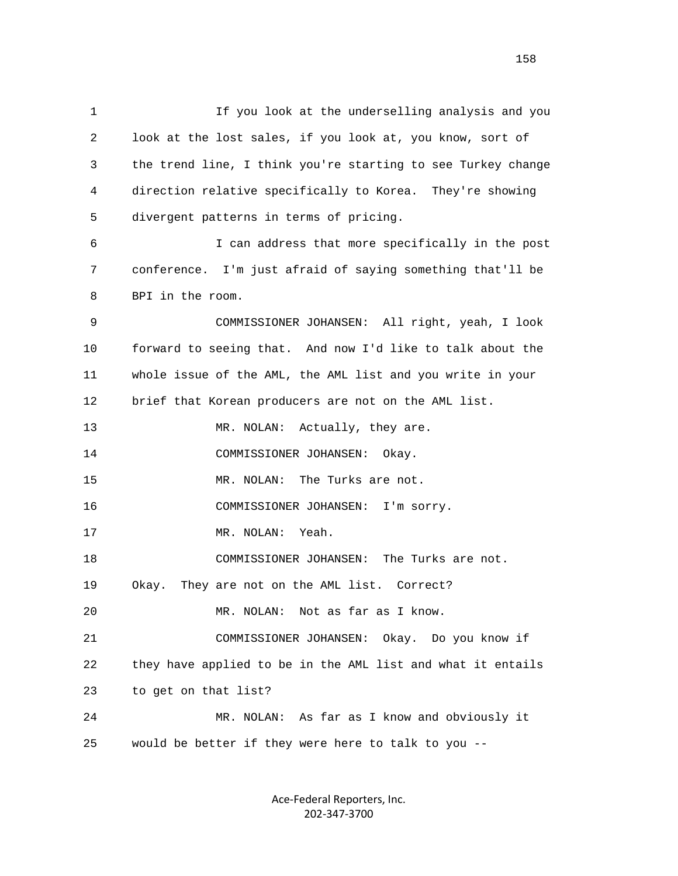1 If you look at the underselling analysis and you 2 look at the lost sales, if you look at, you know, sort of 3 the trend line, I think you're starting to see Turkey change 4 direction relative specifically to Korea. They're showing 5 divergent patterns in terms of pricing. 6 I can address that more specifically in the post 7 conference. I'm just afraid of saying something that'll be 8 BPI in the room. 9 COMMISSIONER JOHANSEN: All right, yeah, I look 10 forward to seeing that. And now I'd like to talk about the 11 whole issue of the AML, the AML list and you write in your 12 brief that Korean producers are not on the AML list. 13 MR. NOLAN: Actually, they are. 14 COMMISSIONER JOHANSEN: Okay. 15 MR. NOLAN: The Turks are not. 16 COMMISSIONER JOHANSEN: I'm sorry. 17 MR. NOLAN: Yeah. 18 COMMISSIONER JOHANSEN: The Turks are not. 19 Okay. They are not on the AML list. Correct? 20 MR. NOLAN: Not as far as I know. 21 COMMISSIONER JOHANSEN: Okay. Do you know if 22 they have applied to be in the AML list and what it entails 23 to get on that list? 24 MR. NOLAN: As far as I know and obviously it 25 would be better if they were here to talk to you --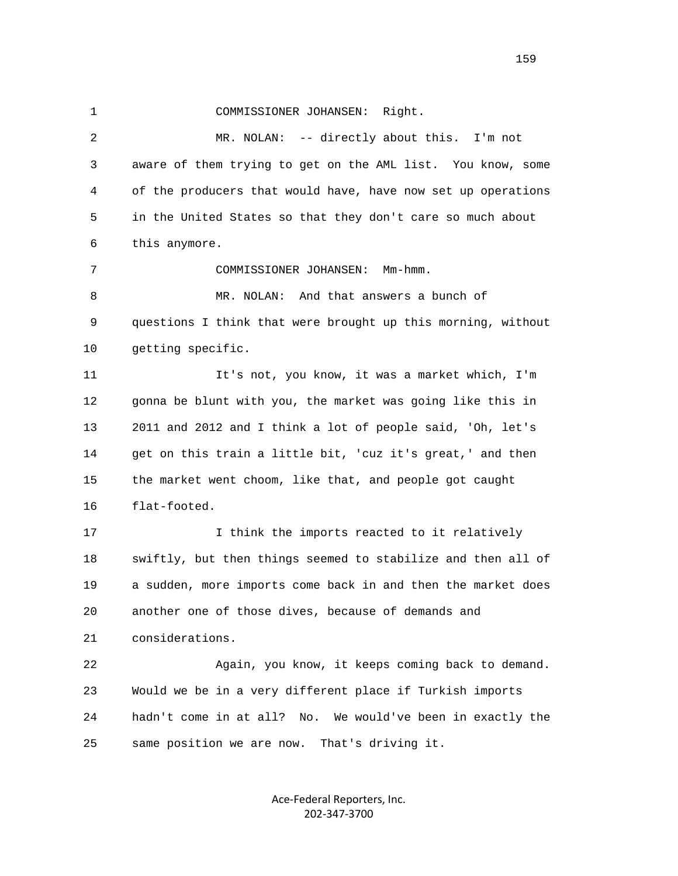1 COMMISSIONER JOHANSEN: Right. 2 MR. NOLAN: -- directly about this. I'm not 3 aware of them trying to get on the AML list. You know, some 4 of the producers that would have, have now set up operations 5 in the United States so that they don't care so much about 6 this anymore. 7 COMMISSIONER JOHANSEN: Mm-hmm. 8 MR. NOLAN: And that answers a bunch of 9 questions I think that were brought up this morning, without 10 getting specific. 11 It's not, you know, it was a market which, I'm 12 gonna be blunt with you, the market was going like this in 13 2011 and 2012 and I think a lot of people said, 'Oh, let's 14 get on this train a little bit, 'cuz it's great,' and then 15 the market went choom, like that, and people got caught 16 flat-footed. 17 17 I think the imports reacted to it relatively 18 swiftly, but then things seemed to stabilize and then all of 19 a sudden, more imports come back in and then the market does 20 another one of those dives, because of demands and 21 considerations. 22 Again, you know, it keeps coming back to demand. 23 Would we be in a very different place if Turkish imports 24 hadn't come in at all? No. We would've been in exactly the 25 same position we are now. That's driving it.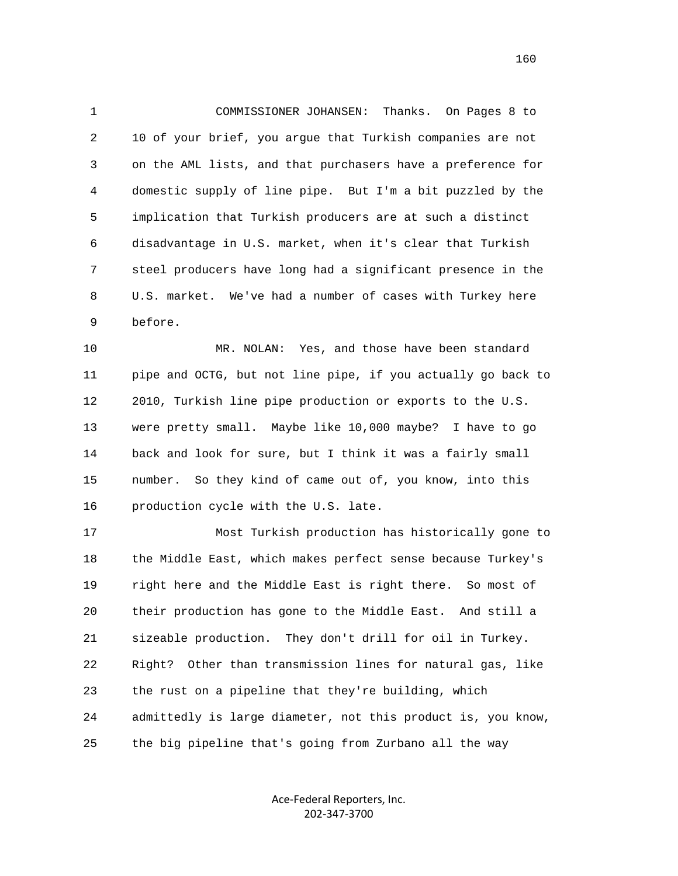1 COMMISSIONER JOHANSEN: Thanks. On Pages 8 to 2 10 of your brief, you argue that Turkish companies are not 3 on the AML lists, and that purchasers have a preference for 4 domestic supply of line pipe. But I'm a bit puzzled by the 5 implication that Turkish producers are at such a distinct 6 disadvantage in U.S. market, when it's clear that Turkish 7 steel producers have long had a significant presence in the 8 U.S. market. We've had a number of cases with Turkey here 9 before.

 10 MR. NOLAN: Yes, and those have been standard 11 pipe and OCTG, but not line pipe, if you actually go back to 12 2010, Turkish line pipe production or exports to the U.S. 13 were pretty small. Maybe like 10,000 maybe? I have to go 14 back and look for sure, but I think it was a fairly small 15 number. So they kind of came out of, you know, into this 16 production cycle with the U.S. late.

 17 Most Turkish production has historically gone to 18 the Middle East, which makes perfect sense because Turkey's 19 right here and the Middle East is right there. So most of 20 their production has gone to the Middle East. And still a 21 sizeable production. They don't drill for oil in Turkey. 22 Right? Other than transmission lines for natural gas, like 23 the rust on a pipeline that they're building, which 24 admittedly is large diameter, not this product is, you know, 25 the big pipeline that's going from Zurbano all the way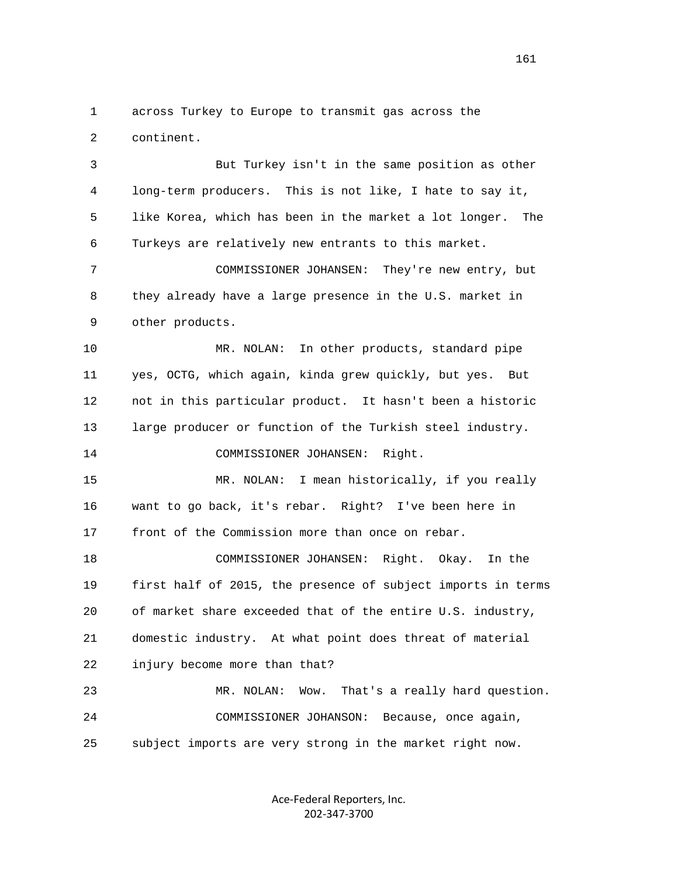1 across Turkey to Europe to transmit gas across the 2 continent.

 3 But Turkey isn't in the same position as other 4 long-term producers. This is not like, I hate to say it, 5 like Korea, which has been in the market a lot longer. The 6 Turkeys are relatively new entrants to this market.

 7 COMMISSIONER JOHANSEN: They're new entry, but 8 they already have a large presence in the U.S. market in 9 other products.

 10 MR. NOLAN: In other products, standard pipe 11 yes, OCTG, which again, kinda grew quickly, but yes. But 12 not in this particular product. It hasn't been a historic 13 large producer or function of the Turkish steel industry. 14 COMMISSIONER JOHANSEN: Right.

 15 MR. NOLAN: I mean historically, if you really 16 want to go back, it's rebar. Right? I've been here in 17 front of the Commission more than once on rebar.

 18 COMMISSIONER JOHANSEN: Right. Okay. In the 19 first half of 2015, the presence of subject imports in terms 20 of market share exceeded that of the entire U.S. industry, 21 domestic industry. At what point does threat of material 22 injury become more than that?

 23 MR. NOLAN: Wow. That's a really hard question. 24 COMMISSIONER JOHANSON: Because, once again, 25 subject imports are very strong in the market right now.

> Ace‐Federal Reporters, Inc. 202‐347‐3700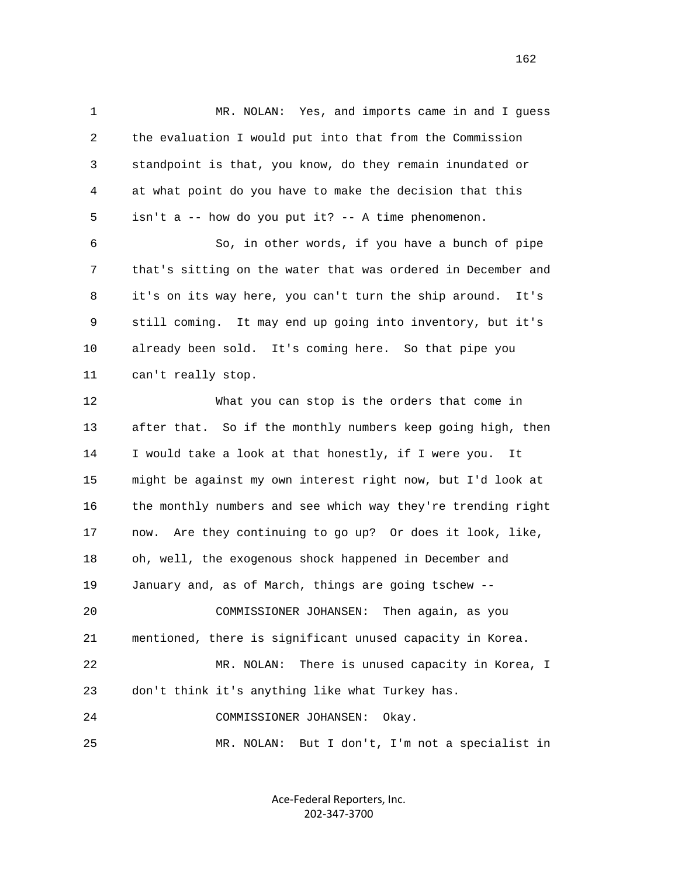1 MR. NOLAN: Yes, and imports came in and I guess 2 the evaluation I would put into that from the Commission 3 standpoint is that, you know, do they remain inundated or 4 at what point do you have to make the decision that this 5 isn't a -- how do you put it? -- A time phenomenon. 6 So, in other words, if you have a bunch of pipe 7 that's sitting on the water that was ordered in December and 8 it's on its way here, you can't turn the ship around. It's 9 still coming. It may end up going into inventory, but it's 10 already been sold. It's coming here. So that pipe you 11 can't really stop. 12 What you can stop is the orders that come in 13 after that. So if the monthly numbers keep going high, then 14 I would take a look at that honestly, if I were you. It 15 might be against my own interest right now, but I'd look at 16 the monthly numbers and see which way they're trending right 17 now. Are they continuing to go up? Or does it look, like, 18 oh, well, the exogenous shock happened in December and 19 January and, as of March, things are going tschew -- 20 COMMISSIONER JOHANSEN: Then again, as you 21 mentioned, there is significant unused capacity in Korea. 22 MR. NOLAN: There is unused capacity in Korea, I 23 don't think it's anything like what Turkey has. 24 COMMISSIONER JOHANSEN: Okay. 25 MR. NOLAN: But I don't, I'm not a specialist in

> Ace‐Federal Reporters, Inc. 202‐347‐3700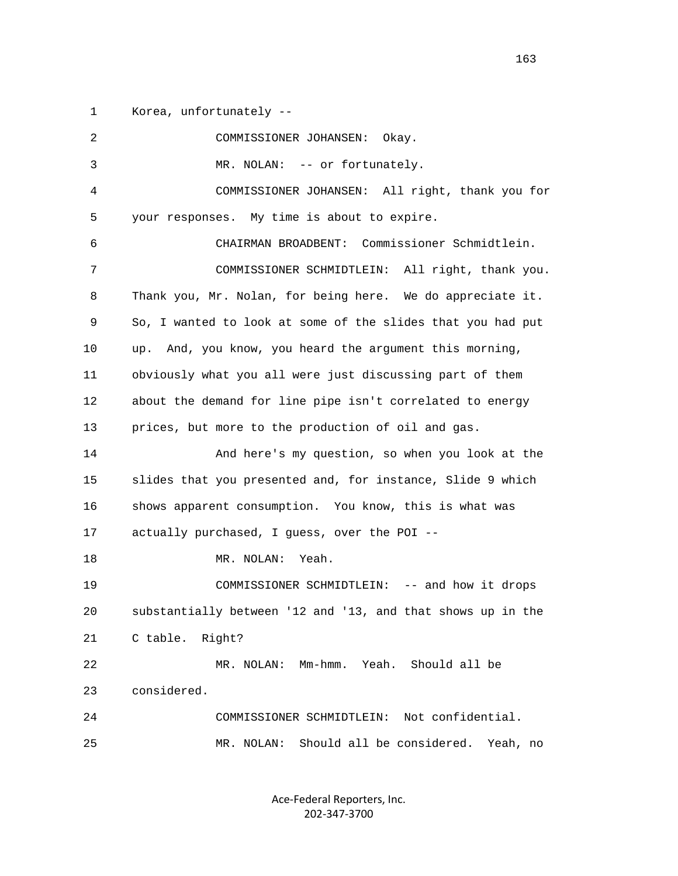1 Korea, unfortunately --

| 2            | COMMISSIONER JOHANSEN:<br>Okay.                             |
|--------------|-------------------------------------------------------------|
| $\mathsf{3}$ | MR. NOLAN: -- or fortunately.                               |
| 4            | COMMISSIONER JOHANSEN: All right, thank you for             |
| 5            | your responses. My time is about to expire.                 |
| 6            | CHAIRMAN BROADBENT: Commissioner Schmidtlein.               |
| 7            | COMMISSIONER SCHMIDTLEIN:<br>All right, thank you.          |
| 8            | Thank you, Mr. Nolan, for being here. We do appreciate it.  |
| 9            | So, I wanted to look at some of the slides that you had put |
| 10           | And, you know, you heard the argument this morning,<br>up.  |
| 11           | obviously what you all were just discussing part of them    |
| 12           | about the demand for line pipe isn't correlated to energy   |
| 13           | prices, but more to the production of oil and gas.          |
| 14           | And here's my question, so when you look at the             |
| 15           | slides that you presented and, for instance, Slide 9 which  |
| 16           | shows apparent consumption. You know, this is what was      |
| 17           | actually purchased, I guess, over the POI --                |
| 18           | MR. NOLAN:<br>Yeah.                                         |
| 19           | COMMISSIONER SCHMIDTLEIN: -- and how it drops               |
| 20           | substantially between '12 and '13, and that shows up in the |
| 21           | C table. Right?                                             |
| 22           | Mm-hmm. Yeah. Should all be<br>MR. NOLAN:                   |
| 23           | considered.                                                 |
| 24           | Not confidential.<br>COMMISSIONER SCHMIDTLEIN:              |
| 25           | Should all be considered. Yeah, no<br>MR. NOLAN:            |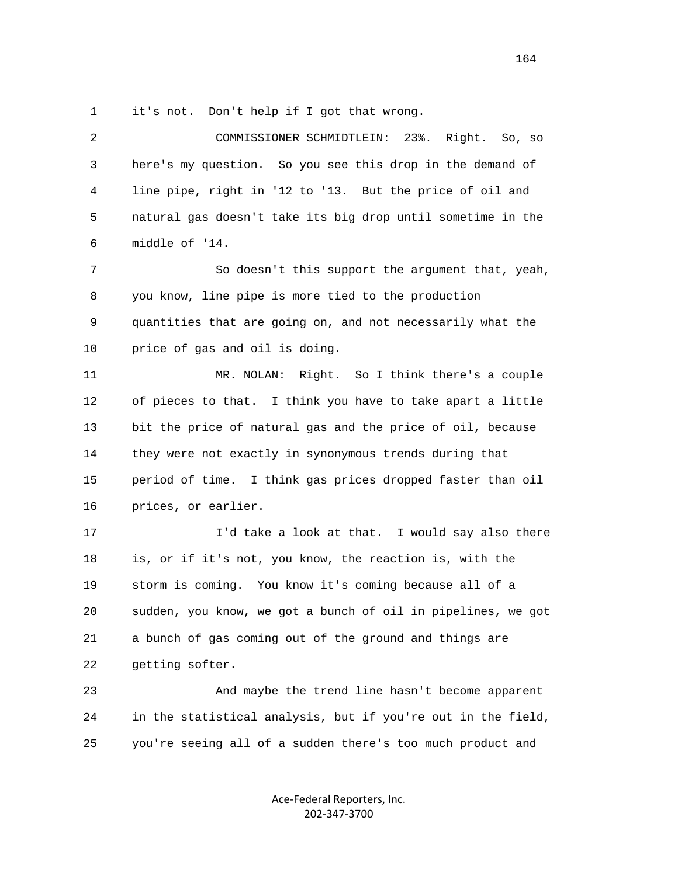1 it's not. Don't help if I got that wrong.

 2 COMMISSIONER SCHMIDTLEIN: 23%. Right. So, so 3 here's my question. So you see this drop in the demand of 4 line pipe, right in '12 to '13. But the price of oil and 5 natural gas doesn't take its big drop until sometime in the 6 middle of '14. 7 So doesn't this support the argument that, yeah, 8 you know, line pipe is more tied to the production 9 quantities that are going on, and not necessarily what the 10 price of gas and oil is doing. 11 MR. NOLAN: Right. So I think there's a couple 12 of pieces to that. I think you have to take apart a little 13 bit the price of natural gas and the price of oil, because 14 they were not exactly in synonymous trends during that 15 period of time. I think gas prices dropped faster than oil 16 prices, or earlier. 17 I'd take a look at that. I would say also there 18 is, or if it's not, you know, the reaction is, with the 19 storm is coming. You know it's coming because all of a 20 sudden, you know, we got a bunch of oil in pipelines, we got 21 a bunch of gas coming out of the ground and things are 22 getting softer. 23 And maybe the trend line hasn't become apparent 24 in the statistical analysis, but if you're out in the field, 25 you're seeing all of a sudden there's too much product and

> Ace‐Federal Reporters, Inc. 202‐347‐3700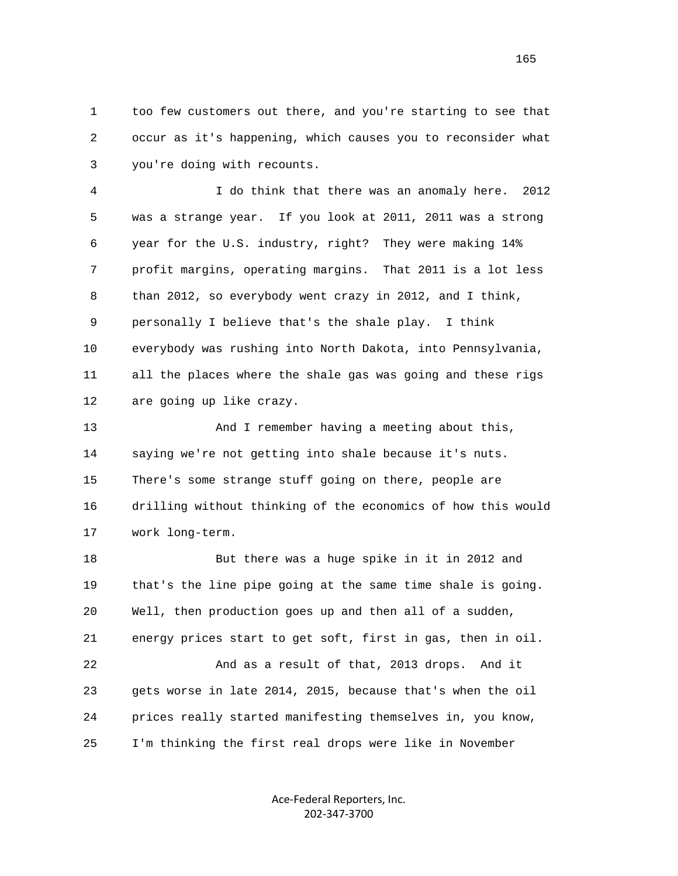1 too few customers out there, and you're starting to see that 2 occur as it's happening, which causes you to reconsider what 3 you're doing with recounts.

 4 I do think that there was an anomaly here. 2012 5 was a strange year. If you look at 2011, 2011 was a strong 6 year for the U.S. industry, right? They were making 14% 7 profit margins, operating margins. That 2011 is a lot less 8 than 2012, so everybody went crazy in 2012, and I think, 9 personally I believe that's the shale play. I think 10 everybody was rushing into North Dakota, into Pennsylvania, 11 all the places where the shale gas was going and these rigs 12 are going up like crazy.

13 And I remember having a meeting about this, 14 saying we're not getting into shale because it's nuts. 15 There's some strange stuff going on there, people are 16 drilling without thinking of the economics of how this would 17 work long-term.

 18 But there was a huge spike in it in 2012 and 19 that's the line pipe going at the same time shale is going. 20 Well, then production goes up and then all of a sudden, 21 energy prices start to get soft, first in gas, then in oil. 22 And as a result of that, 2013 drops. And it 23 gets worse in late 2014, 2015, because that's when the oil 24 prices really started manifesting themselves in, you know, 25 I'm thinking the first real drops were like in November

> Ace‐Federal Reporters, Inc. 202‐347‐3700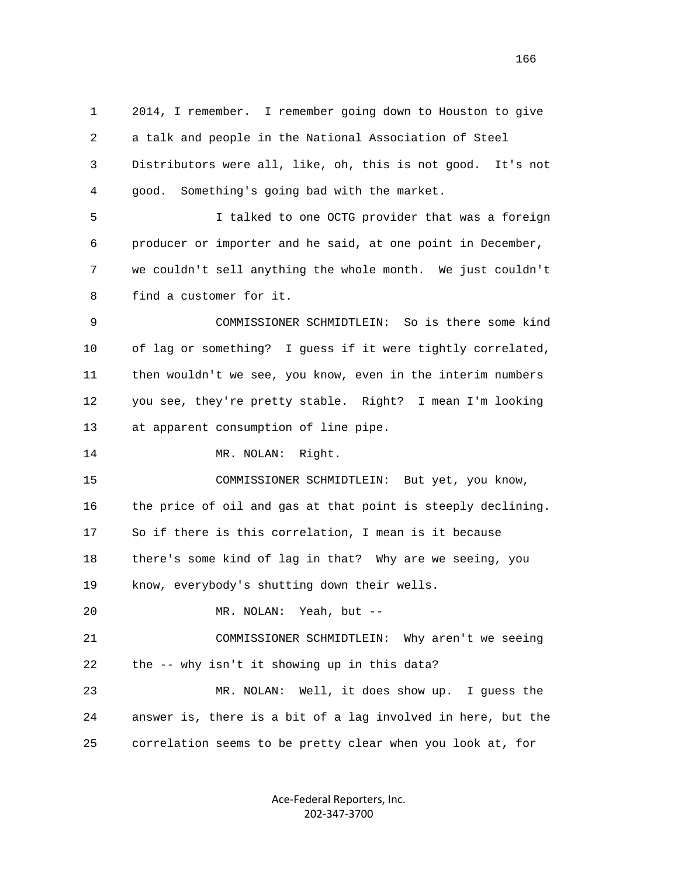1 2014, I remember. I remember going down to Houston to give 2 a talk and people in the National Association of Steel 3 Distributors were all, like, oh, this is not good. It's not 4 good. Something's going bad with the market.

 5 I talked to one OCTG provider that was a foreign 6 producer or importer and he said, at one point in December, 7 we couldn't sell anything the whole month. We just couldn't 8 find a customer for it.

 9 COMMISSIONER SCHMIDTLEIN: So is there some kind 10 of lag or something? I guess if it were tightly correlated, 11 then wouldn't we see, you know, even in the interim numbers 12 you see, they're pretty stable. Right? I mean I'm looking 13 at apparent consumption of line pipe.

14 MR. NOLAN: Right.

 15 COMMISSIONER SCHMIDTLEIN: But yet, you know, 16 the price of oil and gas at that point is steeply declining. 17 So if there is this correlation, I mean is it because 18 there's some kind of lag in that? Why are we seeing, you 19 know, everybody's shutting down their wells.

20 MR. NOLAN: Yeah, but --

 21 COMMISSIONER SCHMIDTLEIN: Why aren't we seeing 22 the -- why isn't it showing up in this data?

 23 MR. NOLAN: Well, it does show up. I guess the 24 answer is, there is a bit of a lag involved in here, but the 25 correlation seems to be pretty clear when you look at, for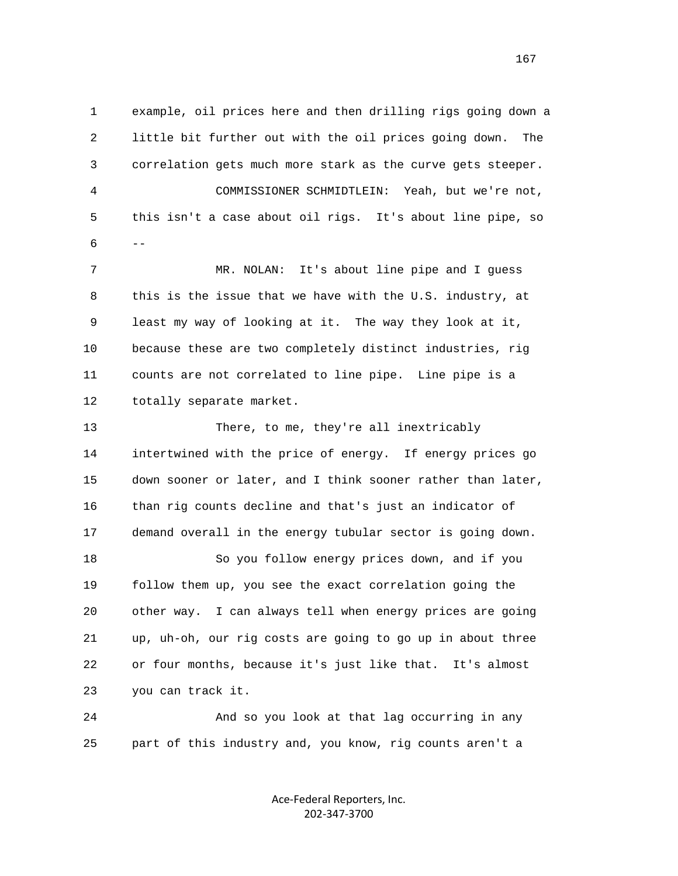1 example, oil prices here and then drilling rigs going down a 2 little bit further out with the oil prices going down. The 3 correlation gets much more stark as the curve gets steeper. 4 COMMISSIONER SCHMIDTLEIN: Yeah, but we're not, 5 this isn't a case about oil rigs. It's about line pipe, so  $6$  -- 7 MR. NOLAN: It's about line pipe and I guess 8 this is the issue that we have with the U.S. industry, at 9 least my way of looking at it. The way they look at it, 10 because these are two completely distinct industries, rig 11 counts are not correlated to line pipe. Line pipe is a 12 totally separate market. 13 There, to me, they're all inextricably 14 intertwined with the price of energy. If energy prices go

> 15 down sooner or later, and I think sooner rather than later, 16 than rig counts decline and that's just an indicator of 17 demand overall in the energy tubular sector is going down. 18 So you follow energy prices down, and if you 19 follow them up, you see the exact correlation going the 20 other way. I can always tell when energy prices are going 21 up, uh-oh, our rig costs are going to go up in about three

 22 or four months, because it's just like that. It's almost 23 you can track it.

 24 And so you look at that lag occurring in any 25 part of this industry and, you know, rig counts aren't a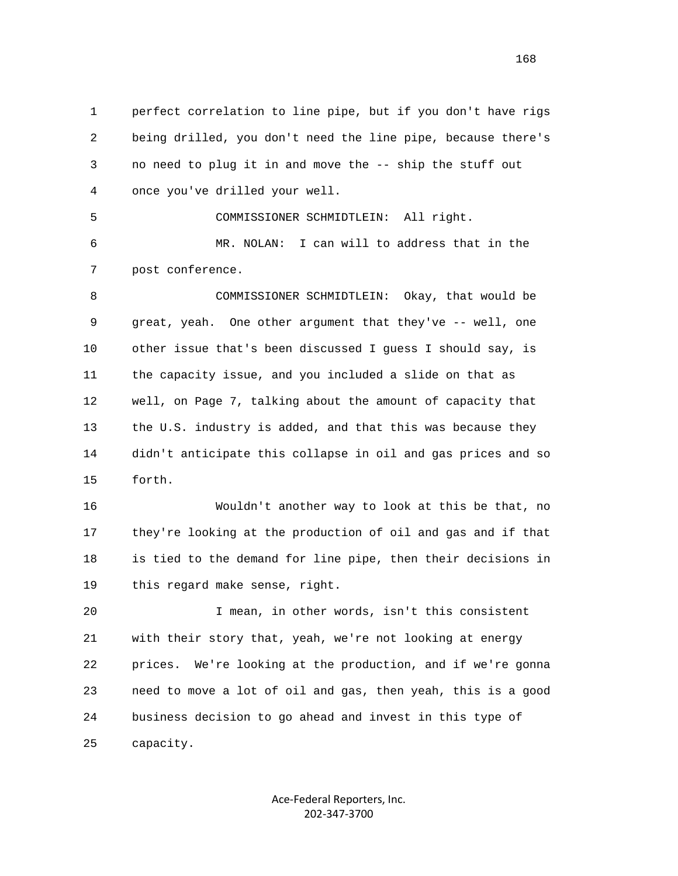1 perfect correlation to line pipe, but if you don't have rigs 2 being drilled, you don't need the line pipe, because there's 3 no need to plug it in and move the -- ship the stuff out 4 once you've drilled your well.

 6 MR. NOLAN: I can will to address that in the 7 post conference.

5 COMMISSIONER SCHMIDTLEIN: All right.

 8 COMMISSIONER SCHMIDTLEIN: Okay, that would be 9 great, yeah. One other argument that they've -- well, one 10 other issue that's been discussed I guess I should say, is 11 the capacity issue, and you included a slide on that as 12 well, on Page 7, talking about the amount of capacity that 13 the U.S. industry is added, and that this was because they 14 didn't anticipate this collapse in oil and gas prices and so 15 forth.

 16 Wouldn't another way to look at this be that, no 17 they're looking at the production of oil and gas and if that 18 is tied to the demand for line pipe, then their decisions in 19 this regard make sense, right.

 20 I mean, in other words, isn't this consistent 21 with their story that, yeah, we're not looking at energy 22 prices. We're looking at the production, and if we're gonna 23 need to move a lot of oil and gas, then yeah, this is a good 24 business decision to go ahead and invest in this type of 25 capacity.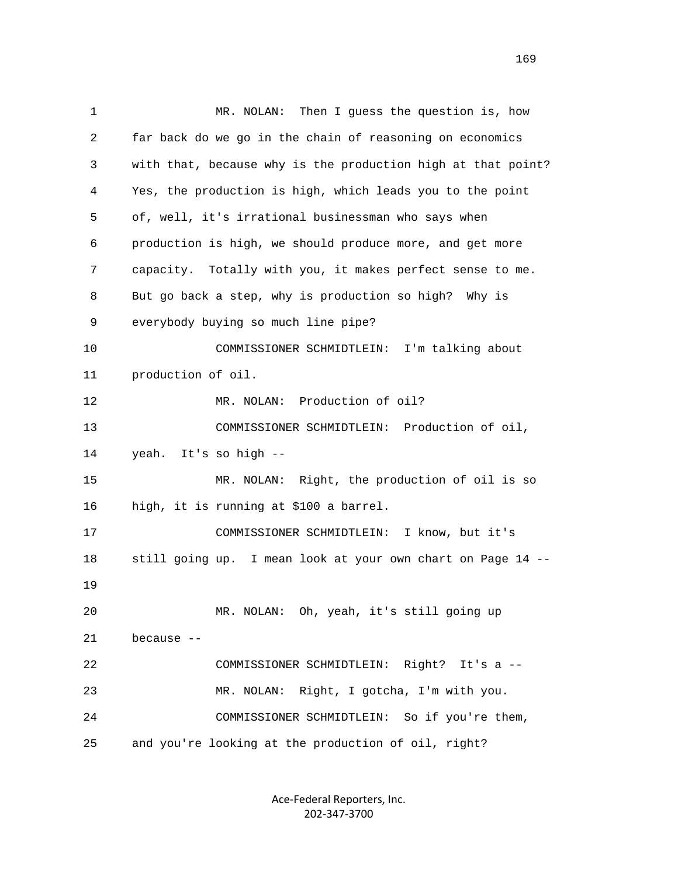1 MR. NOLAN: Then I guess the question is, how 2 far back do we go in the chain of reasoning on economics 3 with that, because why is the production high at that point? 4 Yes, the production is high, which leads you to the point 5 of, well, it's irrational businessman who says when 6 production is high, we should produce more, and get more 7 capacity. Totally with you, it makes perfect sense to me. 8 But go back a step, why is production so high? Why is 9 everybody buying so much line pipe? 10 COMMISSIONER SCHMIDTLEIN: I'm talking about 11 production of oil. 12 MR. NOLAN: Production of oil? 13 COMMISSIONER SCHMIDTLEIN: Production of oil, 14 yeah. It's so high -- 15 MR. NOLAN: Right, the production of oil is so 16 high, it is running at \$100 a barrel. 17 COMMISSIONER SCHMIDTLEIN: I know, but it's 18 still going up. I mean look at your own chart on Page 14 -- 19 20 MR. NOLAN: Oh, yeah, it's still going up 21 because -- 22 COMMISSIONER SCHMIDTLEIN: Right? It's a -- 23 MR. NOLAN: Right, I gotcha, I'm with you. 24 COMMISSIONER SCHMIDTLEIN: So if you're them, 25 and you're looking at the production of oil, right?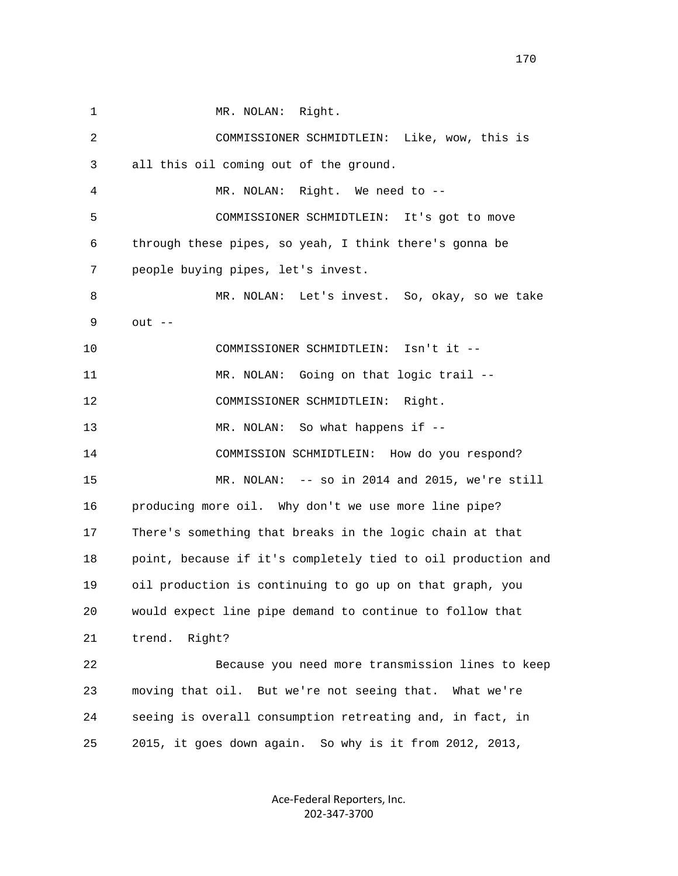1 MR. NOLAN: Right. 2 COMMISSIONER SCHMIDTLEIN: Like, wow, this is 3 all this oil coming out of the ground. 4 MR. NOLAN: Right. We need to -- 5 COMMISSIONER SCHMIDTLEIN: It's got to move 6 through these pipes, so yeah, I think there's gonna be 7 people buying pipes, let's invest. 8 MR. NOLAN: Let's invest. So, okay, so we take 9 out -- 10 COMMISSIONER SCHMIDTLEIN: Isn't it -- 11 MR. NOLAN: Going on that logic trail -- 12 COMMISSIONER SCHMIDTLEIN: Right. 13 MR. NOLAN: So what happens if -- 14 COMMISSION SCHMIDTLEIN: How do you respond? 15 MR. NOLAN: -- so in 2014 and 2015, we're still 16 producing more oil. Why don't we use more line pipe? 17 There's something that breaks in the logic chain at that 18 point, because if it's completely tied to oil production and 19 oil production is continuing to go up on that graph, you 20 would expect line pipe demand to continue to follow that 21 trend. Right? 22 Because you need more transmission lines to keep 23 moving that oil. But we're not seeing that. What we're 24 seeing is overall consumption retreating and, in fact, in 25 2015, it goes down again. So why is it from 2012, 2013,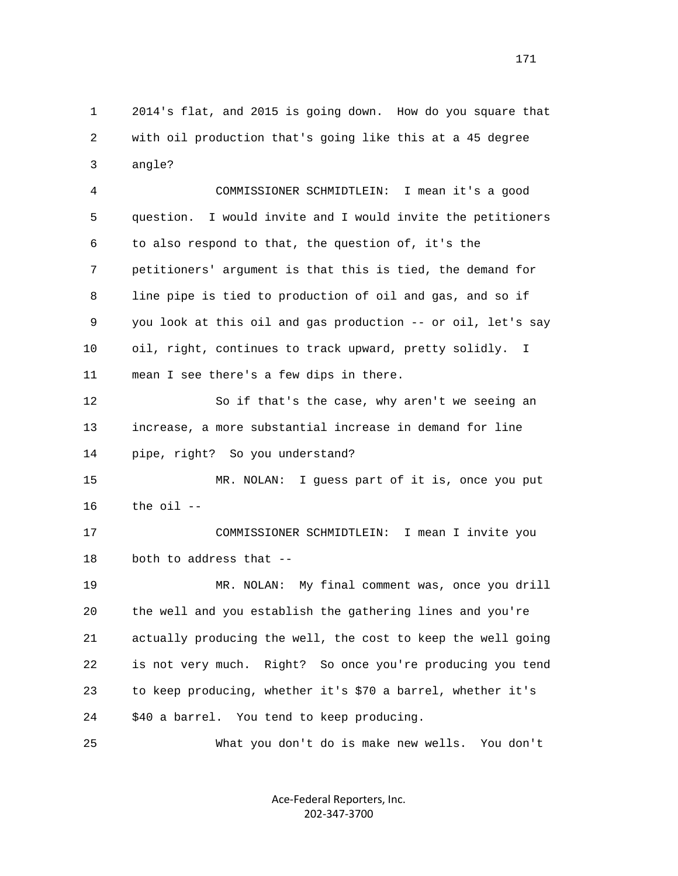1 2014's flat, and 2015 is going down. How do you square that 2 with oil production that's going like this at a 45 degree 3 angle?

 4 COMMISSIONER SCHMIDTLEIN: I mean it's a good 5 question. I would invite and I would invite the petitioners 6 to also respond to that, the question of, it's the 7 petitioners' argument is that this is tied, the demand for 8 line pipe is tied to production of oil and gas, and so if 9 you look at this oil and gas production -- or oil, let's say 10 oil, right, continues to track upward, pretty solidly. I 11 mean I see there's a few dips in there.

 12 So if that's the case, why aren't we seeing an 13 increase, a more substantial increase in demand for line 14 pipe, right? So you understand?

 15 MR. NOLAN: I guess part of it is, once you put 16 the oil --

 17 COMMISSIONER SCHMIDTLEIN: I mean I invite you 18 both to address that --

 19 MR. NOLAN: My final comment was, once you drill 20 the well and you establish the gathering lines and you're 21 actually producing the well, the cost to keep the well going 22 is not very much. Right? So once you're producing you tend 23 to keep producing, whether it's \$70 a barrel, whether it's 24 \$40 a barrel. You tend to keep producing.

25 What you don't do is make new wells. You don't

Ace‐Federal Reporters, Inc. 202‐347‐3700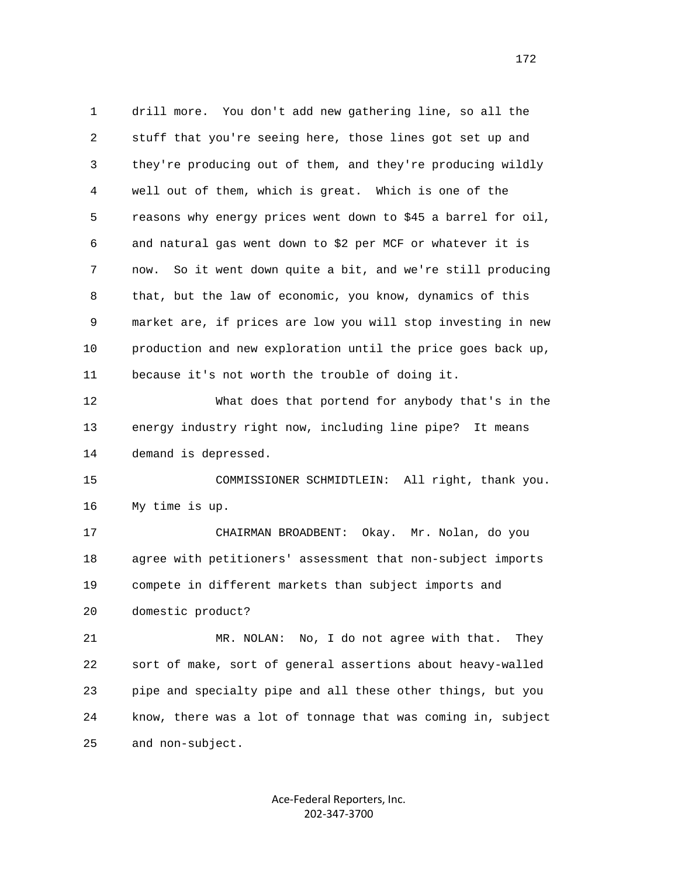1 drill more. You don't add new gathering line, so all the 2 stuff that you're seeing here, those lines got set up and 3 they're producing out of them, and they're producing wildly 4 well out of them, which is great. Which is one of the 5 reasons why energy prices went down to \$45 a barrel for oil, 6 and natural gas went down to \$2 per MCF or whatever it is 7 now. So it went down quite a bit, and we're still producing 8 that, but the law of economic, you know, dynamics of this 9 market are, if prices are low you will stop investing in new 10 production and new exploration until the price goes back up, 11 because it's not worth the trouble of doing it. 12 What does that portend for anybody that's in the 13 energy industry right now, including line pipe? It means 14 demand is depressed. 15 COMMISSIONER SCHMIDTLEIN: All right, thank you. 16 My time is up. 17 CHAIRMAN BROADBENT: Okay. Mr. Nolan, do you 18 agree with petitioners' assessment that non-subject imports 19 compete in different markets than subject imports and 20 domestic product? 21 MR. NOLAN: No, I do not agree with that. They 22 sort of make, sort of general assertions about heavy-walled 23 pipe and specialty pipe and all these other things, but you 24 know, there was a lot of tonnage that was coming in, subject

> Ace‐Federal Reporters, Inc. 202‐347‐3700

25 and non-subject.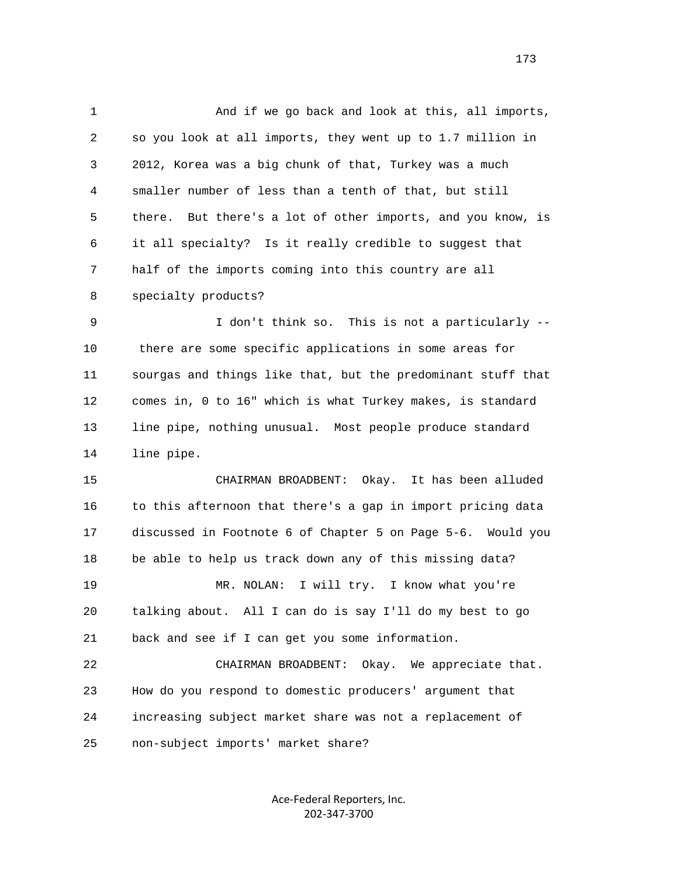1 And if we go back and look at this, all imports, 2 so you look at all imports, they went up to 1.7 million in 3 2012, Korea was a big chunk of that, Turkey was a much 4 smaller number of less than a tenth of that, but still 5 there. But there's a lot of other imports, and you know, is 6 it all specialty? Is it really credible to suggest that 7 half of the imports coming into this country are all 8 specialty products? 9 I don't think so. This is not a particularly -- 10 there are some specific applications in some areas for 11 sourgas and things like that, but the predominant stuff that 12 comes in, 0 to 16" which is what Turkey makes, is standard 13 line pipe, nothing unusual. Most people produce standard 14 line pipe.

 15 CHAIRMAN BROADBENT: Okay. It has been alluded 16 to this afternoon that there's a gap in import pricing data 17 discussed in Footnote 6 of Chapter 5 on Page 5-6. Would you 18 be able to help us track down any of this missing data? 19 MR. NOLAN: I will try. I know what you're 20 talking about. All I can do is say I'll do my best to go 21 back and see if I can get you some information. 22 CHAIRMAN BROADBENT: Okay. We appreciate that.

 23 How do you respond to domestic producers' argument that 24 increasing subject market share was not a replacement of 25 non-subject imports' market share?

> Ace‐Federal Reporters, Inc. 202‐347‐3700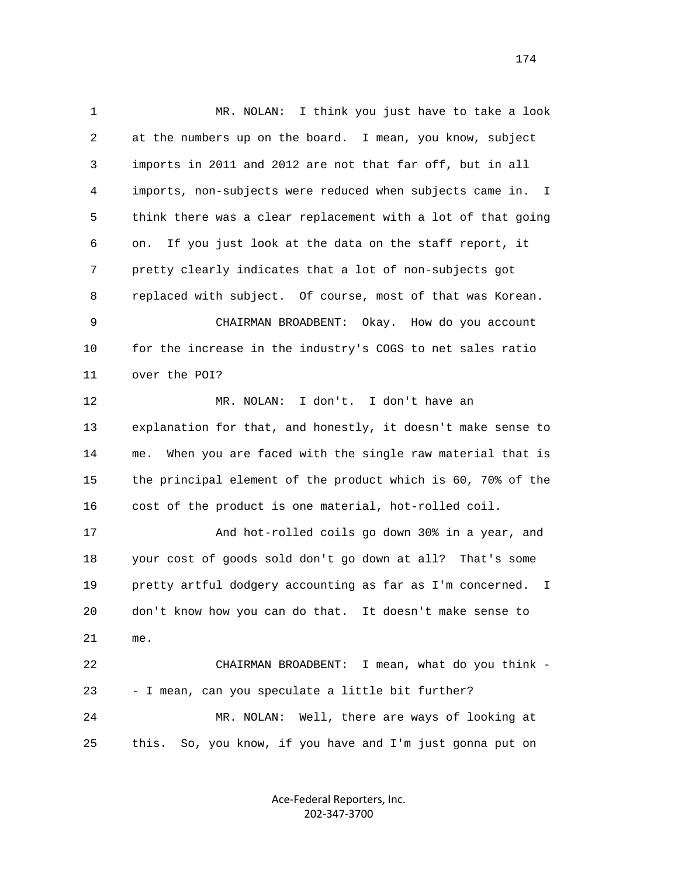1 MR. NOLAN: I think you just have to take a look 2 at the numbers up on the board. I mean, you know, subject 3 imports in 2011 and 2012 are not that far off, but in all 4 imports, non-subjects were reduced when subjects came in. I 5 think there was a clear replacement with a lot of that going 6 on. If you just look at the data on the staff report, it 7 pretty clearly indicates that a lot of non-subjects got 8 replaced with subject. Of course, most of that was Korean. 9 CHAIRMAN BROADBENT: Okay. How do you account 10 for the increase in the industry's COGS to net sales ratio 11 over the POI? 12 MR. NOLAN: I don't. I don't have an 13 explanation for that, and honestly, it doesn't make sense to 14 me. When you are faced with the single raw material that is 15 the principal element of the product which is 60, 70% of the 16 cost of the product is one material, hot-rolled coil. 17 And hot-rolled coils go down 30% in a year, and 18 your cost of goods sold don't go down at all? That's some 19 pretty artful dodgery accounting as far as I'm concerned. I 20 don't know how you can do that. It doesn't make sense to 21 me. 22 CHAIRMAN BROADBENT: I mean, what do you think - 23 - I mean, can you speculate a little bit further? 24 MR. NOLAN: Well, there are ways of looking at 25 this. So, you know, if you have and I'm just gonna put on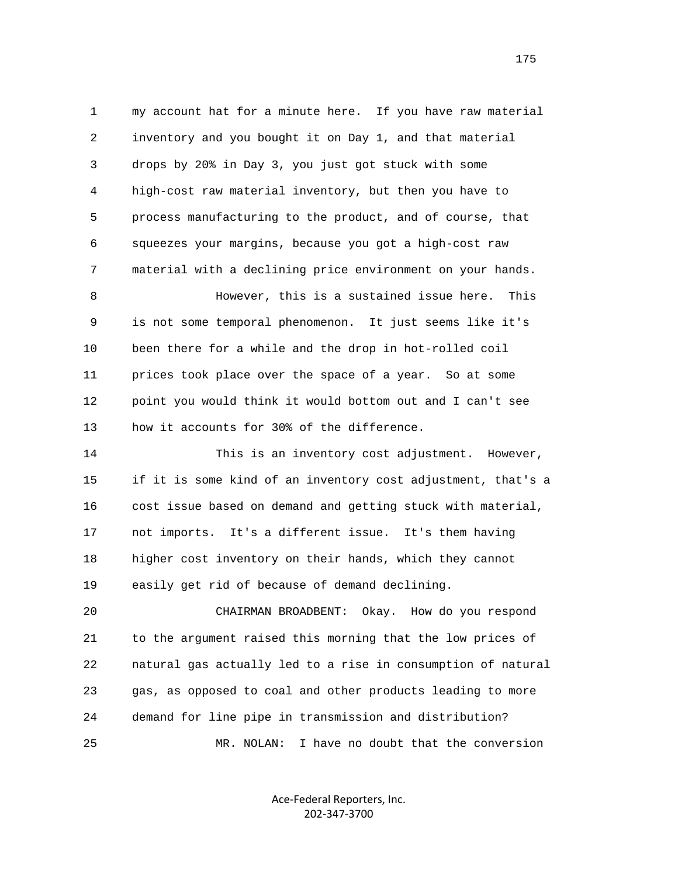1 my account hat for a minute here. If you have raw material 2 inventory and you bought it on Day 1, and that material 3 drops by 20% in Day 3, you just got stuck with some 4 high-cost raw material inventory, but then you have to 5 process manufacturing to the product, and of course, that 6 squeezes your margins, because you got a high-cost raw 7 material with a declining price environment on your hands. 8 However, this is a sustained issue here. This 9 is not some temporal phenomenon. It just seems like it's 10 been there for a while and the drop in hot-rolled coil 11 prices took place over the space of a year. So at some 12 point you would think it would bottom out and I can't see 13 how it accounts for 30% of the difference. 14 This is an inventory cost adjustment. However, 15 if it is some kind of an inventory cost adjustment, that's a 16 cost issue based on demand and getting stuck with material, 17 not imports. It's a different issue. It's them having 18 higher cost inventory on their hands, which they cannot 19 easily get rid of because of demand declining. 20 CHAIRMAN BROADBENT: Okay. How do you respond

 21 to the argument raised this morning that the low prices of 22 natural gas actually led to a rise in consumption of natural 23 gas, as opposed to coal and other products leading to more 24 demand for line pipe in transmission and distribution? 25 MR. NOLAN: I have no doubt that the conversion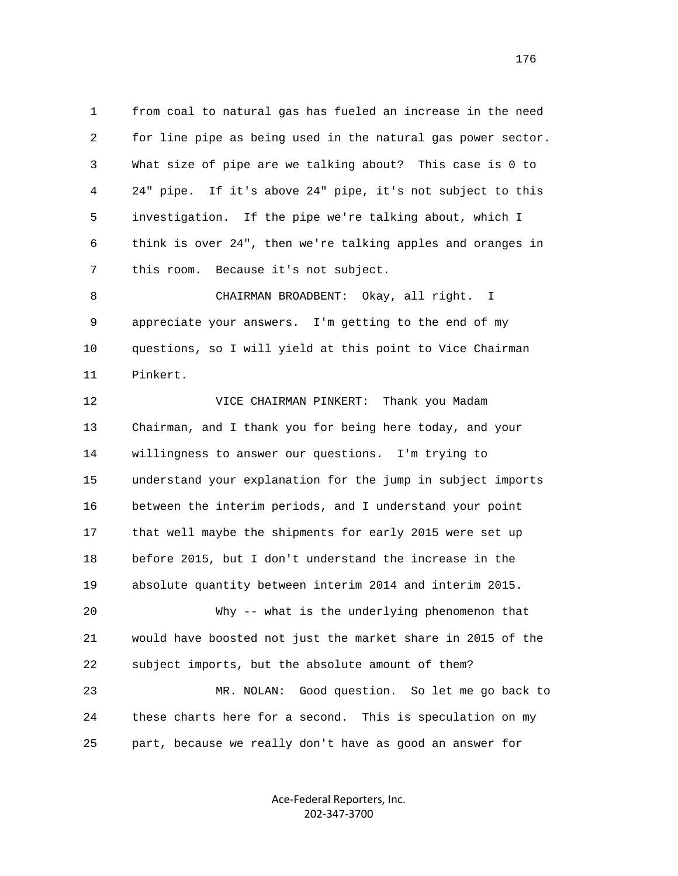1 from coal to natural gas has fueled an increase in the need 2 for line pipe as being used in the natural gas power sector. 3 What size of pipe are we talking about? This case is 0 to 4 24" pipe. If it's above 24" pipe, it's not subject to this 5 investigation. If the pipe we're talking about, which I 6 think is over 24", then we're talking apples and oranges in 7 this room. Because it's not subject.

 8 CHAIRMAN BROADBENT: Okay, all right. I 9 appreciate your answers. I'm getting to the end of my 10 questions, so I will yield at this point to Vice Chairman 11 Pinkert.

 12 VICE CHAIRMAN PINKERT: Thank you Madam 13 Chairman, and I thank you for being here today, and your 14 willingness to answer our questions. I'm trying to 15 understand your explanation for the jump in subject imports 16 between the interim periods, and I understand your point 17 that well maybe the shipments for early 2015 were set up 18 before 2015, but I don't understand the increase in the 19 absolute quantity between interim 2014 and interim 2015. 20 Why -- what is the underlying phenomenon that 21 would have boosted not just the market share in 2015 of the 22 subject imports, but the absolute amount of them? 23 MR. NOLAN: Good question. So let me go back to 24 these charts here for a second. This is speculation on my 25 part, because we really don't have as good an answer for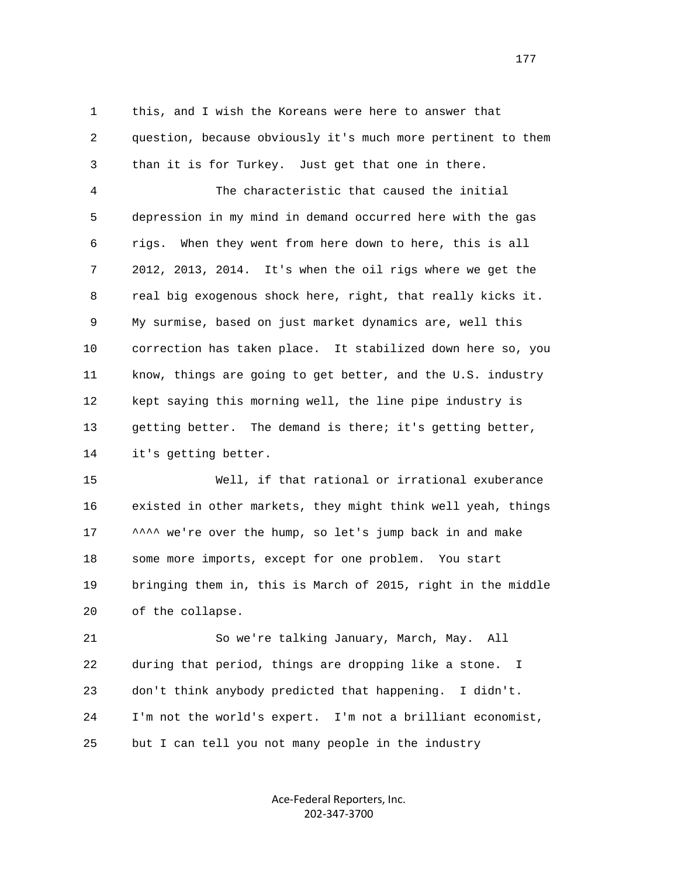1 this, and I wish the Koreans were here to answer that 2 question, because obviously it's much more pertinent to them 3 than it is for Turkey. Just get that one in there.

 4 The characteristic that caused the initial 5 depression in my mind in demand occurred here with the gas 6 rigs. When they went from here down to here, this is all 7 2012, 2013, 2014. It's when the oil rigs where we get the 8 real big exogenous shock here, right, that really kicks it. 9 My surmise, based on just market dynamics are, well this 10 correction has taken place. It stabilized down here so, you 11 know, things are going to get better, and the U.S. industry 12 kept saying this morning well, the line pipe industry is 13 getting better. The demand is there; it's getting better, 14 it's getting better.

 15 Well, if that rational or irrational exuberance 16 existed in other markets, they might think well yeah, things 17  $\sim$  ^^^ we're over the hump, so let's jump back in and make 18 some more imports, except for one problem. You start 19 bringing them in, this is March of 2015, right in the middle 20 of the collapse.

 21 So we're talking January, March, May. All 22 during that period, things are dropping like a stone. I 23 don't think anybody predicted that happening. I didn't. 24 I'm not the world's expert. I'm not a brilliant economist, 25 but I can tell you not many people in the industry

> Ace‐Federal Reporters, Inc. 202‐347‐3700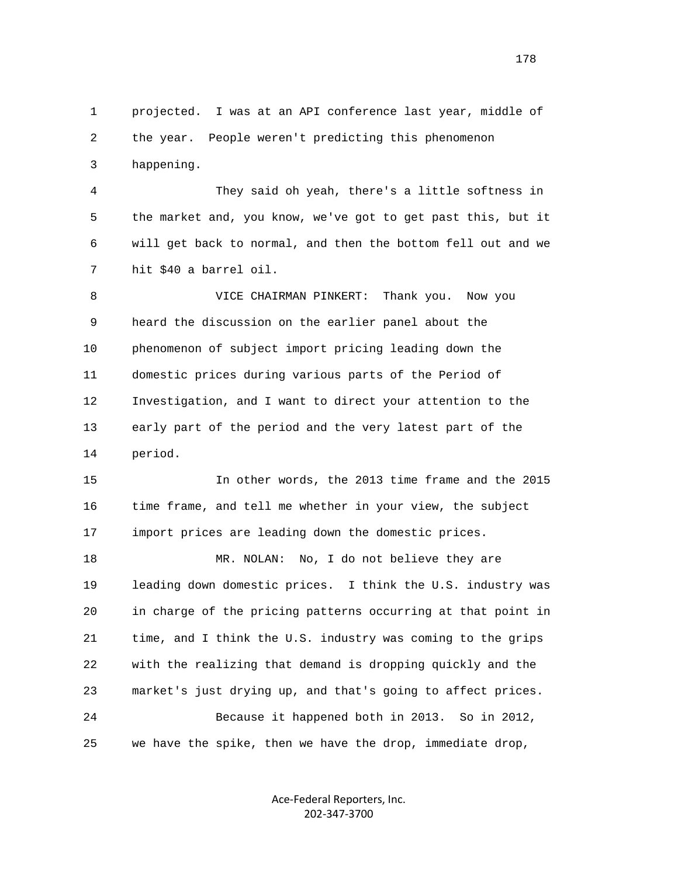1 projected. I was at an API conference last year, middle of 2 the year. People weren't predicting this phenomenon 3 happening. 4 They said oh yeah, there's a little softness in 5 the market and, you know, we've got to get past this, but it 6 will get back to normal, and then the bottom fell out and we 7 hit \$40 a barrel oil. 8 VICE CHAIRMAN PINKERT: Thank you. Now you 9 heard the discussion on the earlier panel about the 10 phenomenon of subject import pricing leading down the 11 domestic prices during various parts of the Period of 12 Investigation, and I want to direct your attention to the 13 early part of the period and the very latest part of the 14 period. 15 In other words, the 2013 time frame and the 2015 16 time frame, and tell me whether in your view, the subject 17 import prices are leading down the domestic prices. 18 MR. NOLAN: No, I do not believe they are 19 leading down domestic prices. I think the U.S. industry was 20 in charge of the pricing patterns occurring at that point in 21 time, and I think the U.S. industry was coming to the grips 22 with the realizing that demand is dropping quickly and the 23 market's just drying up, and that's going to affect prices. 24 Because it happened both in 2013. So in 2012, 25 we have the spike, then we have the drop, immediate drop,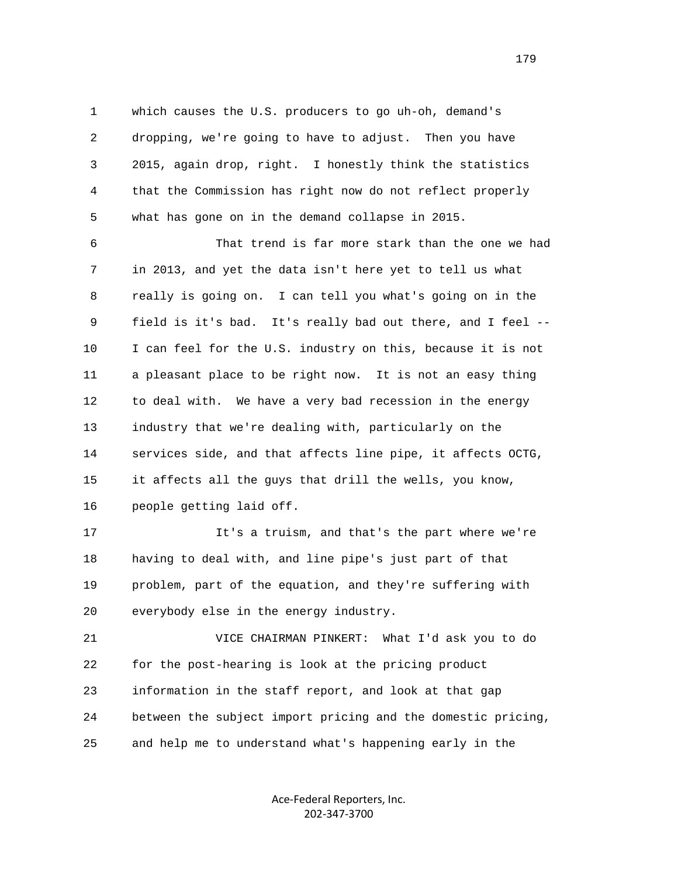1 which causes the U.S. producers to go uh-oh, demand's 2 dropping, we're going to have to adjust. Then you have 3 2015, again drop, right. I honestly think the statistics 4 that the Commission has right now do not reflect properly 5 what has gone on in the demand collapse in 2015.

 6 That trend is far more stark than the one we had 7 in 2013, and yet the data isn't here yet to tell us what 8 really is going on. I can tell you what's going on in the 9 field is it's bad. It's really bad out there, and I feel -- 10 I can feel for the U.S. industry on this, because it is not 11 a pleasant place to be right now. It is not an easy thing 12 to deal with. We have a very bad recession in the energy 13 industry that we're dealing with, particularly on the 14 services side, and that affects line pipe, it affects OCTG, 15 it affects all the guys that drill the wells, you know, 16 people getting laid off.

 17 It's a truism, and that's the part where we're 18 having to deal with, and line pipe's just part of that 19 problem, part of the equation, and they're suffering with 20 everybody else in the energy industry.

 21 VICE CHAIRMAN PINKERT: What I'd ask you to do 22 for the post-hearing is look at the pricing product 23 information in the staff report, and look at that gap 24 between the subject import pricing and the domestic pricing, 25 and help me to understand what's happening early in the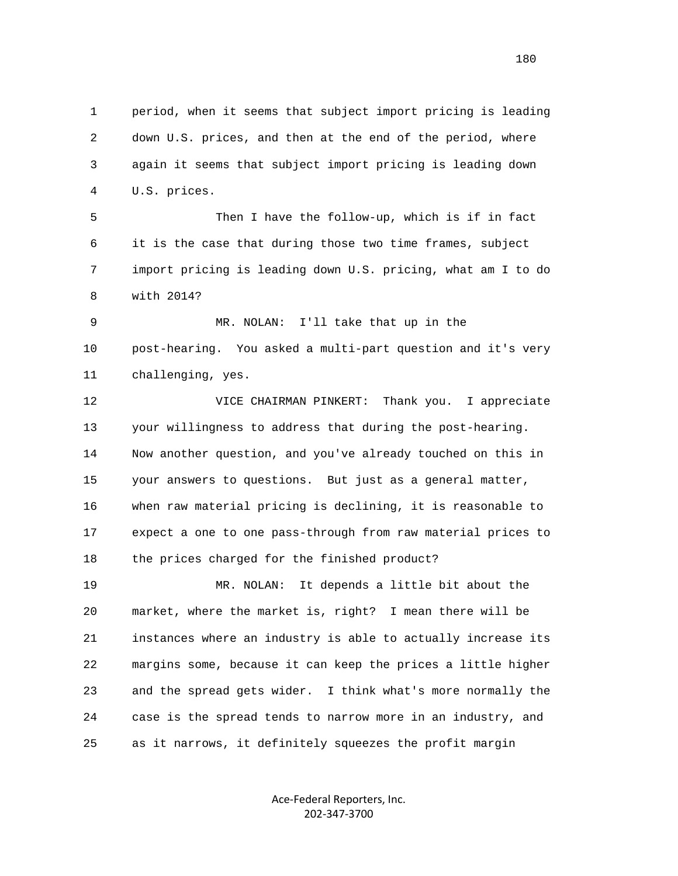1 period, when it seems that subject import pricing is leading 2 down U.S. prices, and then at the end of the period, where 3 again it seems that subject import pricing is leading down 4 U.S. prices.

 5 Then I have the follow-up, which is if in fact 6 it is the case that during those two time frames, subject 7 import pricing is leading down U.S. pricing, what am I to do 8 with 2014?

 9 MR. NOLAN: I'll take that up in the 10 post-hearing. You asked a multi-part question and it's very 11 challenging, yes.

 12 VICE CHAIRMAN PINKERT: Thank you. I appreciate 13 your willingness to address that during the post-hearing. 14 Now another question, and you've already touched on this in 15 your answers to questions. But just as a general matter, 16 when raw material pricing is declining, it is reasonable to 17 expect a one to one pass-through from raw material prices to 18 the prices charged for the finished product?

 19 MR. NOLAN: It depends a little bit about the 20 market, where the market is, right? I mean there will be 21 instances where an industry is able to actually increase its 22 margins some, because it can keep the prices a little higher 23 and the spread gets wider. I think what's more normally the 24 case is the spread tends to narrow more in an industry, and 25 as it narrows, it definitely squeezes the profit margin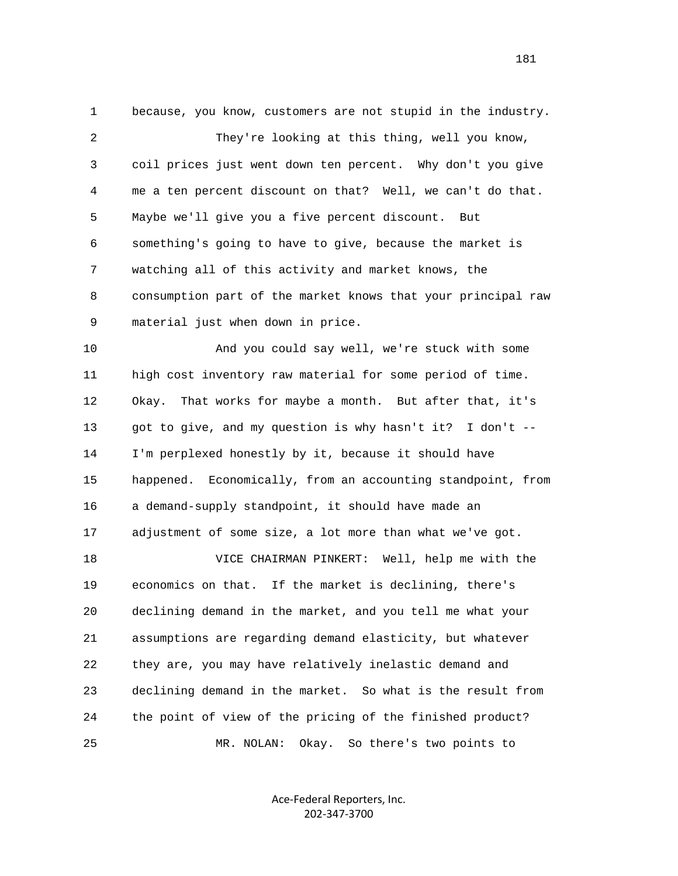1 because, you know, customers are not stupid in the industry. 2 They're looking at this thing, well you know, 3 coil prices just went down ten percent. Why don't you give 4 me a ten percent discount on that? Well, we can't do that. 5 Maybe we'll give you a five percent discount. But 6 something's going to have to give, because the market is 7 watching all of this activity and market knows, the 8 consumption part of the market knows that your principal raw 9 material just when down in price. 10 And you could say well, we're stuck with some 11 high cost inventory raw material for some period of time. 12 Okay. That works for maybe a month. But after that, it's 13 got to give, and my question is why hasn't it? I don't --

 14 I'm perplexed honestly by it, because it should have 15 happened. Economically, from an accounting standpoint, from 16 a demand-supply standpoint, it should have made an 17 adjustment of some size, a lot more than what we've got.

 18 VICE CHAIRMAN PINKERT: Well, help me with the 19 economics on that. If the market is declining, there's 20 declining demand in the market, and you tell me what your 21 assumptions are regarding demand elasticity, but whatever 22 they are, you may have relatively inelastic demand and 23 declining demand in the market. So what is the result from 24 the point of view of the pricing of the finished product? 25 MR. NOLAN: Okay. So there's two points to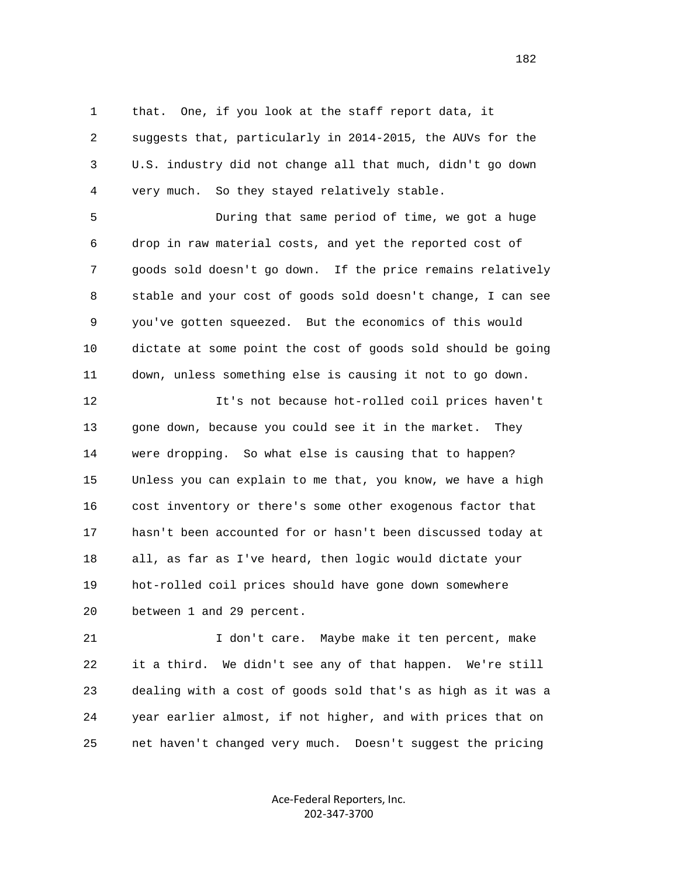1 that. One, if you look at the staff report data, it 2 suggests that, particularly in 2014-2015, the AUVs for the 3 U.S. industry did not change all that much, didn't go down 4 very much. So they stayed relatively stable.

 5 During that same period of time, we got a huge 6 drop in raw material costs, and yet the reported cost of 7 goods sold doesn't go down. If the price remains relatively 8 stable and your cost of goods sold doesn't change, I can see 9 you've gotten squeezed. But the economics of this would 10 dictate at some point the cost of goods sold should be going 11 down, unless something else is causing it not to go down.

 12 It's not because hot-rolled coil prices haven't 13 gone down, because you could see it in the market. They 14 were dropping. So what else is causing that to happen? 15 Unless you can explain to me that, you know, we have a high 16 cost inventory or there's some other exogenous factor that 17 hasn't been accounted for or hasn't been discussed today at 18 all, as far as I've heard, then logic would dictate your 19 hot-rolled coil prices should have gone down somewhere 20 between 1 and 29 percent.

 21 I don't care. Maybe make it ten percent, make 22 it a third. We didn't see any of that happen. We're still 23 dealing with a cost of goods sold that's as high as it was a 24 year earlier almost, if not higher, and with prices that on 25 net haven't changed very much. Doesn't suggest the pricing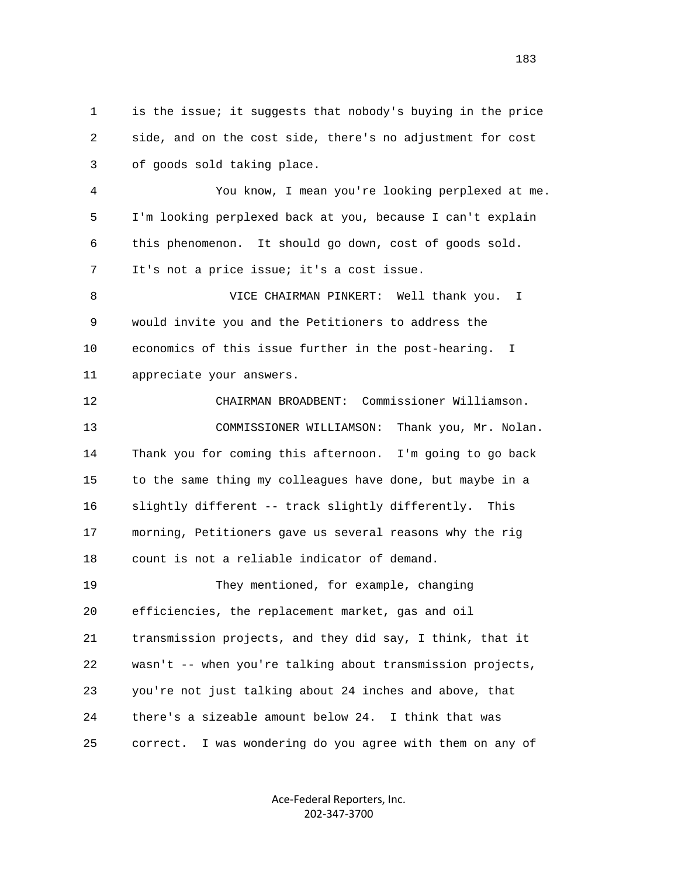1 is the issue; it suggests that nobody's buying in the price 2 side, and on the cost side, there's no adjustment for cost 3 of goods sold taking place.

 4 You know, I mean you're looking perplexed at me. 5 I'm looking perplexed back at you, because I can't explain 6 this phenomenon. It should go down, cost of goods sold. 7 It's not a price issue; it's a cost issue.

 8 VICE CHAIRMAN PINKERT: Well thank you. I 9 would invite you and the Petitioners to address the 10 economics of this issue further in the post-hearing. I 11 appreciate your answers.

 12 CHAIRMAN BROADBENT: Commissioner Williamson. 13 COMMISSIONER WILLIAMSON: Thank you, Mr. Nolan. 14 Thank you for coming this afternoon. I'm going to go back 15 to the same thing my colleagues have done, but maybe in a 16 slightly different -- track slightly differently. This 17 morning, Petitioners gave us several reasons why the rig 18 count is not a reliable indicator of demand. 19 They mentioned, for example, changing 20 efficiencies, the replacement market, gas and oil 21 transmission projects, and they did say, I think, that it 22 wasn't -- when you're talking about transmission projects, 23 you're not just talking about 24 inches and above, that 24 there's a sizeable amount below 24. I think that was 25 correct. I was wondering do you agree with them on any of

> Ace‐Federal Reporters, Inc. 202‐347‐3700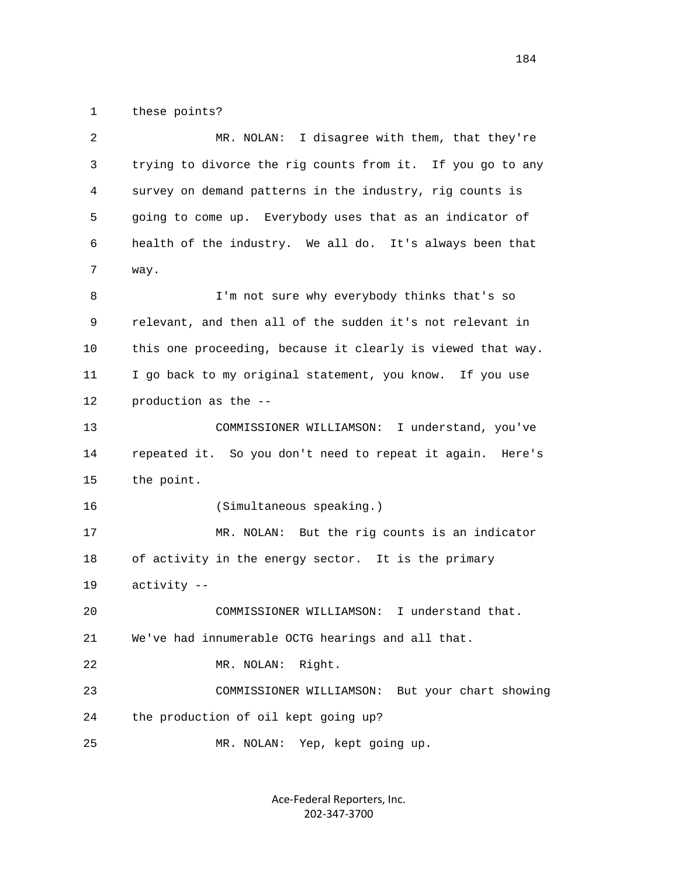1 these points?

| 2  | MR. NOLAN: I disagree with them, that they're               |
|----|-------------------------------------------------------------|
| 3  | trying to divorce the rig counts from it. If you go to any  |
| 4  | survey on demand patterns in the industry, rig counts is    |
| 5  | going to come up. Everybody uses that as an indicator of    |
| 6  | health of the industry. We all do. It's always been that    |
| 7  | way.                                                        |
| 8  | I'm not sure why everybody thinks that's so                 |
| 9  | relevant, and then all of the sudden it's not relevant in   |
| 10 | this one proceeding, because it clearly is viewed that way. |
| 11 | I go back to my original statement, you know. If you use    |
| 12 | production as the --                                        |
| 13 | COMMISSIONER WILLIAMSON: I understand, you've               |
| 14 | repeated it. So you don't need to repeat it again. Here's   |
| 15 | the point.                                                  |
| 16 | (Simultaneous speaking.)                                    |
| 17 | MR. NOLAN: But the rig counts is an indicator               |
| 18 | of activity in the energy sector. It is the primary         |
| 19 | activity --                                                 |
| 20 | I understand that.<br>COMMISSIONER WILLIAMSON:              |
| 21 | We've had innumerable OCTG hearings and all that.           |
| 22 | MR. NOLAN:<br>Right.                                        |
| 23 | COMMISSIONER WILLIAMSON: But your chart showing             |
| 24 | the production of oil kept going up?                        |
| 25 | MR. NOLAN: Yep, kept going up.                              |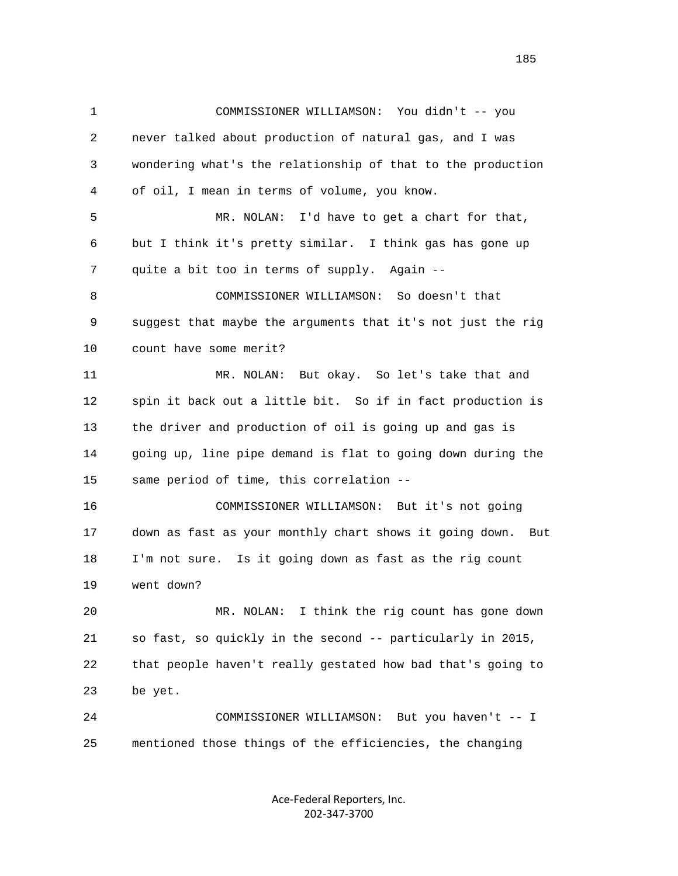1 COMMISSIONER WILLIAMSON: You didn't -- you 2 never talked about production of natural gas, and I was 3 wondering what's the relationship of that to the production 4 of oil, I mean in terms of volume, you know. 5 MR. NOLAN: I'd have to get a chart for that, 6 but I think it's pretty similar. I think gas has gone up 7 quite a bit too in terms of supply. Again -- 8 COMMISSIONER WILLIAMSON: So doesn't that 9 suggest that maybe the arguments that it's not just the rig 10 count have some merit? 11 MR. NOLAN: But okay. So let's take that and 12 spin it back out a little bit. So if in fact production is 13 the driver and production of oil is going up and gas is 14 going up, line pipe demand is flat to going down during the 15 same period of time, this correlation -- 16 COMMISSIONER WILLIAMSON: But it's not going 17 down as fast as your monthly chart shows it going down. But 18 I'm not sure. Is it going down as fast as the rig count 19 went down? 20 MR. NOLAN: I think the rig count has gone down 21 so fast, so quickly in the second -- particularly in 2015, 22 that people haven't really gestated how bad that's going to 23 be yet. 24 COMMISSIONER WILLIAMSON: But you haven't -- I 25 mentioned those things of the efficiencies, the changing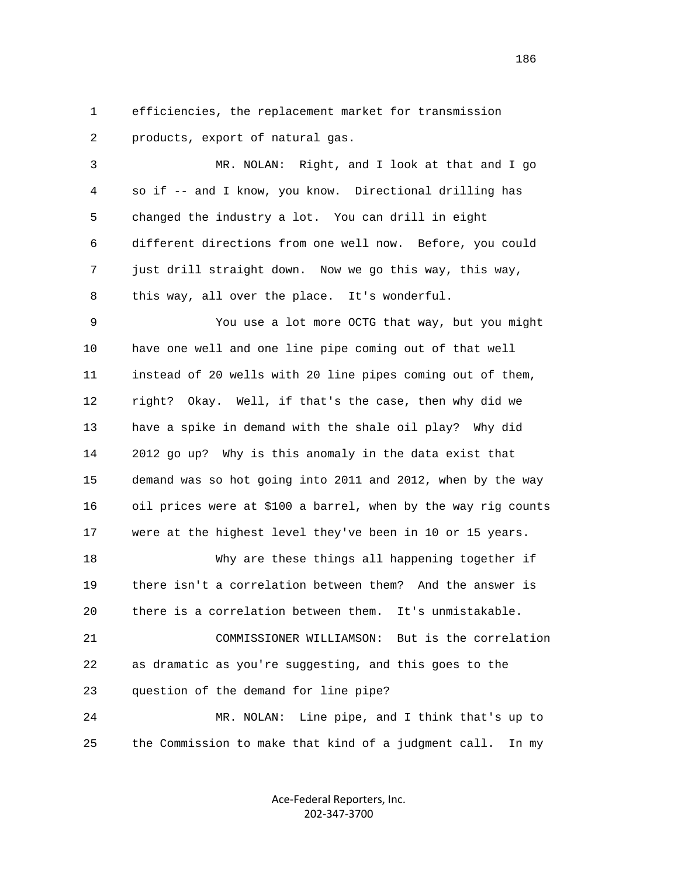1 efficiencies, the replacement market for transmission 2 products, export of natural gas.

 3 MR. NOLAN: Right, and I look at that and I go 4 so if -- and I know, you know. Directional drilling has 5 changed the industry a lot. You can drill in eight 6 different directions from one well now. Before, you could 7 just drill straight down. Now we go this way, this way, 8 this way, all over the place. It's wonderful.

 9 You use a lot more OCTG that way, but you might 10 have one well and one line pipe coming out of that well 11 instead of 20 wells with 20 line pipes coming out of them, 12 right? Okay. Well, if that's the case, then why did we 13 have a spike in demand with the shale oil play? Why did 14 2012 go up? Why is this anomaly in the data exist that 15 demand was so hot going into 2011 and 2012, when by the way 16 oil prices were at \$100 a barrel, when by the way rig counts 17 were at the highest level they've been in 10 or 15 years.

 18 Why are these things all happening together if 19 there isn't a correlation between them? And the answer is 20 there is a correlation between them. It's unmistakable.

 21 COMMISSIONER WILLIAMSON: But is the correlation 22 as dramatic as you're suggesting, and this goes to the 23 question of the demand for line pipe?

 24 MR. NOLAN: Line pipe, and I think that's up to 25 the Commission to make that kind of a judgment call. In my

> Ace‐Federal Reporters, Inc. 202‐347‐3700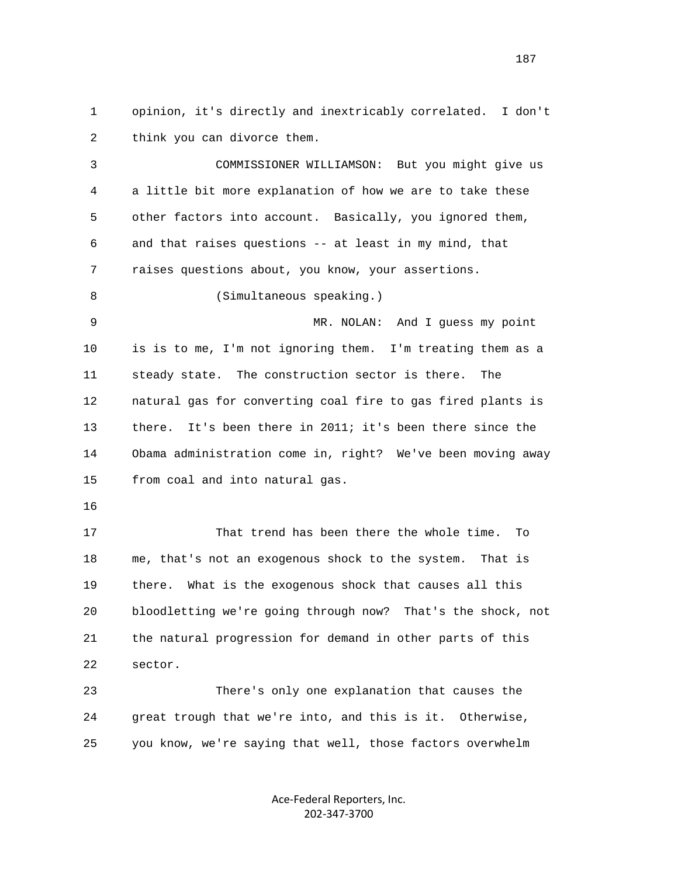1 opinion, it's directly and inextricably correlated. I don't 2 think you can divorce them.

 3 COMMISSIONER WILLIAMSON: But you might give us 4 a little bit more explanation of how we are to take these 5 other factors into account. Basically, you ignored them, 6 and that raises questions -- at least in my mind, that 7 raises questions about, you know, your assertions. 8 (Simultaneous speaking.) 9 MR. NOLAN: And I guess my point 10 is is to me, I'm not ignoring them. I'm treating them as a 11 steady state. The construction sector is there. The 12 natural gas for converting coal fire to gas fired plants is 13 there. It's been there in 2011; it's been there since the 14 Obama administration come in, right? We've been moving away 15 from coal and into natural gas. 16 17 That trend has been there the whole time. To 18 me, that's not an exogenous shock to the system. That is 19 there. What is the exogenous shock that causes all this 20 bloodletting we're going through now? That's the shock, not 21 the natural progression for demand in other parts of this 22 sector. 23 There's only one explanation that causes the 24 great trough that we're into, and this is it. Otherwise,

> Ace‐Federal Reporters, Inc. 202‐347‐3700

25 you know, we're saying that well, those factors overwhelm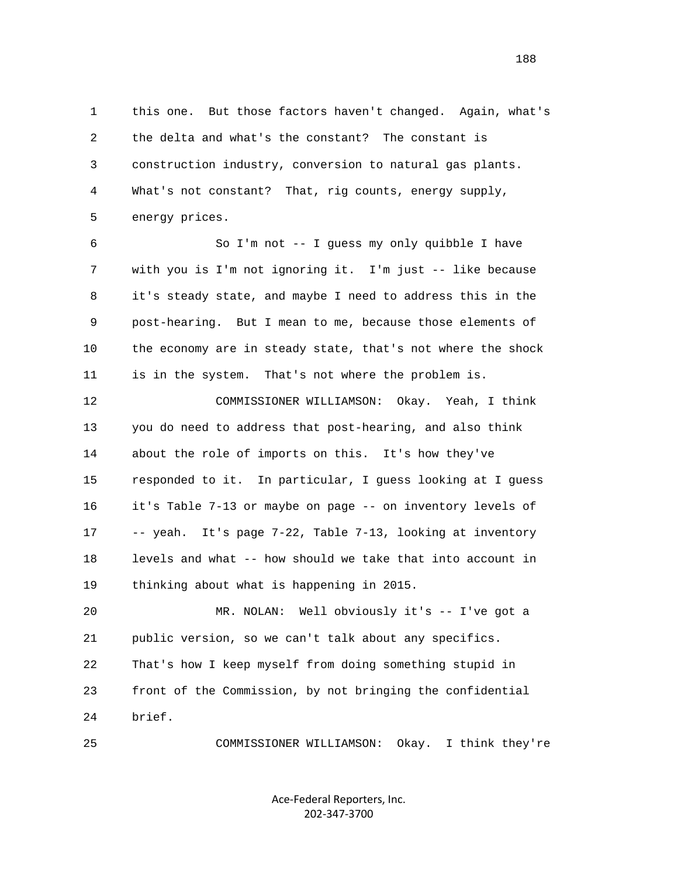1 this one. But those factors haven't changed. Again, what's 2 the delta and what's the constant? The constant is 3 construction industry, conversion to natural gas plants. 4 What's not constant? That, rig counts, energy supply, 5 energy prices.

 6 So I'm not -- I guess my only quibble I have 7 with you is I'm not ignoring it. I'm just -- like because 8 it's steady state, and maybe I need to address this in the 9 post-hearing. But I mean to me, because those elements of 10 the economy are in steady state, that's not where the shock 11 is in the system. That's not where the problem is.

 12 COMMISSIONER WILLIAMSON: Okay. Yeah, I think 13 you do need to address that post-hearing, and also think 14 about the role of imports on this. It's how they've 15 responded to it. In particular, I guess looking at I guess 16 it's Table 7-13 or maybe on page -- on inventory levels of 17 -- yeah. It's page 7-22, Table 7-13, looking at inventory 18 levels and what -- how should we take that into account in 19 thinking about what is happening in 2015.

 20 MR. NOLAN: Well obviously it's -- I've got a 21 public version, so we can't talk about any specifics. 22 That's how I keep myself from doing something stupid in 23 front of the Commission, by not bringing the confidential 24 brief.

25 COMMISSIONER WILLIAMSON: Okay. I think they're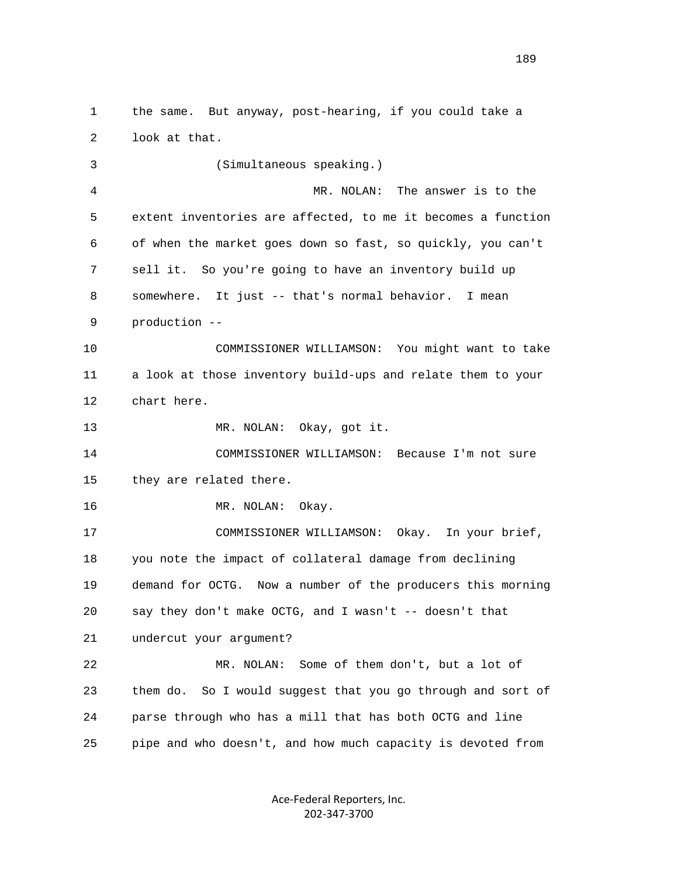1 the same. But anyway, post-hearing, if you could take a 2 look at that. 3 (Simultaneous speaking.) 4 MR. NOLAN: The answer is to the 5 extent inventories are affected, to me it becomes a function 6 of when the market goes down so fast, so quickly, you can't 7 sell it. So you're going to have an inventory build up 8 somewhere. It just -- that's normal behavior. I mean 9 production -- 10 COMMISSIONER WILLIAMSON: You might want to take 11 a look at those inventory build-ups and relate them to your 12 chart here. 13 MR. NOLAN: Okay, got it. 14 COMMISSIONER WILLIAMSON: Because I'm not sure 15 they are related there. 16 MR. NOLAN: Okay. 17 COMMISSIONER WILLIAMSON: Okay. In your brief, 18 you note the impact of collateral damage from declining 19 demand for OCTG. Now a number of the producers this morning 20 say they don't make OCTG, and I wasn't -- doesn't that 21 undercut your argument? 22 MR. NOLAN: Some of them don't, but a lot of 23 them do. So I would suggest that you go through and sort of 24 parse through who has a mill that has both OCTG and line 25 pipe and who doesn't, and how much capacity is devoted from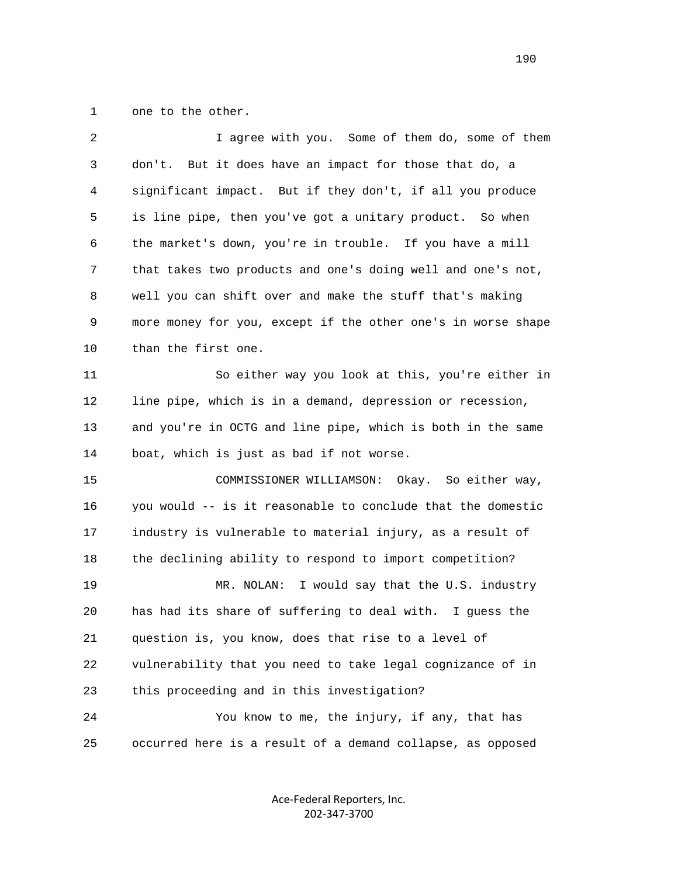1 one to the other.

| 2  | I agree with you. Some of them do, some of them              |
|----|--------------------------------------------------------------|
| 3  | don't. But it does have an impact for those that do, a       |
| 4  | significant impact. But if they don't, if all you produce    |
| 5  | is line pipe, then you've got a unitary product. So when     |
| 6  | the market's down, you're in trouble. If you have a mill     |
| 7  | that takes two products and one's doing well and one's not,  |
| 8  | well you can shift over and make the stuff that's making     |
| 9  | more money for you, except if the other one's in worse shape |
| 10 | than the first one.                                          |
| 11 | So either way you look at this, you're either in             |
| 12 | line pipe, which is in a demand, depression or recession,    |
| 13 | and you're in OCTG and line pipe, which is both in the same  |
| 14 | boat, which is just as bad if not worse.                     |
| 15 | COMMISSIONER WILLIAMSON: Okay. So either way,                |
| 16 | you would -- is it reasonable to conclude that the domestic  |
| 17 | industry is vulnerable to material injury, as a result of    |
| 18 | the declining ability to respond to import competition?      |
| 19 | MR. NOLAN: I would say that the U.S. industry                |
| 20 | has had its share of suffering to deal with. I guess the     |
| 21 | question is, you know, does that rise to a level of          |
| 22 | vulnerability that you need to take legal cognizance of in   |
| 23 | this proceeding and in this investigation?                   |
| 24 | You know to me, the injury, if any, that has                 |
| 25 | occurred here is a result of a demand collapse, as opposed   |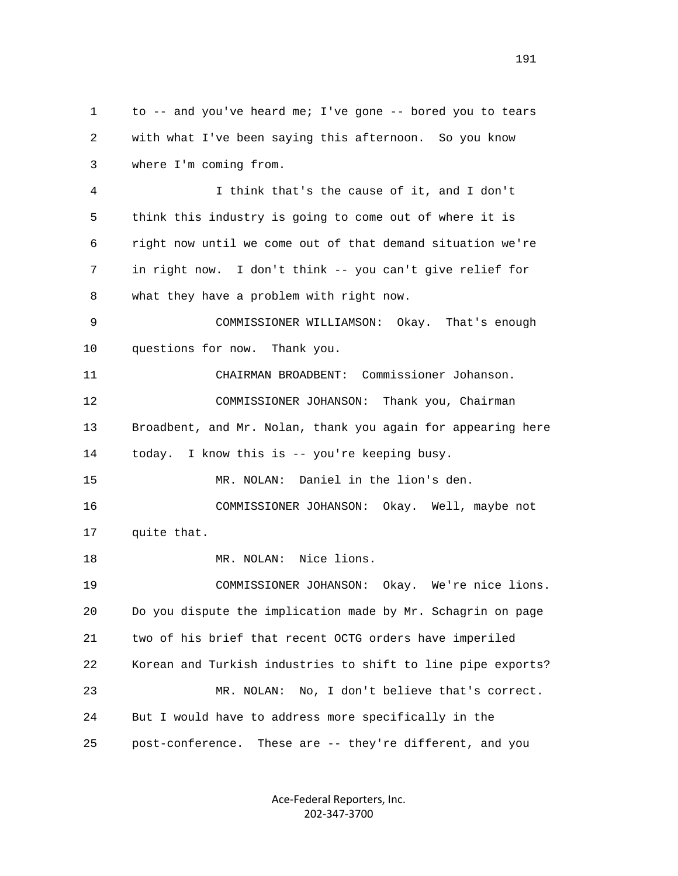1 to -- and you've heard me; I've gone -- bored you to tears 2 with what I've been saying this afternoon. So you know 3 where I'm coming from. 4 I think that's the cause of it, and I don't 5 think this industry is going to come out of where it is 6 right now until we come out of that demand situation we're 7 in right now. I don't think -- you can't give relief for 8 what they have a problem with right now. 9 COMMISSIONER WILLIAMSON: Okay. That's enough 10 questions for now. Thank you. 11 CHAIRMAN BROADBENT: Commissioner Johanson. 12 COMMISSIONER JOHANSON: Thank you, Chairman 13 Broadbent, and Mr. Nolan, thank you again for appearing here 14 today. I know this is -- you're keeping busy. 15 MR. NOLAN: Daniel in the lion's den. 16 COMMISSIONER JOHANSON: Okay. Well, maybe not 17 quite that. 18 MR. NOLAN: Nice lions. 19 COMMISSIONER JOHANSON: Okay. We're nice lions. 20 Do you dispute the implication made by Mr. Schagrin on page 21 two of his brief that recent OCTG orders have imperiled 22 Korean and Turkish industries to shift to line pipe exports? 23 MR. NOLAN: No, I don't believe that's correct. 24 But I would have to address more specifically in the 25 post-conference. These are -- they're different, and you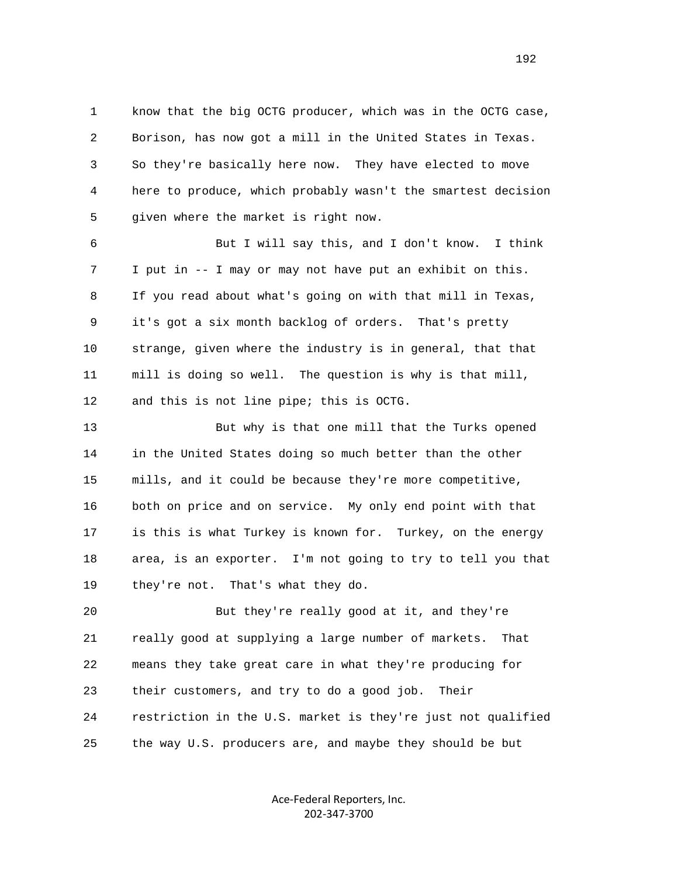1 know that the big OCTG producer, which was in the OCTG case, 2 Borison, has now got a mill in the United States in Texas. 3 So they're basically here now. They have elected to move 4 here to produce, which probably wasn't the smartest decision 5 given where the market is right now.

 6 But I will say this, and I don't know. I think 7 I put in -- I may or may not have put an exhibit on this. 8 If you read about what's going on with that mill in Texas, 9 it's got a six month backlog of orders. That's pretty 10 strange, given where the industry is in general, that that 11 mill is doing so well. The question is why is that mill, 12 and this is not line pipe; this is OCTG.

 13 But why is that one mill that the Turks opened 14 in the United States doing so much better than the other 15 mills, and it could be because they're more competitive, 16 both on price and on service. My only end point with that 17 is this is what Turkey is known for. Turkey, on the energy 18 area, is an exporter. I'm not going to try to tell you that 19 they're not. That's what they do.

 20 But they're really good at it, and they're 21 really good at supplying a large number of markets. That 22 means they take great care in what they're producing for 23 their customers, and try to do a good job. Their 24 restriction in the U.S. market is they're just not qualified 25 the way U.S. producers are, and maybe they should be but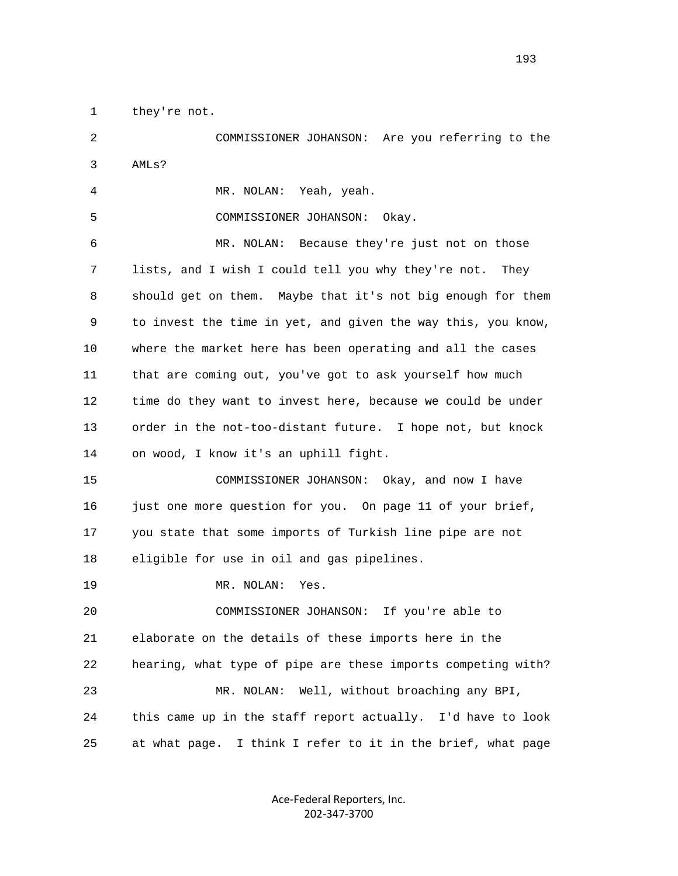1 they're not.

 2 COMMISSIONER JOHANSON: Are you referring to the 3 AMLs?

4 MR. NOLAN: Yeah, yeah.

5 COMMISSIONER JOHANSON: Okay.

 6 MR. NOLAN: Because they're just not on those 7 lists, and I wish I could tell you why they're not. They 8 should get on them. Maybe that it's not big enough for them 9 to invest the time in yet, and given the way this, you know, 10 where the market here has been operating and all the cases 11 that are coming out, you've got to ask yourself how much 12 time do they want to invest here, because we could be under 13 order in the not-too-distant future. I hope not, but knock 14 on wood, I know it's an uphill fight.

 15 COMMISSIONER JOHANSON: Okay, and now I have 16 just one more question for you. On page 11 of your brief, 17 you state that some imports of Turkish line pipe are not 18 eligible for use in oil and gas pipelines.

19 MR. NOLAN: Yes.

 20 COMMISSIONER JOHANSON: If you're able to 21 elaborate on the details of these imports here in the 22 hearing, what type of pipe are these imports competing with? 23 MR. NOLAN: Well, without broaching any BPI, 24 this came up in the staff report actually. I'd have to look 25 at what page. I think I refer to it in the brief, what page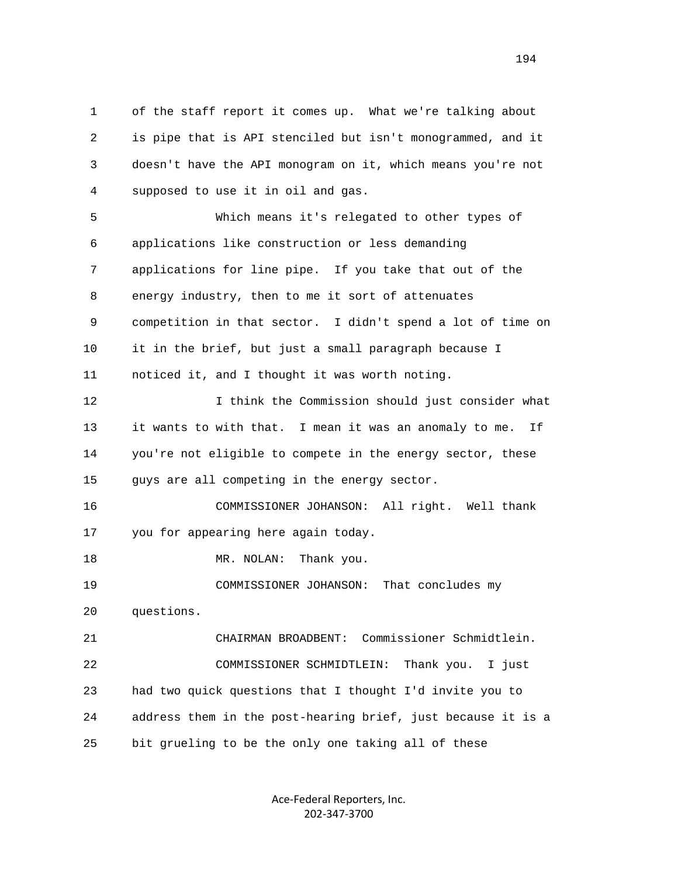1 of the staff report it comes up. What we're talking about 2 is pipe that is API stenciled but isn't monogrammed, and it 3 doesn't have the API monogram on it, which means you're not 4 supposed to use it in oil and gas. 5 Which means it's relegated to other types of 6 applications like construction or less demanding 7 applications for line pipe. If you take that out of the 8 energy industry, then to me it sort of attenuates 9 competition in that sector. I didn't spend a lot of time on 10 it in the brief, but just a small paragraph because I 11 noticed it, and I thought it was worth noting. 12 I think the Commission should just consider what 13 it wants to with that. I mean it was an anomaly to me. If 14 you're not eligible to compete in the energy sector, these 15 guys are all competing in the energy sector. 16 COMMISSIONER JOHANSON: All right. Well thank 17 you for appearing here again today. 18 MR. NOLAN: Thank you. 19 COMMISSIONER JOHANSON: That concludes my 20 questions. 21 CHAIRMAN BROADBENT: Commissioner Schmidtlein. 22 COMMISSIONER SCHMIDTLEIN: Thank you. I just 23 had two quick questions that I thought I'd invite you to 24 address them in the post-hearing brief, just because it is a 25 bit grueling to be the only one taking all of these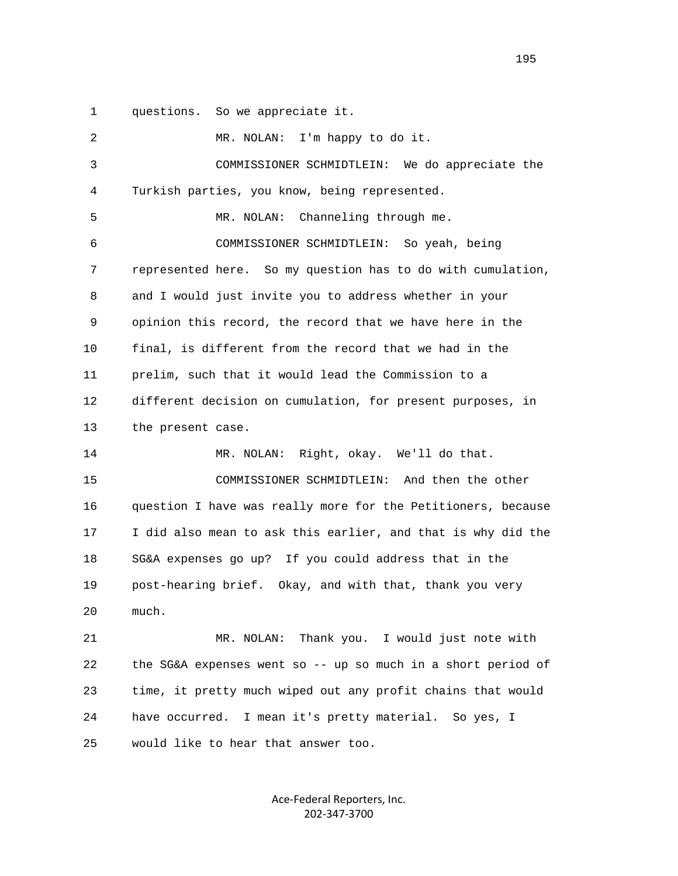1 questions. So we appreciate it.

 2 MR. NOLAN: I'm happy to do it. 3 COMMISSIONER SCHMIDTLEIN: We do appreciate the 4 Turkish parties, you know, being represented. 5 MR. NOLAN: Channeling through me. 6 COMMISSIONER SCHMIDTLEIN: So yeah, being 7 represented here. So my question has to do with cumulation, 8 and I would just invite you to address whether in your 9 opinion this record, the record that we have here in the 10 final, is different from the record that we had in the 11 prelim, such that it would lead the Commission to a 12 different decision on cumulation, for present purposes, in 13 the present case. 14 MR. NOLAN: Right, okay. We'll do that. 15 COMMISSIONER SCHMIDTLEIN: And then the other 16 question I have was really more for the Petitioners, because 17 I did also mean to ask this earlier, and that is why did the 18 SG&A expenses go up? If you could address that in the 19 post-hearing brief. Okay, and with that, thank you very 20 much. 21 MR. NOLAN: Thank you. I would just note with 22 the SG&A expenses went so -- up so much in a short period of 23 time, it pretty much wiped out any profit chains that would 24 have occurred. I mean it's pretty material. So yes, I 25 would like to hear that answer too.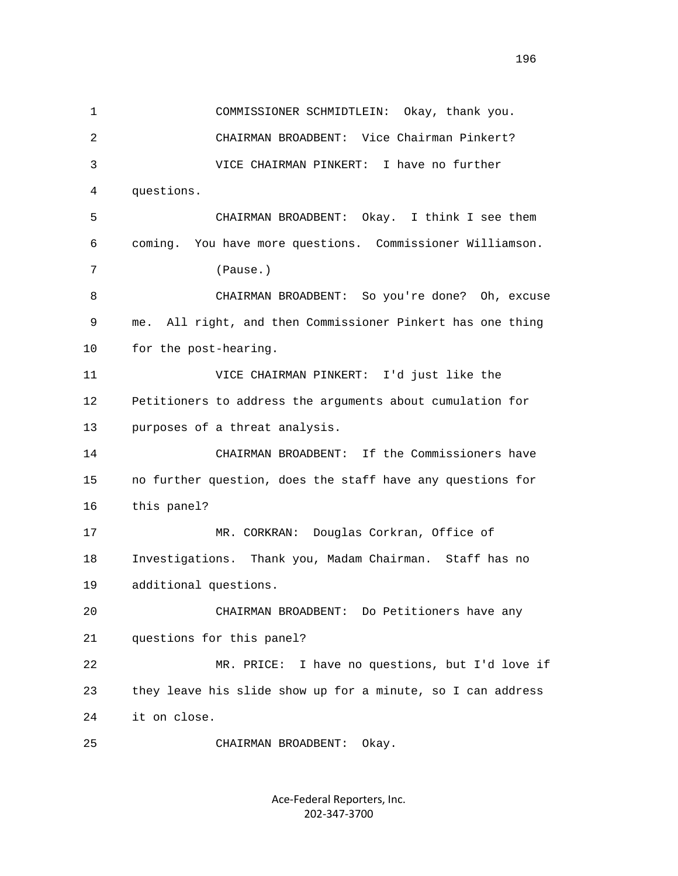1 COMMISSIONER SCHMIDTLEIN: Okay, thank you. 2 CHAIRMAN BROADBENT: Vice Chairman Pinkert? 3 VICE CHAIRMAN PINKERT: I have no further 4 questions. 5 CHAIRMAN BROADBENT: Okay. I think I see them 6 coming. You have more questions. Commissioner Williamson. 7 (Pause.) 8 CHAIRMAN BROADBENT: So you're done? Oh, excuse 9 me. All right, and then Commissioner Pinkert has one thing 10 for the post-hearing. 11 VICE CHAIRMAN PINKERT: I'd just like the 12 Petitioners to address the arguments about cumulation for 13 purposes of a threat analysis. 14 CHAIRMAN BROADBENT: If the Commissioners have 15 no further question, does the staff have any questions for 16 this panel? 17 MR. CORKRAN: Douglas Corkran, Office of 18 Investigations. Thank you, Madam Chairman. Staff has no 19 additional questions. 20 CHAIRMAN BROADBENT: Do Petitioners have any 21 questions for this panel? 22 MR. PRICE: I have no questions, but I'd love if 23 they leave his slide show up for a minute, so I can address 24 it on close. 25 CHAIRMAN BROADBENT: Okay.

> Ace‐Federal Reporters, Inc. 202‐347‐3700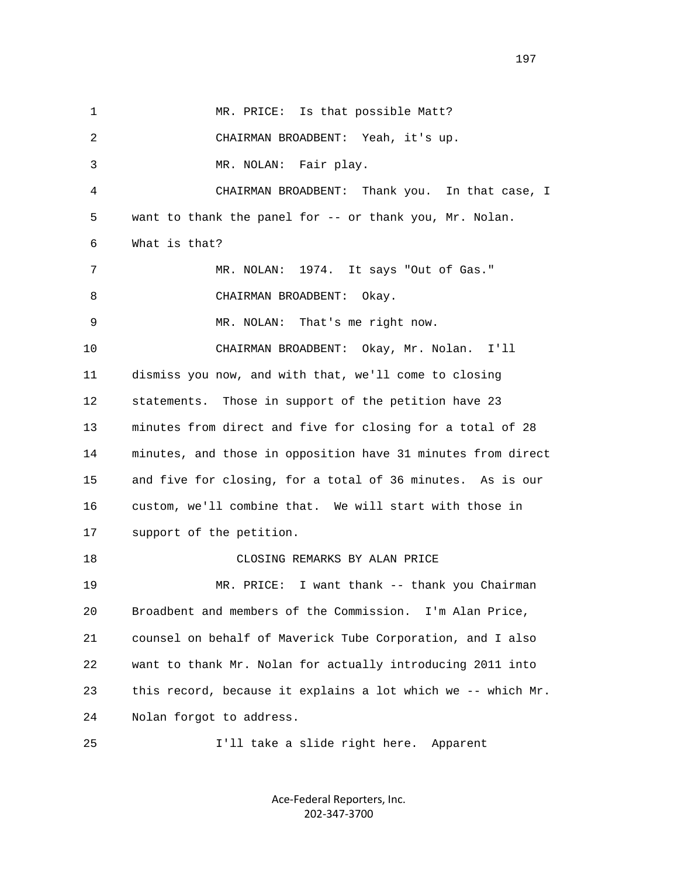1 MR. PRICE: Is that possible Matt? 2 CHAIRMAN BROADBENT: Yeah, it's up. 3 MR. NOLAN: Fair play. 4 CHAIRMAN BROADBENT: Thank you. In that case, I 5 want to thank the panel for -- or thank you, Mr. Nolan. 6 What is that? 7 MR. NOLAN: 1974. It says "Out of Gas." 8 CHAIRMAN BROADBENT: Okay. 9 MR. NOLAN: That's me right now. 10 CHAIRMAN BROADBENT: Okay, Mr. Nolan. I'll 11 dismiss you now, and with that, we'll come to closing 12 statements. Those in support of the petition have 23 13 minutes from direct and five for closing for a total of 28 14 minutes, and those in opposition have 31 minutes from direct 15 and five for closing, for a total of 36 minutes. As is our 16 custom, we'll combine that. We will start with those in 17 support of the petition. 18 CLOSING REMARKS BY ALAN PRICE 19 MR. PRICE: I want thank -- thank you Chairman 20 Broadbent and members of the Commission. I'm Alan Price, 21 counsel on behalf of Maverick Tube Corporation, and I also 22 want to thank Mr. Nolan for actually introducing 2011 into 23 this record, because it explains a lot which we -- which Mr. 24 Nolan forgot to address. 25 I'll take a slide right here. Apparent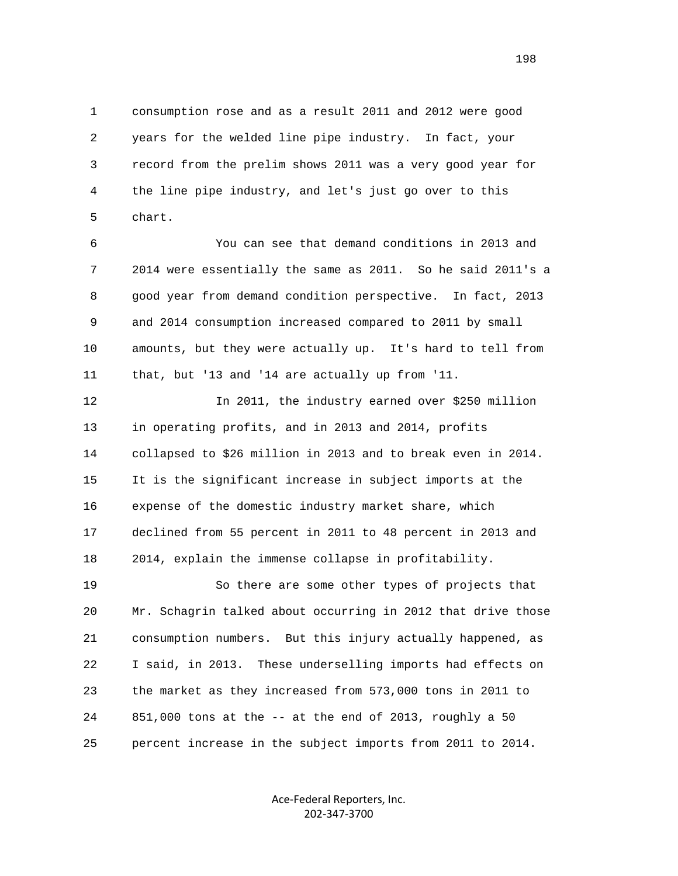1 consumption rose and as a result 2011 and 2012 were good 2 years for the welded line pipe industry. In fact, your 3 record from the prelim shows 2011 was a very good year for 4 the line pipe industry, and let's just go over to this 5 chart.

 6 You can see that demand conditions in 2013 and 7 2014 were essentially the same as 2011. So he said 2011's a 8 good year from demand condition perspective. In fact, 2013 9 and 2014 consumption increased compared to 2011 by small 10 amounts, but they were actually up. It's hard to tell from 11 that, but '13 and '14 are actually up from '11.

 12 In 2011, the industry earned over \$250 million 13 in operating profits, and in 2013 and 2014, profits 14 collapsed to \$26 million in 2013 and to break even in 2014. 15 It is the significant increase in subject imports at the 16 expense of the domestic industry market share, which 17 declined from 55 percent in 2011 to 48 percent in 2013 and 18 2014, explain the immense collapse in profitability.

 19 So there are some other types of projects that 20 Mr. Schagrin talked about occurring in 2012 that drive those 21 consumption numbers. But this injury actually happened, as 22 I said, in 2013. These underselling imports had effects on 23 the market as they increased from 573,000 tons in 2011 to 24 851,000 tons at the -- at the end of 2013, roughly a 50 25 percent increase in the subject imports from 2011 to 2014.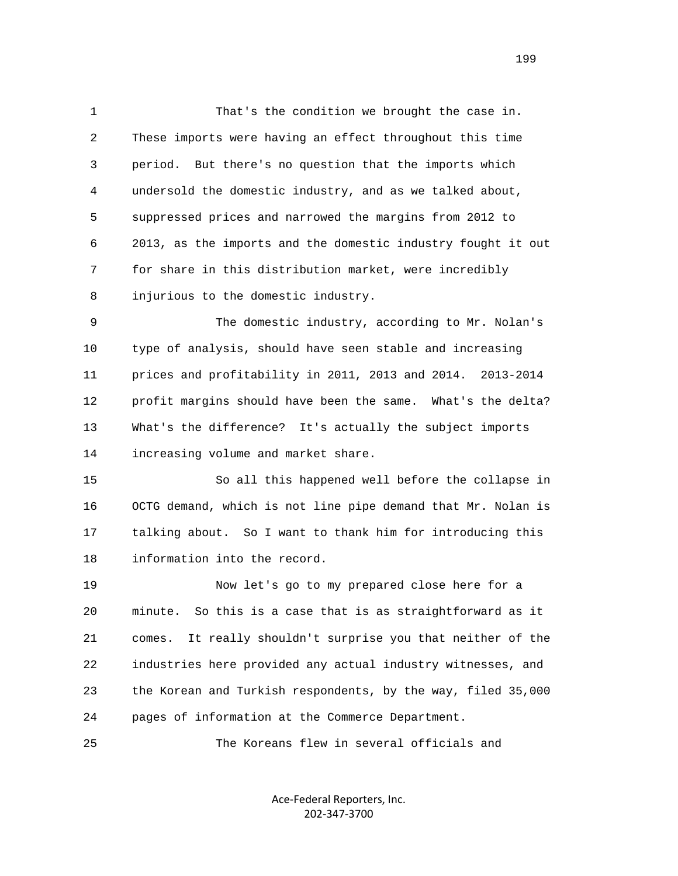1 That's the condition we brought the case in. 2 These imports were having an effect throughout this time 3 period. But there's no question that the imports which 4 undersold the domestic industry, and as we talked about, 5 suppressed prices and narrowed the margins from 2012 to 6 2013, as the imports and the domestic industry fought it out 7 for share in this distribution market, were incredibly 8 injurious to the domestic industry.

 9 The domestic industry, according to Mr. Nolan's 10 type of analysis, should have seen stable and increasing 11 prices and profitability in 2011, 2013 and 2014. 2013-2014 12 profit margins should have been the same. What's the delta? 13 What's the difference? It's actually the subject imports 14 increasing volume and market share.

 15 So all this happened well before the collapse in 16 OCTG demand, which is not line pipe demand that Mr. Nolan is 17 talking about. So I want to thank him for introducing this 18 information into the record.

 19 Now let's go to my prepared close here for a 20 minute. So this is a case that is as straightforward as it 21 comes. It really shouldn't surprise you that neither of the 22 industries here provided any actual industry witnesses, and 23 the Korean and Turkish respondents, by the way, filed 35,000 24 pages of information at the Commerce Department.

25 The Koreans flew in several officials and

Ace‐Federal Reporters, Inc. 202‐347‐3700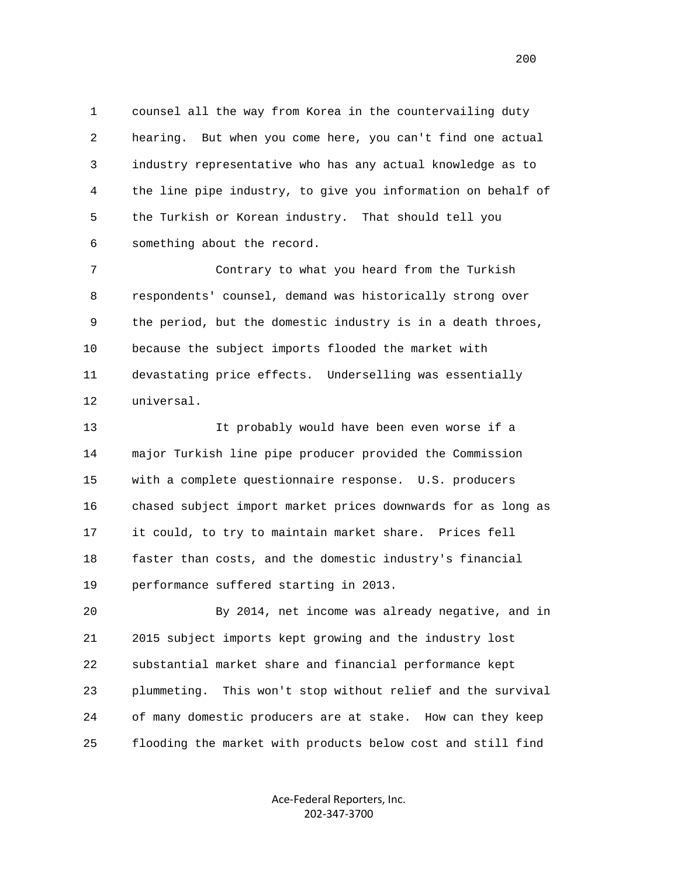1 counsel all the way from Korea in the countervailing duty 2 hearing. But when you come here, you can't find one actual 3 industry representative who has any actual knowledge as to 4 the line pipe industry, to give you information on behalf of 5 the Turkish or Korean industry. That should tell you 6 something about the record.

 7 Contrary to what you heard from the Turkish 8 respondents' counsel, demand was historically strong over 9 the period, but the domestic industry is in a death throes, 10 because the subject imports flooded the market with 11 devastating price effects. Underselling was essentially 12 universal.

 13 It probably would have been even worse if a 14 major Turkish line pipe producer provided the Commission 15 with a complete questionnaire response. U.S. producers 16 chased subject import market prices downwards for as long as 17 it could, to try to maintain market share. Prices fell 18 faster than costs, and the domestic industry's financial 19 performance suffered starting in 2013.

 20 By 2014, net income was already negative, and in 21 2015 subject imports kept growing and the industry lost 22 substantial market share and financial performance kept 23 plummeting. This won't stop without relief and the survival 24 of many domestic producers are at stake. How can they keep 25 flooding the market with products below cost and still find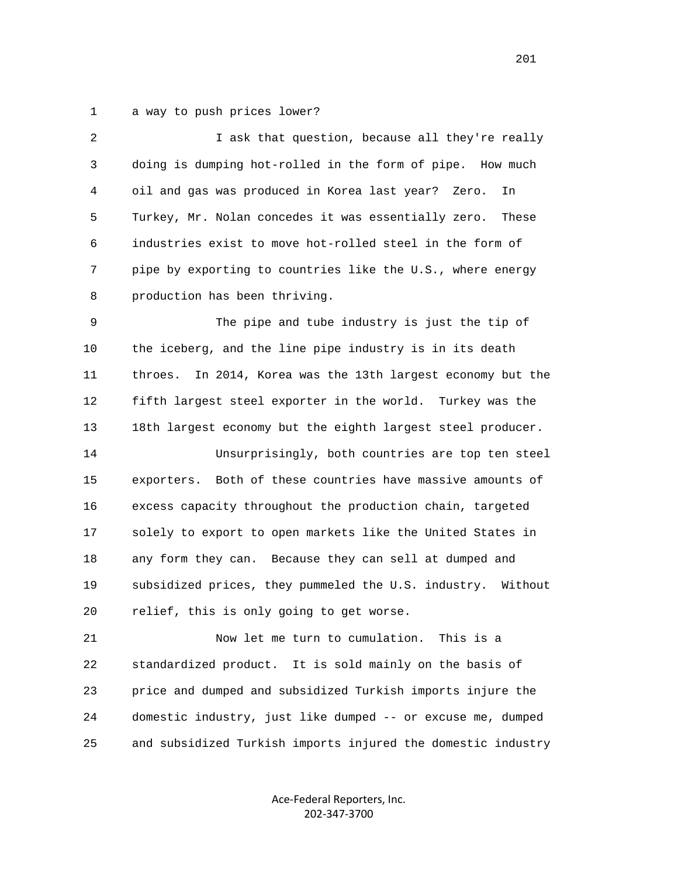1 a way to push prices lower?

| $\overline{2}$ | I ask that question, because all they're really                |
|----------------|----------------------------------------------------------------|
| 3              | doing is dumping hot-rolled in the form of pipe. How much      |
| 4              | oil and gas was produced in Korea last year? Zero.<br>In       |
| 5              | Turkey, Mr. Nolan concedes it was essentially zero.<br>These   |
| 6              | industries exist to move hot-rolled steel in the form of       |
| 7              | pipe by exporting to countries like the U.S., where energy     |
| 8              | production has been thriving.                                  |
| 9              | The pipe and tube industry is just the tip of                  |
| 10             | the iceberg, and the line pipe industry is in its death        |
| 11             | throes.<br>In 2014, Korea was the 13th largest economy but the |
| 12             | fifth largest steel exporter in the world. Turkey was the      |
| 13             | 18th largest economy but the eighth largest steel producer.    |
| 14             | Unsurprisingly, both countries are top ten steel               |
| 15             | exporters. Both of these countries have massive amounts of     |
| 16             | excess capacity throughout the production chain, targeted      |
| 17             | solely to export to open markets like the United States in     |
| 18             | any form they can. Because they can sell at dumped and         |
| 19             | subsidized prices, they pummeled the U.S. industry. Without    |
| 20             | relief, this is only going to get worse.                       |
| 21             | Now let me turn to cumulation.<br>This is a                    |

 22 standardized product. It is sold mainly on the basis of 23 price and dumped and subsidized Turkish imports injure the 24 domestic industry, just like dumped -- or excuse me, dumped 25 and subsidized Turkish imports injured the domestic industry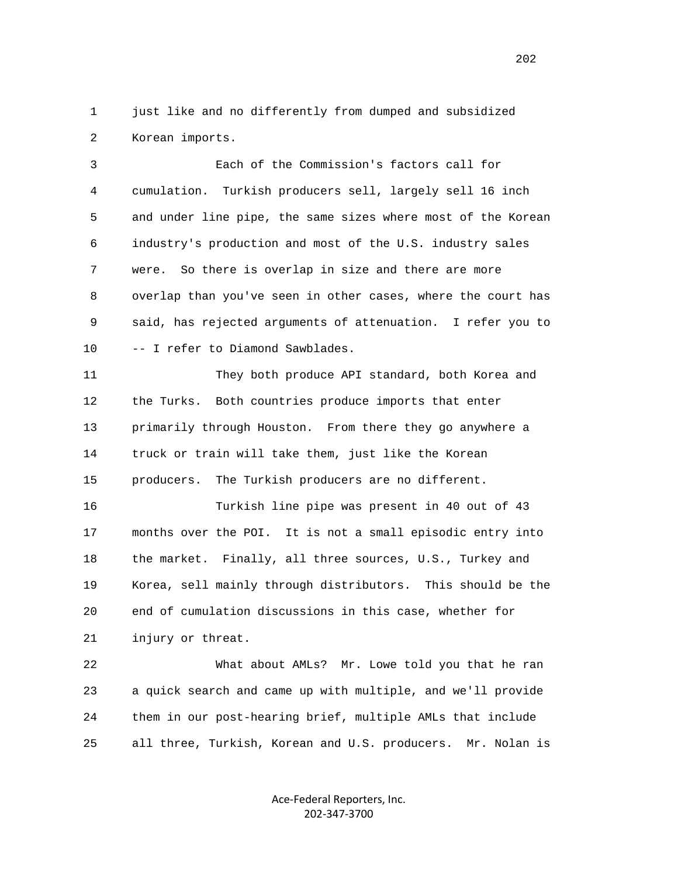1 just like and no differently from dumped and subsidized 2 Korean imports.

 3 Each of the Commission's factors call for 4 cumulation. Turkish producers sell, largely sell 16 inch 5 and under line pipe, the same sizes where most of the Korean 6 industry's production and most of the U.S. industry sales 7 were. So there is overlap in size and there are more 8 overlap than you've seen in other cases, where the court has 9 said, has rejected arguments of attenuation. I refer you to 10 -- I refer to Diamond Sawblades.

 11 They both produce API standard, both Korea and 12 the Turks. Both countries produce imports that enter 13 primarily through Houston. From there they go anywhere a 14 truck or train will take them, just like the Korean 15 producers. The Turkish producers are no different.

 16 Turkish line pipe was present in 40 out of 43 17 months over the POI. It is not a small episodic entry into 18 the market. Finally, all three sources, U.S., Turkey and 19 Korea, sell mainly through distributors. This should be the 20 end of cumulation discussions in this case, whether for 21 injury or threat.

 22 What about AMLs? Mr. Lowe told you that he ran 23 a quick search and came up with multiple, and we'll provide 24 them in our post-hearing brief, multiple AMLs that include 25 all three, Turkish, Korean and U.S. producers. Mr. Nolan is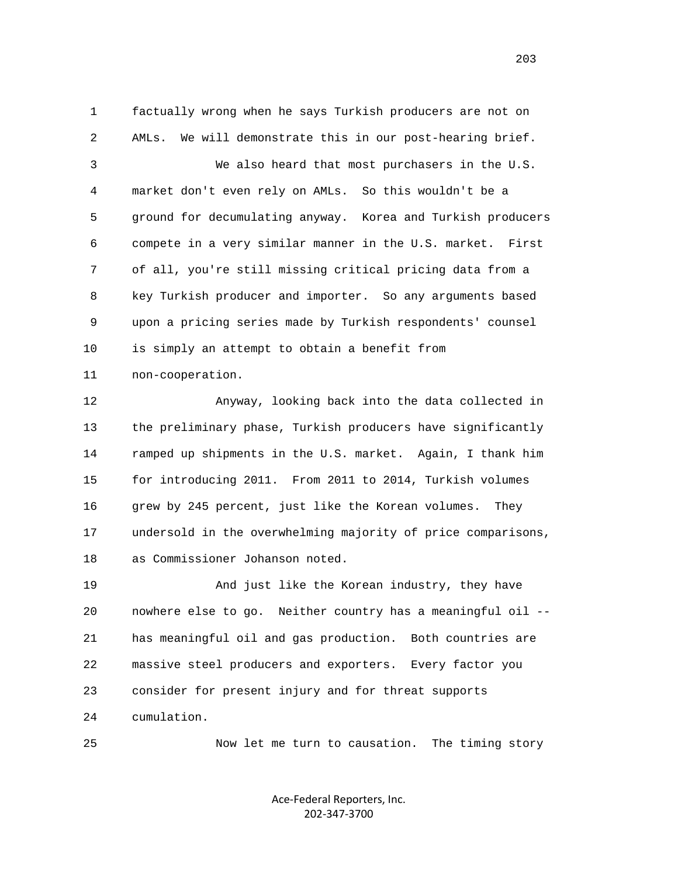1 factually wrong when he says Turkish producers are not on 2 AMLs. We will demonstrate this in our post-hearing brief. 3 We also heard that most purchasers in the U.S. 4 market don't even rely on AMLs. So this wouldn't be a 5 ground for decumulating anyway. Korea and Turkish producers 6 compete in a very similar manner in the U.S. market. First 7 of all, you're still missing critical pricing data from a 8 key Turkish producer and importer. So any arguments based 9 upon a pricing series made by Turkish respondents' counsel 10 is simply an attempt to obtain a benefit from 11 non-cooperation.

 12 Anyway, looking back into the data collected in 13 the preliminary phase, Turkish producers have significantly 14 ramped up shipments in the U.S. market. Again, I thank him 15 for introducing 2011. From 2011 to 2014, Turkish volumes 16 grew by 245 percent, just like the Korean volumes. They 17 undersold in the overwhelming majority of price comparisons, 18 as Commissioner Johanson noted.

 19 And just like the Korean industry, they have 20 nowhere else to go. Neither country has a meaningful oil -- 21 has meaningful oil and gas production. Both countries are 22 massive steel producers and exporters. Every factor you 23 consider for present injury and for threat supports 24 cumulation.

25 Now let me turn to causation. The timing story

Ace‐Federal Reporters, Inc. 202‐347‐3700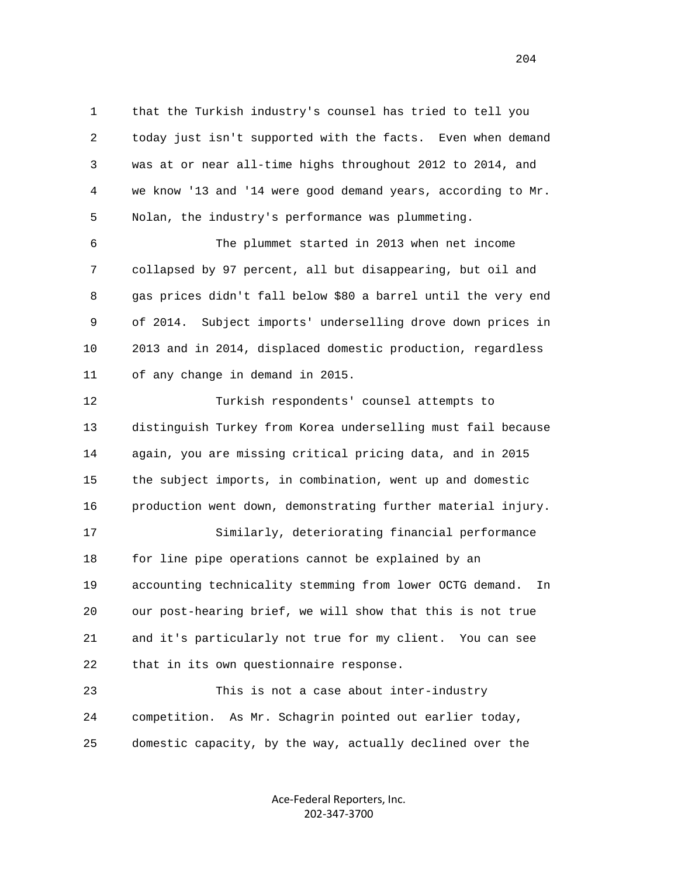1 that the Turkish industry's counsel has tried to tell you 2 today just isn't supported with the facts. Even when demand 3 was at or near all-time highs throughout 2012 to 2014, and 4 we know '13 and '14 were good demand years, according to Mr. 5 Nolan, the industry's performance was plummeting.

 6 The plummet started in 2013 when net income 7 collapsed by 97 percent, all but disappearing, but oil and 8 gas prices didn't fall below \$80 a barrel until the very end 9 of 2014. Subject imports' underselling drove down prices in 10 2013 and in 2014, displaced domestic production, regardless 11 of any change in demand in 2015.

 12 Turkish respondents' counsel attempts to 13 distinguish Turkey from Korea underselling must fail because 14 again, you are missing critical pricing data, and in 2015 15 the subject imports, in combination, went up and domestic 16 production went down, demonstrating further material injury. 17 Similarly, deteriorating financial performance 18 for line pipe operations cannot be explained by an 19 accounting technicality stemming from lower OCTG demand. In 20 our post-hearing brief, we will show that this is not true 21 and it's particularly not true for my client. You can see 22 that in its own questionnaire response.

 23 This is not a case about inter-industry 24 competition. As Mr. Schagrin pointed out earlier today, 25 domestic capacity, by the way, actually declined over the

> Ace‐Federal Reporters, Inc. 202‐347‐3700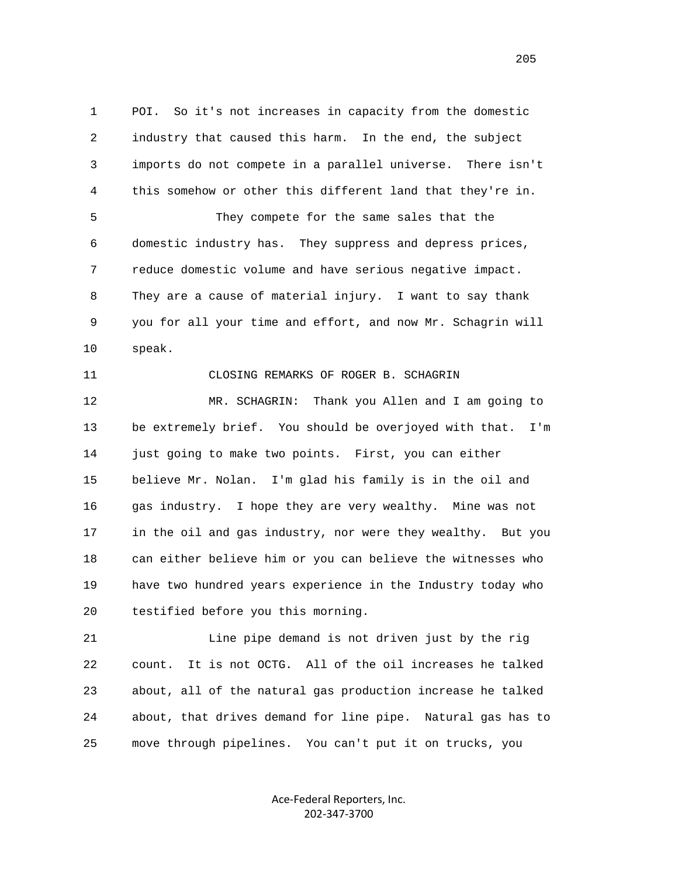1 POI. So it's not increases in capacity from the domestic 2 industry that caused this harm. In the end, the subject 3 imports do not compete in a parallel universe. There isn't 4 this somehow or other this different land that they're in. 5 They compete for the same sales that the 6 domestic industry has. They suppress and depress prices, 7 reduce domestic volume and have serious negative impact. 8 They are a cause of material injury. I want to say thank 9 you for all your time and effort, and now Mr. Schagrin will

10 speak.

11 CLOSING REMARKS OF ROGER B. SCHAGRIN

 12 MR. SCHAGRIN: Thank you Allen and I am going to 13 be extremely brief. You should be overjoyed with that. I'm 14 just going to make two points. First, you can either 15 believe Mr. Nolan. I'm glad his family is in the oil and 16 gas industry. I hope they are very wealthy. Mine was not 17 in the oil and gas industry, nor were they wealthy. But you 18 can either believe him or you can believe the witnesses who 19 have two hundred years experience in the Industry today who 20 testified before you this morning.

 21 Line pipe demand is not driven just by the rig 22 count. It is not OCTG. All of the oil increases he talked 23 about, all of the natural gas production increase he talked 24 about, that drives demand for line pipe. Natural gas has to 25 move through pipelines. You can't put it on trucks, you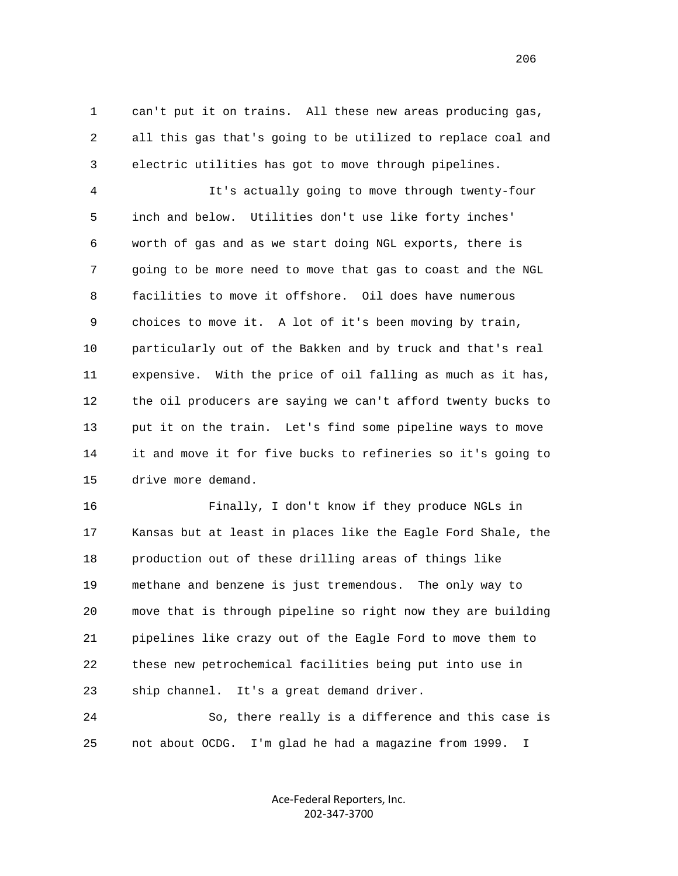1 can't put it on trains. All these new areas producing gas, 2 all this gas that's going to be utilized to replace coal and 3 electric utilities has got to move through pipelines.

 4 It's actually going to move through twenty-four 5 inch and below. Utilities don't use like forty inches' 6 worth of gas and as we start doing NGL exports, there is 7 going to be more need to move that gas to coast and the NGL 8 facilities to move it offshore. Oil does have numerous 9 choices to move it. A lot of it's been moving by train, 10 particularly out of the Bakken and by truck and that's real 11 expensive. With the price of oil falling as much as it has, 12 the oil producers are saying we can't afford twenty bucks to 13 put it on the train. Let's find some pipeline ways to move 14 it and move it for five bucks to refineries so it's going to 15 drive more demand.

 16 Finally, I don't know if they produce NGLs in 17 Kansas but at least in places like the Eagle Ford Shale, the 18 production out of these drilling areas of things like 19 methane and benzene is just tremendous. The only way to 20 move that is through pipeline so right now they are building 21 pipelines like crazy out of the Eagle Ford to move them to 22 these new petrochemical facilities being put into use in 23 ship channel. It's a great demand driver.

 24 So, there really is a difference and this case is 25 not about OCDG. I'm glad he had a magazine from 1999. I

> Ace‐Federal Reporters, Inc. 202‐347‐3700

<u>206</u>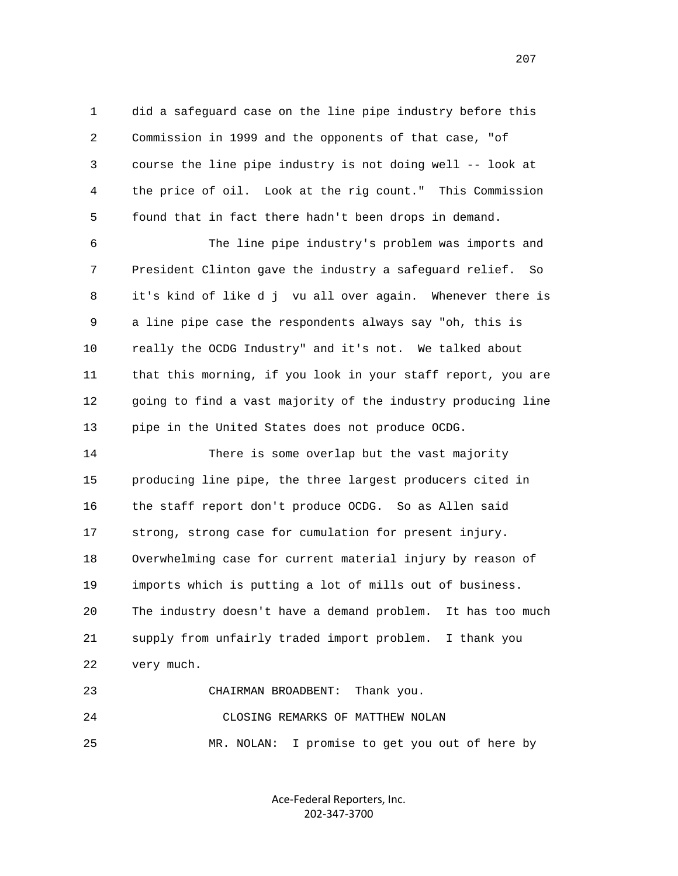1 did a safeguard case on the line pipe industry before this 2 Commission in 1999 and the opponents of that case, "of 3 course the line pipe industry is not doing well -- look at 4 the price of oil. Look at the rig count." This Commission 5 found that in fact there hadn't been drops in demand.

 6 The line pipe industry's problem was imports and 7 President Clinton gave the industry a safeguard relief. So 8 it's kind of like d j vu all over again. Whenever there is 9 a line pipe case the respondents always say "oh, this is 10 really the OCDG Industry" and it's not. We talked about 11 that this morning, if you look in your staff report, you are 12 going to find a vast majority of the industry producing line 13 pipe in the United States does not produce OCDG.

 14 There is some overlap but the vast majority 15 producing line pipe, the three largest producers cited in 16 the staff report don't produce OCDG. So as Allen said 17 strong, strong case for cumulation for present injury. 18 Overwhelming case for current material injury by reason of 19 imports which is putting a lot of mills out of business. 20 The industry doesn't have a demand problem. It has too much 21 supply from unfairly traded import problem. I thank you 22 very much. 23 CHAIRMAN BROADBENT: Thank you.

 24 CLOSING REMARKS OF MATTHEW NOLAN 25 MR. NOLAN: I promise to get you out of here by

> Ace‐Federal Reporters, Inc. 202‐347‐3700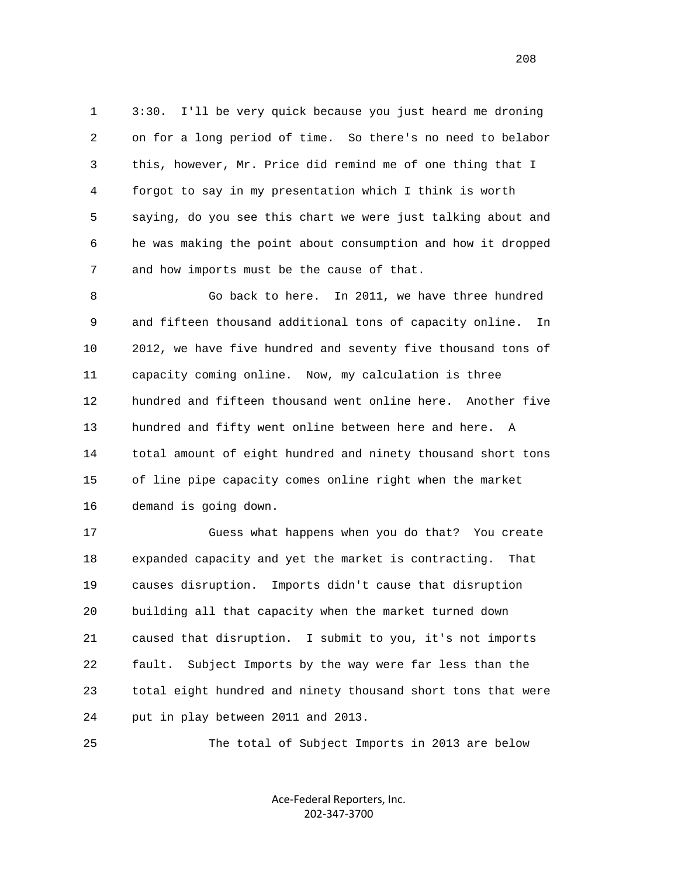1 3:30. I'll be very quick because you just heard me droning 2 on for a long period of time. So there's no need to belabor 3 this, however, Mr. Price did remind me of one thing that I 4 forgot to say in my presentation which I think is worth 5 saying, do you see this chart we were just talking about and 6 he was making the point about consumption and how it dropped 7 and how imports must be the cause of that.

 8 Go back to here. In 2011, we have three hundred 9 and fifteen thousand additional tons of capacity online. In 10 2012, we have five hundred and seventy five thousand tons of 11 capacity coming online. Now, my calculation is three 12 hundred and fifteen thousand went online here. Another five 13 hundred and fifty went online between here and here. A 14 total amount of eight hundred and ninety thousand short tons 15 of line pipe capacity comes online right when the market 16 demand is going down.

 17 Guess what happens when you do that? You create 18 expanded capacity and yet the market is contracting. That 19 causes disruption. Imports didn't cause that disruption 20 building all that capacity when the market turned down 21 caused that disruption. I submit to you, it's not imports 22 fault. Subject Imports by the way were far less than the 23 total eight hundred and ninety thousand short tons that were 24 put in play between 2011 and 2013.

25 The total of Subject Imports in 2013 are below

Ace‐Federal Reporters, Inc. 202‐347‐3700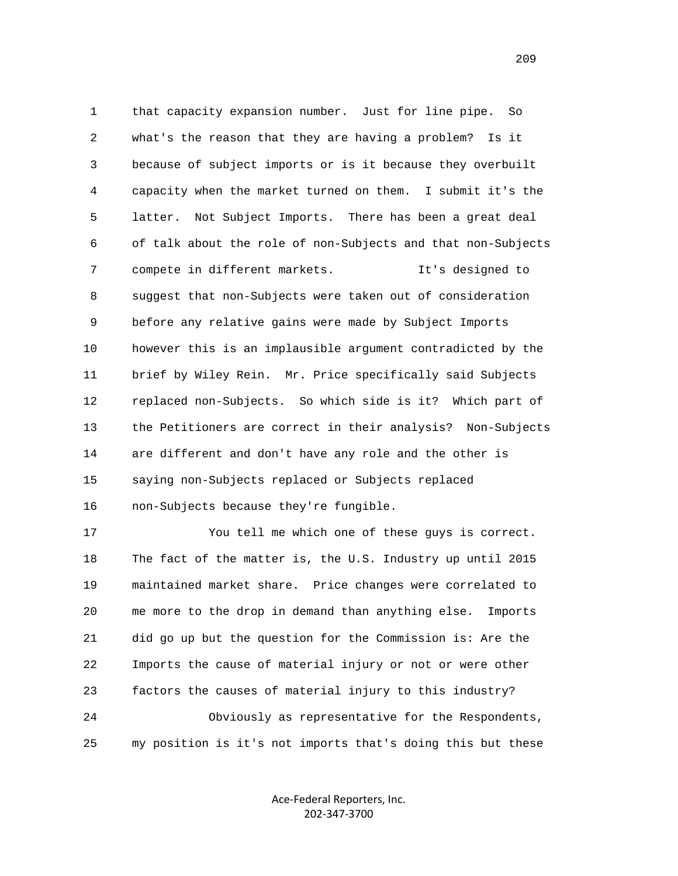1 that capacity expansion number. Just for line pipe. So 2 what's the reason that they are having a problem? Is it 3 because of subject imports or is it because they overbuilt 4 capacity when the market turned on them. I submit it's the 5 latter. Not Subject Imports. There has been a great deal 6 of talk about the role of non-Subjects and that non-Subjects 7 compete in different markets. It's designed to 8 suggest that non-Subjects were taken out of consideration 9 before any relative gains were made by Subject Imports 10 however this is an implausible argument contradicted by the 11 brief by Wiley Rein. Mr. Price specifically said Subjects 12 replaced non-Subjects. So which side is it? Which part of 13 the Petitioners are correct in their analysis? Non-Subjects 14 are different and don't have any role and the other is 15 saying non-Subjects replaced or Subjects replaced 16 non-Subjects because they're fungible.

 17 You tell me which one of these guys is correct. 18 The fact of the matter is, the U.S. Industry up until 2015 19 maintained market share. Price changes were correlated to 20 me more to the drop in demand than anything else. Imports 21 did go up but the question for the Commission is: Are the 22 Imports the cause of material injury or not or were other 23 factors the causes of material injury to this industry? 24 Obviously as representative for the Respondents, 25 my position is it's not imports that's doing this but these

> Ace‐Federal Reporters, Inc. 202‐347‐3700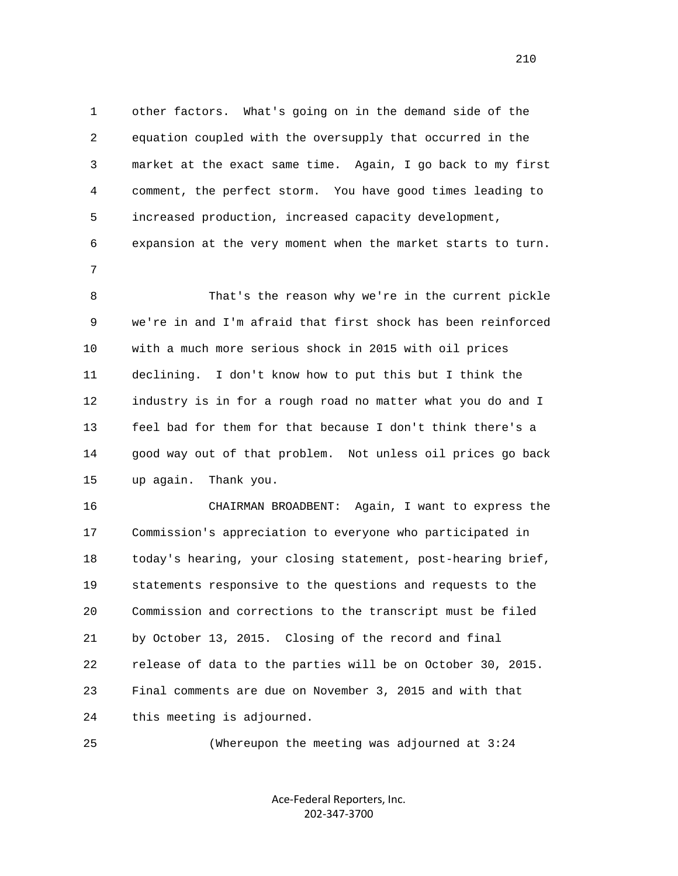1 other factors. What's going on in the demand side of the 2 equation coupled with the oversupply that occurred in the 3 market at the exact same time. Again, I go back to my first 4 comment, the perfect storm. You have good times leading to 5 increased production, increased capacity development, 6 expansion at the very moment when the market starts to turn. 7 8 That's the reason why we're in the current pickle 9 we're in and I'm afraid that first shock has been reinforced 10 with a much more serious shock in 2015 with oil prices 11 declining. I don't know how to put this but I think the 12 industry is in for a rough road no matter what you do and I

> 13 feel bad for them for that because I don't think there's a 14 good way out of that problem. Not unless oil prices go back 15 up again. Thank you.

> 16 CHAIRMAN BROADBENT: Again, I want to express the 17 Commission's appreciation to everyone who participated in 18 today's hearing, your closing statement, post-hearing brief, 19 statements responsive to the questions and requests to the 20 Commission and corrections to the transcript must be filed 21 by October 13, 2015. Closing of the record and final 22 release of data to the parties will be on October 30, 2015. 23 Final comments are due on November 3, 2015 and with that 24 this meeting is adjourned.

25 (Whereupon the meeting was adjourned at 3:24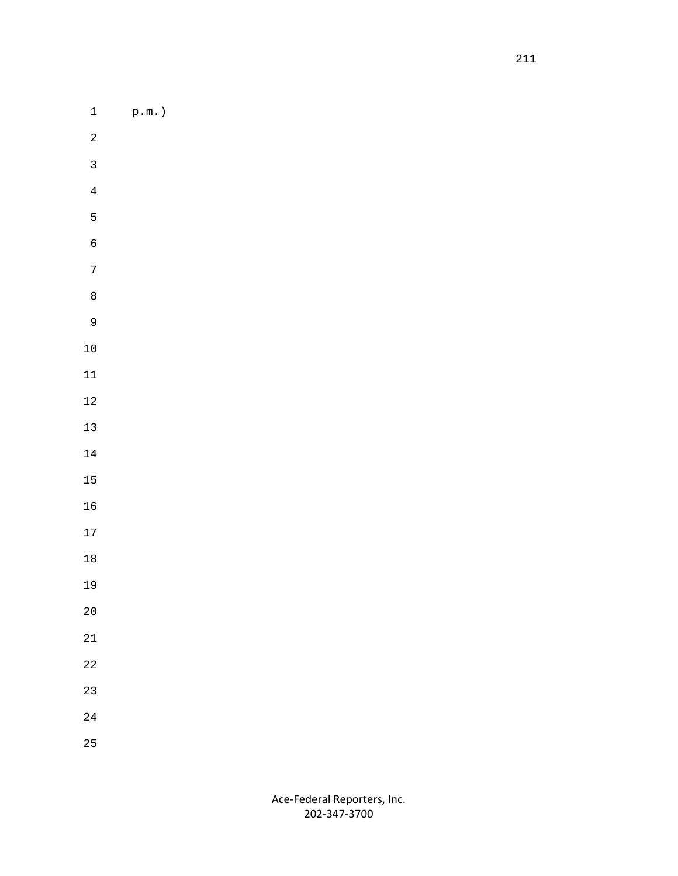1 p.m.)

- 
- 
- 
- 
- 
- 
- 
- 
- 
- 
- 
- 
- 
- 
- 
- 
- 
- 
- 
- 
- 
- 
- 
- 
- 
-